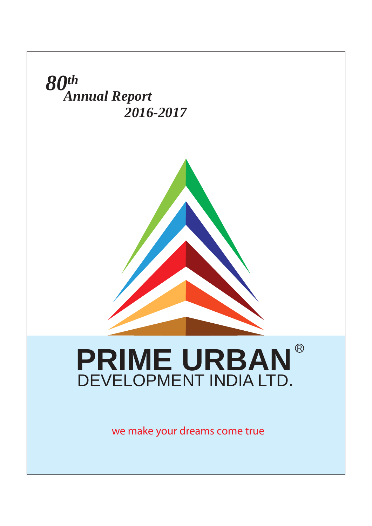

we make your dreams come true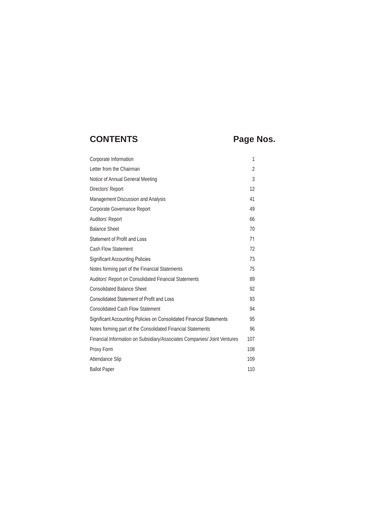## CONTENTS Page Nos.

| Corporate Information                                                    | 1              |  |
|--------------------------------------------------------------------------|----------------|--|
| Letter from the Chairman                                                 | $\overline{2}$ |  |
| Notice of Annual General Meeting                                         | 3              |  |
| Directors' Report                                                        | 12             |  |
| Management Discussion and Analysis                                       | 41             |  |
| Corporate Governance Report                                              | 49             |  |
| Auditors' Report                                                         | 66             |  |
| <b>Balance Sheet</b>                                                     | 70             |  |
| Statement of Profit and Loss                                             | 71             |  |
| <b>Cash Flow Statement</b>                                               | 72             |  |
| <b>Significant Accounting Policies</b>                                   | 73             |  |
| Notes forming part of the Financial Statements                           | 75             |  |
| Auditors' Report on Consolidated Financial Statements                    | 89             |  |
| <b>Consolidated Balance Sheet</b>                                        | 92             |  |
| <b>Consolidated Statement of Profit and Loss</b>                         | 93             |  |
| <b>Consolidated Cash Flow Statement</b>                                  | 94             |  |
| Significant Accounting Policies on Consolidated Financial Statements     | 95             |  |
| Notes forming part of the Consolidated Financial Statements              | 96             |  |
| Financial Information on Subsidiary/Associates Companies/ Joint Ventures | 107            |  |
| Proxy Form                                                               | 108            |  |
| Attendance Slip                                                          | 109            |  |
| <b>Ballot Paper</b>                                                      | 110            |  |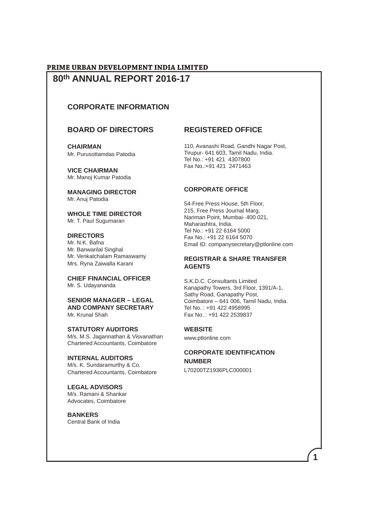### **80th ANNUAL REPORT 2016-17 PRIME URBAN DEVELOPMENT INDIA LIMITED**

### **CORPORATE INFORMATION**

### **BOARD OF DIRECTORS**

**CHAIRMAN** Mr. Purusottamdas Patodia

**VICE CHAIRMAN** Mr. Manoj Kumar Patodia

**MANAGING DIRECTOR**  Mr. Anuj Patodia

**WHOLE TIME DIRECTOR** Mr. T. Paul Sugumaran

#### **DIRECTORS**

Mr. N.K. Bafna Mr. Banwarilal Singhal Mr. Venkatchalam Ramaswamy Mrs. Ryna Zaiwalla Karani

**CHIEF FINANCIAL OFFICER** Mr. S. Udayananda

**SENIOR MANAGER – LEGAL AND COMPANY SECRETARY** Mr. Krunal Shah

**STATUTORY AUDITORS** M/s. M.S. Jagannathan & Visvanathan Chartered Accountants, Coimbatore

**INTERNAL AUDITORS** M/s. K. Sundaramurthy & Co. Chartered Accountants, Coimbatore

**LEGAL ADVISORS** M/s. Ramani & Shankar Advocates, Coimbatore

**BANKERS** Central Bank of India

### **REGISTERED OFFICE**

110, Avanashi Road, Gandhi Nagar Post, Tirupur- 641 603, Tamil Nadu, India. Tel No.: +91 421 4307800 Fax No.:+91 421 2471463

#### **CORPORATE OFFICE**

54-Free Press House, 5th Floor, 215, Free Press Journal Marg, Nariman Point, Mumbai- 400 021, Maharashtra, India. Tel No.: +91 22 6164 5000 Fax No.: +91 22 6164 5070 Email ID: companysecretary@ptlonline.com

#### **REGISTRAR & SHARE TRANSFER AGENTS**

S.K.D.C. Consultants Limited Kanapathy Towers, 3rd Floor, 1391/A-1, Sathy Road, Ganapathy Post, Coimbatore – 641 006, Tamil Nadu, India. Tel No. : +91 422 4958995 Fax No. : +91 422 2539837

#### **WEBSITE**

www.ptlonline.com

### **CORPORATE IDENTIFICATION NUMBER**

**1**

L70200TZ1936PLC000001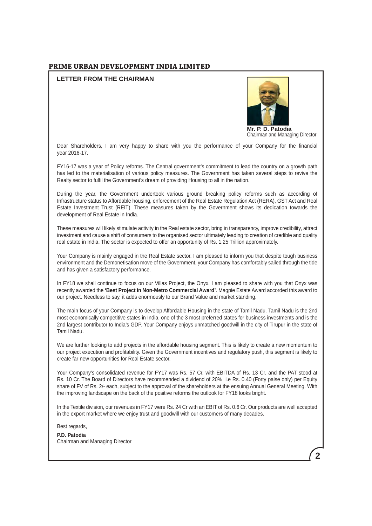#### **LETTER FROM THE CHAIRMAN**



**Mr. P. D. Patodia** Chairman and Managing Director

Dear Shareholders, I am very happy to share with you the performance of your Company for the financial year 2016-17.

FY16-17 was a year of Policy reforms. The Central government's commitment to lead the country on a growth path has led to the materialisation of various policy measures. The Government has taken several steps to revive the Realty sector to fulfil the Government's dream of providing Housing to all in the nation.

During the year, the Government undertook various ground breaking policy reforms such as according of Infrastructure status to Affordable housing, enforcement of the Real Estate Regulation Act (RERA), GST Act and Real Estate Investment Trust (REIT). These measures taken by the Government shows its dedication towards the development of Real Estate in India.

These measures will likely stimulate activity in the Real estate sector, bring in transparency, improve credibility, attract investment and cause a shift of consumers to the organised sector ultimately leading to creation of credible and quality real estate in India. The sector is expected to offer an opportunity of Rs. 1.25 Trillion approximately.

Your Company is mainly engaged in the Real Estate sector. I am pleased to inform you that despite tough business environment and the Demonetisation move of the Government, your Company has comfortably sailed through the tide and has given a satisfactory performance.

In FY18 we shall continue to focus on our Villas Project, the Onyx. I am pleased to share with you that Onyx was recently awarded the **'Best Project in Non-Metro Commercial Award'**. Magpie Estate Award accorded this award to our project. Needless to say, it adds enormously to our Brand Value and market standing.

The main focus of your Company is to develop Affordable Housing in the state of Tamil Nadu. Tamil Nadu is the 2nd most economically competitive states in India, one of the 3 most preferred states for business investments and is the 2nd largest contributor to India's GDP. Your Company enjoys unmatched goodwill in the city of Tirupur in the state of Tamil Nadu.

We are further looking to add projects in the affordable housing segment. This is likely to create a new momentum to our project execution and profitability. Given the Government incentives and regulatory push, this segment is likely to create far new opportunities for Real Estate sector.

Your Company's consolidated revenue for FY17 was Rs. 57 Cr. with EBITDA of Rs. 13 Cr. and the PAT stood at Rs. 10 Cr. The Board of Directors have recommended a dividend of 20% i.e Rs. 0.40 (Forty paise only) per Equity share of FV of Rs. 2/- each, subject to the approval of the shareholders at the ensuing Annual General Meeting. With the improving landscape on the back of the positive reforms the outlook for FY18 looks bright.

In the Textile division, our revenues in FY17 were Rs. 24 Cr with an EBIT of Rs. 0.6 Cr. Our products are well accepted in the export market where we enjoy trust and goodwill with our customers of many decades.

Best regards, **P.D. Patodia** Chairman and Managing Director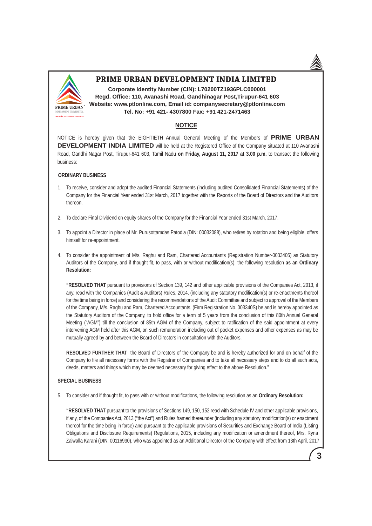

**Corporate Identity Number (CIN): L70200TZ1936PLC000001 Regd. Office: 110, Avanashi Road, Gandhinagar Post,Tirupur-641 603 Website: www.ptlonline.com, Email id: companysecretary@ptlonline.com Tel. No: +91 421- 4307800 Fax: +91 421-2471463**

### **NOTICE**

NOTICE is hereby given that the EIGHTIETH Annual General Meeting of the Members of **PRIME URBAN DEVELOPMENT INDIA LIMITED** will be held at the Registered Office of the Company situated at 110 Avanashi Road, Gandhi Nagar Post, Tirupur-641 603, Tamil Nadu **on Friday, August 11, 2017 at 3.00 p.m.** to transact the following business:

#### **ORDINARY BUSINESS**

- 1. To receive, consider and adopt the audited Financial Statements (including audited Consolidated Financial Statements) of the Company for the Financial Year ended 31st March, 2017 together with the Reports of the Board of Directors and the Auditors thereon.
- 2. To declare Final Dividend on equity shares of the Company for the Financial Year ended 31st March, 2017.
- 3. To appoint a Director in place of Mr. Purusottamdas Patodia (DIN: 00032088), who retires by rotation and being eligible, offers himself for re-appointment.
- 4. To consider the appointment of M/s. Raghu and Ram, Chartered Accountants (Registration Number-0033405) as Statutory Auditors of the Company, and if thought fit, to pass, with or without modification(s), the following resolution **as an Ordinary Resolution:**

**"RESOLVED THAT** pursuant to provisions of Section 139, 142 and other applicable provisions of the Companies Act, 2013, if any, read with the Companies (Audit & Auditors) Rules, 2014, (including any statutory modification(s) or re-enactments thereof for the time being in force) and considering the recommendations of the Audit Committee and subject to approval of the Members of the Company, M/s. Raghu and Ram, Chartered Accountants, (Firm Registration No. 003340S) be and is hereby appointed as the Statutory Auditors of the Company, to hold office for a term of 5 years from the conclusion of this 80th Annual General Meeting ("AGM") till the conclusion of 85th AGM of the Company, subject to ratification of the said appointment at every intervening AGM held after this AGM, on such remuneration including out of pocket expenses and other expenses as may be mutually agreed by and between the Board of Directors in consultation with the Auditors.

 **RESOLVED FURTHER THAT** the Board of Directors of the Company be and is hereby authorized for and on behalf of the Company to file all necessary forms with the Registrar of Companies and to take all necessary steps and to do all such acts, deeds, matters and things which may be deemed necessary for giving effect to the above Resolution."

#### **SPECIAL BUSINESS**

5. To consider and if thought fit, to pass with or without modifications, the following resolution as an **Ordinary Resolution:**

**"RESOLVED THAT** pursuant to the provisions of Sections 149, 150, 152 read with Schedule IV and other applicable provisions, if any, of the Companies Act, 2013 ("the Act") and Rules framed thereunder (including any statutory modification(s) or enactment thereof for the time being in force) and pursuant to the applicable provisions of Securities and Exchange Board of India (Listing Obligations and Disclosure Requirements) Regulations, 2015, including any modification or amendment thereof, Mrs. Ryna Zaiwalla Karani (DIN: 00116930), who was appointed as an Additional Director of the Company with effect from 13th April, 2017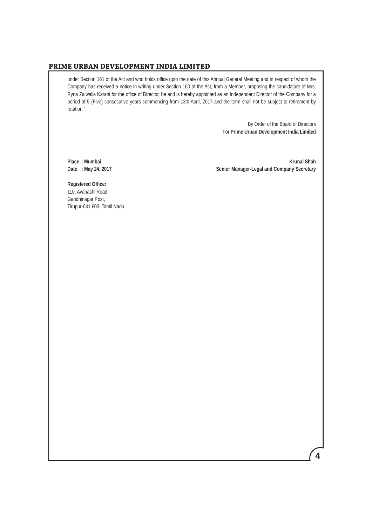under Section 161 of the Act and who holds office upto the date of this Annual General Meeting and in respect of whom the Company has received a notice in writing under Section 160 of the Act, from a Member, proposing the candidature of Mrs. Ryna Zaiwalla Karani for the office of Director, be and is hereby appointed as an Independent Director of the Company for a period of 5 (Five) consecutive years commencing from 13th April, 2017 and the term shall not be subject to retirement by rotation."

> By Order of the Board of Directors For **Prime Urban Development India Limited**

Place : Mumbai **Krunal Shah**<br>Date : May 24, 2017 **Music Benefits and Company Secretary** Senior Manager-Legal and Company Secretary **Senior Manager-Legal and Company Secretary** 

 **Registered Office:** 110, Avanashi Road, Gandhinagar Post, Tirupur-641 603, Tamil Nadu.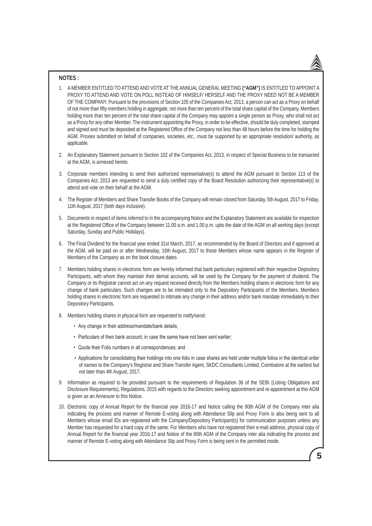#### **NOTES :**

- 1. A MEMBER ENTITLED TO ATTEND AND VOTE AT THE ANNUAL GENERAL MEETING **("AGM")** IS ENTITLED TO APPOINT A PROXY TO ATTEND AND VOTE ON POLL INSTEAD OF HIMSELF/ HERSELF AND THE PROXY NEED NOT BE A MEMBER OF THE COMPANY. Pursuant to the provisions of Section 105 of the Companies Act, 2013, a person can act as a Proxy on behalf of not more than fifty members holding in aggregate, not more than ten percent of the total share capital of the Company. Members holding more than ten percent of the total share capital of the Company may appoint a single person as Proxy, who shall not act as a Proxy for any other Member. The instrument appointing the Proxy, in order to be effective, should be duly completed, stamped and signed and must be deposited at the Registered Office of the Company not less than 48 hours before the time for holding the AGM. Proxies submitted on behalf of companies, societies, etc., must be supported by an appropriate resolution/ authority, as applicable.
- 2. An Explanatory Statement pursuant to Section 102 of the Companies Act, 2013, in respect of Special Business to be transacted at the AGM, is annexed hereto.
- 3. Corporate members intending to send their authorized representative(s) to attend the AGM pursuant to Section 113 of the Companies Act, 2013 are requested to send a duly certified copy of the Board Resolution authorizing their representative(s) to attend and vote on their behalf at the AGM.
- 4. The Register of Members and Share Transfer Books of the Company will remain closed from Saturday, 5th August, 2017 to Friday, 11th August, 2017 (both days inclusive).
- 5. Documents in respect of items referred to in the accompanying Notice and the Explanatory Statement are available for inspection at the Registered Office of the Company between 11.00 a.m. and 1.00 p.m. upto the date of the AGM on all working days (except Saturday, Sunday and Public Holidays).
- 6. The Final Dividend for the financial year ended 31st March, 2017, as recommended by the Board of Directors and if approved at the AGM, will be paid on or after Wednesday, 16th August, 2017 to those Members whose name appears in the Register of Members of the Company as on the book closure dates.
- 7. Members holding shares in electronic form are hereby informed that bank particulars registered with their respective Depository Participants, with whom they maintain their demat accounts, will be used by the Company for the payment of dividend. The Company or its Registrar cannot act on any request received directly from the Members holding shares in electronic form for any change of bank particulars. Such changes are to be intimated only to the Depository Participants of the Members. Members holding shares in electronic form are requested to intimate any change in their address and/or bank mandate immediately to their Depository Participants.
- 8. Members holding shares in physical form are requested to notify/send:
	- Any change in their address/mandate/bank details;
	- Particulars of their bank account, in case the same have not been sent earlier;
	- Quote their Folio numbers in all correspondences; and
	- Applications for consolidating their holdings into one folio in case shares are held under multiple folios in the identical order of names to the Company's Registrar and Share Transfer Agent, SKDC Consultants Limited, Coimbatore at the earliest but not later than 4th August, 2017.
- 9. Information as required to be provided pursuant to the requirements of Regulation 36 of the SEBI (Listing Obligations and Disclosure Requirements), Regulations, 2015 with regards to the Directors seeking appointment and re-appointment at this AGM is given as an Annexure to this Notice.
- 10. Electronic copy of Annual Report for the financial year 2016-17 and Notice calling the 80th AGM of the Company inter alia indicating the process and manner of Remote E-voting along with Attendance Slip and Proxy Form is also being sent to all Members whose email IDs are registered with the Company/Depository Participant(s) for communication purposes unless any Member has requested for a hard copy of the same. For Members who have not registered their e-mail address, physical copy of Annual Report for the financial year 2016-17 and Notice of the 80th AGM of the Company inter alia indicating the process and manner of Remote E-voting along with Attendance Slip and Proxy Form is being sent in the permitted mode.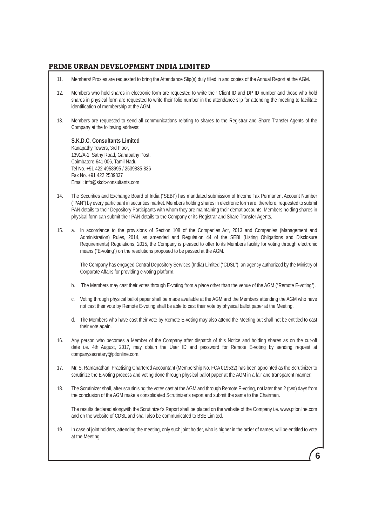- 11. Members/ Proxies are requested to bring the Attendance Slip(s) duly filled in and copies of the Annual Report at the AGM.
- 12. Members who hold shares in electronic form are requested to write their Client ID and DP ID number and those who hold shares in physical form are requested to write their folio number in the attendance slip for attending the meeting to facilitate identification of membership at the AGM.
- 13. Members are requested to send all communications relating to shares to the Registrar and Share Transfer Agents of the Company at the following address:

#### **S.K.D.C. Consultants Limited**

 Kanapathy Towers, 3rd Floor, 1391/A-1, Sathy Road, Ganapathy Post, Coimbatore-641 006, Tamil Nadu Tel No. +91 422 4958995 / 2539835-836 Fax No. +91 422 2539837 Email: info@skdc-consultants.com

- 14. The Securities and Exchange Board of India ("SEBI") has mandated submission of Income Tax Permanent Account Number ("PAN") by every participant in securities market. Members holding shares in electronic form are, therefore, requested to submit PAN details to their Depository Participants with whom they are maintaining their demat accounts. Members holding shares in physical form can submit their PAN details to the Company or its Registrar and Share Transfer Agents.
- 15. a. In accordance to the provisions of Section 108 of the Companies Act, 2013 and Companies (Management and Administration) Rules, 2014, as amended and Regulation 44 of the SEBI (Listing Obligations and Disclosure Requirements) Regulations, 2015, the Company is pleased to offer to its Members facility for voting through electronic means ("E-voting") on the resolutions proposed to be passed at the AGM.

 The Company has engaged Central Depository Services (India) Limited ("CDSL"), an agency authorized by the Ministry of Corporate Affairs for providing e-voting platform.

- b. The Members may cast their votes through E-voting from a place other than the venue of the AGM ("Remote E-voting").
- c. Voting through physical ballot paper shall be made available at the AGM and the Members attending the AGM who have not cast their vote by Remote E-voting shall be able to cast their vote by physical ballot paper at the Meeting.
- d. The Members who have cast their vote by Remote E-voting may also attend the Meeting but shall not be entitled to cast their vote again.
- 16. Any person who becomes a Member of the Company after dispatch of this Notice and holding shares as on the cut-off date i.e. 4th August, 2017, may obtain the User ID and password for Remote E-voting by sending request at companysecretary@ptlonline.com.
- 17. Mr. S. Ramanathan, Practising Chartered Accountant (Membership No. FCA 019532) has been appointed as the Scrutinizer to scrutinize the E-voting process and voting done through physical ballot paper at the AGM in a fair and transparent manner.
- 18. The Scrutinizer shall, after scrutinising the votes cast at the AGM and through Remote E-voting, not later than 2 (two) days from the conclusion of the AGM make a consolidated Scrutinizer's report and submit the same to the Chairman.

 The results declared alongwith the Scrutinizer's Report shall be placed on the website of the Company i.e. www.ptlonline.com and on the website of CDSL and shall also be communicated to BSE Limited.

19. In case of joint holders, attending the meeting, only such joint holder, who is higher in the order of names, will be entitled to vote at the Meeting.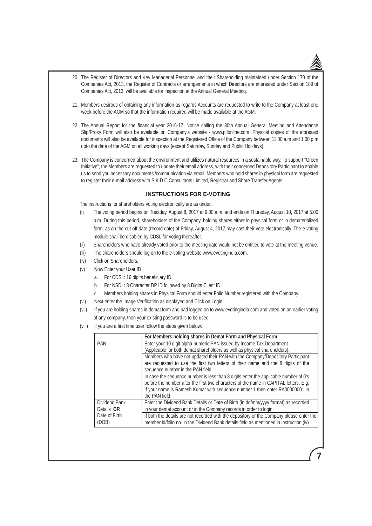- 20. The Register of Directors and Key Managerial Personnel and their Shareholding maintained under Section 170 of the Companies Act, 2013, the Register of Contracts or arrangements in which Directors are interested under Section 189 of Companies Act, 2013, will be available for inspection at the Annual General Meeting.
- 21. Members desirous of obtaining any information as regards Accounts are requested to write to the Company at least one week before the AGM so that the information required will be made available at the AGM.
- 22. The Annual Report for the financial year 2016-17, Notice calling the 80th Annual General Meeting and Attendance Slip/Proxy Form will also be available on Company's website - www.ptlonline.com. Physical copies of the aforesaid documents will also be available for inspection at the Registered Office of the Company between 11.00 a.m and 1.00 p.m upto the date of the AGM on all working days (except Saturday, Sunday and Public Holidays).
- 23. The Company is concerned about the environment and utilizes natural resources in a sustainable way. To support "Green Initiative", the Members are requested to update their email address, with their concerned Depository Participant to enable us to send you necessary documents /communication via email. Members who hold shares in physical form are requested to register their e-mail address with S.K.D.C Consultants Limited, Registrar and Share Transfer Agents.

#### **INSTRUCTIONS FOR E-VOTING**

The instructions for shareholders voting electronically are as under:

- (i) The voting period begins on Tuesday, August 8, 2017 at 9.00 a.m. and ends on Thursday, August 10, 2017 at 5.00 p.m. During this period, shareholders of the Company, holding shares either in physical form or in dematerialized form, as on the cut-off date (record date) of Friday, August 4, 2017 may cast their vote electronically. The e-voting module shall be disabled by CDSL for voting thereafter.
- (ii) Shareholders who have already voted prior to the meeting date would not be entitled to vote at the meeting venue.
- (iii) The shareholders should log on to the e-voting website www.evotingindia.com.
- (iv) Click on Shareholders.
- (v) Now Enter your User ID
	- a. For CDSL: 16 digits beneficiary ID,
	- b. For NSDL: 8 Character DP ID followed by 8 Digits Client ID.
	- c. Members holding shares in Physical Form should enter Folio Number registered with the Company.
- (vi) Next enter the Image Verification as displayed and Click on Login.
- (vii) If you are holding shares in demat form and had logged on to www.evotingindia.com and voted on an earlier voting of any company, then your existing password is to be used.
- (viii) If you are a first time user follow the steps given below:

|                             | For Members holding shares in Demat Form and Physical Form                                                                                                                                                                                                                      |
|-----------------------------|---------------------------------------------------------------------------------------------------------------------------------------------------------------------------------------------------------------------------------------------------------------------------------|
| <b>PAN</b>                  | Enter your 10 digit alpha-numeric PAN issued by Income Tax Department<br>(Applicable for both demat shareholders as well as physical shareholders).                                                                                                                             |
|                             | Members who have not updated their PAN with the Company/Depository Participant<br>are requested to use the first two letters of their name and the 8 digits of the<br>sequence number in the PAN field.                                                                         |
|                             | In case the sequence number is less than 8 digits enter the applicable number of 0's<br>before the number after the first two characters of the name in CAPITAL letters. E.g.<br>If your name is Ramesh Kumar with sequence number 1 then enter RA00000001 in<br>the PAN field. |
| Dividend Bank<br>Details OR | Enter the Dividend Bank Details or Date of Birth (in dd/mm/yyyy format) as recorded<br>in your demat account or in the Company records in order to login.                                                                                                                       |
| Date of Birth<br>(DOB)      | If both the details are not recorded with the depository or the Company please enter the<br>member id/folio no. in the Dividend Bank details field as mentioned in instruction (iv).                                                                                            |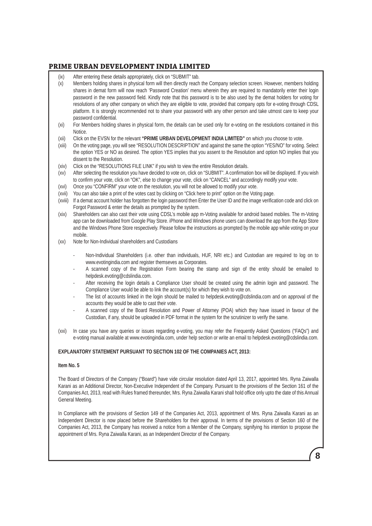- (ix) After entering these details appropriately, click on "SUBMIT" tab.
- (x) Members holding shares in physical form will then directly reach the Company selection screen. However, members holding shares in demat form will now reach 'Password Creation' menu wherein they are required to mandatorily enter their login password in the new password field. Kindly note that this password is to be also used by the demat holders for voting for resolutions of any other company on which they are eligible to vote, provided that company opts for e-voting through CDSL platform. It is strongly recommended not to share your password with any other person and take utmost care to keep your password confidential.
- (xi) For Members holding shares in physical form, the details can be used only for e-voting on the resolutions contained in this **Notice**
- (xii) Click on the EVSN for the relevant **"PRIME URBAN DEVELOPMENT INDIA LIMITED"** on which you choose to vote.
- (xiii) On the voting page, you will see "RESOLUTION DESCRIPTION" and against the same the option "YES/NO" for voting. Select the option YES or NO as desired. The option YES implies that you assent to the Resolution and option NO implies that you dissent to the Resolution.
- (xiv) Click on the "RESOLUTIONS FILE LINK" if you wish to view the entire Resolution details.
- (xv) After selecting the resolution you have decided to vote on, click on "SUBMIT". A confirmation box will be displayed. If you wish to confirm your vote, click on "OK", else to change your vote, click on "CANCEL" and accordingly modify your vote.
- (xvi) Once you "CONFIRM" your vote on the resolution, you will not be allowed to modify your vote.
- (xvii) You can also take a print of the votes cast by clicking on "Click here to print" option on the Voting page.
- (xviii) If a demat account holder has forgotten the login password then Enter the User ID and the image verification code and click on Forgot Password & enter the details as prompted by the system.
- (xix) Shareholders can also cast their vote using CDSL's mobile app m-Voting available for android based mobiles. The m-Voting app can be downloaded from Google Play Store. iPhone and Windows phone users can download the app from the App Store and the Windows Phone Store respectively. Please follow the instructions as prompted by the mobile app while voting on your mobile.
- (xx) Note for Non-Individual shareholders and Custodians
	- Non-Individual Shareholders (i.e. other than individuals, HUF, NRI etc.) and Custodian are required to log on to www.evotingindia.com and register themseves as Corporates.
	- A scanned copy of the Registration Form bearing the stamp and sign of the entity should be emailed to helpdesk.evoting@cdslindia.com.
	- After receiving the login details a Compliance User should be created using the admin login and password. The Compliance User would be able to link the account(s) for which they wish to vote on.
	- The list of accounts linked in the login should be mailed to helpdesk.evoting@cdslindia.com and on approval of the accounts they would be able to cast their vote.
	- A scanned copy of the Board Resolution and Power of Attorney (POA) which they have issued in favour of the Custodian, if any, should be uploaded in PDF format in the system for the scrutinizer to verify the same.
- (xxi) In case you have any queries or issues regarding e-voting, you may refer the Frequently Asked Questions ("FAQs") and e-voting manual available at www.evotingindia.com, under help section or write an email to helpdesk.evoting@cdslindia.com.

#### **EXPLANATORY STATEMENT PURSUANT TO SECTION 102 OF THE COMPANIES ACT, 2013:**

#### **Item No. 5**

The Board of Directors of the Company ("Board") have vide circular resolution dated April 13, 2017, appointed Mrs. Ryna Zaiwalla Karani as an Additional Director, Non-Executive Independent of the Company. Pursuant to the provisions of the Section 161 of the Companies Act, 2013, read with Rules framed thereunder, Mrs. Ryna Zaiwalla Karani shall hold office only upto the date of this Annual General Meeting.

In Compliance with the provisions of Section 149 of the Companies Act, 2013, appointment of Mrs. Ryna Zaiwalla Karani as an Independent Director is now placed before the Shareholders for their approval. In terms of the provisions of Section 160 of the Companies Act, 2013, the Company has received a notice from a Member of the Company, signifying his intention to propose the appointment of Mrs. Ryna Zaiwalla Karani, as an Independent Director of the Company.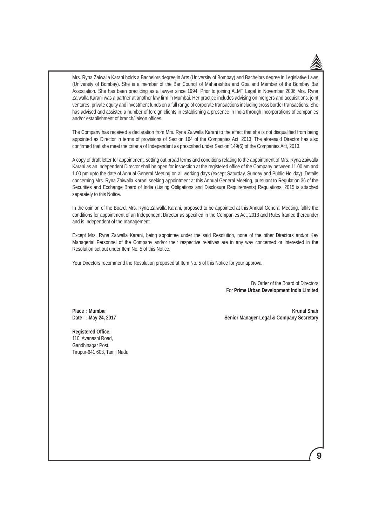

 Mrs. Ryna Zaiwalla Karani holds a Bachelors degree in Arts (University of Bombay) and Bachelors degree in Legislative Laws (University of Bombay). She is a member of the Bar Council of Maharashtra and Goa and Member of the Bombay Bar Association. She has been practicing as a lawyer since 1994. Prior to joining ALMT Legal in November 2006 Mrs. Ryna Zaiwalla Karani was a partner at another law firm in Mumbai. Her practice includes advising on mergers and acquisitions, joint ventures, private equity and investment funds on a full range of corporate transactions including cross border transactions. She has advised and assisted a number of foreign clients in establishing a presence in India through incorporations of companies and/or establishment of branch/liaison offices.

 The Company has received a declaration from Mrs. Ryna Zaiwalla Karani to the effect that she is not disqualified from being appointed as Director in terms of provisions of Section 164 of the Companies Act, 2013. The aforesaid Director has also confirmed that she meet the criteria of Independent as prescribed under Section 149(6) of the Companies Act, 2013.

 A copy of draft letter for appointment, setting out broad terms and conditions relating to the appointment of Mrs. Ryna Zaiwalla Karani as an Independent Director shall be open for inspection at the registered office of the Company between 11.00 am and 1.00 pm upto the date of Annual General Meeting on all working days (except Saturday, Sunday and Public Holiday). Details concerning Mrs. Ryna Zaiwalla Karani seeking appointment at this Annual General Meeting, pursuant to Regulation 36 of the Securities and Exchange Board of India (Listing Obligations and Disclosure Requirements) Regulations, 2015 is attached separately to this Notice.

In the opinion of the Board, Mrs. Ryna Zaiwalla Karani, proposed to be appointed at this Annual General Meeting, fulfils the conditions for appointment of an Independent Director as specified in the Companies Act, 2013 and Rules framed thereunder and is Independent of the management.

 Except Mrs. Ryna Zaiwalla Karani, being appointee under the said Resolution, none of the other Directors and/or Key Managerial Personnel of the Company and/or their respective relatives are in any way concerned or interested in the Resolution set out under Item No. 5 of this Notice.

Your Directors recommend the Resolution proposed at Item No. 5 of this Notice for your approval.

By Order of the Board of Directors For **Prime Urban Development India Limited**

 **Place : Mumbai Krunal Shah Date : May 24, 2017 Senior Manager-Legal & Company Secretary**

 **Registered Office:**

 110, Avanashi Road, Gandhinagar Post, Tirupur-641 603, Tamil Nadu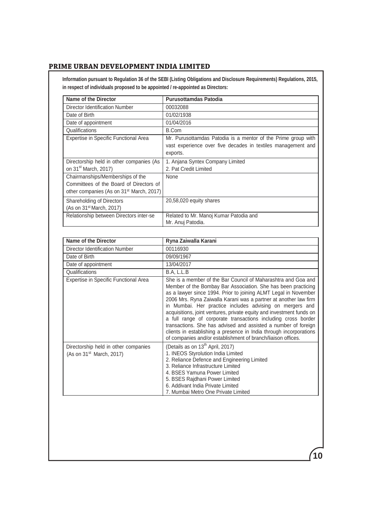**Information pursuant to Regulation 36 of the SEBI (Listing Obligations and Disclosure Requirements) Regulations, 2015, in respect of individuals proposed to be appointed / re-appointed as Directors:**

| <b>Name of the Director</b>                                                                                                         | <b>Purusottamdas Patodia</b>                                                                                                                                                                                                                                                                                                                                                                                                                                                                                                                                                                                                                                                       |
|-------------------------------------------------------------------------------------------------------------------------------------|------------------------------------------------------------------------------------------------------------------------------------------------------------------------------------------------------------------------------------------------------------------------------------------------------------------------------------------------------------------------------------------------------------------------------------------------------------------------------------------------------------------------------------------------------------------------------------------------------------------------------------------------------------------------------------|
| Director Identification Number                                                                                                      | 00032088                                                                                                                                                                                                                                                                                                                                                                                                                                                                                                                                                                                                                                                                           |
| Date of Birth                                                                                                                       | 01/02/1938                                                                                                                                                                                                                                                                                                                                                                                                                                                                                                                                                                                                                                                                         |
| Date of appointment                                                                                                                 | 01/04/2016                                                                                                                                                                                                                                                                                                                                                                                                                                                                                                                                                                                                                                                                         |
| Qualifications                                                                                                                      | <b>B.Com</b>                                                                                                                                                                                                                                                                                                                                                                                                                                                                                                                                                                                                                                                                       |
| Expertise in Specific Functional Area                                                                                               | Mr. Purusottamdas Patodia is a mentor of the Prime group with<br>vast experience over five decades in textiles management and<br>exports.                                                                                                                                                                                                                                                                                                                                                                                                                                                                                                                                          |
| Directorship held in other companies (As<br>on 31 <sup>st</sup> March, 2017)                                                        | 1. Anjana Syntex Company Limited<br>2. Pat Credit Limited                                                                                                                                                                                                                                                                                                                                                                                                                                                                                                                                                                                                                          |
| Chairmanships/Memberships of the<br>Committees of the Board of Directors of<br>other companies (As on 31 <sup>st</sup> March, 2017) | None                                                                                                                                                                                                                                                                                                                                                                                                                                                                                                                                                                                                                                                                               |
| Shareholding of Directors<br>(As on 31 <sup>st</sup> March, 2017)                                                                   | 20,58,020 equity shares                                                                                                                                                                                                                                                                                                                                                                                                                                                                                                                                                                                                                                                            |
| Relationship between Directors inter-se                                                                                             | Related to Mr. Manoj Kumar Patodia and<br>Mr. Anuj Patodia.                                                                                                                                                                                                                                                                                                                                                                                                                                                                                                                                                                                                                        |
|                                                                                                                                     |                                                                                                                                                                                                                                                                                                                                                                                                                                                                                                                                                                                                                                                                                    |
| <b>Name of the Director</b>                                                                                                         | Ryna Zaiwalla Karani                                                                                                                                                                                                                                                                                                                                                                                                                                                                                                                                                                                                                                                               |
| <b>Director Identification Number</b>                                                                                               | 00116930                                                                                                                                                                                                                                                                                                                                                                                                                                                                                                                                                                                                                                                                           |
| Date of Birth                                                                                                                       | 09/09/1967                                                                                                                                                                                                                                                                                                                                                                                                                                                                                                                                                                                                                                                                         |
| Date of appointment                                                                                                                 | 13/04/2017                                                                                                                                                                                                                                                                                                                                                                                                                                                                                                                                                                                                                                                                         |
| Qualifications                                                                                                                      | B.A, L.L.B                                                                                                                                                                                                                                                                                                                                                                                                                                                                                                                                                                                                                                                                         |
| Expertise in Specific Functional Area                                                                                               | She is a member of the Bar Council of Maharashtra and Goa and<br>Member of the Bombay Bar Association. She has been practicing<br>as a lawyer since 1994. Prior to joining ALMT Legal in November<br>2006 Mrs. Ryna Zaiwalla Karani was a partner at another law firm<br>in Mumbai. Her practice includes advising on mergers and<br>acquisitions, joint ventures, private equity and investment funds on<br>a full range of corporate transactions including cross border<br>transactions. She has advised and assisted a number of foreign<br>clients in establishing a presence in India through incorporations<br>of companies and/or establishment of branch/liaison offices. |
| Directorship held in other companies<br>(As on 31 <sup>st</sup> March, 2017)                                                        | (Details as on 13 <sup>th</sup> April, 2017)<br>1. INEOS Styrolution India Limited<br>2. Reliance Defence and Engineering Limited<br>3. Reliance Infrastructure Limited<br>4. BSES Yamuna Power Limited<br>5. BSES Rajdhani Power Limited<br>6. Addivant India Private Limited<br>7. Mumbai Metro One Private Limited                                                                                                                                                                                                                                                                                                                                                              |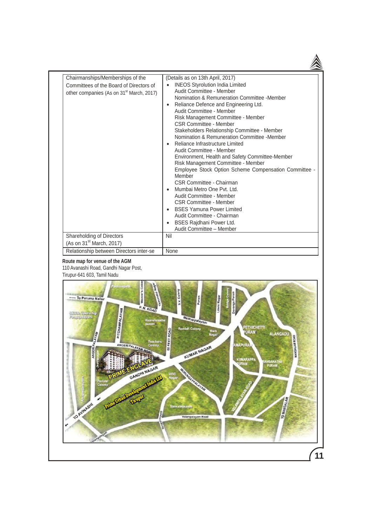| Chairmanships/Memberships of the<br>Committees of the Board of Directors of<br>other companies (As on 31 <sup>st</sup> March, 2017) | (Details as on 13th April, 2017)<br><b>INEOS Styrolution India Limited</b><br>Audit Committee - Member<br>Nomination & Remuneration Committee -Member<br>Reliance Defence and Engineering Ltd.<br>$\bullet$<br>Audit Committee - Member<br>Risk Management Committee - Member<br><b>CSR Committee - Member</b><br>Stakeholders Relationship Committee - Member<br>Nomination & Remuneration Committee -Member<br>Reliance Infrastructure Limited<br>Audit Committee - Member<br>Environment, Health and Safety Committee-Member<br>Risk Management Committee - Member<br>Employee Stock Option Scheme Compensation Committee -<br>Member<br>CSR Committee - Chairman<br>Mumbai Metro One Pvt. Ltd.<br>Audit Committee - Member<br>CSR Committee - Member<br><b>BSES Yamuna Power Limited</b><br>Audit Committee - Chairman<br><b>BSES Rajdhani Power Ltd.</b><br>Audit Committee - Member |
|-------------------------------------------------------------------------------------------------------------------------------------|-------------------------------------------------------------------------------------------------------------------------------------------------------------------------------------------------------------------------------------------------------------------------------------------------------------------------------------------------------------------------------------------------------------------------------------------------------------------------------------------------------------------------------------------------------------------------------------------------------------------------------------------------------------------------------------------------------------------------------------------------------------------------------------------------------------------------------------------------------------------------------------------|
| Shareholding of Directors<br>(As on 31 <sup>st</sup> March, 2017)                                                                   | Nil                                                                                                                                                                                                                                                                                                                                                                                                                                                                                                                                                                                                                                                                                                                                                                                                                                                                                       |
| Relationship between Directors inter-se                                                                                             | None                                                                                                                                                                                                                                                                                                                                                                                                                                                                                                                                                                                                                                                                                                                                                                                                                                                                                      |

#### **Route map for venue of the AGM** 110 Avanashi Road, Gandhi Nagar Post, Tirupur-641 603, Tamil Nadu

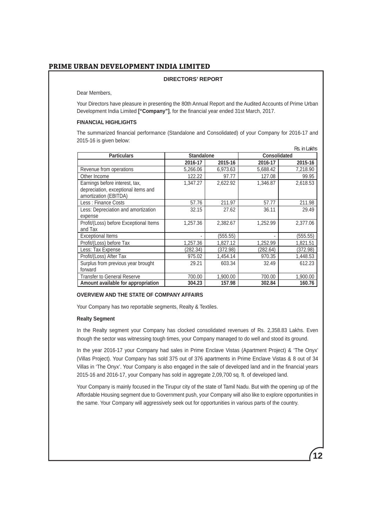#### **DIRECTORS' REPORT**

Dear Members,

 Your Directors have pleasure in presenting the 80th Annual Report and the Audited Accounts of Prime Urban Development India Limited **["Company"]**, for the financial year ended 31st March, 2017.

#### **FINANCIAL HIGHLIGHTS**

 The summarized financial performance (Standalone and Consolidated) of your Company for 2016-17 and 2015-16 is given below: Rs. in Lakhs

| <b>Particulars</b>                                           | <b>Standalone</b> |          | <b>Consolidated</b> |          |
|--------------------------------------------------------------|-------------------|----------|---------------------|----------|
|                                                              | 2016-17           | 2015-16  | 2016-17             | 2015-16  |
| Revenue from operations                                      | 5.266.06          | 6,973.63 | 5,688.42            | 7,218.90 |
| Other Income                                                 | 122.22            | 97.77    | 127.08              | 99.95    |
| Earnings before interest, tax,                               | 1,347.27          | 2,622.92 | 1,346.87            | 2,618.53 |
| depreciation, exceptional items and<br>amortization (EBITDA) |                   |          |                     |          |
| Less: Finance Costs                                          | 57.76             | 211.97   | 57.77               | 211.98   |
| Less: Depreciation and amortization                          | 32.15             | 27.62    | 36.11               | 29.49    |
| expense                                                      |                   |          |                     |          |
| Profit/(Loss) before Exceptional Items                       | 1,257.36          | 2,382.67 | 1,252.99            | 2,377.06 |
| and Tax                                                      |                   |          |                     |          |
| <b>Exceptional Items</b>                                     |                   | (555.55) |                     | (555.55) |
| Profit/(Loss) before Tax                                     | 1,257.36          | 1,827.12 | 1,252.99            | 1,821.51 |
| Less: Tax Expense                                            | (282.34)          | (372.98) | (282.64)            | (372.98) |
| Profit/(Loss) After Tax                                      | 975.02            | 1,454.14 | 970.35              | 1,448.53 |
| Surplus from previous year brought                           | 29.21             | 603.34   | 32.49               | 612.23   |
| forward                                                      |                   |          |                     |          |
| Transfer to General Reserve                                  | 700.00            | 1,900.00 | 700.00              | 1,900.00 |
| Amount available for appropriation                           | 304.23            | 157.98   | 302.84              | 160.76   |

#### **OVERVIEW AND THE STATE OF COMPANY AFFAIRS**

Your Company has two reportable segments, Realty & Textiles.

#### **Realty Segment**

 In the Realty segment your Company has clocked consolidated revenues of Rs. 2,358.83 Lakhs. Even though the sector was witnessing tough times, your Company managed to do well and stood its ground.

 In the year 2016-17 your Company had sales in Prime Enclave Vistas (Apartment Project) & 'The Onyx' (Villas Project). Your Company has sold 375 out of 376 apartments in Prime Enclave Vistas & 8 out of 34 Villas in 'The Onyx'. Your Company is also engaged in the sale of developed land and in the financial years 2015-16 and 2016-17, your Company has sold in aggregate 2,09,700 sq. ft. of developed land.

 Your Company is mainly focused in the Tirupur city of the state of Tamil Nadu. But with the opening up of the Affordable Housing segment due to Government push, your Company will also like to explore opportunities in the same. Your Company will aggressively seek out for opportunities in various parts of the country.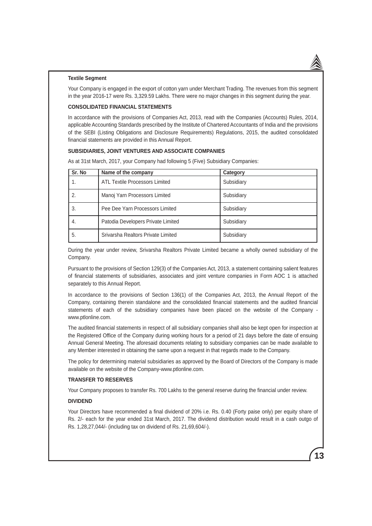#### **Textile Segment**

Your Company is engaged in the export of cotton yarn under Merchant Trading. The revenues from this segment in the year 2016-17 were Rs. 3,329.59 Lakhs. There were no major changes in this segment during the year.

#### **CONSOLIDATED FINANCIAL STATEMENTS**

In accordance with the provisions of Companies Act, 2013, read with the Companies (Accounts) Rules, 2014, applicable Accounting Standards prescribed by the Institute of Chartered Accountants of India and the provisions of the SEBI (Listing Obligations and Disclosure Requirements) Regulations, 2015, the audited consolidated financial statements are provided in this Annual Report.

#### **SUBSIDIARIES, JOINT VENTURES AND ASSOCIATE COMPANIES**

As at 31st March, 2017, your Company had following 5 (Five) Subsidiary Companies:

| Sr. No | Name of the company                | Category   |
|--------|------------------------------------|------------|
| 1.     | ATL Textile Processors Limited     | Subsidiary |
| 2.     | Manoj Yarn Processors Limited      | Subsidiary |
| 3.     | Pee Dee Yarn Processors Limited    | Subsidiary |
| 4.     | Patodia Developers Private Limited | Subsidiary |
| 5.     | Srivarsha Realtors Private Limited | Subsidiary |

During the year under review, Srivarsha Realtors Private Limited became a wholly owned subsidiary of the Company.

Pursuant to the provisions of Section 129(3) of the Companies Act, 2013, a statement containing salient features of financial statements of subsidiaries, associates and joint venture companies in Form AOC 1 is attached separately to this Annual Report.

In accordance to the provisions of Section 136(1) of the Companies Act, 2013, the Annual Report of the Company, containing therein standalone and the consolidated financial statements and the audited financial statements of each of the subsidiary companies have been placed on the website of the Company www.ptlonline.com.

The audited financial statements in respect of all subsidiary companies shall also be kept open for inspection at the Registered Office of the Company during working hours for a period of 21 days before the date of ensuing Annual General Meeting. The aforesaid documents relating to subsidiary companies can be made available to any Member interested in obtaining the same upon a request in that regards made to the Company.

The policy for determining material subsidiaries as approved by the Board of Directors of the Company is made available on the website of the Company-www.ptlonline.com.

#### **TRANSFER TO RESERVES**

Your Company proposes to transfer Rs. 700 Lakhs to the general reserve during the financial under review.

#### **DIVIDEND**

Your Directors have recommended a final dividend of 20% i.e. Rs. 0.40 (Forty paise only) per equity share of Rs. 2/- each for the year ended 31st March, 2017. The dividend distribution would result in a cash outgo of Rs. 1,28,27,044/- (including tax on dividend of Rs. 21,69,604/-).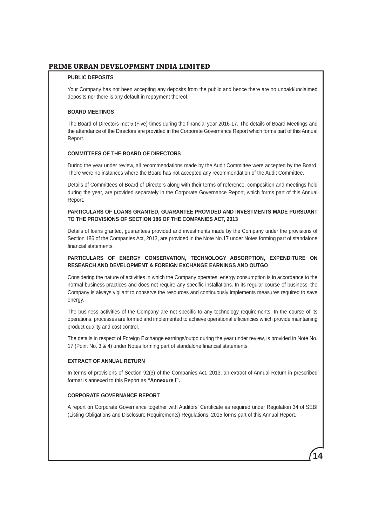#### **PUBLIC DEPOSITS**

Your Company has not been accepting any deposits from the public and hence there are no unpaid/unclaimed deposits nor there is any default in repayment thereof.

#### **BOARD MEETINGS**

The Board of Directors met 5 (Five) times during the financial year 2016-17. The details of Board Meetings and the attendance of the Directors are provided in the Corporate Governance Report which forms part of this Annual Report.

#### **COMMITTEES OF THE BOARD OF DIRECTORS**

During the year under review, all recommendations made by the Audit Committee were accepted by the Board. There were no instances where the Board has not accepted any recommendation of the Audit Committee.

Details of Committees of Board of Directors along with their terms of reference, composition and meetings held during the year, are provided separately in the Corporate Governance Report, which forms part of this Annual Report.

#### **PARTICULARS OF LOANS GRANTED, GUARANTEE PROVIDED AND INVESTMENTS MADE PURSUANT TO THE PROVISIONS OF SECTION 186 OF THE COMPANIES ACT, 2013**

Details of loans granted, guarantees provided and investments made by the Company under the provisions of Section 186 of the Companies Act, 2013, are provided in the Note No.17 under Notes forming part of standalone financial statements.

#### **PARTICULARS OF ENERGY CONSERVATION, TECHNOLOGY ABSORPTION, EXPENDITURE ON RESEARCH AND DEVELOPMENT & FOREIGN EXCHANGE EARNINGS AND OUTGO**

Considering the nature of activities in which the Company operates, energy consumption is in accordance to the normal business practices and does not require any specific installations. In its regular course of business, the Company is always vigilant to conserve the resources and continuously implements measures required to save energy.

The business activities of the Company are not specific to any technology requirements. In the course of its operations, processes are formed and implemented to achieve operational efficiencies which provide maintaining product quality and cost control.

The details in respect of Foreign Exchange earnings/outgo during the year under review, is provided in Note No. 17 (Point No. 3 & 4) under Notes forming part of standalone financial statements.

#### **EXTRACT OF ANNUAL RETURN**

In terms of provisions of Section 92(3) of the Companies Act, 2013, an extract of Annual Return in prescribed format is annexed to this Report as **"Annexure I".**

#### **CORPORATE GOVERNANCE REPORT**

A report on Corporate Governance together with Auditors' Certificate as required under Regulation 34 of SEBI (Listing Obligations and Disclosure Requirements) Regulations, 2015 forms part of this Annual Report.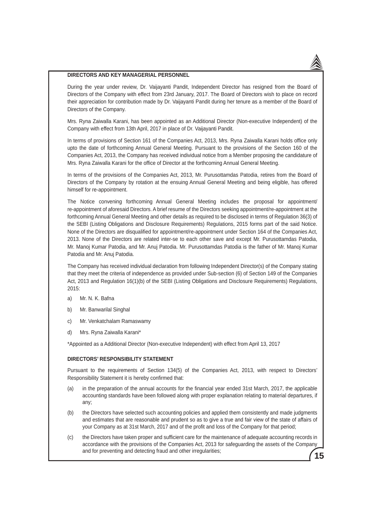#### **DIRECTORS AND KEY MANAGERIAL PERSONNEL**

During the year under review, Dr. Vaijayanti Pandit, Independent Director has resigned from the Board of Directors of the Company with effect from 23rd January, 2017. The Board of Directors wish to place on record their appreciation for contribution made by Dr. Vaijayanti Pandit during her tenure as a member of the Board of Directors of the Company.

Mrs. Ryna Zaiwalla Karani, has been appointed as an Additional Director (Non-executive Independent) of the Company with effect from 13th April, 2017 in place of Dr. Vaijayanti Pandit.

In terms of provisions of Section 161 of the Companies Act, 2013, Mrs. Ryna Zaiwalla Karani holds office only upto the date of forthcoming Annual General Meeting. Pursuant to the provisions of the Section 160 of the Companies Act, 2013, the Company has received individual notice from a Member proposing the candidature of Mrs. Ryna Zaiwalla Karani for the office of Director at the forthcoming Annual General Meeting.

In terms of the provisions of the Companies Act, 2013, Mr. Purusottamdas Patodia, retires from the Board of Directors of the Company by rotation at the ensuing Annual General Meeting and being eligible, has offered himself for re-appointment.

The Notice convening forthcoming Annual General Meeting includes the proposal for appointment/ re-appointment of aforesaid Directors. A brief resume of the Directors seeking appointment/re-appointment at the forthcoming Annual General Meeting and other details as required to be disclosed in terms of Regulation 36(3) of the SEBI (Listing Obligations and Disclosure Requirements) Regulations, 2015 forms part of the said Notice. None of the Directors are disqualified for appointment/re-appointment under Section 164 of the Companies Act, 2013. None of the Directors are related inter-se to each other save and except Mr. Purusottamdas Patodia, Mr. Manoj Kumar Patodia, and Mr. Anuj Patodia. Mr. Purusottamdas Patodia is the father of Mr. Manoj Kumar Patodia and Mr. Anuj Patodia.

The Company has received individual declaration from following Independent Director(s) of the Company stating that they meet the criteria of independence as provided under Sub-section (6) of Section 149 of the Companies Act, 2013 and Regulation 16(1)(b) of the SEBI (Listing Obligations and Disclosure Requirements) Regulations, 2015:

- a) Mr. N. K. Bafna
- b) Mr. Banwarilal Singhal
- c) Mr. Venkatchalam Ramaswamy
- d) Mrs. Ryna Zaiwalla Karani\*

\*Appointed as a Additional Director (Non-executive Independent) with effect from April 13, 2017

#### **DIRECTORS' RESPONSIBILITY STATEMENT**

Pursuant to the requirements of Section 134(5) of the Companies Act, 2013, with respect to Directors' Responsibility Statement it is hereby confirmed that:

- (a) in the preparation of the annual accounts for the financial year ended 31st March, 2017, the applicable accounting standards have been followed along with proper explanation relating to material departures, if any;
- (b) the Directors have selected such accounting policies and applied them consistently and made judgments and estimates that are reasonable and prudent so as to give a true and fair view of the state of affairs of your Company as at 31st March, 2017 and of the profit and loss of the Company for that period;
- **15** (c) the Directors have taken proper and sufficient care for the maintenance of adequate accounting records in accordance with the provisions of the Companies Act, 2013 for safeguarding the assets of the Company and for preventing and detecting fraud and other irregularities;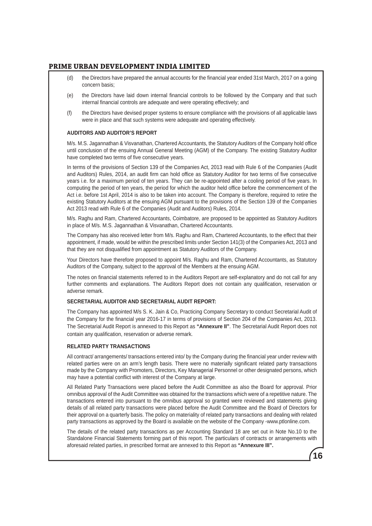- (d) the Directors have prepared the annual accounts for the financial year ended 31st March, 2017 on a going concern basis;
- (e) the Directors have laid down internal financial controls to be followed by the Company and that such internal financial controls are adequate and were operating effectively; and
- (f) the Directors have devised proper systems to ensure compliance with the provisions of all applicable laws were in place and that such systems were adequate and operating effectively.

#### **AUDITORS AND AUDITOR'S REPORT**

M/s. M.S. Jagannathan & Visvanathan, Chartered Accountants, the Statutory Auditors of the Company hold office until conclusion of the ensuing Annual General Meeting (AGM) of the Company. The existing Statutory Auditor have completed two terms of five consecutive years.

In terms of the provisions of Section 139 of the Companies Act, 2013 read with Rule 6 of the Companies (Audit and Auditors) Rules, 2014, an audit firm can hold office as Statutory Auditor for two terms of five consecutive years i.e. for a maximum period of ten years. They can be re-appointed after a cooling period of five years. In computing the period of ten years, the period for which the auditor held office before the commencement of the Act i.e. before 1st April, 2014 is also to be taken into account. The Company is therefore, required to retire the existing Statutory Auditors at the ensuing AGM pursuant to the provisions of the Section 139 of the Companies Act 2013 read with Rule 6 of the Companies (Audit and Auditors) Rules, 2014.

M/s. Raghu and Ram, Chartered Accountants, Coimbatore, are proposed to be appointed as Statutory Auditors in place of M/s. M.S. Jagannathan & Visvanathan, Chartered Accountants.

The Company has also received letter from M/s. Raghu and Ram, Chartered Accountants, to the effect that their appointment, if made, would be within the prescribed limits under Section 141(3) of the Companies Act, 2013 and that they are not disqualified from appointment as Statutory Auditors of the Company.

Your Directors have therefore proposed to appoint M/s. Raghu and Ram, Chartered Accountants, as Statutory Auditors of the Company, subject to the approval of the Members at the ensuing AGM.

The notes on financial statements referred to in the Auditors Report are self-explanatory and do not call for any further comments and explanations. The Auditors Report does not contain any qualification, reservation or adverse remark.

#### **SECRETARIAL AUDITOR AND SECRETARIAL AUDIT REPORT:**

The Company has appointed M/s S. K. Jain & Co, Practicing Company Secretary to conduct Secretarial Audit of the Company for the financial year 2016-17 in terms of provisions of Section 204 of the Companies Act, 2013. The Secretarial Audit Report is annexed to this Report as **"Annexure II"**. The Secretarial Audit Report does not contain any qualification, reservation or adverse remark.

#### **RELATED PARTY TRANSACTIONS**

All contract/ arrangements/ transactions entered into/ by the Company during the financial year under review with related parties were on an arm's length basis. There were no materially significant related party transactions made by the Company with Promoters, Directors, Key Managerial Personnel or other designated persons, which may have a potential conflict with interest of the Company at large.

All Related Party Transactions were placed before the Audit Committee as also the Board for approval. Prior omnibus approval of the Audit Committee was obtained for the transactions which were of a repetitive nature. The transactions entered into pursuant to the omnibus approval so granted were reviewed and statements giving details of all related party transactions were placed before the Audit Committee and the Board of Directors for their approval on a quarterly basis. The policy on materiality of related party transactions and dealing with related party transactions as approved by the Board is available on the website of the Company -www.ptlonline.com.

The details of the related party transactions as per Accounting Standard 18 are set out in Note No.10 to the Standalone Financial Statements forming part of this report. The particulars of contracts or arrangements with aforesaid related parties, in prescribed format are annexed to this Report as **"Annexure III".**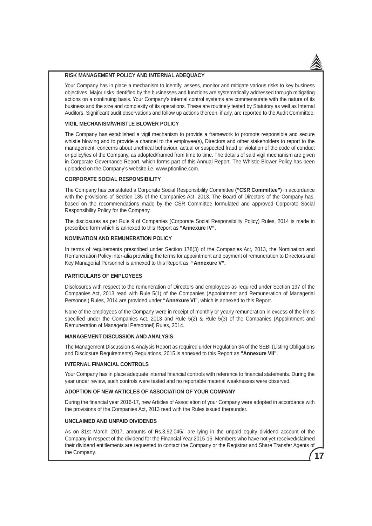#### **RISK MANAGEMENT POLICY AND INTERNAL ADEQUACY**

Your Company has in place a mechanism to identify, assess, monitor and mitigate various risks to key business objectives. Major risks identified by the businesses and functions are systematically addressed through mitigating actions on a continuing basis. Your Company's internal control systems are commensurate with the nature of its business and the size and complexity of its operations. These are routinely tested by Statutory as well as Internal Auditors. Significant audit observations and follow up actions thereon, if any, are reported to the Audit Committee.

#### **VIGIL MECHANISM/WHISTLE BLOWER POLICY**

The Company has established a vigil mechanism to provide a framework to promote responsible and secure whistle blowing and to provide a channel to the employee(s), Directors and other stakeholders to report to the management, concerns about unethical behaviour, actual or suspected fraud or violation of the code of conduct or policy/ies of the Company, as adopted/framed from time to time. The details of said vigil mechanism are given in Corporate Governance Report, which forms part of this Annual Report. The Whistle Blower Policy has been uploaded on the Company's website i.e. www.ptlonline.com.

#### **CORPORATE SOCIAL RESPONSIBILITY**

The Company has constituted a Corporate Social Responsibility Committee **("CSR Committee")** in accordance with the provisions of Section 135 of the Companies Act, 2013. The Board of Directors of the Company has, based on the recommendations made by the CSR Committee formulated and approved Corporate Social Responsibility Policy for the Company.

The disclosures as per Rule 9 of Companies (Corporate Social Responsibility Policy) Rules, 2014 is made in prescribed form which is annexed to this Report as **"Annexure IV".**

#### **NOMINATION AND REMUNERATION POLICY**

In terms of requirements prescribed under Section 178(3) of the Companies Act, 2013, the Nomination and Remuneration Policy inter-alia providing the terms for appointment and payment of remuneration to Directors and Key Managerial Personnel is annexed to this Report as **"Annexure V".**

#### **PARTICULARS OF EMPLOYEES**

Disclosures with respect to the remuneration of Directors and employees as required under Section 197 of the Companies Act, 2013 read with Rule 5(1) of the Companies (Appointment and Remuneration of Managerial Personnel) Rules, 2014 are provided under **"Annexure VI"**, which is annexed to this Report.

None of the employees of the Company were in receipt of monthly or yearly remuneration in excess of the limits specified under the Companies Act, 2013 and Rule 5(2) & Rule 5(3) of the Companies (Appointment and Remuneration of Managerial Personnel) Rules, 2014.

#### **MANAGEMENT DISCUSSION AND ANALYSIS**

The Management Discussion & Analysis Report as required under Regulation 34 of the SEBI (Listing Obligations and Disclosure Requirements) Regulations, 2015 is annexed to this Report as **"Annexure VII"**.

#### **INTERNAL FINANCIAL CONTROLS**

Your Company has in place adequate internal financial controls with reference to financial statements. During the year under review, such controls were tested and no reportable material weaknesses were observed.

#### **ADOPTION OF NEW ARTICLES OF ASSOCIATION OF YOUR COMPANY**

During the financial year 2016-17, new Articles of Association of your Company were adopted in accordance with the provisions of the Companies Act, 2013 read with the Rules issued thereunder.

#### **UNCLAIMED AND UNPAID DIVIDENDS**

**17** As on 31st March, 2017, amounts of Rs.3,92,045/- are lying in the unpaid equity dividend account of the Company in respect of the dividend for the Financial Year 2015-16. Members who have not yet received/claimed their dividend entitlements are requested to contact the Company or the Registrar and Share Transfer Agents of the Company.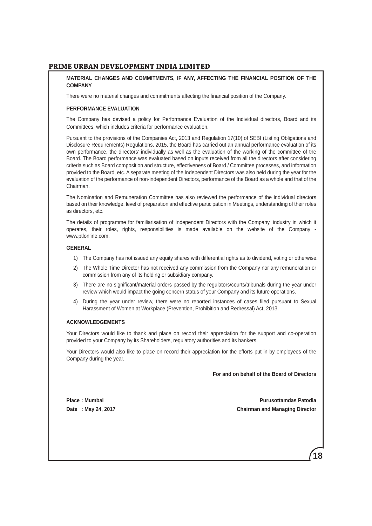#### **MATERIAL CHANGES AND COMMITMENTS, IF ANY, AFFECTING THE FINANCIAL POSITION OF THE COMPANY**

There were no material changes and commitments affecting the financial position of the Company.

#### **PERFORMANCE EVALUATION**

The Company has devised a policy for Performance Evaluation of the Individual directors, Board and its Committees, which includes criteria for performance evaluation.

Pursuant to the provisions of the Companies Act, 2013 and Regulation 17(10) of SEBI (Listing Obligations and Disclosure Requirements) Regulations, 2015, the Board has carried out an annual performance evaluation of its own performance, the directors' individually as well as the evaluation of the working of the committee of the Board. The Board performance was evaluated based on inputs received from all the directors after considering criteria such as Board composition and structure, effectiveness of Board / Committee processes, and information provided to the Board, etc. A separate meeting of the Independent Directors was also held during the year for the evaluation of the performance of non-independent Directors, performance of the Board as a whole and that of the Chairman.

The Nomination and Remuneration Committee has also reviewed the performance of the individual directors based on their knowledge, level of preparation and effective participation in Meetings, understanding of their roles as directors, etc.

The details of programme for familiarisation of Independent Directors with the Company, industry in which it operates, their roles, rights, responsibilities is made available on the website of the Company www.ptlonline.com.

#### **GENERAL**

- 1) The Company has not issued any equity shares with differential rights as to dividend, voting or otherwise.
- 2) The Whole Time Director has not received any commission from the Company nor any remuneration or commission from any of its holding or subsidiary company.
- 3) There are no significant/material orders passed by the regulators/courts/tribunals during the year under review which would impact the going concern status of your Company and its future operations.
- 4) During the year under review, there were no reported instances of cases filed pursuant to Sexual Harassment of Women at Workplace (Prevention, Prohibition and Redressal) Act, 2013.

#### **ACKNOWLEDGEMENTS**

Your Directors would like to thank and place on record their appreciation for the support and co-operation provided to your Company by its Shareholders, regulatory authorities and its bankers.

Your Directors would also like to place on record their appreciation for the efforts put in by employees of the Company during the year.

**For and on behalf of the Board of Directors**

**Place : Mumbai Purusottamdas Patodia Date : May 24, 2017 Chairman and Managing Director**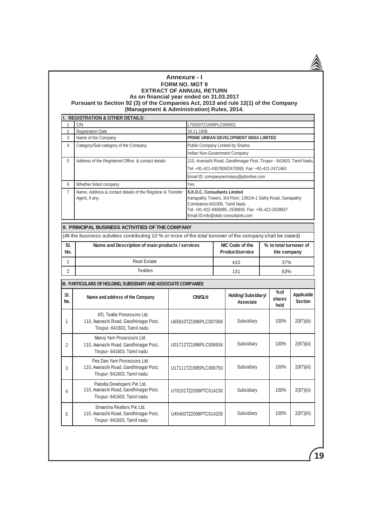#### **Annexure - I FORM NO. MGT 9 EXTRACT OF ANNUAL RETURN As on financial year ended on 31.03.2017 Pursuant to Section 92 (3) of the Companies Act, 2013 and rule 12(1) of the Company (Management & Administration) Rules, 2014.**

|                | <b>REGISTRATION &amp; OTHER DETAILS:</b>                                                                     |                                  |                               |                                                    |                                                                     |  |                        |                              |            |
|----------------|--------------------------------------------------------------------------------------------------------------|----------------------------------|-------------------------------|----------------------------------------------------|---------------------------------------------------------------------|--|------------------------|------------------------------|------------|
| 1              | <b>CIN</b>                                                                                                   |                                  | L70200TZ1936PLC000001         |                                                    |                                                                     |  |                        |                              |            |
| $\overline{2}$ | <b>Registration Date</b>                                                                                     | 16.11.1936                       |                               |                                                    |                                                                     |  |                        |                              |            |
| 3              | Name of the Company                                                                                          |                                  |                               | PRIME URBAN DEVELOPMENT INDIA LIMITED              |                                                                     |  |                        |                              |            |
| $\overline{4}$ | Category/Sub-category of the Company                                                                         | Public Company Limited by Shares |                               |                                                    |                                                                     |  |                        |                              |            |
|                |                                                                                                              | Indian Non-Government Company    |                               |                                                    |                                                                     |  |                        |                              |            |
| 5              | Address of the Registered Office & contact details                                                           |                                  |                               |                                                    | 110, Avanashi Road, Gandhinagar Post, Tirupur - 641603, Tamil Nadu, |  |                        |                              |            |
|                |                                                                                                              |                                  |                               | Tel: +91-421-4307800/2470065, Fax: +91-421-2471463 |                                                                     |  |                        |                              |            |
|                |                                                                                                              |                                  |                               |                                                    | Email ID: companysecretary@ptlonline.com                            |  |                        |                              |            |
| 6              | Whether listed company                                                                                       |                                  | Yes                           |                                                    |                                                                     |  |                        |                              |            |
| $\overline{7}$ | Name, Address & contact details of the Registrar & Transfer                                                  |                                  | S.K.D.C. Consultants Limited  |                                                    |                                                                     |  |                        |                              |            |
|                | Agent, if any.                                                                                               |                                  |                               |                                                    | Kanapathy Towers, 3rd Floor, 1391/A-1 Sathy Road, Ganapathy         |  |                        |                              |            |
|                |                                                                                                              |                                  | Coimbatore-641006, Tamil Nadu |                                                    |                                                                     |  |                        |                              |            |
|                |                                                                                                              |                                  |                               |                                                    | Tel: +91-422-4958995, 2539835 Fax: +91-422-2539837                  |  |                        |                              |            |
|                |                                                                                                              |                                  |                               |                                                    | Email ID:info@skdc-consultants.com                                  |  |                        |                              |            |
|                | II. PRINCIPAL BUSINESS ACTIVITIES OF THE COMPANY                                                             |                                  |                               |                                                    |                                                                     |  |                        |                              |            |
|                | (All the business activities contributing 10 % or more of the total turnover of the company shall be stated) |                                  |                               |                                                    |                                                                     |  |                        |                              |            |
| SI.            | Name and Description of main products / services                                                             |                                  |                               |                                                    | NIC Code of the                                                     |  | % to total turnover of |                              |            |
| No.            |                                                                                                              |                                  |                               |                                                    | Product/service                                                     |  | the company            |                              |            |
| 1              | <b>Real Estate</b>                                                                                           |                                  |                               | 410<br>37%                                         |                                                                     |  |                        |                              |            |
| $\overline{2}$ | <b>Textiles</b>                                                                                              |                                  |                               |                                                    | 131                                                                 |  | 63%                    |                              |            |
|                | III. PARTICULARS OF HOLDING, SUBSIDIARY AND ASSOCIATE COMPANIES                                              |                                  |                               |                                                    |                                                                     |  |                        |                              |            |
| SI.<br>No.     | Name and address of the Company                                                                              |                                  | <b>CIN/GLN</b>                |                                                    | Holding/Subsidiary/<br>Associate                                    |  | %of<br>shares<br>held  | Applicable<br><b>Section</b> |            |
| 1              | ATL Textile Processors Ltd.<br>110, Avanashi Road, Gandhinagar Post,<br>Tirupur- 641603, Tamil nadu          |                                  | U65910TZ1996PLC007068         |                                                    | Subsidiary                                                          |  | 100%                   | 2(87)(iii)                   |            |
| $\overline{2}$ | Manoj Yarn Processors Ltd.<br>110, Avanashi Road, Gandhinagar Post,<br>Tirupur- 641603, Tamil nadu           |                                  | U01712TZ1996PLC006934         |                                                    | Subsidiary                                                          |  |                        | 100%                         | 2(87)(iii) |
| 3              | Pee Dee Yarn Processors Ltd.<br>110, Avanashi Road, Gandhinagar Post,<br>Tirupur- 641603, Tamil nadu         |                                  | U17111TZ1995PLC006750         |                                                    | Subsidiary                                                          |  | 100%                   | 2(87)(iii)                   |            |
| 4              | Patodia Developers Pvt. Ltd.<br>110, Avanashi Road, Gandhinagar Post,<br>Tirupur- 641603, Tamil nadu         | U70101TZ2008PTC014230            |                               |                                                    | Subsidiary                                                          |  | 100%                   | 2(87)(iii)                   |            |
| 5              | Srivarsha Realtors Pvt. Ltd.<br>110, Avanashi Road, Gandhinagar Post,<br>Tirupur- 641603, Tamil nadu         |                                  | U45400TZ2008PTC014205         |                                                    | Subsidiary                                                          |  | 100%                   | 2(87)(iii)                   |            |

**19**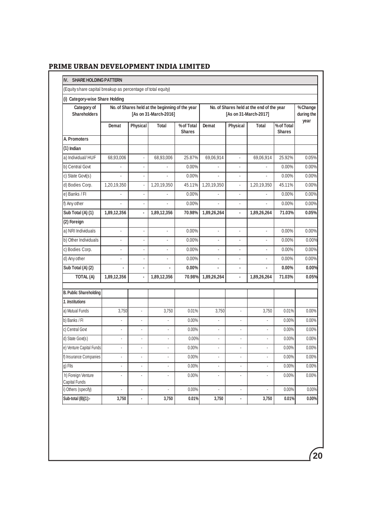| (Equity share capital breakup as percentage of total equity) |                |                      |                                                                          |                             |                          |                |                                                                    |                             |                        |
|--------------------------------------------------------------|----------------|----------------------|--------------------------------------------------------------------------|-----------------------------|--------------------------|----------------|--------------------------------------------------------------------|-----------------------------|------------------------|
| (i) Category-wise Share Holding                              |                |                      |                                                                          |                             |                          |                |                                                                    |                             |                        |
| Category of<br><b>Shareholders</b>                           |                |                      | No. of Shares held at the beginning of the year<br>[As on 31-March-2016] |                             |                          |                | No. of Shares held at the end of the year<br>[As on 31-March-2017] |                             | % Change<br>during the |
|                                                              | Demat          | Physical             | <b>Total</b>                                                             | % of Total<br><b>Shares</b> | Demat                    | Physical       | Total                                                              | % of Total<br><b>Shares</b> | year                   |
| A. Promoters                                                 |                |                      |                                                                          |                             |                          |                |                                                                    |                             |                        |
| (1) Indian                                                   |                |                      |                                                                          |                             |                          |                |                                                                    |                             |                        |
| a) Individual/HUF                                            | 68,93,006      | ä,                   | 68,93,006                                                                | 25.87%                      | 69,06,914                | $\mathbf{r}$   | 69,06,914                                                          | 25.92%                      | 0.05%                  |
| b) Central Govt                                              | $\overline{a}$ | ä,                   | ÷.                                                                       | 0.00%                       | $\mathbf{r}$             | ÷.             | ÷.                                                                 | 0.00%                       | 0.00%                  |
| c) State Govt(s)                                             |                | ÷,                   | ÷,                                                                       | 0.00%                       | ä,                       | ä,             | ä,                                                                 | 0.00%                       | 0.00%                  |
| d) Bodies Corp.                                              | 1,20,19,350    | $\ddot{\phantom{a}}$ | 1,20,19,350                                                              | 45.11%                      | 1,20,19,350              | ä,             | 1,20,19,350                                                        | 45.11%                      | 0.00%                  |
| e) Banks / Fl                                                |                | ä,                   |                                                                          | 0.00%                       |                          | ä,             |                                                                    | 0.00%                       | $0.00\%$               |
| f) Any other                                                 | L.             | L,                   | ä,                                                                       | 0.00%                       | ä,                       | ä,             | L.                                                                 | 0.00%                       | 0.00%                  |
| Sub Total (A) (1)                                            | 1,89,12,356    | l,                   | 1,89,12,356                                                              | 70.98%                      | 1,89,26,264              | ÷.             | 1,89,26,264                                                        | 71.03%                      | 0.05%                  |
| (2) Foreign                                                  |                |                      |                                                                          |                             |                          |                |                                                                    |                             |                        |
| a) NRI Individuals                                           | ä,             | $\blacksquare$       | ä,                                                                       | 0.00%                       | ÷,                       | ä,             | ä,                                                                 | $0.00\%$                    | 0.00%                  |
| b) Other Individuals                                         | ÷.             | $\blacksquare$       | L.                                                                       | 0.00%                       | ÷.                       | $\overline{a}$ | ä,                                                                 | 0.00%                       | 0.00%                  |
| c) Bodies Corp.                                              | L.             | $\overline{a}$       | $\overline{a}$                                                           | 0.00%                       | $\overline{a}$           |                | L.                                                                 | 0.00%                       | 0.00%                  |
| d) Any other                                                 | ä,             | l,                   | ä,                                                                       | 0.00%                       |                          | L.             | ÷,                                                                 | $0.00\%$                    | 0.00%                  |
| Sub Total (A) (2)                                            | ä,             | $\blacksquare$       |                                                                          | 0.00%                       | ä,                       | ä,             | $\overline{\phantom{a}}$                                           | 0.00%                       | 0.00%                  |
| TOTAL (A)                                                    | 1,89,12,356    | ä,                   | 1,89,12,356                                                              | 70.98%                      | 1,89,26,264              | ÷.             | 1,89,26,264                                                        | 71.03%                      | 0.05%                  |
| <b>B. Public Shareholding</b>                                |                |                      |                                                                          |                             |                          |                |                                                                    |                             |                        |
| 1. Institutions                                              |                |                      |                                                                          |                             |                          |                |                                                                    |                             |                        |
| a) Mutual Funds                                              | 3,750          | ä,                   | 3,750                                                                    | 0.01%                       | 3,750                    | ÷.             | 3,750                                                              | 0.01%                       | 0.00%                  |
| b) Banks / Fl                                                | L,             | ä,                   | ä,                                                                       | 0.00%                       | ä,                       | ÷,             | ä,                                                                 | 0.00%                       | 0.00%                  |
| c) Central Govt                                              | $\blacksquare$ | ä,                   | ä,                                                                       | $0.00\%$                    | ä,                       | ä,             | ä,                                                                 | $0.00\%$                    | 0.00%                  |
| d) State Govt(s)                                             | ä,             | ä,                   | J.                                                                       | 0.00%                       | ÷                        | ÷.             | ä,                                                                 | 0.00%                       | 0.00%                  |
| e) Venture Capital Funds                                     | ä,             | $\mathbf{r}$         |                                                                          | 0.00%                       | ä,                       | ä,             | ×.                                                                 | $0.00\%$                    | 0.00%                  |
| f) Insurance Companies                                       |                | L.                   | J,                                                                       | $0.00\%$                    | L.                       | ÷,             | L,                                                                 | 0.00%                       | 0.00%                  |
| g) Flls                                                      | ä,             | ÷,                   | Ĭ.                                                                       | $0.00\%$                    |                          | ÷,             |                                                                    | 0.00%                       | $0.00\%$               |
| h) Foreign Venture<br>Capital Funds                          | ÷,             | ÷,                   | $\blacksquare$                                                           | 0.00%                       | $\overline{\phantom{a}}$ | $\blacksquare$ | ÷,                                                                 | 0.00%                       | $0.00\%$               |
| i) Others (specify)                                          | $\blacksquare$ | $\blacksquare$       | ä,                                                                       | $0.00\%$                    | ÷,                       | ÷,             | $\blacksquare$                                                     | 0.00%                       | 0.00%                  |
| Sub-total (B)(1):-                                           | 3,750          | $\blacksquare$       | 3,750                                                                    | 0.01%                       | 3,750                    | ٠              | 3,750                                                              | 0.01%                       | $0.00\%$               |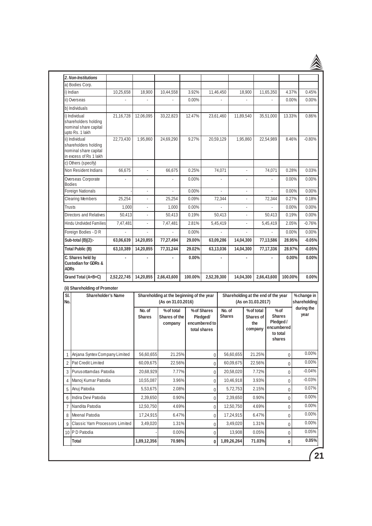| 2. Non-Institutions                                                                       |             |                |                                                                 |          |                                                          |                          |                                     |                          |                   |                    |                                                    |                            |
|-------------------------------------------------------------------------------------------|-------------|----------------|-----------------------------------------------------------------|----------|----------------------------------------------------------|--------------------------|-------------------------------------|--------------------------|-------------------|--------------------|----------------------------------------------------|----------------------------|
| a) Bodies Corp.                                                                           |             |                |                                                                 |          |                                                          |                          |                                     |                          |                   |                    |                                                    |                            |
| i) Indian                                                                                 | 10,25,658   | 18,900         | 10,44,558                                                       | 3.92%    |                                                          | 11,46,450                |                                     | 18,900                   |                   | 11,65,350          | 4.37%                                              | 0.45%                      |
| ii) Overseas                                                                              |             |                | $\overline{a}$                                                  | 0.00%    |                                                          |                          |                                     | $\overline{\phantom{a}}$ |                   |                    | $0.00\%$                                           | 0.00%                      |
| b) Individuals                                                                            |             |                |                                                                 |          |                                                          |                          |                                     |                          |                   |                    |                                                    |                            |
| i) Individual<br>shareholders holding<br>nominal share capital<br>upto Rs. 1 lakh         | 21,16,728   | 12,06,095      | 33,22,823                                                       | 12.47%   |                                                          | 23,61,460                | 11,89,540                           |                          |                   | 35,51,000          | 13.33%                                             | 0.86%                      |
| ii) Individual<br>shareholders holding<br>nominal share capital<br>in excess of Rs 1 lakh | 22,73,430   | 1,95,860       | 24,69,290                                                       | 9.27%    |                                                          | 20,59,129                |                                     | 1,95,860                 |                   | 22,54,989          | 8.46%                                              | $-0.80%$                   |
| c) Others (specify)                                                                       |             |                |                                                                 |          |                                                          |                          |                                     |                          |                   |                    |                                                    |                            |
| Non Resident Indians                                                                      | 66,675      | ÷,             | 66,675                                                          | 0.25%    |                                                          | 74,071                   |                                     | $\overline{a}$           |                   | 74,071             | 0.28%                                              | 0.03%                      |
| Overseas Corporate<br>Bodies                                                              | ÷.          | ÷,             | ä,                                                              | $0.00\%$ |                                                          | $\overline{\phantom{a}}$ |                                     | $\overline{\phantom{a}}$ |                   | $\frac{1}{2}$      | 0.00%                                              | 0.00%                      |
| Foreign Nationals                                                                         |             | $\frac{1}{2}$  | L.                                                              | 0.00%    |                                                          | L.                       |                                     | $\overline{\phantom{a}}$ |                   | $\frac{1}{2}$      | 0.00%                                              | 0.00%                      |
| <b>Clearing Members</b>                                                                   | 25,254      | ÷.             | 25,254                                                          | 0.09%    |                                                          | 72,344                   |                                     | ÷                        |                   | 72,344             | 0.27%                                              | 0.18%                      |
| Trusts                                                                                    | 1,000       | $\overline{a}$ | 1,000                                                           | $0.00\%$ |                                                          |                          |                                     | $\lambda$                |                   |                    | 0.00%                                              | $0.00\%$                   |
| Directors and Relatives                                                                   | 50,413      | $\frac{1}{2}$  | 50,413                                                          | 0.19%    |                                                          | 50,413                   |                                     |                          |                   | 50,413             | 0.19%                                              | 0.00%                      |
| Hindu Undivided Families                                                                  | 7,47,481    | ä,             | 7.47.481                                                        | 2.81%    |                                                          | 5,45,419                 |                                     | $\overline{\phantom{a}}$ | 5,45,419          |                    | 2.05%                                              | $-0.76%$                   |
| Foreign Bodies - D R                                                                      |             |                |                                                                 | 0.00%    |                                                          |                          |                                     |                          | ÷.                |                    | 0.00%                                              | 0.00%                      |
| Sub-total (B)(2):-                                                                        | 63,06,639   | 14,20,855      | 77,27,494                                                       | 29.00%   |                                                          | 63,09,286                | 14,04,300                           |                          | 77,13,586         |                    | 28.95%                                             | $-0.05%$                   |
| Total Public (B)                                                                          | 63,10,389   | 14,20,855      | 77,31,244                                                       | 29.02%   |                                                          | 63,13,036                | 14,04,300                           |                          | 77,17,336         |                    | 28.97%                                             | $-0.05%$                   |
| C. Shares held by<br><b>Custodian for GDRs &amp;</b><br><b>ADRs</b>                       |             |                |                                                                 | 0.00%    |                                                          |                          |                                     |                          |                   |                    | 0.00%                                              | 0.00%                      |
| Grand Total (A+B+C)                                                                       | 2,52,22,745 | 14,20,855      | 2,66,43,600                                                     | 100.00%  | 2,52,39,300                                              |                          | 14,04,300                           |                          |                   | 2,66,43,600        | 100.00%                                            | 0.00%                      |
| (ii) Shareholding of Promoter                                                             |             |                |                                                                 |          |                                                          |                          |                                     |                          |                   |                    |                                                    |                            |
| SI.<br>Shareholder's Name<br>No.                                                          |             |                | Shareholding at the beginning of the year<br>(As on 31.03.2016) |          |                                                          |                          | Shareholding at the end of the year | (As on 31.03.2017)       |                   |                    |                                                    | %change in<br>shareholding |
|                                                                                           |             |                | % of total<br>Shares of the<br>company                          |          | % of Shares<br>Pledaed/<br>encumbered to<br>total shares | No. of<br><b>Shares</b>  |                                     | Shares of<br>company     | % of total<br>the | to total<br>shares | $%$ of<br><b>Shares</b><br>Pledged /<br>encumbered | during the<br>year         |
| Anjana Syntex Company Limited<br>1                                                        |             | 56,60,655      | 21.25%                                                          |          | 0                                                        |                          | 56,60,655                           |                          | 21.25%            |                    | $\pmb{0}$                                          | 0.00%                      |
| Pat Credit Limited<br>$\overline{2}$                                                      |             | 60,09,675      | 22.56%                                                          |          | 0                                                        |                          | 60,09,675                           |                          | 22.56%            |                    | $\mathbf 0$                                        | 0.00%                      |
| Purus ottamdas Patodia<br>3                                                               |             | 20,68,929      | 7.77%                                                           |          | 0                                                        |                          | 20,58,020                           |                          | 7.72%             |                    | 0                                                  | $-0.04%$                   |
| Manoj Kumar Patodia<br>$\overline{4}$                                                     |             | 10,55,087      | 3.96%                                                           |          | 0                                                        |                          | 10,46,918                           |                          | 3.93%             |                    | 0                                                  | $-0.03%$                   |
| Anuj Patodia<br>5                                                                         |             | 5,53,675       | 2.08%                                                           |          | 0                                                        |                          | 5,72,753                            |                          | 2.15%             |                    | $\mathbf 0$                                        | 0.07%                      |

6 2,39,650 0.90% 2,39,650 0.90% 0 0 0.00% Indira Devi Patodia 7 12,50,750 4.69% 12,50,750 4.69% 0 0 0.00% Nandita Patodia 8 17,24,915 6.47% 17,24,915 6.47% 0 0 0.00% Meenal Patodia 9 Classic Yarn Processors Limited | 3,49,020 | 1.31% | 0 0 0,3,49,020 | 1.31% | 0 0.00% 10 PD Patodia -| -| 0.00% | 0 | 13,908 | 0.05% | 0 | 0.05%

**Total**

 **1,89,12,356 70.98% 1,89,26,264 71.03% 0 0 0.05%**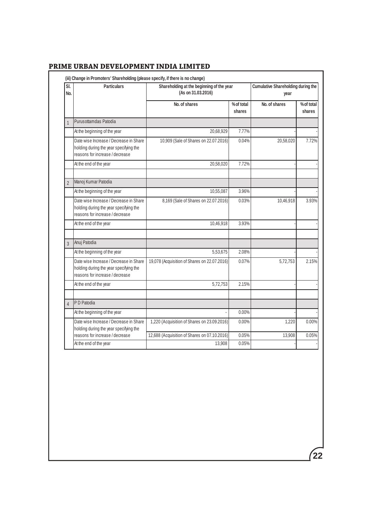| SI.<br>No.     | <b>Particulars</b>                                                                                                  | Shareholding at the beginning of the year<br>(As on 31.03.2016) | <b>Cumulative Shareholding during the</b><br>year |               |                      |
|----------------|---------------------------------------------------------------------------------------------------------------------|-----------------------------------------------------------------|---------------------------------------------------|---------------|----------------------|
|                |                                                                                                                     | No. of shares                                                   | % of total<br>shares                              | No. of shares | % of total<br>shares |
| $\overline{1}$ | Purusottamdas Patodia                                                                                               |                                                                 |                                                   |               |                      |
|                | At the beginning of the year                                                                                        | 20,68,929                                                       | 7.77%                                             |               |                      |
|                | Date wise Increase / Decrease in Share<br>holding during the year specifying the<br>reasons for increase / decrease | 10,909 (Sale of Shares on 22.07.2016)                           | 0.04%                                             | 20,58,020     | 7.72%                |
|                | At the end of the year                                                                                              | 20,58,020                                                       | 7.72%                                             |               |                      |
|                |                                                                                                                     |                                                                 |                                                   |               |                      |
| $\mathfrak{p}$ | Manoj Kumar Patodia                                                                                                 |                                                                 |                                                   |               |                      |
|                | At the beginning of the year                                                                                        | 10,55,087                                                       | 3.96%                                             |               |                      |
|                | Date wise Increase / Decrease in Share<br>holding during the year specifying the<br>reasons for increase / decrease | 8,169 (Sale of Shares on 22.07.2016)                            | 0.03%                                             | 10,46,918     | 3.93%                |
|                | At the end of the year                                                                                              | 10,46,918                                                       | 3.93%                                             |               |                      |
| 3              | Anuj Patodia                                                                                                        |                                                                 |                                                   |               |                      |
|                | At the beginning of the year                                                                                        | 5,53,675                                                        | 2.08%                                             |               |                      |
|                | Date wise Increase / Decrease in Share<br>holding during the year specifying the<br>reasons for increase / decrease | 19,078 (Acquisition of Shares on 22.07.2016)                    | 0.07%                                             | 5,72,753      | 2.15%                |
|                | At the end of the year                                                                                              | 5,72,753                                                        | 2.15%                                             |               |                      |
| $\overline{4}$ | P D Patodia                                                                                                         |                                                                 |                                                   |               |                      |
|                | At the beginning of the year                                                                                        |                                                                 | $0.00\%$                                          |               |                      |
|                | Date wise Increase / Decrease in Share<br>holding during the year specifying the                                    | 1,220 (Acquisition of Shares on 23.09.2016)                     | $0.00\%$                                          | 1,220         | 0.00%                |
|                | reasons for increase / decrease                                                                                     | 12,688 (Acquisition of Shares on 07.10.2016)                    | 0.05%                                             | 13,908        | 0.05%                |
|                | At the end of the year                                                                                              | 13,908                                                          | 0.05%                                             |               |                      |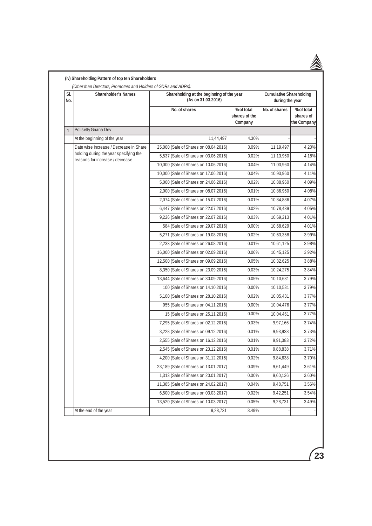| SI.<br>No.<br>$\mathbf{1}$ | <b>Shareholder's Names</b>                                                | Shareholding at the beginning of the year<br>(As on 31.03.2016) | <b>Cumulative Shareholding</b><br>during the year |               |                                        |
|----------------------------|---------------------------------------------------------------------------|-----------------------------------------------------------------|---------------------------------------------------|---------------|----------------------------------------|
|                            |                                                                           | No. of shares                                                   | % of total<br>shares of the<br>Company            | No. of shares | % of total<br>shares of<br>the Company |
|                            | Polisetty Gnana Dev                                                       |                                                                 |                                                   |               |                                        |
|                            | At the beginning of the year                                              | 11,44,497                                                       | 4.30%                                             |               |                                        |
|                            | Date wise Increase / Decrease in Share                                    | 25,000 (Sale of Shares on 08.04.2016)                           | 0.09%                                             | 11,19,497     | 4.20%                                  |
|                            | holding during the year specifying the<br>reasons for increase / decrease | 5,537 (Sale of Shares on 03.06.2016)                            | 0.02%                                             | 11,13,960     | 4.18%                                  |
|                            |                                                                           | 10,000 (Sale of Shares on 10.06.2016)                           | 0.04%                                             | 11,03,960     | 4.14%                                  |
|                            |                                                                           | 10,000 (Sale of Shares on 17.06.2016)                           | 0.04%                                             | 10,93,960     | 4.11%                                  |
|                            |                                                                           | 5,000 (Sale of Shares on 24.06.2016)                            | 0.02%                                             | 10,88,960     | 4.09%                                  |
|                            |                                                                           | 2,000 (Sale of Shares on 08.07.2016)                            | 0.01%                                             | 10,86,960     | 4.08%                                  |
|                            |                                                                           | 2,074 (Sale of Shares on 15.07.2016)                            | 0.01%                                             | 10,84,886     | 4.07%                                  |
|                            |                                                                           | 6,447 (Sale of Shares on 22.07.2016)                            | 0.02%                                             | 10,78,439     | 4.05%                                  |
|                            |                                                                           | 9,226 (Sale of Shares on 22.07.2016)                            | 0.03%                                             | 10,69,213     | 4.01%                                  |
|                            |                                                                           | 584 (Sale of Shares on 29.07.2016)                              | 0.00%                                             | 10,68,629     | 4.01%                                  |
|                            |                                                                           | 5,271 (Sale of Shares on 19.08.2016)                            | 0.02%                                             | 10,63,358     | 3.99%                                  |
|                            |                                                                           | 2,233 (Sale of Shares on 26.08.2016)                            | 0.01%                                             | 10,61,125     | 3.98%                                  |
|                            |                                                                           | 16,000 (Sale of Shares on 02.09.2016)                           | 0.06%                                             | 10,45,125     | 3.92%                                  |
|                            |                                                                           | 12,500 (Sale of Shares on 09.09.2016)                           | 0.05%                                             | 10,32,625     | 3.88%                                  |
|                            |                                                                           | 8,350 (Sale of Shares on 23.09.2016)                            | 0.03%                                             | 10,24,275     | 3.84%                                  |
|                            |                                                                           | 13,644 (Sale of Shares on 30.09.2016)                           | 0.05%                                             | 10,10,631     | 3.79%                                  |
|                            |                                                                           | 100 (Sale of Shares on 14.10.2016)                              | 0.00%                                             | 10,10,531     | 3.79%                                  |
|                            |                                                                           | 5,100 (Sale of Shares on 28.10.2016)                            | 0.02%                                             | 10,05,431     | 3.77%                                  |
|                            |                                                                           | 955 (Sale of Shares on 04.11.2016)                              | 0.00%                                             | 10,04,476     | 3.77%                                  |
|                            |                                                                           | 15 (Sale of Shares on 25.11.2016)                               | 0.00%                                             | 10,04,461     | 3.77%                                  |
|                            |                                                                           | 7,295 (Sale of Shares on 02.12.2016)                            | 0.03%                                             | 9,97,166      | 3.74%                                  |
|                            |                                                                           | 3,228 (Sale of Shares on 09.12.2016)                            | 0.01%                                             | 9,93,938      | 3.73%                                  |
|                            |                                                                           | 2,555 (Sale of Shares on 16.12.2016)                            | 0.01%                                             | 9,91,383      | 3.72%                                  |
|                            |                                                                           | 2,545 (Sale of Shares on 23.12.2016)                            | 0.01%                                             | 9,88,838      | 3.71%                                  |
|                            |                                                                           | 4,200 (Sale of Shares on 31.12.2016)                            | 0.02%                                             | 9,84,638      | 3.70%                                  |
|                            |                                                                           | 23,189 (Sale of Shares on 13.01.2017)                           | 0.09%                                             | 9,61,449      | 3.61%                                  |
|                            |                                                                           | 1,313 (Sale of Shares on 20.01.2017)                            | 0.00%                                             | 9,60,136      | 3.60%                                  |
|                            |                                                                           | 11,385 (Sale of Shares on 24.02.2017)                           | 0.04%                                             | 9,48,751      | 3.56%                                  |
|                            |                                                                           | 6,500 (Sale of Shares on 03.03.2017)                            | 0.02%                                             | 9,42,251      | 3.54%                                  |
|                            |                                                                           | 13,520 (Sale of Shares on 10.03.2017)                           | 0.05%                                             | 9,28,731      | 3.49%                                  |
|                            | At the end of the year                                                    | 9,28,731                                                        | 3.49%                                             |               |                                        |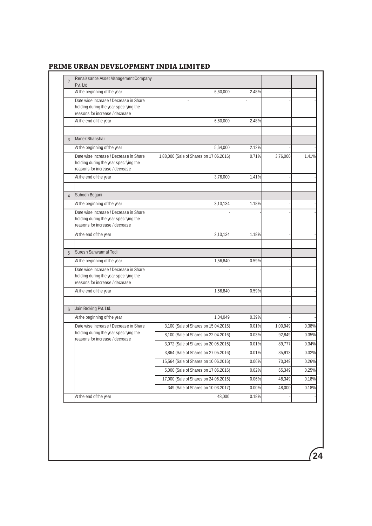| $\overline{2}$ | Renaissance Asset Management Company<br>Pvt. Ltd                                                                    |                                         |          |          |       |
|----------------|---------------------------------------------------------------------------------------------------------------------|-----------------------------------------|----------|----------|-------|
|                | At the beginning of the year                                                                                        | 6,60,000                                | 2.48%    |          |       |
|                | Date wise Increase / Decrease in Share<br>holding during the year specifying the<br>reasons for increase / decrease |                                         |          |          |       |
|                | At the end of the year                                                                                              | 6,60,000                                | 2.48%    |          |       |
| 3              | Manek Bhanshali                                                                                                     |                                         |          |          |       |
|                | At the beginning of the year                                                                                        | 5,64,000                                | 2.12%    |          |       |
|                | Date wise Increase / Decrease in Share<br>holding during the year specifying the<br>reasons for increase / decrease | 1,88,000 (Sale of Shares on 17.06.2016) | 0.71%    | 3,76,000 | 1.41% |
|                | At the end of the year                                                                                              | 3,76,000                                | 1.41%    |          |       |
| $\overline{4}$ | Subodh Begani                                                                                                       |                                         |          |          |       |
|                | At the beginning of the year                                                                                        | 3,13,134                                | 1.18%    |          |       |
|                | Date wise Increase / Decrease in Share<br>holding during the year specifying the<br>reasons for increase / decrease |                                         |          |          |       |
|                | At the end of the year                                                                                              | 3,13,134                                | 1.18%    |          |       |
| 5              | Suresh Sanwarmal Todi                                                                                               |                                         |          |          |       |
|                | At the beginning of the year                                                                                        | 1,56,840                                | 0.59%    |          |       |
|                | Date wise Increase / Decrease in Share<br>holding during the year specifying the<br>reasons for increase / decrease |                                         |          |          |       |
|                | At the end of the year                                                                                              | 1,56,840                                | 0.59%    |          |       |
|                | Jain Broking Pvt. Ltd.                                                                                              |                                         |          |          |       |
| 6              | At the beginning of the year                                                                                        | 1,04,049                                | 0.39%    |          |       |
|                | Date wise Increase / Decrease in Share                                                                              | 3,100 (Sale of Shares on 15.04.2016)    | 0.01%    | 1,00,949 | 0.38% |
|                | holding during the year specifying the                                                                              | 8,100 (Sale of Shares on 22.04.2016)    | 0.03%    | 92,849   | 0.35% |
|                | reasons for increase / decrease                                                                                     | 3,072 (Sale of Shares on 20.05.2016)    | 0.01%    | 89,777   | 0.34% |
|                |                                                                                                                     | 3,864 (Sale of Shares on 27.05.2016)    | 0.01%    | 85,913   | 0.32% |
|                |                                                                                                                     | 15,564 (Sale of Shares on 10.06.2016)   | $0.06\%$ | 70,349   | 0.26% |
|                |                                                                                                                     | 5,000 (Sale of Shares on 17.06.2016)    | 0.02%    | 65,349   | 0.25% |
|                |                                                                                                                     | 17,000 (Sale of Shares on 24.06.2016)   | $0.06\%$ | 48,349   | 0.18% |
|                |                                                                                                                     | 349 (Sale of Shares on 10.03.2017)      | 0.00%    | 48,000   | 0.18% |
|                | At the end of the year                                                                                              | 48,000                                  | 0.18%    |          |       |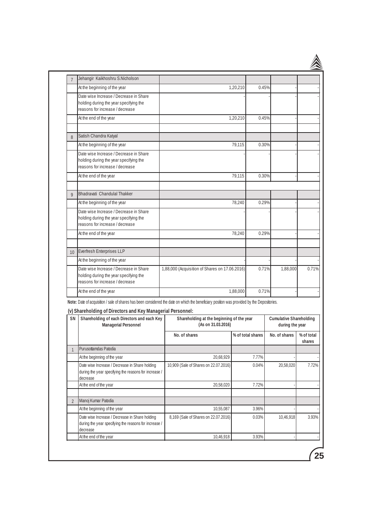| $\overline{7}$ | Jehangir Kaikhoshru S.Nicholson                                                                                     |                                                |       |          |       |
|----------------|---------------------------------------------------------------------------------------------------------------------|------------------------------------------------|-------|----------|-------|
|                | At the beginning of the year                                                                                        | 1,20,210                                       | 0.45% |          |       |
|                | Date wise Increase / Decrease in Share<br>holding during the year specifying the<br>reasons for increase / decrease |                                                |       |          |       |
|                | At the end of the year                                                                                              | 1,20,210                                       | 0.45% |          |       |
| 8              | Satish Chandra Katyal                                                                                               |                                                |       |          |       |
|                | At the beginning of the year                                                                                        | 79,115                                         | 0.30% |          |       |
|                | Date wise Increase / Decrease in Share<br>holding during the year specifying the<br>reasons for increase / decrease |                                                |       |          |       |
|                | At the end of the year                                                                                              | 79,115                                         | 0.30% |          |       |
| $\overline{9}$ | Bhadravati Chandulal Thakker                                                                                        |                                                |       |          |       |
|                | At the beginning of the year                                                                                        | 78.240                                         | 0.29% |          |       |
|                | Date wise Increase / Decrease in Share<br>holding during the year specifying the<br>reasons for increase / decrease |                                                |       |          |       |
|                | At the end of the year                                                                                              | 78,240                                         | 0.29% |          |       |
| 10             | Everfresh Enterprises LLP                                                                                           |                                                |       |          |       |
|                | At the beginning of the year                                                                                        |                                                |       |          |       |
|                | Date wise Increase / Decrease in Share<br>holding during the year specifying the<br>reasons for increase / decrease | 1,88,000 (Acquisition of Shares on 17.06.2016) | 0.71% | 1,88,000 | 0.71% |
|                | At the end of the year                                                                                              | 1,88,000                                       | 0.71% |          |       |

#### **(v) Shareholding of Directors and Key Managerial Personnel:**

| SN             | Shareholding of each Directors and each Key<br><b>Managerial Personnel</b>                                          | Shareholding at the beginning of the year<br>(As on 31.03.2016) | <b>Cumulative Shareholding</b><br>during the year |               |                      |
|----------------|---------------------------------------------------------------------------------------------------------------------|-----------------------------------------------------------------|---------------------------------------------------|---------------|----------------------|
|                |                                                                                                                     | No. of shares                                                   | % of total shares                                 | No. of shares | % of total<br>shares |
|                | Purusottamdas Patodia                                                                                               |                                                                 |                                                   |               |                      |
|                | At the beginning of the year                                                                                        | 20,68,929                                                       | 7.77%                                             |               |                      |
|                | Date wise Increase / Decrease in Share holding<br>during the year specifying the reasons for increase /<br>decrease | 10,909 (Sale of Shares on 22.07.2016)                           | 0.04%                                             | 20,58,020     | 7.72%                |
|                | At the end of the year                                                                                              | 20,58,020                                                       | 7.72%                                             |               |                      |
| $\overline{2}$ | Manoj Kumar Patodia                                                                                                 |                                                                 |                                                   |               |                      |
|                | At the beginning of the year                                                                                        | 10,55,087                                                       | 3.96%                                             |               |                      |
|                | Date wise Increase / Decrease in Share holding<br>during the year specifying the reasons for increase /<br>decrease | 8,169 (Sale of Shares on 22.07.2016)                            | 0.03%                                             | 10,46,918     | 3.93%                |
|                | At the end of the year                                                                                              | 10,46,918                                                       | 3.93%                                             |               |                      |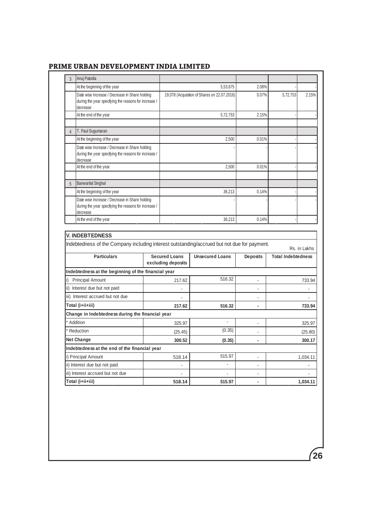| $\overline{3}$ | Anuj Patodia                                                                                                                                    |                      |                                              |                          |                           |                                                                             |
|----------------|-------------------------------------------------------------------------------------------------------------------------------------------------|----------------------|----------------------------------------------|--------------------------|---------------------------|-----------------------------------------------------------------------------|
|                | At the beginning of the year                                                                                                                    |                      | 5,53,675                                     | 2.08%                    |                           |                                                                             |
|                | Date wise Increase / Decrease in Share holding<br>during the year specifying the reasons for increase /<br>decrease                             |                      | 19,078 (Acquisition of Shares on 22.07.2016) | 0.07%                    | 5,72,753                  | 2.15%                                                                       |
|                | At the end of the year                                                                                                                          |                      | 5,72,753                                     | 2.15%                    |                           |                                                                             |
|                |                                                                                                                                                 |                      |                                              |                          |                           |                                                                             |
| $\overline{4}$ | T. Paul Sugumaran                                                                                                                               |                      |                                              |                          |                           |                                                                             |
|                | At the beginning of the year                                                                                                                    |                      | 2,500                                        | 0.01%                    |                           |                                                                             |
|                | Date wise Increase / Decrease in Share holding<br>during the year specifying the reasons for increase /<br>decrease                             |                      |                                              |                          |                           |                                                                             |
|                | At the end of the year                                                                                                                          |                      | 2.500                                        | 0.01%                    |                           |                                                                             |
| 5              | <b>Banwarilal Singhal</b>                                                                                                                       |                      |                                              |                          |                           |                                                                             |
|                | At the beginning of the year                                                                                                                    |                      | 36.213                                       | 0.14%                    |                           |                                                                             |
|                | Date wise Increase / Decrease in Share holding                                                                                                  |                      |                                              |                          |                           |                                                                             |
|                | during the year specifying the reasons for increase /<br>decrease                                                                               |                      |                                              |                          |                           |                                                                             |
|                |                                                                                                                                                 |                      |                                              |                          |                           |                                                                             |
|                | At the end of the year<br><b>V. INDEBTEDNESS</b><br>Indebtedness of the Company including interest outstanding/accrued but not due for payment. |                      | 36,213                                       | 0.14%                    |                           |                                                                             |
|                | <b>Particulars</b>                                                                                                                              | <b>Secured Loans</b> | <b>Unsecured Loans</b>                       | <b>Deposits</b>          | <b>Total Indebtedness</b> |                                                                             |
|                |                                                                                                                                                 | excluding deposits   |                                              |                          |                           |                                                                             |
|                | Indebtedness at the beginning of the financial year                                                                                             |                      |                                              |                          |                           |                                                                             |
|                | <b>Principal Amount</b>                                                                                                                         | 217.62               | 516.32                                       | L.                       |                           |                                                                             |
|                | ii) Interest due but not paid                                                                                                                   |                      |                                              | ÷.                       |                           |                                                                             |
|                | iii) Interest accrued but not due                                                                                                               |                      |                                              | $\overline{a}$           |                           | $\overline{a}$                                                              |
|                | Total (i+ii+iii)                                                                                                                                | 217.62               | 516.32                                       |                          |                           |                                                                             |
|                | Change in Indebtedness during the financial year                                                                                                |                      |                                              |                          |                           |                                                                             |
|                | Addition                                                                                                                                        | 325.97               | $\overline{\phantom{a}}$                     | ÷,                       |                           |                                                                             |
|                | Reduction                                                                                                                                       | (25.45)              | (0.35)                                       | $\overline{\phantom{a}}$ |                           |                                                                             |
| i)             | <b>Net Change</b>                                                                                                                               | 300.52               | (0.35)                                       | ÷,                       |                           |                                                                             |
|                | Indebtedness at the end of the financial year                                                                                                   |                      |                                              |                          |                           |                                                                             |
|                | i) Principal Amount                                                                                                                             | 518.14               | 515.97                                       | ÷,                       |                           |                                                                             |
|                | ii) Interest due but not paid                                                                                                                   | ÷,                   | $\overline{a}$                               | $\blacksquare$           |                           | ÷,                                                                          |
|                | iii) Interest accrued but not due                                                                                                               | ä,                   | ÷,                                           | $\overline{\phantom{a}}$ |                           | Rs. in Lakhs<br>733.94<br>733.94<br>325.97<br>(25.80)<br>300.17<br>1,034.11 |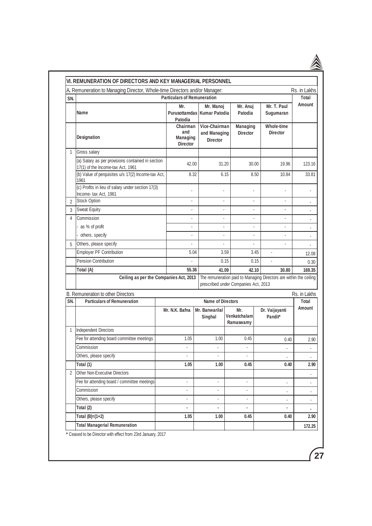|                | VI. REMUNERATION OF DIRECTORS AND KEY MANAGERIAL PERSONNEL                             |                                                       |                                                  |                                     |                                      |                                                                             |                       |
|----------------|----------------------------------------------------------------------------------------|-------------------------------------------------------|--------------------------------------------------|-------------------------------------|--------------------------------------|-----------------------------------------------------------------------------|-----------------------|
| SN.            | A. Remuneration to Managing Director, Whole-time Directors and/or Manager:             | <b>Particulars of Remuneration</b>                    |                                                  |                                     |                                      |                                                                             | Rs. in Lakhs<br>Total |
|                | Name                                                                                   | Mr.<br>Patodia                                        | Mr. Manoj<br>Purusottamdas   Kumar Patodia       |                                     | Mr. Anuj<br>Patodia                  | Mr. T. Paul<br>Sugumaran                                                    | <b>Amount</b>         |
|                | Designation                                                                            | Chairman<br>and<br><b>Managing</b><br><b>Director</b> | Vice-Chairman<br>and Managing<br><b>Director</b> |                                     | <b>Managing</b><br><b>Director</b>   | Whole-time<br><b>Director</b>                                               |                       |
| $\mathbf{1}$   | Gross salary                                                                           |                                                       |                                                  |                                     |                                      |                                                                             |                       |
|                | (a) Salary as per provisions contained in section<br>17(1) of the Income-tax Act, 1961 | 42.00                                                 |                                                  | 31.20                               | 30.00                                | 19.96                                                                       | 123.16                |
|                | (b) Value of perquisites u/s 17(2) Income-tax Act,<br>1961                             | 8.32                                                  |                                                  | 6.15                                | 8.50                                 | 10.84                                                                       | 33.81                 |
|                | (c) Profits in lieu of salary under section 17(3)<br>Income-tax Act, 1961              | ä,                                                    |                                                  | ä,                                  |                                      |                                                                             |                       |
| $\overline{2}$ | <b>Stock Option</b>                                                                    | L                                                     |                                                  | $\mathbf{r}$                        |                                      | ×.                                                                          | ٠                     |
| 3              | <b>Sweat Equity</b>                                                                    | ä,                                                    |                                                  | ÷                                   | $\overline{a}$                       | $\overline{a}$                                                              |                       |
| 4              | Commission                                                                             | ä,                                                    |                                                  | $\blacksquare$                      |                                      |                                                                             |                       |
|                | as % of profit                                                                         | ä,                                                    |                                                  | ä,                                  |                                      | $\sim$                                                                      |                       |
|                | others, specify                                                                        | ä,                                                    |                                                  | ä,                                  | $\blacksquare$                       | $\overline{\phantom{a}}$                                                    |                       |
| 5              | Others, please specify                                                                 | $\overline{a}$                                        |                                                  | ÷.                                  | $\mathbf{r}$                         | $\mathbf{r}$                                                                |                       |
|                | <b>Employer PF Contribution</b>                                                        | 5.04                                                  |                                                  | 3.59                                | 3.45                                 |                                                                             | 12.08                 |
|                | <b>Pension Contribution</b>                                                            |                                                       |                                                  | 0.15                                | 0.15                                 |                                                                             | 0.30                  |
|                | Total (A)<br>Ceiling as per the Companies Act, 2013                                    | 55.36                                                 |                                                  | 41.09                               | 42.10                                | 30.80<br>The remuneration paid to Managing Directors are within the ceiling | 169.35                |
|                |                                                                                        |                                                       |                                                  |                                     | prescribed under Companies Act, 2013 |                                                                             |                       |
| SN.            | B. Remuneration to other Directors<br><b>Particulars of Remuneration</b>               |                                                       |                                                  |                                     |                                      |                                                                             | Rs. in Lakhs          |
|                |                                                                                        | Mr. N.K. Bafna                                        |                                                  | Name of Directors<br>Mr. Banwarilal |                                      | Dr. Vaijayanti                                                              | Total<br>Amount       |
|                |                                                                                        |                                                       | Singhal                                          |                                     | Mr.<br>Venkatchalam<br>Ramaswamy     | Pandit*                                                                     |                       |
| 1              | Independent Directors                                                                  |                                                       |                                                  |                                     |                                      |                                                                             |                       |
|                | Fee for attending board committee meetings                                             | 1.05                                                  | 1.00                                             |                                     | 0.45                                 | 0.40                                                                        | 2.90                  |
|                | Commission                                                                             | ä,                                                    |                                                  |                                     |                                      |                                                                             |                       |
|                | Others, please specify                                                                 | ä,                                                    | ÷.                                               |                                     | ä,                                   |                                                                             |                       |
|                | Total (1)                                                                              | 1.05                                                  | 1.00                                             |                                     | 0.45                                 | 0.40                                                                        | 2.90                  |
| 2              | Other Non-Executive Directors                                                          |                                                       |                                                  |                                     |                                      |                                                                             | ۰                     |
|                | Fee for attending board / committee meetings                                           | ÷.                                                    | ä,                                               |                                     | ÷.                                   | ä,                                                                          |                       |
|                | Commission                                                                             | ä,                                                    |                                                  |                                     |                                      | ÷,                                                                          |                       |
|                | Others, please specify                                                                 | ٠                                                     |                                                  |                                     |                                      | ÷,                                                                          | ٠                     |
|                | Total (2)                                                                              | $\blacksquare$                                        | ٠                                                |                                     | ٠                                    | $\blacksquare$                                                              | ۰                     |
|                |                                                                                        |                                                       |                                                  |                                     |                                      |                                                                             |                       |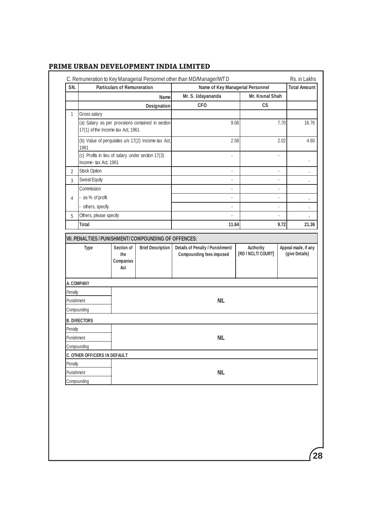| SN.            |                                                                            | <b>Particulars of Remuneration</b> |                                                   | C. Remuneration to Key Managerial Personnel other than MD/Manager/WTD<br>Name of Key Managerial Personnel |                | Rs. in Lakhs<br><b>Total Amount</b> |                          |
|----------------|----------------------------------------------------------------------------|------------------------------------|---------------------------------------------------|-----------------------------------------------------------------------------------------------------------|----------------|-------------------------------------|--------------------------|
|                | Name                                                                       |                                    |                                                   | Mr. S. Udayananda<br>Mr. Krunal Shah                                                                      |                |                                     |                          |
|                |                                                                            |                                    | Designation                                       | <b>CFO</b>                                                                                                | CS             |                                     |                          |
| $\mathbf{1}$   | Gross salary                                                               |                                    |                                                   |                                                                                                           |                |                                     |                          |
|                | 17(1) of the Income-tax Act, 1961                                          |                                    | (a) Salary as per provisions contained in section | 9.06                                                                                                      |                | 7.70                                | 16.76                    |
|                | (b) Value of perquisites u/s 17(2) Income-tax Act,<br>1961                 |                                    |                                                   | 2.58                                                                                                      |                | 2.02                                | 4.60                     |
|                | (c) Profits in lieu of salary under section 17(3)<br>Income- tax Act, 1961 |                                    |                                                   |                                                                                                           |                |                                     |                          |
| $\overline{2}$ | Stock Option                                                               |                                    |                                                   |                                                                                                           | $\overline{a}$ |                                     | $\overline{\phantom{a}}$ |
| 3              | Sweat Equity                                                               |                                    |                                                   | ÷,                                                                                                        | $\overline{a}$ |                                     |                          |
|                | Commission                                                                 |                                    |                                                   |                                                                                                           |                |                                     |                          |
| 4              | as % of profit                                                             |                                    |                                                   | L,                                                                                                        | ÷              |                                     |                          |
|                | others, specify                                                            |                                    |                                                   | $\overline{a}$                                                                                            | $\overline{a}$ |                                     | ٠                        |
| 5              | Others, please specify                                                     |                                    |                                                   |                                                                                                           |                |                                     |                          |
|                | Total                                                                      |                                    |                                                   | 11.64                                                                                                     |                | 9.72                                | 21.36                    |
|                |                                                                            | Companies<br>Act                   |                                                   |                                                                                                           |                |                                     |                          |
|                | A. COMPANY                                                                 |                                    |                                                   |                                                                                                           |                |                                     |                          |
| Penalty        |                                                                            |                                    |                                                   |                                                                                                           |                |                                     |                          |
| Punishment     |                                                                            |                                    |                                                   |                                                                                                           |                |                                     |                          |
|                |                                                                            |                                    |                                                   | <b>NIL</b>                                                                                                |                |                                     |                          |
|                | Compounding                                                                |                                    |                                                   |                                                                                                           |                |                                     |                          |
|                | <b>B. DIRECTORS</b>                                                        |                                    |                                                   |                                                                                                           |                |                                     |                          |
| Penalty        |                                                                            |                                    |                                                   |                                                                                                           |                |                                     |                          |
| Punishment     |                                                                            |                                    |                                                   | NIL                                                                                                       |                |                                     |                          |
|                | Compounding                                                                |                                    |                                                   |                                                                                                           |                |                                     |                          |
|                | C. OTHER OFFICERS IN DEFAULT                                               |                                    |                                                   |                                                                                                           |                |                                     |                          |
| Penalty        |                                                                            |                                    |                                                   |                                                                                                           |                |                                     |                          |
| Punishment     | Compounding                                                                |                                    |                                                   | <b>NIL</b>                                                                                                |                |                                     |                          |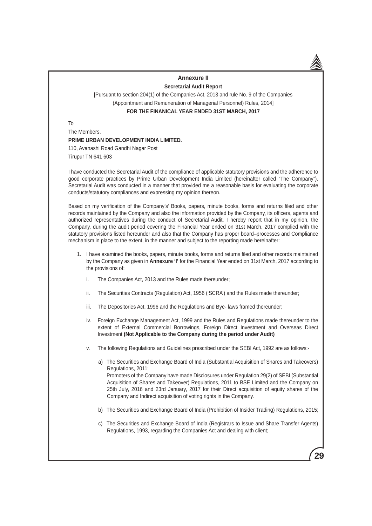#### **Annexure II Secretarial Audit Report**

[Pursuant to section 204(1) of the Companies Act, 2013 and rule No. 9 of the Companies (Appointment and Remuneration of Managerial Personnel) Rules, 2014] **FOR THE FINANICAL YEAR ENDED 31ST MARCH, 2017**

To

The Members, **PRIME URBAN DEVELOPMENT INDIA LIMITED.** 110, Avanashi Road Gandhi Nagar Post

Tirupur TN 641 603

I have conducted the Secretarial Audit of the compliance of applicable statutory provisions and the adherence to good corporate practices by Prime Urban Development India Limited (hereinafter called "The Company"). Secretarial Audit was conducted in a manner that provided me a reasonable basis for evaluating the corporate conducts/statutory compliances and expressing my opinion thereon.

Based on my verification of the Company's' Books, papers, minute books, forms and returns filed and other records maintained by the Company and also the information provided by the Company, its officers, agents and authorized representatives during the conduct of Secretarial Audit, I hereby report that in my opinion, the Company, during the audit period covering the Financial Year ended on 31st March, 2017 complied with the statutory provisions listed hereunder and also that the Company has proper board–processes and Compliance mechanism in place to the extent, in the manner and subject to the reporting made hereinafter:

- 1. I have examined the books, papers, minute books, forms and returns filed and other records maintained by the Company as given in **Annexure 'I'** for the Financial Year ended on 31st March, 2017 according to the provisions of:
	- i. The Companies Act, 2013 and the Rules made thereunder;
	- ii. The Securities Contracts (Regulation) Act, 1956 ('SCRA') and the Rules made thereunder;
	- iii. The Depositories Act, 1996 and the Regulations and Bye- laws framed thereunder;
	- iv. Foreign Exchange Management Act, 1999 and the Rules and Regulations made thereunder to the extent of External Commercial Borrowings, Foreign Direct Investment and Overseas Direct Investment **(Not Applicable to the Company during the period under Audit)**
	- v. The following Regulations and Guidelines prescribed under the SEBI Act, 1992 are as follows:
		- a) The Securities and Exchange Board of India (Substantial Acquisition of Shares and Takeovers) Regulations, 2011; Promoters of the Company have made Disclosures under Regulation 29(2) of SEBI (Substantial Acquisition of Shares and Takeover) Regulations, 2011 to BSE Limited and the Company on 25th July, 2016 and 23rd January, 2017 for their Direct acquisition of equity shares of the Company and Indirect acquisition of voting rights in the Company.
		- b) The Securities and Exchange Board of India (Prohibition of Insider Trading) Regulations, 2015;
		- c) The Securities and Exchange Board of India (Registrars to Issue and Share Transfer Agents) Regulations, 1993, regarding the Companies Act and dealing with client;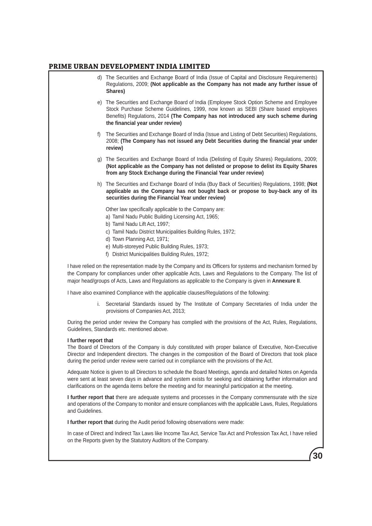- d) The Securities and Exchange Board of India (Issue of Capital and Disclosure Requirements) Regulations, 2009; **(Not applicable as the Company has not made any further issue of Shares)**
- e) The Securities and Exchange Board of India (Employee Stock Option Scheme and Employee Stock Purchase Scheme Guidelines, 1999, now known as SEBI (Share based employees Benefits) Regulations, 2014 **(The Company has not introduced any such scheme during the financial year under review)**
- f) The Securities and Exchange Board of India (Issue and Listing of Debt Securities) Regulations, 2008; **(The Company has not issued any Debt Securities during the financial year under review)**
- g) The Securities and Exchange Board of India (Delisting of Equity Shares) Regulations, 2009; **(Not applicable as the Company has not delisted or propose to delist its Equity Shares from any Stock Exchange during the Financial Year under review)**
- h) The Securities and Exchange Board of India (Buy Back of Securities) Regulations, 1998; **(Not applicable as the Company has not bought back or propose to buy-back any of its securities during the Financial Year under review)**

Other law specifically applicable to the Company are:

- a) Tamil Nadu Public Building Licensing Act, 1965;
- b) Tamil Nadu Lift Act, 1997;
- c) Tamil Nadu District Municipalities Building Rules, 1972;
- d) Town Planning Act, 1971;
- e) Multi-storeyed Public Building Rules, 1973;
- f) District Municipalities Building Rules, 1972;

I have relied on the representation made by the Company and its Officers for systems and mechanism formed by the Company for compliances under other applicable Acts, Laws and Regulations to the Company. The list of major head/groups of Acts, Laws and Regulations as applicable to the Company is given in **Annexure II**.

I have also examined Compliance with the applicable clauses/Regulations of the following:

 i. Secretarial Standards issued by The Institute of Company Secretaries of India under the provisions of Companies Act, 2013;

During the period under review the Company has complied with the provisions of the Act, Rules, Regulations, Guidelines, Standards etc. mentioned above.

#### **I further report that**

The Board of Directors of the Company is duly constituted with proper balance of Executive, Non-Executive Director and Independent directors. The changes in the composition of the Board of Directors that took place during the period under review were carried out in compliance with the provisions of the Act.

Adequate Notice is given to all Directors to schedule the Board Meetings, agenda and detailed Notes on Agenda were sent at least seven days in advance and system exists for seeking and obtaining further information and clarifications on the agenda items before the meeting and for meaningful participation at the meeting.

**I further report that** there are adequate systems and processes in the Company commensurate with the size and operations of the Company to monitor and ensure compliances with the applicable Laws, Rules, Regulations and Guidelines.

**I further report that** during the Audit period following observations were made:

In case of Direct and Indirect Tax Laws like Income Tax Act, Service Tax Act and Profession Tax Act, I have relied on the Reports given by the Statutory Auditors of the Company.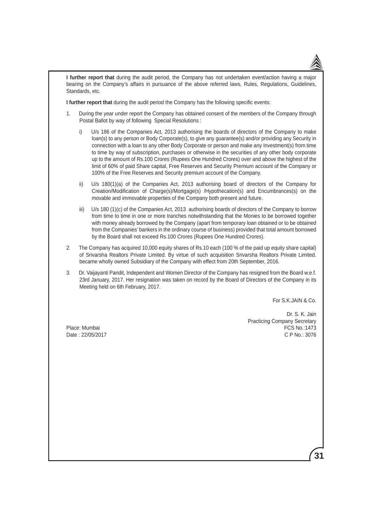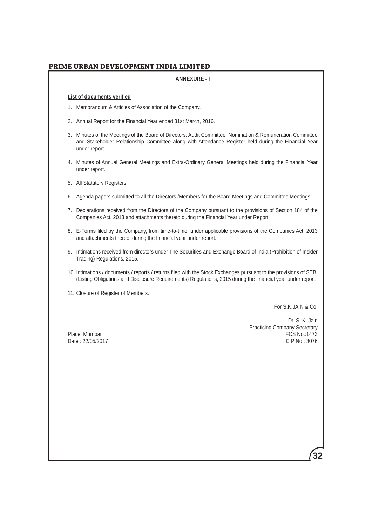#### **ANNEXURE - I**

#### **List of documents verified**

- 1. Memorandum & Articles of Association of the Company.
- 2. Annual Report for the Financial Year ended 31st March, 2016.
- 3. Minutes of the Meetings of the Board of Directors, Audit Committee, Nomination & Remuneration Committee and Stakeholder Relationship Committee along with Attendance Register held during the Financial Year under report.
- 4. Minutes of Annual General Meetings and Extra-Ordinary General Meetings held during the Financial Year under report.
- 5. All Statutory Registers.
- 6. Agenda papers submitted to all the Directors /Members for the Board Meetings and Committee Meetings.
- 7. Declarations received from the Directors of the Company pursuant to the provisions of Section 184 of the Companies Act, 2013 and attachments thereto during the Financial Year under Report.
- 8. E-Forms filed by the Company, from time-to-time, under applicable provisions of the Companies Act, 2013 and attachments thereof during the financial year under report.
- 9. Intimations received from directors under The Securities and Exchange Board of India (Prohibition of Insider Trading) Regulations, 2015.
- 10. Intimations / documents / reports / returns filed with the Stock Exchanges pursuant to the provisions of SEBI (Listing Obligations and Disclosure Requirements) Regulations, 2015 during the financial year under report.
- 11. Closure of Register of Members.

For S.K.JAIN & Co.

Date: 22/05/2017

Dr. S. K. Jain Practicing Company Secretary Place: Mumbai FCS No.:1473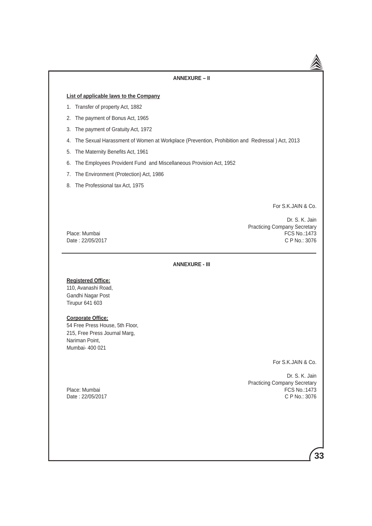#### **ANNEXURE – II**

#### **List of applicable laws to the Company**

- 1. Transfer of property Act, 1882
- 2. The payment of Bonus Act, 1965
- 3. The payment of Gratuity Act, 1972
- 4. The Sexual Harassment of Women at Workplace (Prevention, Prohibition and Redressal ) Act, 2013
- 5. The Maternity Benefits Act, 1961
- 6. The Employees Provident Fund and Miscellaneous Provision Act, 1952
- 7. The Environment (Protection) Act, 1986
- 8. The Professional tax Act, 1975

For S.K.JAIN & Co.

Dr. S. K. Jain Practicing Company Secretary Place: Mumbai FCS No.:1473 Date : 22/05/2017 C P No.: 3076

**ANNEXURE - III**

#### **Registered Office:**

110, Avanashi Road, Gandhi Nagar Post Tirupur 641 603

#### **Corporate Office:**

54 Free Press House, 5th Floor, 215, Free Press Journal Marg, Nariman Point, Mumbai- 400 021

For S.K.JAIN & Co.

Dr. S. K. Jain Practicing Company Secretary<br>Place: Mumbai FCS No.:1473 **PCS No.:1473**<br>C P No.: 3076

Date: 22/05/2017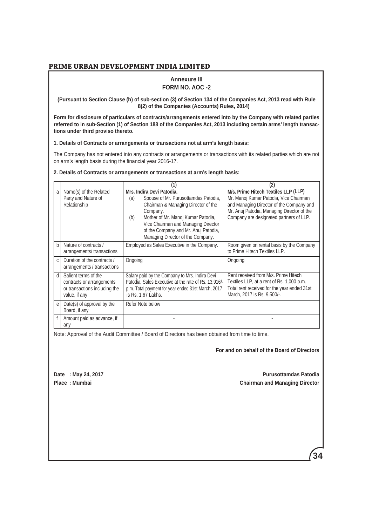### **Annexure III**

#### **FORM NO. AOC -2**

#### **(Pursuant to Section Clause (h) of sub-section (3) of Section 134 of the Companies Act, 2013 read with Rule 8(2) of the Companies (Accounts) Rules, 2014)**

**Form for disclosure of particulars of contracts/arrangements entered into by the Company with related parties referred to in sub-Section (1) of Section 188 of the Companies Act, 2013 including certain arms' length transactions under third proviso thereto.**

**1. Details of Contracts or arrangements or transactions not at arm's length basis:**

The Company has not entered into any contracts or arrangements or transactions with its related parties which are not on arm's length basis during the financial year 2016-17.

**2. Details of Contracts or arrangements or transactions at arm's length basis:**

| a            | Name(s) of the Related<br>Party and Nature of<br>Relationship                                       | Mrs. Indira Devi Patodia.<br>Spouse of Mr. Purusottamdas Patodia,<br>(a)<br>Chairman & Managing Director of the<br>Company.<br>Mother of Mr. Manoj Kumar Patodia,<br>(b)<br>Vice Chairman and Managing Director<br>of the Company and Mr. Anuj Patodia,<br>Managing Director of the Company. | M/s. Prime Hitech Textiles LLP (LLP)<br>Mr. Manoj Kumar Patodia, Vice Chairman<br>and Managing Director of the Company and<br>Mr. Anuj Patodia, Managing Director of the<br>Company are designated partners of LLP. |
|--------------|-----------------------------------------------------------------------------------------------------|----------------------------------------------------------------------------------------------------------------------------------------------------------------------------------------------------------------------------------------------------------------------------------------------|---------------------------------------------------------------------------------------------------------------------------------------------------------------------------------------------------------------------|
| <sub>b</sub> | Nature of contracts /<br>arrangements/transactions                                                  | Employed as Sales Executive in the Company.                                                                                                                                                                                                                                                  | Room given on rental basis by the Company<br>to Prime Hitech Textiles LLP.                                                                                                                                          |
| C.           | Duration of the contracts /<br>arrangements / transactions                                          | Ongoing                                                                                                                                                                                                                                                                                      | Ongoing                                                                                                                                                                                                             |
| d            | Salient terms of the<br>contracts or arrangements<br>or transactions including the<br>value, if any | Salary paid by the Company to Mrs. Indira Devi<br>Patodia, Sales Executive at the rate of Rs. 13,916/-<br>p.m. Total payment for year ended 31st March, 2017<br>is Rs. 1.67 Lakhs.                                                                                                           | Rent received from M/s. Prime Hitech<br>Textiles LLP, at a rent of Rs. 1,000 p.m.<br>Total rent received for the year ended 31st<br>March, 2017 is Rs. 9,500/-.                                                     |
| e            | Date(s) of approval by the<br>Board, if any                                                         | Refer Note below                                                                                                                                                                                                                                                                             |                                                                                                                                                                                                                     |
|              | Amount paid as advance, if<br>any                                                                   |                                                                                                                                                                                                                                                                                              |                                                                                                                                                                                                                     |

Note: Approval of the Audit Committee / Board of Directors has been obtained from time to time.

**For and on behalf of the Board of Directors**

**Date : May 24, 2017 Purusottamdas Patodia Place : Mumbai Chairman and Managing Director**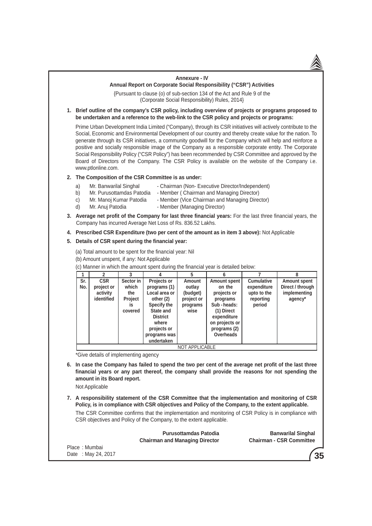### **Annexure - IV Annual Report on Corporate Social Responsibility ("CSR") Activities**

{Pursuant to clause (o) of sub-section 134 of the Act and Rule 9 of the (Corporate Social Responsibility) Rules, 2014}

**1. Brief outline of the company's CSR policy, including overview of projects or programs proposed to be undertaken and a reference to the web-link to the CSR policy and projects or programs:**

 Prime Urban Development India Limited ("Company), through its CSR initiatives will actively contribute to the Social, Economic and Environmental Development of our country and thereby create value for the nation. To generate through its CSR initiatives, a community goodwill for the Company which will help and reinforce a positive and socially responsible image of the Company as a responsible corporate entity. The Corporate Social Responsibility Policy ("CSR Policy") has been recommended by CSR Committee and approved by the Board of Directors of the Company. The CSR Policy is available on the website of the Company i.e. www.ptlonline.com.

## **2. The Composition of the CSR Committee is as under:**

- a) Mr. Banwarilal Singhal Chairman (Non- Executive Director/Independent)
- b) Mr. Purusottamdas Patodia Member ( Chairman and Managing Director)
- c) Mr. Manoj Kumar Patodia Member (Vice Chairman and Managing Director)
- d) Mr. Anuj Patodia Member (Managing Director)
- **3. Average net profit of the Company for last three financial years:** For the last three financial years, the Company has incurred Average Net Loss of Rs. 836.52 Lakhs.
- **4. Prescribed CSR Expenditure (two per cent of the amount as in item 3 above):** Not Applicable

## **5. Details of CSR spent during the financial year:**

(a) Total amount to be spent for the financial year: Nil

(b) Amount unspent, if any: Not Applicable

(c) Manner in which the amount spent during the financial year is detailed below:

|            |                                                    |                                                       |                                                                                                                                                                | 5                                                              | 6                                                                                                                                                  |                                                                        | 8                                                                  |
|------------|----------------------------------------------------|-------------------------------------------------------|----------------------------------------------------------------------------------------------------------------------------------------------------------------|----------------------------------------------------------------|----------------------------------------------------------------------------------------------------------------------------------------------------|------------------------------------------------------------------------|--------------------------------------------------------------------|
| Sr.<br>No. | <b>CSR</b><br>project or<br>activity<br>identified | Sector in<br>which<br>the<br>Project<br>İS<br>covered | Projects or<br>programs (1)<br>Local area or<br>other (2)<br>Specify the<br>State and<br><b>District</b><br>where<br>projects or<br>programs was<br>undertaken | Amount<br>outlay<br>(budget)<br>project or<br>programs<br>wise | Amount spent<br>on the<br>projects or<br>programs<br>Sub-heads:<br>(1) Direct<br>expenditure<br>on projects or<br>programs (2)<br><b>Overheads</b> | <b>Cumulative</b><br>expenditure<br>upto to the<br>reporting<br>period | <b>Amount spent</b><br>Direct / through<br>implementing<br>agency* |
|            | <b>NOT APPLICABLE</b>                              |                                                       |                                                                                                                                                                |                                                                |                                                                                                                                                    |                                                                        |                                                                    |

\*Give details of implementing agency

**6. In case the Company has failed to spend the two per cent of the average net profit of the last three financial years or any part thereof, the company shall provide the reasons for not spending the amount in its Board report.**

Not Applicable

**7. A responsibility statement of the CSR Committee that the implementation and monitoring of CSR Policy, is in compliance with CSR objectives and Policy of the Company, to the extent applicable.** 

 The CSR Committee confirms that the implementation and monitoring of CSR Policy is in compliance with CSR objectives and Policy of the Company, to the extent applicable.

|                    | <b>Purusottamdas Patodia</b>          | <b>Banwarilal Singhal</b>       |
|--------------------|---------------------------------------|---------------------------------|
|                    | <b>Chairman and Managing Director</b> | <b>Chairman - CSR Committee</b> |
| Place: Mumbai      |                                       |                                 |
| Date: May 24, 2017 |                                       | $^{\prime}$ 3.                  |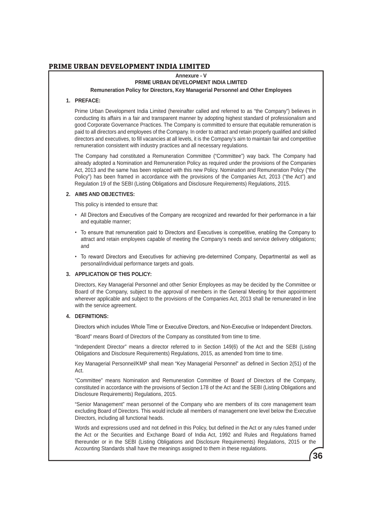### **Annexure - V PRIME URBAN DEVELOPMENT INDIA LIMITED Remuneration Policy for Directors, Key Managerial Personnel and Other Employees**

#### **1. PREFACE:**

 Prime Urban Development India Limited (hereinafter called and referred to as "the Company") believes in conducting its affairs in a fair and transparent manner by adopting highest standard of professionalism and good Corporate Governance Practices. The Company is committed to ensure that equitable remuneration is paid to all directors and employees of the Company. In order to attract and retain properly qualified and skilled directors and executives, to fill vacancies at all levels, it is the Company's aim to maintain fair and competitive remuneration consistent with industry practices and all necessary regulations.

 The Company had constituted a Remuneration Committee ("Committee") way back. The Company had already adopted a Nomination and Remuneration Policy as required under the provisions of the Companies Act, 2013 and the same has been replaced with this new Policy. Nomination and Remuneration Policy ("the Policy") has been framed in accordance with the provisions of the Companies Act, 2013 ("the Act") and Regulation 19 of the SEBI (Listing Obligations and Disclosure Requirements) Regulations, 2015.

#### **2. AIMS AND OBJECTIVES:**

This policy is intended to ensure that:

- All Directors and Executives of the Company are recognized and rewarded for their performance in a fair and equitable manner;
- To ensure that remuneration paid to Directors and Executives is competitive, enabling the Company to attract and retain employees capable of meeting the Company's needs and service delivery obligations; and
- To reward Directors and Executives for achieving pre-determined Company, Departmental as well as personal/individual performance targets and goals.

### **3. APPLICATION OF THIS POLICY:**

 Directors, Key Managerial Personnel and other Senior Employees as may be decided by the Committee or Board of the Company, subject to the approval of members in the General Meeting for their appointment wherever applicable and subject to the provisions of the Companies Act, 2013 shall be remunerated in line with the service agreement.

### **4. DEFINITIONS:**

Directors which includes Whole Time or Executive Directors, and Non-Executive or Independent Directors.

"Board" means Board of Directors of the Company as constituted from time to time.

 "Independent Director" means a director referred to in Section 149(6) of the Act and the SEBI (Listing Obligations and Disclosure Requirements) Regulations, 2015, as amended from time to time.

 Key Managerial Personnel/KMP shall mean "Key Managerial Personnel" as defined in Section 2(51) of the Act.

 "Committee" means Nomination and Remuneration Committee of Board of Directors of the Company, constituted in accordance with the provisions of Section 178 of the Act and the SEBI (Listing Obligations and Disclosure Requirements) Regulations, 2015.

 "Senior Management" mean personnel of the Company who are members of its core management team excluding Board of Directors. This would include all members of management one level below the Executive Directors, including all functional heads.

**36** Words and expressions used and not defined in this Policy, but defined in the Act or any rules framed under the Act or the Securities and Exchange Board of India Act, 1992 and Rules and Regulations framed thereunder or in the SEBI (Listing Obligations and Disclosure Requirements) Regulations, 2015 or the Accounting Standards shall have the meanings assigned to them in these regulations.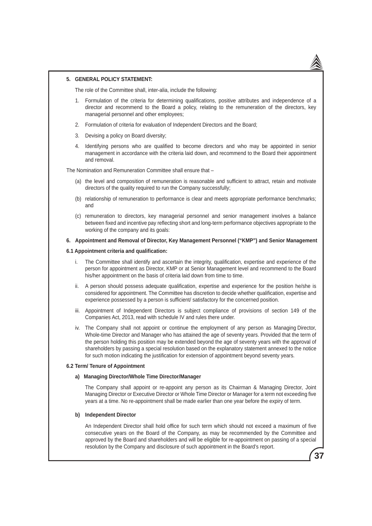#### **5. GENERAL POLICY STATEMENT:**

The role of the Committee shall, inter-alia, include the following:

- 1. Formulation of the criteria for determining qualifications, positive attributes and independence of a director and recommend to the Board a policy, relating to the remuneration of the directors, key managerial personnel and other employees;
- 2. Formulation of criteria for evaluation of Independent Directors and the Board;
- 3. Devising a policy on Board diversity;
- 4. Identifying persons who are qualified to become directors and who may be appointed in senior management in accordance with the criteria laid down, and recommend to the Board their appointment and removal.

The Nomination and Remuneration Committee shall ensure that –

- (a) the level and composition of remuneration is reasonable and sufficient to attract, retain and motivate directors of the quality required to run the Company successfully;
- (b) relationship of remuneration to performance is clear and meets appropriate performance benchmarks; and
- (c) remuneration to directors, key managerial personnel and senior management involves a balance between fixed and incentive pay reflecting short and long-term performance objectives appropriate to the working of the company and its goals:

#### **6. Appointment and Removal of Director, Key Management Personnel ("KMP") and Senior Management**

### **6.1 Appointment criteria and qualification:**

- i. The Committee shall identify and ascertain the integrity, qualification, expertise and experience of the person for appointment as Director, KMP or at Senior Management level and recommend to the Board his/her appointment on the basis of criteria laid down from time to time.
- ii. A person should possess adequate qualification, expertise and experience for the position he/she is considered for appointment. The Committee has discretion to decide whether qualification, expertise and experience possessed by a person is sufficient/ satisfactory for the concerned position.
- iii. Appointment of Independent Directors is subject compliance of provisions of section 149 of the Companies Act, 2013, read with schedule IV and rules there under.
- iv. The Company shall not appoint or continue the employment of any person as Managing Director, Whole-time Director and Manager who has attained the age of seventy years. Provided that the term of the person holding this position may be extended beyond the age of seventy years with the approval of shareholders by passing a special resolution based on the explanatory statement annexed to the notice for such motion indicating the justification for extension of appointment beyond seventy years.

#### **6.2 Term/ Tenure of Appointment**

#### **a) Managing Director/Whole Time Director/Manager**

 The Company shall appoint or re-appoint any person as its Chairman & Managing Director, Joint Managing Director or Executive Director or Whole Time Director or Manager for a term not exceeding five years at a time. No re-appointment shall be made earlier than one year before the expiry of term.

### **b) Independent Director**

 An Independent Director shall hold office for such term which should not exceed a maximum of five consecutive years on the Board of the Company, as may be recommended by the Committee and approved by the Board and shareholders and will be eligible for re-appointment on passing of a special resolution by the Company and disclosure of such appointment in the Board's report.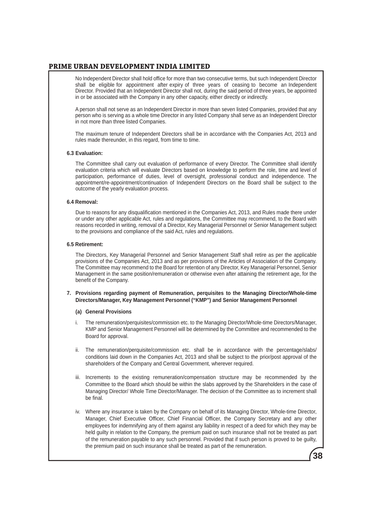No Independent Director shall hold office for more than two consecutive terms, but such Independent Director shall be eligible for appointment after expiry of three years of ceasing to become an Independent Director. Provided that an Independent Director shall not, during the said period of three years, be appointed in or be associated with the Company in any other capacity, either directly or indirectly.

 A person shall not serve as an Independent Director in more than seven listed Companies, provided that any person who is serving as a whole time Director in any listed Company shall serve as an Independent Director in not more than three listed Companies.

 The maximum tenure of Independent Directors shall be in accordance with the Companies Act, 2013 and rules made thereunder, in this regard, from time to time.

#### **6.3 Evaluation:**

 The Committee shall carry out evaluation of performance of every Director. The Committee shall identify evaluation criteria which will evaluate Directors based on knowledge to perform the role, time and level of participation, performance of duties, level of oversight, professional conduct and independence. The appointment/re-appointment/continuation of Independent Directors on the Board shall be subject to the outcome of the yearly evaluation process.

### **6.4 Removal:**

 Due to reasons for any disqualification mentioned in the Companies Act, 2013, and Rules made there under or under any other applicable Act, rules and regulations, the Committee may recommend, to the Board with reasons recorded in writing, removal of a Director, Key Managerial Personnel or Senior Management subject to the provisions and compliance of the said Act, rules and regulations.

### **6.5 Retirement:**

 The Directors, Key Managerial Personnel and Senior Management Staff shall retire as per the applicable provisions of the Companies Act, 2013 and as per provisions of the Articles of Association of the Company. The Committee may recommend to the Board for retention of any Director, Key Managerial Personnel, Senior Management in the same position/remuneration or otherwise even after attaining the retirement age, for the benefit of the Company.

**7. Provisions regarding payment of Remuneration, perquisites to the Managing Director/Whole-time Directors/Manager, Key Management Personnel ("KMP") and Senior Management Personnel**

#### **(a) General Provisions**

- i. The remuneration/perquisites/commission etc. to the Managing Director/Whole-time Directors/Manager, KMP and Senior Management Personnel will be determined by the Committee and recommended to the Board for approval.
- ii. The remuneration/perquisite/commission etc. shall be in accordance with the percentage/slabs/ conditions laid down in the Companies Act, 2013 and shall be subject to the prior/post approval of the shareholders of the Company and Central Government, wherever required.
- iii. Increments to the existing remuneration/compensation structure may be recommended by the Committee to the Board which should be within the slabs approved by the Shareholders in the case of Managing Director/ Whole Time Director/Manager. The decision of the Committee as to increment shall be final.
- iv. Where any insurance is taken by the Company on behalf of its Managing Director, Whole-time Director, Manager, Chief Executive Officer, Chief Financial Officer, the Company Secretary and any other employees for indemnifying any of them against any liability in respect of a deed for which they may be held guilty in relation to the Company, the premium paid on such insurance shall not be treated as part of the remuneration payable to any such personnel. Provided that if such person is proved to be guilty, the premium paid on such insurance shall be treated as part of the remuneration.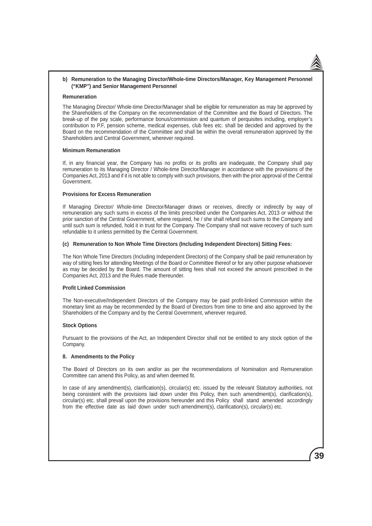#### **b) Remuneration to the Managing Director/Whole-time Directors/Manager, Key Management Personnel ("KMP") and Senior Management Personnel**

#### **Remuneration**

The Managing Director/ Whole-time Director/Manager shall be eligible for remuneration as may be approved by the Shareholders of the Company on the recommendation of the Committee and the Board of Directors. The break-up of the pay scale, performance bonus/commission and quantum of perquisites including, employer's contribution to P.F, pension scheme, medical expenses, club fees etc. shall be decided and approved by the Board on the recommendation of the Committee and shall be within the overall remuneration approved by the Shareholders and Central Government, wherever required.

#### **Minimum Remuneration**

If, in any financial year, the Company has no profits or its profits are inadequate, the Company shall pay remuneration to its Managing Director / Whole-time Director/Manager in accordance with the provisions of the Companies Act, 2013 and if it is not able to comply with such provisions, then with the prior approval of the Central Government.

### **Provisions for Excess Remuneration**

If Managing Director/ Whole-time Director/Manager draws or receives, directly or indirectly by way of remuneration any such sums in excess of the limits prescribed under the Companies Act, 2013 or without the prior sanction of the Central Government, where required, he / she shall refund such sums to the Company and until such sum is refunded, hold it in trust for the Company. The Company shall not waive recovery of such sum refundable to it unless permitted by the Central Government.

#### **(c) Remuneration to Non Whole Time Directors (Including Independent Directors) Sitting Fees:**

The Non Whole Time Directors (Including Independent Directors) of the Company shall be paid remuneration by way of sitting fees for attending Meetings of the Board or Committee thereof or for any other purpose whatsoever as may be decided by the Board. The amount of sitting fees shall not exceed the amount prescribed in the Companies Act, 2013 and the Rules made thereunder.

#### **Profit Linked Commission**

The Non-executive/Independent Directors of the Company may be paid profit-linked Commission within the monetary limit as may be recommended by the Board of Directors from time to time and also approved by the Shareholders of the Company and by the Central Government, wherever required.

### **Stock Options**

Pursuant to the provisions of the Act, an Independent Director shall not be entitled to any stock option of the Company.

#### **8. Amendments to the Policy**

The Board of Directors on its own and/or as per the recommendations of Nomination and Remuneration Committee can amend this Policy, as and when deemed fit.

In case of any amendment(s), clarification(s), circular(s) etc. issued by the relevant Statutory authorities, not being consistent with the provisions laid down under this Policy, then such amendment(s), clarification(s), circular(s) etc. shall prevail upon the provisions hereunder and this Policy shall stand amended accordingly from the effective date as laid down under such amendment(s), clarification(s), circular(s) etc.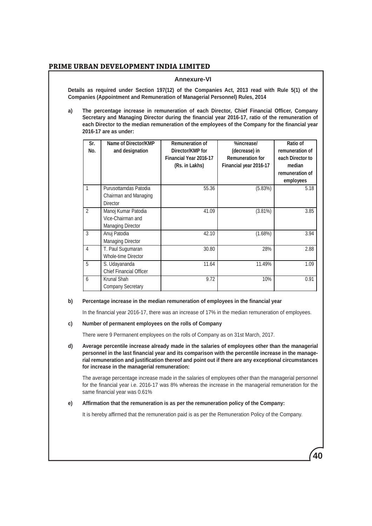## **Annexure-VI**

**Details as required under Section 197(12) of the Companies Act, 2013 read with Rule 5(1) of the Companies (Appointment and Remuneration of Managerial Personnel) Rules, 2014**

**a) The percentage increase in remuneration of each Director, Chief Financial Officer, Company Secretary and Managing Director during the financial year 2016-17, ratio of the remuneration of each Director to the median remuneration of the employees of the Company for the financial year 2016-17 are as under:**

| Sr.<br>No.     | Name of Director/KMP<br>and designation                              | <b>Remuneration of</b><br>Director/KMP for<br>Financial Year 2016-17<br>(Rs. in Lakhs) | %increase/<br>(decrease) in<br><b>Remuneration for</b><br>Financial year 2016-17 | Ratio of<br>remuneration of<br>each Director to<br>median<br>remuneration of<br>employees |
|----------------|----------------------------------------------------------------------|----------------------------------------------------------------------------------------|----------------------------------------------------------------------------------|-------------------------------------------------------------------------------------------|
| 1              | Purusottamdas Patodia<br>Chairman and Managing<br>Director           | 55.36                                                                                  | (5.83%)                                                                          | 5.18                                                                                      |
| $\mathcal{P}$  | Manoj Kumar Patodia<br>Vice-Chairman and<br><b>Managing Director</b> | 41.09                                                                                  | $(3.81\%)$                                                                       | 3.85                                                                                      |
| 3              | Anuj Patodia<br><b>Managing Director</b>                             | 42.10                                                                                  | (1.68%)                                                                          | 3.94                                                                                      |
| $\overline{4}$ | T. Paul Sugumaran<br>Whole-time Director                             | 30.80                                                                                  | 28%                                                                              | 2.88                                                                                      |
| $\overline{5}$ | S. Udayananda<br><b>Chief Financial Officer</b>                      | 11.64                                                                                  | 11.49%                                                                           | 1.09                                                                                      |
| 6              | Krunal Shah<br><b>Company Secretary</b>                              | 9.72                                                                                   | 10%                                                                              | 0.91                                                                                      |

## **b) Percentage increase in the median remuneration of employees in the financial year**

In the financial year 2016-17, there was an increase of 17% in the median remuneration of employees.

### **c) Number of permanent employees on the rolls of Company**

There were 9 Permanent employees on the rolls of Company as on 31st March, 2017.

**d) Average percentile increase already made in the salaries of employees other than the managerial personnel in the last financial year and its comparison with the percentile increase in the managerial remuneration and justification thereof and point out if there are any exceptional circumstances for increase in the managerial remuneration:**

The average percentage increase made in the salaries of employees other than the managerial personnel for the financial year i.e. 2016-17 was 8% whereas the increase in the managerial remuneration for the same financial year was 0.61%

**40**

### **e) Affirmation that the remuneration is as per the remuneration policy of the Company:**

It is hereby affirmed that the remuneration paid is as per the Remuneration Policy of the Company.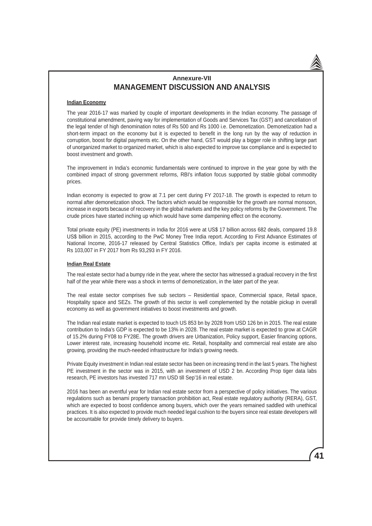# **Annexure-VII MANAGEMENT DISCUSSION AND ANALYSIS**

### **Indian Economy**

The year 2016-17 was marked by couple of important developments in the Indian economy. The passage of constitutional amendment, paving way for implementation of Goods and Services Tax (GST) and cancellation of the legal tender of high denomination notes of Rs 500 and Rs 1000 i.e. Demonetization. Demonetization had a short-term impact on the economy but it is expected to benefit in the long run by the way of reduction in corruption, boost for digital payments etc. On the other hand, GST would play a bigger role in shifting large part of unorganized market to organized market, which is also expected to improve tax compliance and is expected to boost investment and growth.

The improvement in India's economic fundamentals were continued to improve in the year gone by with the combined impact of strong government reforms, RBI's inflation focus supported by stable global commodity prices.

Indian economy is expected to grow at 7.1 per cent during FY 2017-18. The growth is expected to return to normal after demonetization shock. The factors which would be responsible for the growth are normal monsoon, increase in exports because of recovery in the global markets and the key policy reforms by the Government. The crude prices have started inching up which would have some dampening effect on the economy.

Total private equity (PE) investments in India for 2016 were at US\$ 17 billion across 682 deals, compared 19.8 US\$ billion in 2015, according to the PwC Money Tree India report. According to First Advance Estimates of National Income, 2016-17 released by Central Statistics Office, India's per capita income is estimated at Rs 103,007 in FY 2017 from Rs 93,293 in FY 2016.

#### **Indian Real Estate**

The real estate sector had a bumpy ride in the year, where the sector has witnessed a gradual recovery in the first half of the year while there was a shock in terms of demonetization, in the later part of the year.

The real estate sector comprises five sub sectors – Residential space, Commercial space, Retail space, Hospitality space and SEZs. The growth of this sector is well complemented by the notable pickup in overall economy as well as government initiatives to boost investments and growth.

The Indian real estate market is expected to touch US 853 bn by 2028 from USD 126 bn in 2015. The real estate contribution to India's GDP is expected to be 13% in 2028. The real estate market is expected to grow at CAGR of 15.2% during FY08 to FY28E. The growth drivers are Urbanization, Policy support, Easier financing options, Lower interest rate, increasing household income etc. Retail, hospitality and commercial real estate are also growing, providing the much-needed infrastructure for India's growing needs.

Private Equity investment in Indian real estate sector has been on increasing trend in the last 5 years. The highest PE investment in the sector was in 2015, with an investment of USD 2 bn. According Prop tiger data labs research, PE investors has invested 717 mn USD till Sep'16 in real estate.

2016 has been an eventful year for Indian real estate sector from a perspective of policy initiatives. The various regulations such as benami property transaction prohibition act, Real estate regulatory authority (RERA), GST, which are expected to boost confidence among buyers, which over the years remained saddled with unethical practices. It is also expected to provide much needed legal cushion to the buyers since real estate developers will be accountable for provide timely delivery to buyers.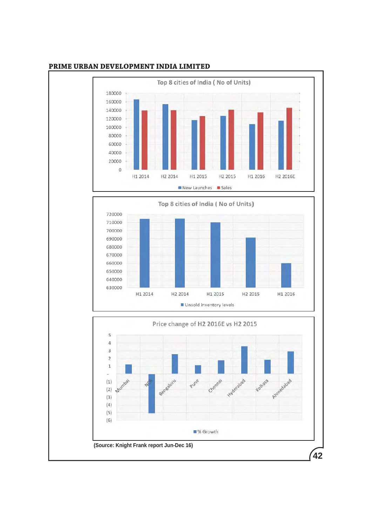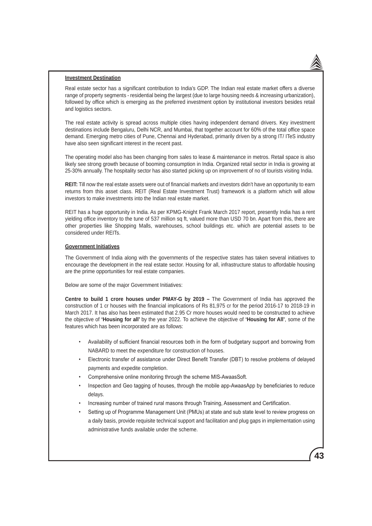#### **Investment Destination**

Real estate sector has a significant contribution to India's GDP. The Indian real estate market offers a diverse range of property segments - residential being the largest (due to large housing needs & increasing urbanization), followed by office which is emerging as the preferred investment option by institutional investors besides retail and logistics sectors.

The real estate activity is spread across multiple cities having independent demand drivers. Key investment destinations include Bengaluru, Delhi NCR, and Mumbai, that together account for 60% of the total office space demand. Emerging metro cities of Pune, Chennai and Hyderabad, primarily driven by a strong IT/ ITeS industry have also seen significant interest in the recent past.

The operating model also has been changing from sales to lease & maintenance in metros. Retail space is also likely see strong growth because of booming consumption in India. Organized retail sector in India is growing at 25-30% annually. The hospitality sector has also started picking up on improvement of no of tourists visiting India.

**REIT:** Till now the real estate assets were out of financial markets and investors didn't have an opportunity to earn returns from this asset class. REIT (Real Estate Investment Trust) framework is a platform which will allow investors to make investments into the Indian real estate market.

REIT has a huge opportunity in India. As per KPMG-Knight Frank March 2017 report, presently India has a rent yielding office inventory to the tune of 537 million sq ft, valued more than USD 70 bn. Apart from this, there are other properties like Shopping Malls, warehouses, school buildings etc. which are potential assets to be considered under REITs.

### **Government Initiatives**

The Government of India along with the governments of the respective states has taken several initiatives to encourage the development in the real estate sector. Housing for all, infrastructure status to affordable housing are the prime opportunities for real estate companies.

Below are some of the major Government Initiatives:

**Centre to build 1 crore houses under PMAY-G by 2019 –** The Government of India has approved the construction of 1 cr houses with the financial implications of Rs 81,975 cr for the period 2016-17 to 2018-19 in March 2017. It has also has been estimated that 2.95 Cr more houses would need to be constructed to achieve the objective of **'Housing for all'** by the year 2022. To achieve the objective of **'Housing for All'**, some of the features which has been incorporated are as follows:

- Availability of sufficient financial resources both in the form of budgetary support and borrowing from NABARD to meet the expenditure for construction of houses.
- Electronic transfer of assistance under Direct Benefit Transfer (DBT) to resolve problems of delayed payments and expedite completion.
- Comprehensive online monitoring through the scheme MIS-AwaasSoft.
- Inspection and Geo tagging of houses, through the mobile app-AwaasApp by beneficiaries to reduce delays.
- Increasing number of trained rural masons through Training, Assessment and Certification.
- Setting up of Programme Management Unit (PMUs) at state and sub state level to review progress on a daily basis, provide requisite technical support and facilitation and plug gaps in implementation using administrative funds available under the scheme.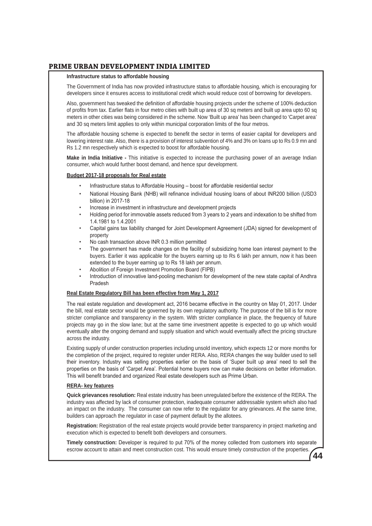### **Infrastructure status to affordable housing**

The Government of India has now provided infrastructure status to affordable housing, which is encouraging for developers since it ensures access to institutional credit which would reduce cost of borrowing for developers.

Also, government has tweaked the definition of affordable housing projects under the scheme of 100% deduction of profits from tax. Earlier flats in four metro cities with built up area of 30 sq meters and built up area upto 60 sq meters in other cities was being considered in the scheme. Now 'Built up area' has been changed to 'Carpet area' and 30 sq meters limit applies to only within municipal corporation limits of the four metros.

The affordable housing scheme is expected to benefit the sector in terms of easier capital for developers and lowering interest rate. Also, there is a provision of interest subvention of 4% and 3% on loans up to Rs 0.9 mn and Rs 1.2 mn respectively which is expected to boost for affordable housing.

**Make in India Initiative -** This initiative is expected to increase the purchasing power of an average Indian consumer, which would further boost demand, and hence spur development.

### **Budget 2017-18 proposals for Real estate**

- Infrastructure status to Affordable Housing boost for affordable residential sector
- National Housing Bank (NHB) will refinance individual housing loans of about INR200 billion (USD3 billion) in 2017-18
- Increase in investment in infrastructure and development projects
- Holding period for immovable assets reduced from 3 years to 2 years and indexation to be shifted from 1.4.1981 to 1.4.2001
- Capital gains tax liability changed for Joint Development Agreement (JDA) signed for development of property
- No cash transaction above INR 0.3 million permitted
- The government has made changes on the facility of subsidizing home loan interest payment to the buyers. Earlier it was applicable for the buyers earning up to Rs 6 lakh per annum, now it has been extended to the buyer earning up to Rs 18 lakh per annum.
- Abolition of Foreign Investment Promotion Board (FIPB)
- Introduction of innovative land-pooling mechanism for development of the new state capital of Andhra Pradesh

## **Real Estate Regulatory Bill has been effective from May 1, 2017**

The real estate regulation and development act, 2016 became effective in the country on May 01, 2017. Under the bill, real estate sector would be governed by its own regulatory authority. The purpose of the bill is for more stricter compliance and transparency in the system. With stricter compliance in place, the frequency of future projects may go in the slow lane; but at the same time investment appetite is expected to go up which would eventually alter the ongoing demand and supply situation and which would eventually affect the pricing structure across the industry.

Existing supply of under construction properties including unsold inventory, which expects 12 or more months for the completion of the project, required to register under RERA. Also, RERA changes the way builder used to sell their inventory. Industry was selling properties earlier on the basis of 'Super built up area' need to sell the properties on the basis of 'Carpet Area'. Potential home buyers now can make decisions on better information. This will benefit branded and organized Real estate developers such as Prime Urban.

### **RERA- key features**

**Quick grievances resolution:** Real estate industry has been unregulated before the existence of the RERA. The industry was affected by lack of consumer protection, inadequate consumer addressable system which also had an impact on the industry. The consumer can now refer to the regulator for any grievances. At the same time, builders can approach the regulator in case of payment default by the allotees.

**Registration:** Registration of the real estate projects would provide better transparency in project marketing and execution which is expected to benefit both developers and consumers.

**44 Timely construction:** Developer is required to put 70% of the money collected from customers into separate escrow account to attain and meet construction cost. This would ensure timely construction of the properties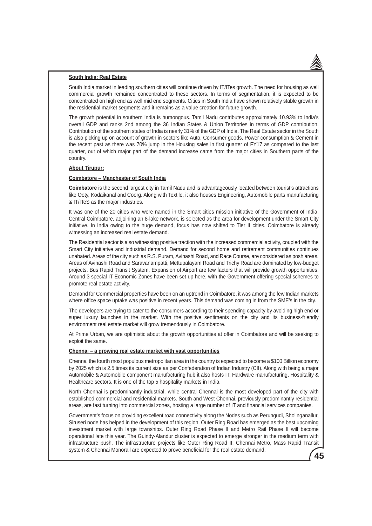### **South India: Real Estate**

South India market in leading southern cities will continue driven by IT/ITes growth. The need for housing as well commercial growth remained concentrated to these sectors. In terms of segmentation, it is expected to be concentrated on high end as well mid end segments. Cities in South India have shown relatively stable growth in the residential market segments and it remains as a value creation for future growth.

The growth potential in southern India is humongous. Tamil Nadu contributes approximately 10.93% to India's overall GDP and ranks 2nd among the 36 Indian States & Union Territories in terms of GDP contribution. Contribution of the southern states of India is nearly 31% of the GDP of India. The Real Estate sector in the South is also picking up on account of growth in sectors like Auto, Consumer goods, Power consumption & Cement in the recent past as there was 70% jump in the Housing sales in first quarter of FY17 as compared to the last quarter, out of which major part of the demand increase came from the major cities in Southern parts of the country.

#### **About Tirupur:**

#### **Coimbatore – Manchester of South India**

**Coimbatore** is the second largest city in Tamil Nadu and is advantageously located between tourist's attractions like Ooty, Kodaikanal and Coorg. Along with Textile, it also houses Engineering, Automobile parts manufacturing & IT/ITeS as the major industries.

It was one of the 20 cities who were named in the Smart cities mission initiative of the Government of India. Central Coimbatore, adjoining an 8-lake network, is selected as the area for development under the Smart City initiative. In India owing to the huge demand, focus has now shifted to Tier II cities. Coimbatore is already witnessing an increased real estate demand.

The Residential sector is also witnessing positive traction with the increased commercial activity, coupled with the Smart City initiative and industrial demand. Demand for second home and retirement communities continues unabated. Areas of the city such as R.S. Puram, Avinashi Road, and Race Course, are considered as posh areas. Areas of Avinashi Road and Saravanampatti, Mettupalayam Road and Trichy Road are dominated by low-budget projects. Bus Rapid Transit System, Expansion of Airport are few factors that will provide growth opportunities. Around 3 special IT Economic Zones have been set up here, with the Government offering special schemes to promote real estate activity.

Demand for Commercial properties have been on an uptrend in Coimbatore, it was among the few Indian markets where office space uptake was positive in recent years. This demand was coming in from the SME's in the city.

The developers are trying to cater to the consumers according to their spending capacity by avoiding high end or super luxury launches in the market. With the positive sentiments on the city and its business-friendly environment real estate market will grow tremendously in Coimbatore.

At Prime Urban, we are optimistic about the growth opportunities at offer in Coimbatore and will be seeking to exploit the same.

#### **Chennai – a growing real estate market with vast opportunities**

Chennai the fourth most populous metropolitan area in the country is expected to become a \$100 Billion economy by 2025 which is 2.5 times its current size as per Confederation of Indian Industry (CII). Along with being a major Automobile & Automobile component manufacturing hub it also hosts IT, Hardware manufacturing, Hospitality & Healthcare sectors. It is one of the top 5 hospitality markets in India.

North Chennai is predominantly industrial, while central Chennai is the most developed part of the city with established commercial and residential markets. South and West Chennai, previously predominantly residential areas, are fast turning into commercial zones, hosting a large number of IT and financial services companies.

Government's focus on providing excellent road connectivity along the Nodes such as Perungudi, Sholinganallur, Siruseri node has helped in the development of this region. Outer Ring Road has emerged as the best upcoming investment market with large townships. Outer Ring Road Phase II and Metro Rail Phase II will become operational late this year. The Guindy-Alandur cluster is expected to emerge stronger in the medium term with infrastructure push. The infrastructure projects like Outer Ring Road II, Chennai Metro, Mass Rapid Transit system & Chennai Monorail are expected to prove beneficial for the real estate demand.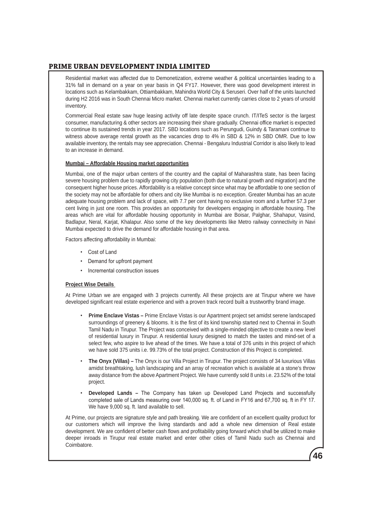Residential market was affected due to Demonetization, extreme weather & political uncertainties leading to a 31% fall in demand on a year on year basis in Q4 FY17. However, there was good development interest in locations such as Kelambakkam, Ottiambakkam, Mahindra World City & Seruseri. Over half of the units launched during H2 2016 was in South Chennai Micro market. Chennai market currently carries close to 2 years of unsold inventory.

Commercial Real estate saw huge leasing activity off late despite space crunch. IT/ITeS sector is the largest consumer, manufacturing & other sectors are increasing their share gradually. Chennai office market is expected to continue its sustained trends in year 2017. SBD locations such as Perungudi, Guindy & Taramani continue to witness above average rental growth as the vacancies drop to 4% in SBD & 12% in SBD OMR. Due to low available inventory, the rentals may see appreciation. Chennai - Bengaluru Industrial Corridor is also likely to lead to an increase in demand.

## **Mumbai – Affordable Housing market opportunities**

Mumbai, one of the major urban centers of the country and the capital of Maharashtra state, has been facing severe housing problem due to rapidly growing city population (both due to natural growth and migration) and the consequent higher house prices. Affordability is a relative concept since what may be affordable to one section of the society may not be affordable for others and city like Mumbai is no exception. Greater Mumbai has an acute adequate housing problem and lack of space, with 7.7 per cent having no exclusive room and a further 57.3 per cent living in just one room. This provides an opportunity for developers engaging in affordable housing. The areas which are vital for affordable housing opportunity in Mumbai are Boisar, Palghar, Shahapur, Vasind, Badlapur, Neral, Karjat, Khalapur. Also some of the key developments like Metro railway connectivity in Navi Mumbai expected to drive the demand for affordable housing in that area.

Factors affecting affordability in Mumbai:

- Cost of Land
- Demand for upfront payment
- Incremental construction issues

## **Project Wise Details**

At Prime Urban we are engaged with 3 projects currently. All these projects are at Tirupur where we have developed significant real estate experience and with a proven track record built a trustworthy brand image.

- **Prime Enclave Vistas –** Prime Enclave Vistas is our Apartment project set amidst serene landscaped surroundings of greenery & blooms. It is the first of its kind township started next to Chennai in South Tamil Nadu in Tirupur. The Project was conceived with a single-minded objective to create a new level of residential luxury in Tirupur. A residential luxury designed to match the tastes and mind-set of a select few, who aspire to live ahead of the times. We have a total of 376 units in this project of which we have sold 375 units i.e. 99.73% of the total project. Construction of this Project is completed.
- **The Onyx (Villas) –** The Onyx is our Villa Project in Tirupur. The project consists of 34 luxurious Villas amidst breathtaking, lush landscaping and an array of recreation which is available at a stone's throw away distance from the above Apartment Project. We have currently sold 8 units i.e. 23.52% of the total project.
- **Developed Lands –** The Company has taken up Developed Land Projects and successfully completed sale of Lands measuring over 140,000 sq. ft. of Land in FY16 and 67,700 sq. ft in FY 17. We have 9,000 sq. ft. land available to sell.

**46**

At Prime, our projects are signature style and path breaking. We are confident of an excellent quality product for our customers which will improve the living standards and add a whole new dimension of Real estate development. We are confident of better cash flows and profitability going forward which shall be utilized to make deeper inroads in Tirupur real estate market and enter other cities of Tamil Nadu such as Chennai and Coimbatore.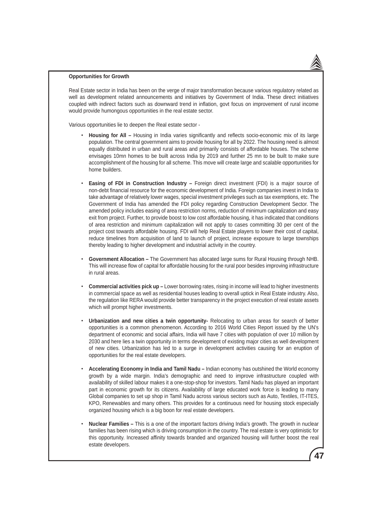#### **Opportunities for Growth**

Real Estate sector in India has been on the verge of major transformation because various regulatory related as well as development related announcements and initiatives by Government of India. These direct initiatives coupled with indirect factors such as downward trend in inflation, govt focus on improvement of rural income would provide humongous opportunities in the real estate sector.

Various opportunities lie to deepen the Real estate sector -

- **Housing for All** Housing in India varies significantly and reflects socio-economic mix of its large population. The central government aims to provide housing for all by 2022. The housing need is almost equally distributed in urban and rural areas and primarily consists of affordable houses. The scheme envisages 10mn homes to be built across India by 2019 and further 25 mn to be built to make sure accomplishment of the housing for all scheme. This move will create large and scalable opportunities for home builders.
- **Easing of FDI in Construction Industry –** Foreign direct investment (FDI) is a major source of non-debt financial resource for the economic development of India. Foreign companies invest in India to take advantage of relatively lower wages, special investment privileges such as tax exemptions, etc. The Government of India has amended the FDI policy regarding Construction Development Sector. The amended policy includes easing of area restriction norms, reduction of minimum capitalization and easy exit from project. Further, to provide boost to low cost affordable housing, it has indicated that conditions of area restriction and minimum capitalization will not apply to cases committing 30 per cent of the project cost towards affordable housing. FDI will help Real Estate players to lower their cost of capital, reduce timelines from acquisition of land to launch of project, increase exposure to large townships thereby leading to higher development and industrial activity in the country.
- **Government Allocation –** The Government has allocated large sums for Rural Housing through NHB. This will increase flow of capital for affordable housing for the rural poor besides improving infrastructure in rural areas.
- **Commercial activities pick up –** Lower borrowing rates, rising in income will lead to higher investments in commercial space as well as residential houses leading to overall uptick in Real Estate industry. Also, the regulation like RERA would provide better transparency in the project execution of real estate assets which will prompt higher investments.
- **Urbanization and new cities a twin opportunity-** Relocating to urban areas for search of better opportunities is a common phenomenon. According to 2016 World Cities Report issued by the UN's department of economic and social affairs, India will have 7 cities with population of over 10 million by 2030 and here lies a twin opportunity in terms development of existing major cities as well development of new cities. Urbanization has led to a surge in development activities causing for an eruption of opportunities for the real estate developers.
- **Accelerating Economy in India and Tamil Nadu –** Indian economy has outshined the World economy growth by a wide margin. India's demographic and need to improve infrastructure coupled with availability of skilled labour makes it a one-stop-shop for investors. Tamil Nadu has played an important part in economic growth for its citizens. Availability of large educated work force is leading to many Global companies to set up shop in Tamil Nadu across various sectors such as Auto, Textiles, IT-ITES, KPO, Renewables and many others. This provides for a continuous need for housing stock especially organized housing which is a big boon for real estate developers.
- **Nuclear Families –** This is a one of the important factors driving India's growth. The growth in nuclear families has been rising which is driving consumption in the country. The real estate is very optimistic for this opportunity. Increased affinity towards branded and organized housing will further boost the real estate developers.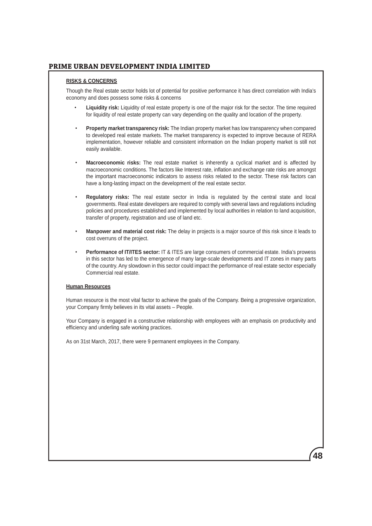## **RISKS & CONCERNS**

Though the Real estate sector holds lot of potential for positive performance it has direct correlation with India's economy and does possess some risks & concerns

- **Liquidity risk:** Liquidity of real estate property is one of the major risk for the sector. The time required for liquidity of real estate property can vary depending on the quality and location of the property.
- **Property market transparency risk:** The Indian property market has low transparency when compared to developed real estate markets. The market transparency is expected to improve because of RERA implementation, however reliable and consistent information on the Indian property market is still not easily available.
- **Macroeconomic risks:** The real estate market is inherently a cyclical market and is affected by macroeconomic conditions. The factors like Interest rate, inflation and exchange rate risks are amongst the important macroeconomic indicators to assess risks related to the sector. These risk factors can have a long-lasting impact on the development of the real estate sector.
- **Regulatory risks:** The real estate sector in India is regulated by the central state and local governments. Real estate developers are required to comply with several laws and regulations including policies and procedures established and implemented by local authorities in relation to land acquisition, transfer of property, registration and use of land etc.
- **Manpower and material cost risk:** The delay in projects is a major source of this risk since it leads to cost overruns of the project.
- **Performance of IT/ITES sector:** IT & ITES are large consumers of commercial estate. India's prowess in this sector has led to the emergence of many large-scale developments and IT zones in many parts of the country. Any slowdown in this sector could impact the performance of real estate sector especially Commercial real estate.

### **Human Resources**

Human resource is the most vital factor to achieve the goals of the Company. Being a progressive organization, your Company firmly believes in its vital assets – People.

Your Company is engaged in a constructive relationship with employees with an emphasis on productivity and efficiency and underling safe working practices.

As on 31st March, 2017, there were 9 permanent employees in the Company.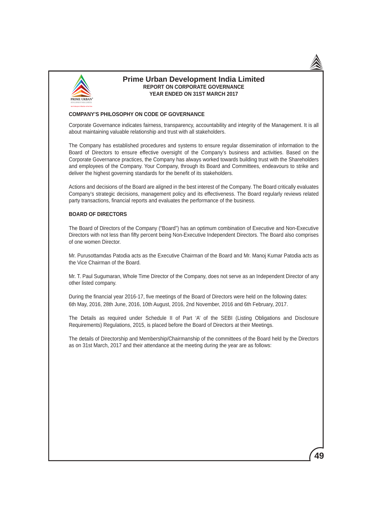

## **Prime Urban Development India Limited REPORT ON CORPORATE GOVERNANCE YEAR ENDED ON 31ST MARCH 2017**

### **COMPANY'S PHILOSOPHY ON CODE OF GOVERNANCE**

Corporate Governance indicates fairness, transparency, accountability and integrity of the Management. It is all about maintaining valuable relationship and trust with all stakeholders.

The Company has established procedures and systems to ensure regular dissemination of information to the Board of Directors to ensure effective oversight of the Company's business and activities. Based on the Corporate Governance practices, the Company has always worked towards building trust with the Shareholders and employees of the Company. Your Company, through its Board and Committees, endeavours to strike and deliver the highest governing standards for the benefit of its stakeholders.

Actions and decisions of the Board are aligned in the best interest of the Company. The Board critically evaluates Company's strategic decisions, management policy and its effectiveness. The Board regularly reviews related party transactions, financial reports and evaluates the performance of the business.

### **BOARD OF DIRECTORS**

The Board of Directors of the Company ("Board") has an optimum combination of Executive and Non-Executive Directors with not less than fifty percent being Non-Executive Independent Directors. The Board also comprises of one women Director.

Mr. Purusottamdas Patodia acts as the Executive Chairman of the Board and Mr. Manoj Kumar Patodia acts as the Vice Chairman of the Board.

Mr. T. Paul Sugumaran, Whole Time Director of the Company, does not serve as an Independent Director of any other listed company.

During the financial year 2016-17, five meetings of the Board of Directors were held on the following dates: 6th May, 2016, 28th June, 2016, 10th August, 2016, 2nd November, 2016 and 6th February, 2017.

The Details as required under Schedule II of Part 'A' of the SEBI (Listing Obligations and Disclosure Requirements) Regulations, 2015, is placed before the Board of Directors at their Meetings.

The details of Directorship and Membership/Chairmanship of the committees of the Board held by the Directors as on 31st March, 2017 and their attendance at the meeting during the year are as follows: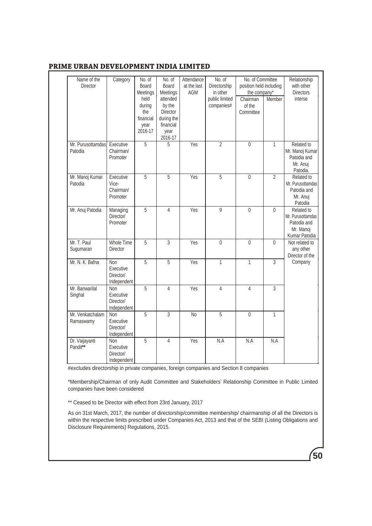| Name of the<br>Director       | Category                                            | No. of<br>Board<br>Meetings                           | No. of<br>Board<br>Meetings                                                  | Attendance<br>at the last<br>AGM | No. of<br>Directorship<br>in other | No. of Committee<br>position held including<br>the company* |                | Relationship<br>with other<br><b>Directors</b>                               |
|-------------------------------|-----------------------------------------------------|-------------------------------------------------------|------------------------------------------------------------------------------|----------------------------------|------------------------------------|-------------------------------------------------------------|----------------|------------------------------------------------------------------------------|
|                               |                                                     | held<br>during<br>the<br>financial<br>year<br>2016-17 | attended<br>by the<br>Director<br>during the<br>financial<br>year<br>2016-17 |                                  | public limited<br>companies#       | Chairman<br>of the<br>Committee                             | Member         | interse                                                                      |
| Mr. Purusottamdas<br>Patodia  | Executive<br>Chairman/<br>Promoter                  | 5                                                     | 5                                                                            | Yes                              | $\overline{2}$                     | $\mathbf 0$                                                 | $\mathbf{1}$   | Related to<br>Mr. Manoj Kumar<br>Patodia and<br>Mr. Anuj<br>Patodia.         |
| Mr. Manoj Kumar<br>Patodia    | Executive<br>Vice-<br>Chairman/<br>Promoter         | 5                                                     | 5                                                                            | Yes                              | $\overline{5}$                     | $\overline{0}$                                              | $\overline{2}$ | Related to<br>Mr. Purusottamdas<br>Patodia and<br>Mr. Anuj<br>Patodia        |
| Mr. Anuj Patodia              | Managing<br>Director/<br>Promoter                   | $\overline{5}$                                        | $\overline{4}$                                                               | Yes                              | 9                                  | 0                                                           | $\mathbf{0}$   | Related to<br>Mr. Purusottamdas<br>Patodia and<br>Mr. Manoj<br>Kumar Patodia |
| Mr. T. Paul<br>Sugumaran      | <b>Whole Time</b><br>Director                       | 5                                                     | $\overline{3}$                                                               | Yes                              | $\overline{0}$                     | $\mathbf{0}$                                                | $\mathbf{0}$   | Not related to<br>any other<br>Director of the                               |
| Mr. N. K. Bafna               | Non<br>Executive<br>Director/<br>Independent        | 5                                                     | 5                                                                            | Yes                              | $\mathbf{1}$                       | 1                                                           | 3              | Company                                                                      |
| Mr. Banwarilal<br>Singhal     | <b>Non</b><br>Executive<br>Director/<br>Independent | 5                                                     | $\overline{4}$                                                               | Yes                              | 4                                  | 4                                                           | 3              |                                                                              |
| Mr. Venkatchalam<br>Ramaswamy | Non<br>Executive<br>Director/<br>Independent        | 5                                                     | 3                                                                            | <b>No</b>                        | 5                                  | 0                                                           | $\mathbf{1}$   |                                                                              |
| Dr. Vaijayanti<br>Pandit**    | <b>Non</b><br>Executive<br>Director/<br>Independent | 5                                                     | $\overline{4}$                                                               | Yes                              | N.A                                | N.A                                                         | N.A            |                                                                              |

#excludes directorship in private companies, foreign companies and Section 8 companies

\*Membership/Chairman of only Audit Committee and Stakeholders' Relationship Committee in Public Limited companies have been considered

\*\* Ceased to be Director with effect from 23rd January, 2017

As on 31st March, 2017, the number of directorship/committee membership/ chairmanship of all the Directors is within the respective limits prescribed under Companies Act, 2013 and that of the SEBI (Listing Obligations and Disclosure Requirements) Regulations, 2015.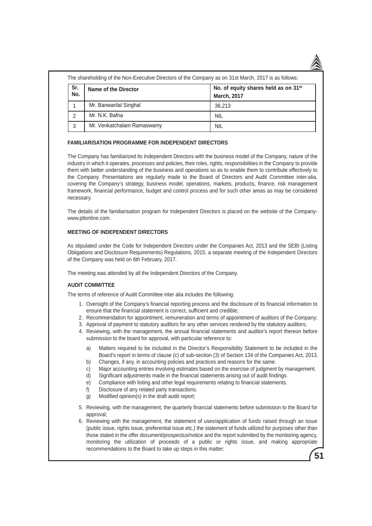The shareholding of the Non-Executive Directors of the Company as on 31st March, 2017 is as follows:

| Sr.<br>No. | Name of the Director       | No. of equity shares held as on 31 <sup>st</sup><br><b>March, 2017</b> |
|------------|----------------------------|------------------------------------------------------------------------|
|            | Mr. Banwarilal Singhal     | 36.213                                                                 |
|            | Mr. N.K. Bafna             | NIL                                                                    |
|            | Mr. Venkatchalam Ramaswamy | <b>NIL</b>                                                             |

### **FAMILIARISATION PROGRAMME FOR INDEPENDENT DIRECTORS**

The Company has familiarized its Independent Directors with the business model of the Company, nature of the industry in which it operates, processes and policies, their roles, rights, responsibilities in the Company to provide them with better understanding of the business and operations so as to enable them to contribute effectively to the Company. Presentations are regularly made to the Board of Directors and Audit Committee inter-alia, covering the Company's strategy, business model, operations, markets, products, finance, risk management framework, financial performance, budget and control process and for such other areas as may be considered necessary.

The details of the familiarisation program for Independent Directors is placed on the website of the Companywww.ptlonline.com.

### **MEETING OF INDEPENDENT DIRECTORS**

As stipulated under the Code for Independent Directors under the Companies Act, 2013 and the SEBI (Listing Obligations and Disclosure Requirements) Regulations, 2015, a separate meeting of the Independent Directors of the Company was held on 6th February, 2017.

The meeting was attended by all the Independent Directors of the Company.

## **AUDIT COMMITTEE**

The terms of reference of Audit Committee inter alia includes the following:

- 1. Oversight of the Company's financial reporting process and the disclosure of its financial information to ensure that the financial statement is correct, sufficient and credible;
- 2. Recommendation for appointment, remuneration and terms of appointment of auditors of the Company;
- 3. Approval of payment to statutory auditors for any other services rendered by the statutory auditors;
- 4. Reviewing, with the management, the annual financial statements and auditor's report thereon before submission to the board for approval, with particular reference to:
	- a) Matters required to be included in the Director's Responsibility Statement to be included in the Board's report in terms of clause (c) of sub-section (3) of Section 134 of the Companies Act, 2013.
	- b) Changes, if any, in accounting policies and practices and reasons for the same.
	- c) Major accounting entries involving estimates based on the exercise of judgment by management.
	- d) Significant adjustments made in the financial statements arising out of audit findings.
	- e) Compliance with listing and other legal requirements relating to financial statements.
	- f) Disclosure of any related party transactions.
	- g) Modified opinion(s) in the draft audit report;
- 5. Reviewing, with the management, the quarterly financial statements before submission to the Board for approval;
- 6. Reviewing with the management, the statement of uses/application of funds raised through an issue (public issue, rights issue, preferential issue etc.) the statement of funds utilized for purposes other than those stated in the offer document/prospectus/notice and the report submitted by the monitoring agency, monitoring the utilization of proceeds of a public or rights issue, and making appropriate recommendations to the Board to take up steps in this matter;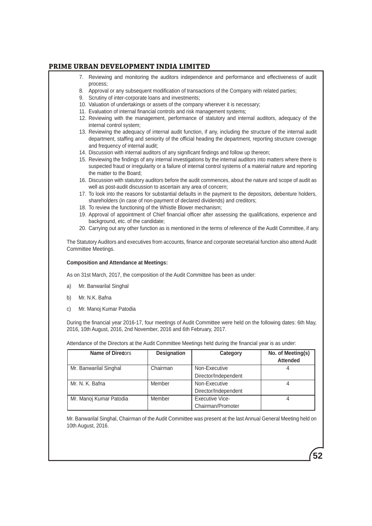- 7. Reviewing and monitoring the auditors independence and performance and effectiveness of audit process;
- 8. Approval or any subsequent modification of transactions of the Company with related parties;
- 9. Scrutiny of inter-corporate loans and investments;
- 10. Valuation of undertakings or assets of the company wherever it is necessary;
- 11. Evaluation of internal financial controls and risk management systems;
- 12. Reviewing with the management, performance of statutory and internal auditors, adequacy of the internal control system;
- 13. Reviewing the adequacy of internal audit function, if any, including the structure of the internal audit department, staffing and seniority of the official heading the department, reporting structure coverage and frequency of internal audit;
- 14. Discussion with internal auditors of any significant findings and follow up thereon;
- 15. Reviewing the findings of any internal investigations by the internal auditors into matters where there is suspected fraud or irregularity or a failure of internal control systems of a material nature and reporting the matter to the Board;
- 16. Discussion with statutory auditors before the audit commences, about the nature and scope of audit as well as post-audit discussion to ascertain any area of concern;
- 17. To look into the reasons for substantial defaults in the payment to the depositors, debenture holders, shareholders (in case of non-payment of declared dividends) and creditors;
- 18. To review the functioning of the Whistle Blower mechanism;
- 19. Approval of appointment of Chief financial officer after assessing the qualifications, experience and background, etc. of the candidate;
- 20. Carrying out any other function as is mentioned in the terms of reference of the Audit Committee, if any.

The Statutory Auditors and executives from accounts, finance and corporate secretarial function also attend Audit Committee Meetings.

#### **Composition and Attendance at Meetings:**

As on 31st March, 2017, the composition of the Audit Committee has been as under:

- a) Mr. Banwarilal Singhal
- b) Mr. N.K. Bafna
- c) Mr. Manoj Kumar Patodia

During the financial year 2016-17, four meetings of Audit Committee were held on the following dates: 6th May, 2016, 10th August, 2016, 2nd November, 2016 and 6th February, 2017.

Attendance of the Directors at the Audit Committee Meetings held during the financial year is as under:

| Name of Directors       | <b>Designation</b> | Category             | No. of Meeting(s)<br><b>Attended</b> |
|-------------------------|--------------------|----------------------|--------------------------------------|
| Mr. Banwarilal Singhal  | Chairman           | Non-Executive        |                                      |
|                         |                    | Director/Independent |                                      |
| Mr. N. K. Bafna         | Member             | Non-Executive        |                                      |
|                         |                    | Director/Independent |                                      |
| Mr. Manoj Kumar Patodia | Member             | Executive Vice-      |                                      |
|                         |                    | Chairman/Promoter    |                                      |

Mr. Banwarilal Singhal, Chairman of the Audit Committee was present at the last Annual General Meeting held on 10th August, 2016.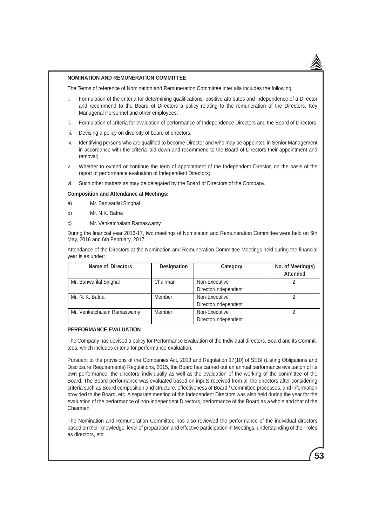

**53**

### **NOMINATION AND REMUNERATION COMMITTEE**

The Terms of reference of Nomination and Remuneration Committee inter alia includes the following:

- i. Formulation of the criteria for determining qualifications, positive attributes and independence of a Director and recommend to the Board of Directors a policy relating to the remuneration of the Directors, Key Managerial Personnel and other employees;
- ii. Formulation of criteria for evaluation of performance of Independence Directors and the Board of Directors;
- iii. Devising a policy on diversity of board of directors;
- iv. Identifying persons who are qualified to become Director and who may be appointed in Senior Management in accordance with the criteria laid down and recommend to the Board of Directors their appointment and removal;
- v. Whether to extend or continue the term of appointment of the Independent Director, on the basis of the report of performance evaluation of Independent Directors;
- vi. Such other matters as may be delegated by the Board of Directors of the Company.

### **Composition and Attendance at Meetings:**

- a) Mr. Banwarilal Singhal
- b) Mr. N.K. Bafna
- c) Mr. Venkatchalam Ramaswamy

During the financial year 2016-17, two meetings of Nomination and Remuneration Committee were held on 6th May, 2016 and 6th February, 2017.

Attendance of the Directors at the Nomination and Remuneration Committee Meetings held during the financial year is as under:

| <b>Name of Directors</b>   | <b>Designation</b> | Category             | No. of Meeting(s)<br><b>Attended</b> |
|----------------------------|--------------------|----------------------|--------------------------------------|
|                            |                    |                      |                                      |
| Mr. Banwarilal Singhal     | Chairman           | Non-Executive        |                                      |
|                            |                    | Director/Independent |                                      |
| Mr. N. K. Bafna            | Member             | Non-Executive        |                                      |
|                            |                    | Director/Independent |                                      |
| Mr. Venkatchalam Ramaswamy | Member             | Non-Executive        |                                      |
|                            |                    | Director/Independent |                                      |

#### **PERFORMANCE EVALUATION**

The Company has devised a policy for Performance Evaluation of the Individual directors, Board and its Committees, which includes criteria for performance evaluation.

Pursuant to the provisions of the Companies Act, 2013 and Regulation 17(10) of SEBI (Listing Obligations and Disclosure Requirements) Regulations, 2015, the Board has carried out an annual performance evaluation of its own performance, the directors' individually as well as the evaluation of the working of the committee of the Board. The Board performance was evaluated based on inputs received from all the directors after considering criteria such as Board composition and structure, effectiveness of Board / Committee processes, and information provided to the Board, etc. A separate meeting of the Independent Directors was also held during the year for the evaluation of the performance of non-independent Directors, performance of the Board as a whole and that of the Chairman.

The Nomination and Remuneration Committee has also reviewed the performance of the individual directors based on their knowledge, level of preparation and effective participation in Meetings, understanding of their roles as directors, etc.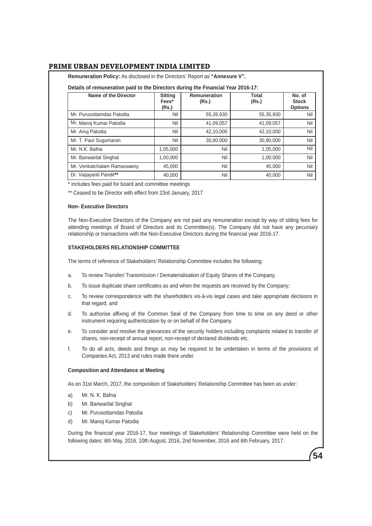**Remuneration Policy:** As disclosed in the Directors' Report as **"Annexure V".**

| Details of remuneration paid to the Directors during the Financial Year 2016-17: |                                  |                       |                |                                          |  |
|----------------------------------------------------------------------------------|----------------------------------|-----------------------|----------------|------------------------------------------|--|
| Name of the Director                                                             | <b>Sitting</b><br>Fees*<br>(Rs.) | Remuneration<br>(Rs.) | Total<br>(Rs.) | No. of<br><b>Stock</b><br><b>Options</b> |  |
| Mr. Purusottamdas Patodia                                                        | Nil                              | 55,35,930             | 55,35,930      | Nil                                      |  |
| Mr. Manoj Kumar Patodia                                                          | Nil                              | 41,09,057             | 41,09,057      | Nil                                      |  |
| Mr. Anuj Patodia                                                                 | Nil                              | 42,10,000             | 42,10,000      | Nil                                      |  |
| Mr. T. Paul Sugumaran                                                            | Nil                              | 30,80,000             | 30,80,000      | Nil                                      |  |
| Mr. N.K. Bafna                                                                   | 1,05,000                         | Nil                   | 1,05,000       | Nil                                      |  |
| Mr. Banwarilal Singhal                                                           | 1,00,000                         | Nil                   | 1,00,000       | Nil                                      |  |
| Mr. Venkatchalam Ramaswamy                                                       | 45,000                           | Nil                   | 45,000         | Nil                                      |  |
| Dr. Vaijayanti Pandit**                                                          | 40,000                           | Nil                   | 40.000         | Nil                                      |  |

\* includes fees paid for board and committee meetings

\*\* Ceased to be Director with effect from 23rd January, 2017

#### **Non- Executive Directors**

The Non-Executive Directors of the Company are not paid any remuneration except by way of sitting fees for attending meetings of Board of Directors and its Committee(s). The Company did not have any pecuniary relationship or transactions with the Non-Executive Directors during the financial year 2016-17.

### **STAKEHOLDERS RELATIONSHIP COMMITTEE**

The terms of reference of Stakeholders' Relationship Committee includes the following:

- a. To review Transfer/ Transmission / Dematerialisation of Equity Shares of the Company.
- b. To issue duplicate share certificates as and when the requests are received by the Company;
- c. To review correspondence with the shareholders vis-à-vis legal cases and take appropriate decisions in that regard; and
- d. To authorise affixing of the Common Seal of the Company from time to time on any deed or other instrument requiring authentication by or on behalf of the Company.
- e. To consider and resolve the grievances of the security holders including complaints related to transfer of shares, non-receipt of annual report, non-receipt of declared dividends etc.
- f. To do all acts, deeds and things as may be required to be undertaken in terms of the provisions of Companies Act, 2013 and rules made there under.

### **Composition and Attendance at Meeting**

As on 31st March, 2017, the composition of Stakeholders' Relationship Committee has been as under:

- a) Mr. N. K. Bafna
- b) Mr. Banwarilal Singhal
- c) Mr. Purusottamdas Patodia
- d) Mr. Manoj Kumar Patodia

During the financial year 2016-17, four meetings of Stakeholders' Relationship Committee were held on the following dates: 6th May, 2016, 10th August, 2016, 2nd November, 2016 and 6th February, 2017.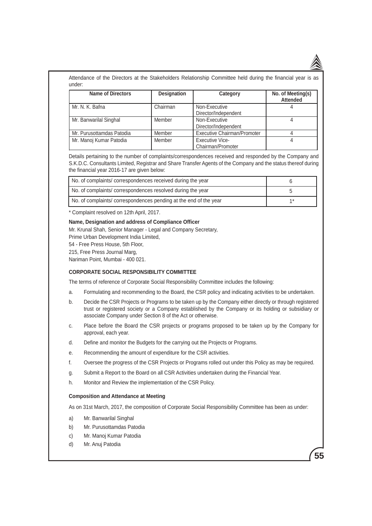Attendance of the Directors at the Stakeholders Relationship Committee held during the financial year is as under:

| <b>Name of Directors</b>  | <b>Designation</b> | Category                                    | No. of Meeting(s)<br><b>Attended</b> |
|---------------------------|--------------------|---------------------------------------------|--------------------------------------|
| Mr. N. K. Bafna           | Chairman           | Non-Executive<br>Director/Independent       |                                      |
| Mr. Banwarilal Singhal    | Member             | Non-Executive<br>Director/Independent       |                                      |
| Mr. Purusottamdas Patodia | Member             | Executive Chairman/Promoter                 |                                      |
| Mr. Manoj Kumar Patodia   | Member             | <b>Executive Vice-</b><br>Chairman/Promoter |                                      |

Details pertaining to the number of complaints/correspondences received and responded by the Company and S.K.D.C. Consultants Limited, Registrar and Share Transfer Agents of the Company and the status thereof during the financial year 2016-17 are given below:

| No. of complaints/correspondences received during the year        |      |
|-------------------------------------------------------------------|------|
| No. of complaints/correspondences resolved during the year        |      |
| No. of complaints/ correspondences pending at the end of the year | $4*$ |

\* Complaint resolved on 12th April, 2017.

### **Name, Designation and address of Compliance Officer**

Mr. Krunal Shah, Senior Manager - Legal and Company Secretary,

Prime Urban Development India Limited,

54 - Free Press House, 5th Floor,

215, Free Press Journal Marg,

Nariman Point, Mumbai - 400 021.

### **CORPORATE SOCIAL RESPONSIBILITY COMMITTEE**

The terms of reference of Corporate Social Responsibility Committee includes the following:

- a. Formulating and recommending to the Board, the CSR policy and indicating activities to be undertaken.
- b. Decide the CSR Projects or Programs to be taken up by the Company either directly or through registered trust or registered society or a Company established by the Company or its holding or subsidiary or associate Company under Section 8 of the Act or otherwise.
- c. Place before the Board the CSR projects or programs proposed to be taken up by the Company for approval, each year.
- d. Define and monitor the Budgets for the carrying out the Projects or Programs.
- e. Recommending the amount of expenditure for the CSR activities.
- f. Oversee the progress of the CSR Projects or Programs rolled out under this Policy as may be required.
- g. Submit a Report to the Board on all CSR Activities undertaken during the Financial Year.
- h. Monitor and Review the implementation of the CSR Policy.

### **Composition and Attendance at Meeting**

As on 31st March, 2017, the composition of Corporate Social Responsibility Committee has been as under:

- a) Mr. Banwarilal Singhal
- b) Mr. Purusottamdas Patodia
- c) Mr. Manoj Kumar Patodia
- d) Mr. Anuj Patodia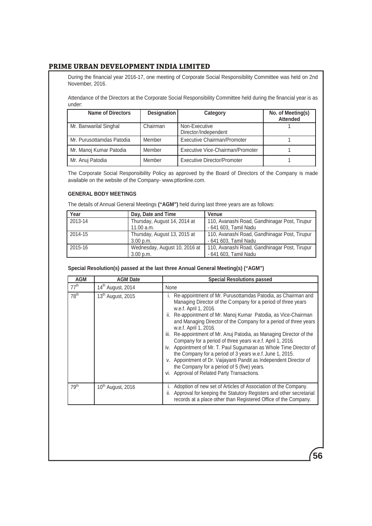During the financial year 2016-17, one meeting of Corporate Social Responsibility Committee was held on 2nd November, 2016.

Attendance of the Directors at the Corporate Social Responsibility Committee held during the financial year is as under:

| <b>Name of Directors</b>  | <b>Designation</b> | Category                              | No. of Meeting(s)<br><b>Attended</b> |
|---------------------------|--------------------|---------------------------------------|--------------------------------------|
| Mr. Banwarilal Singhal    | Chairman           | Non-Executive<br>Director/Independent |                                      |
| Mr. Purusottamdas Patodia | Member             | <b>Executive Chairman/Promoter</b>    |                                      |
| Mr. Manoj Kumar Patodia   | Member             | Executive Vice-Chairman/Promoter      |                                      |
| Mr. Anuj Patodia          | Member             | Executive Director/Promoter           |                                      |

The Corporate Social Responsibility Policy as approved by the Board of Directors of the Company is made available on the website of the Company- www.ptlonline.com.

## **GENERAL BODY MEETINGS**

The details of Annual General Meetings **("AGM")** held during last three years are as follows:

| Year    | Day, Date and Time                         | <b>Venue</b>                                                           |
|---------|--------------------------------------------|------------------------------------------------------------------------|
| 2013-14 | Thursday, August 14, 2014 at<br>11.00 a.m. | 110, Avanashi Road, Gandhinagar Post, Tirupur<br>- 641 603, Tamil Nadu |
| 2014-15 | Thursday, August 13, 2015 at<br>3.00 p.m.  | 110, Avanashi Road, Gandhinagar Post, Tirupur<br>- 641 603. Tamil Nadu |
| 2015-16 | Wednesday, August 10, 2016 at<br>3.00 p.m. | 110, Avanashi Road, Gandhinagar Post, Tirupur<br>- 641 603, Tamil Nadu |

### **Special Resolution(s) passed at the last three Annual General Meeting(s) ("AGM")**

| <b>AGM</b>       | <b>AGM Date</b>               | <b>Special Resolutions passed</b>                                                                                                                                                                                                                                                                                                                                                                                                                                                                                                                                                                                                                                                                                                                                  |
|------------------|-------------------------------|--------------------------------------------------------------------------------------------------------------------------------------------------------------------------------------------------------------------------------------------------------------------------------------------------------------------------------------------------------------------------------------------------------------------------------------------------------------------------------------------------------------------------------------------------------------------------------------------------------------------------------------------------------------------------------------------------------------------------------------------------------------------|
| 77 <sup>th</sup> | 14 <sup>th</sup> August, 2014 | None                                                                                                                                                                                                                                                                                                                                                                                                                                                                                                                                                                                                                                                                                                                                                               |
| 78 <sup>th</sup> | 13 <sup>th</sup> August, 2015 | Re-appointment of Mr. Purusottamdas Patodia, as Chairman and<br>Managing Director of the Company for a period of three years<br>w.e.f. April 1, 2016.<br>ii. Re-appointment of Mr. Manoj Kumar Patodia, as Vice-Chairman<br>and Managing Director of the Company for a period of three years<br>w.e.f. April 1, 2016.<br>Re-appointment of Mr. Anuj Patodia, as Managing Director of the<br>iii.<br>Company for a period of three years w.e.f. April 1, 2016<br>iv. Appointment of Mr. T. Paul Sugumaran as Whole Time Director of<br>the Company for a period of 3 years w.e.f. June 1, 2015.<br>v. Appointment of Dr. Vaijayanti Pandit as Independent Director of<br>the Company for a period of 5 (five) years.<br>vi. Approval of Related Party Transactions. |
| 79 <sup>th</sup> | 10 <sup>th</sup> August, 2016 | Adoption of new set of Articles of Association of the Company.<br>Approval for keeping the Statutory Registers and other secretarial<br>Ш.<br>records at a place other than Registered Office of the Company.                                                                                                                                                                                                                                                                                                                                                                                                                                                                                                                                                      |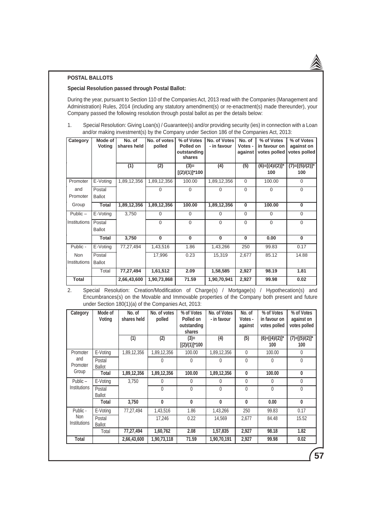### **POSTAL BALLOTS**

### **Special Resolution passed through Postal Ballot:**

During the year, pursuant to Section 110 of the Companies Act, 2013 read with the Companies (Management and Administration) Rules, 2014 (including any statutory amendment(s) or re-enactment(s) made thereunder), your Company passed the following resolution through postal ballot as per the details below:

1. Special Resolution: Giving Loan(s) / Guarantee(s) and/or providing security (ies) in connection with a Loan and/or making investment(s) by the Company under Section 186 of the Companies Act, 2013:

| Category            | Mode of<br>Voting       | No. of<br>shares held | No. of votes<br>polled | % of Votes<br>Polled on<br>outstanding<br>shares | No. of Votes<br>- in favour | No. of<br>Votes -<br>against | % of Votes<br>in favour on<br>votes polled | % of Votes<br>against on<br>votes polled |
|---------------------|-------------------------|-----------------------|------------------------|--------------------------------------------------|-----------------------------|------------------------------|--------------------------------------------|------------------------------------------|
|                     |                         | (1)                   | (2)                    | $(3)$ =<br>$[(2)/(1)]$ *100                      | (4)                         | (5)                          | $(6)=[(4)/(2)]^*$<br>100                   | $(7)=[(5)/(2)]^*$<br>100                 |
| Promoter            | E-Voting                | 1,89,12,356           | 1,89,12,356            | 100.00                                           | 1,89,12,356                 | $\Omega$                     | 100.00                                     | $\Omega$                                 |
| and<br>Promoter     | Postal<br><b>Ballot</b> |                       | 0                      | $\Omega$                                         | $\Omega$                    | $\Omega$                     | $\Omega$                                   | $\Omega$                                 |
| Group               | Total                   | 1,89,12,356           | 1,89,12,356            | 100.00                                           | 1,89,12,356                 | $\Omega$                     | 100.00                                     | $\bf{0}$                                 |
| Public $-$          | E-Voting                | 3,750                 | 0                      | $\Omega$                                         | $\Omega$                    | 0                            | $\Omega$                                   | $\Omega$                                 |
| Institutions        | Postal<br><b>Ballot</b> |                       | $\Omega$               | $\Omega$                                         | $\Omega$                    | $\Omega$                     | $\Omega$                                   | $\Omega$                                 |
|                     | <b>Total</b>            | 3,750                 | $\bf{0}$               | $\Omega$                                         | $\Omega$                    | 0                            | 0.00                                       | $\Omega$                                 |
| Public -            | E-Voting                | 77,27,494             | 1,43,516               | 1.86                                             | 1,43,266                    | 250                          | 99.83                                      | 0.17                                     |
| Non<br>Institutions | Postal<br><b>Ballot</b> |                       | 17,996                 | 0.23                                             | 15,319                      | 2,677                        | 85.12                                      | 14.88                                    |
|                     | Total                   | 77,27,494             | 1,61,512               | 2.09                                             | 1,58,585                    | 2,927                        | 98.19                                      | 1.81                                     |
| <b>Total</b>        |                         | 2,66,43,600           | 1,90,73,868            | 71.59                                            | 1,90,70,941                 | 2,927                        | 99.98                                      | 0.02                                     |

2. Special Resolution: Creation/Modification of Charge(s) / Mortgage(s) / Hypothecation(s) and Encumbrances(s) on the Movable and Immovable properties of the Company both present and future under Section 180(1)(a) of the Companies Act, 2013:

| Category                   | Mode of<br>Voting       | No. of<br>shares held | No. of votes<br>polled | % of Votes<br>Polled on<br>outstanding<br>shares | No. of Votes<br>- in favour | No. of<br>Votes -<br>against | % of Votes<br>in favour on<br>votes polled | % of Votes<br>against on<br>votes polled |
|----------------------------|-------------------------|-----------------------|------------------------|--------------------------------------------------|-----------------------------|------------------------------|--------------------------------------------|------------------------------------------|
|                            |                         | (1)                   | (2)                    | $(3) =$<br>$[(2) / (1)]^* 100$                   | (4)                         | (5)                          | $(6)=[(4)/(2)]^*$<br>100                   | $(7)=[(5)/(2)]^*$<br>100                 |
| Promoter                   | E-Voting                | 1,89,12,356           | 1,89,12,356            | 100.00                                           | 1,89,12,356                 | $\theta$                     | 100.00                                     | 0                                        |
| and<br>Promoter            | Postal<br><b>Ballot</b> |                       | 0                      | $\mathbf{0}$                                     | $\Omega$                    | $\mathbf{0}$                 | 0                                          | $\mathbf{0}$                             |
| Group                      | Total                   | 1,89,12,356           | 1,89,12,356            | 100.00                                           | 1,89,12,356                 | 0                            | 100.00                                     | 0                                        |
| $Public -$                 | E-Voting                | 3,750                 | 0                      | 0                                                | 0                           | 0                            | 0                                          | $\mathbf{0}$                             |
| Institutions               | Postal<br><b>Ballot</b> |                       | 0                      | $\mathbf{0}$                                     | $\mathbf{0}$                | 0                            | 0                                          | 0                                        |
|                            | Total                   | 3,750                 | 0                      | 0                                                | $\mathbf{0}$                | $\mathbf{0}$                 | 0.00                                       | 0                                        |
| Public -                   | E-Voting                | 77.27.494             | 1,43,516               | 1.86                                             | 1,43,266                    | 250                          | 99.83                                      | 0.17                                     |
| Non<br><b>Institutions</b> | Postal<br><b>Ballot</b> |                       | 17,246                 | 0.22                                             | 14,569                      | 2,677                        | 84.48                                      | 15.52                                    |
|                            | Total                   | 77,27,494             | 1,60,762               | 2.08                                             | 1,57,835                    | 2,927                        | 98.18                                      | 1.82                                     |
| <b>Total</b>               |                         | 2,66,43,600           | 1,90,73,118            | 71.59                                            | 1,90,70,191                 | 2,927                        | 99.98                                      | 0.02                                     |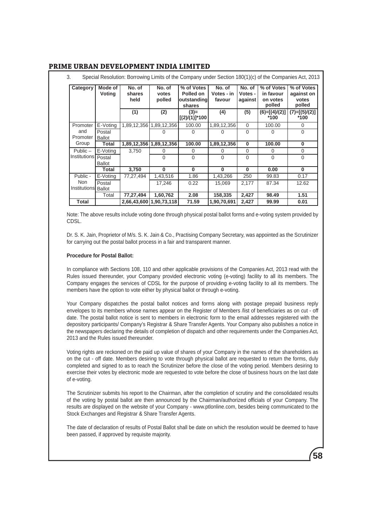| Category            | Mode of<br>Voting       | No. of<br>shares<br>held | No. of<br>votes<br>polled | % of Votes<br>Polled on<br>outstanding<br>shares | No. of<br>Votes - in<br>favour | No. of<br>Votes -<br>against | % of Votes<br>in favour<br>on votes<br>polled | % of Votes<br>against on<br>votes<br>polled |
|---------------------|-------------------------|--------------------------|---------------------------|--------------------------------------------------|--------------------------------|------------------------------|-----------------------------------------------|---------------------------------------------|
|                     |                         | (1)                      | (2)                       | $(3)$ =<br>$[(2) / (1)]$ *100                    | (4)                            | (5)                          | $(6)=[(4)/(2)]$<br>$*100$                     | $(7)=[(5)/(2)]$<br>$*100$                   |
| Promoter            | E-Voting                |                          | 1,89,12,356 1,89,12,356   | 100.00                                           | 1,89,12,356                    | $\Omega$                     | 100.00                                        | $\Omega$                                    |
| and<br>Promoter     | Postal<br><b>Ballot</b> |                          |                           | 0                                                | O                              | $\Omega$                     | $\Omega$                                      | $\Omega$                                    |
| Group               | Total                   |                          | 1,89,12,356   1,89,12,356 | 100.00                                           | 1,89,12,356                    | $\bf{0}$                     | 100.00                                        | $\bf{0}$                                    |
| $Public -$          | E-Votina                | 3.750                    | 0                         | $\Omega$                                         | 0                              | 0                            | 0                                             | $\Omega$                                    |
| <b>Institutions</b> | Postal<br><b>Ballot</b> |                          | 0                         | $\Omega$                                         | $\Omega$                       | $\Omega$                     | $\Omega$                                      | $\Omega$                                    |
|                     | Total                   | 3,750                    | $\Omega$                  | $\bf{0}$                                         | $\bf{0}$                       | $\bf{0}$                     | 0.00                                          | $\bf{0}$                                    |
| Public -            | E-Voting                | 77,27,494                | 1,43,516                  | 1.86                                             | 1,43,266                       | 250                          | 99.83                                         | 0.17                                        |
| Non<br>Institutions | Postal<br><b>Ballot</b> |                          | 17.246                    | 0.22                                             | 15.069                         | 2.177                        | 87.34                                         | 12.62                                       |
|                     | Total                   | 77,27,494                | 1,60,762                  | 2.08                                             | 158,335                        | 2,427                        | 98.49                                         | 1.51                                        |
| Total               |                         | 2,66,43,600 1,90,73,118  |                           | 71.59                                            | 1,90,70,691                    | 2,427                        | 99.99                                         | 0.01                                        |

Note: The above results include voting done through physical postal ballot forms and e-voting system provided by CDSL.

Dr. S. K. Jain, Proprietor of M/s. S. K. Jain & Co., Practising Company Secretary, was appointed as the Scrutinizer for carrying out the postal ballot process in a fair and transparent manner.

### **Procedure for Postal Ballot:**

In compliance with Sections 108, 110 and other applicable provisions of the Companies Act, 2013 read with the Rules issued thereunder, your Company provided electronic voting (e-voting) facility to all its members. The Company engages the services of CDSL for the purpose of providing e-voting facility to all its members. The members have the option to vote either by physical ballot or through e-voting.

Your Company dispatches the postal ballot notices and forms along with postage prepaid business reply envelopes to its members whose names appear on the Register of Members /list of beneficiaries as on cut - off date. The postal ballot notice is sent to members in electronic form to the email addresses registered with the depository participants/ Company's Registrar & Share Transfer Agents. Your Company also publishes a notice in the newspapers declaring the details of completion of dispatch and other requirements under the Companies Act, 2013 and the Rules issued thereunder.

Voting rights are reckoned on the paid up value of shares of your Company in the names of the shareholders as on the cut - off date. Members desiring to vote through physical ballot are requested to return the forms, duly completed and signed to as to reach the Scrutinizer before the close of the voting period. Members desiring to exercise their votes by electronic mode are requested to vote before the close of business hours on the last date of e-voting.

The Scrutinizer submits his report to the Chairman, after the completion of scrutiny and the consolidated results of the voting by postal ballot are then announced by the Chairman/authorized officials of your Company. The results are displayed on the website of your Company - www.ptlonline.com, besides being communicated to the Stock Exchanges and Registrar & Share Transfer Agents.

The date of declaration of results of Postal Ballot shall be date on which the resolution would be deemed to have been passed, if approved by requisite majority.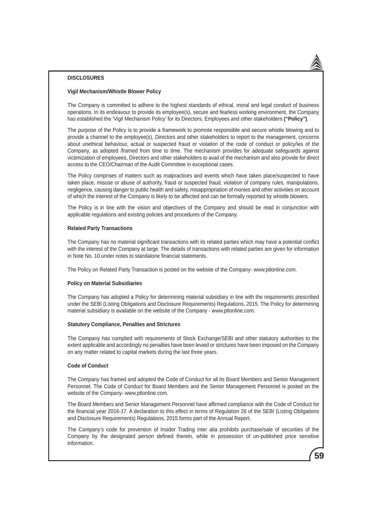### **DISCLOSURES**

### **Vigil Mechanism/Whistle Blower Policy**

The Company is committed to adhere to the highest standards of ethical, moral and legal conduct of business operations. In its endeavour to provide its employee(s), secure and fearless working environment, the Company has established the 'Vigil Mechanism Policy' for its Directors, Employees and other stakeholders **("Policy")**.

The purpose of the Policy is to provide a framework to promote responsible and secure whistle blowing and to provide a channel to the employee(s), Directors and other stakeholders to report to the management, concerns about unethical behaviour, actual or suspected fraud or violation of the code of conduct or policy/ies of the Company, as adopted /framed from time to time. The mechanism provides for adequate safeguards against victimization of employees, Directors and other stakeholders to avail of the mechanism and also provide for direct access to the CEO/Chairman of the Audit Committee in exceptional cases.

The Policy comprises of matters such as malpractices and events which have taken place/suspected to have taken place, misuse or abuse of authority, fraud or suspected fraud, violation of company rules, manipulations, negligence, causing danger to public health and safety, misappropriation of monies and other activities on account of which the interest of the Company is likely to be affected and can be formally reported by whistle blowers.

The Policy is in line with the vision and objectives of the Company and should be read in conjunction with applicable regulations and existing policies and procedures of the Company.

#### **Related Party Transactions**

The Company has no material significant transactions with its related parties which may have a potential conflict with the interest of the Company at large. The details of transactions with related parties are given for information in Note No. 10 under notes to standalone financial statements.

The Policy on Related Party Transaction is posted on the website of the Company- www.ptlonline.com.

#### **Policy on Material Subsidiaries**

The Company has adopted a Policy for determining material subsidiary in line with the requirements prescribed under the SEBI (Listing Obligations and Disclosure Requirements) Regulations, 2015. The Policy for determining material subsidiary is available on the website of the Company - www.ptlonline.com.

### **Statutory Compliance, Penalties and Strictures**

The Company has complied with requirements of Stock Exchange/SEBI and other statutory authorities to the extent applicable and accordingly no penalties have been levied or strictures have been imposed on the Company on any matter related to capital markets during the last three years.

### **Code of Conduct**

The Company has framed and adopted the Code of Conduct for all its Board Members and Senior Management Personnel. The Code of Conduct for Board Members and the Senior Management Personnel is posted on the website of the Company- www.ptlonline.com.

The Board Members and Senior Management Personnel have affirmed compliance with the Code of Conduct for the financial year 2016-17. A declaration to this effect in terms of Regulation 26 of the SEBI (Listing Obligations and Disclosure Requirements) Regulations, 2015 forms part of the Annual Report.

The Company's code for prevention of Insider Trading inter alia prohibits purchase/sale of securities of the Company by the designated person defined therein, while in possession of un-published price sensitive information.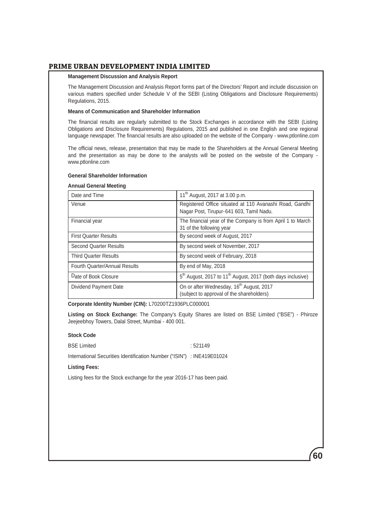#### **Management Discussion and Analysis Report**

The Management Discussion and Analysis Report forms part of the Directors' Report and include discussion on various matters specified under Schedule V of the SEBI (Listing Obligations and Disclosure Requirements) Regulations, 2015.

### **Means of Communication and Shareholder Information**

The financial results are regularly submitted to the Stock Exchanges in accordance with the SEBI (Listing Obligations and Disclosure Requirements) Regulations, 2015 and published in one English and one regional language newspaper. The financial results are also uploaded on the website of the Company - www.ptlonline.com

The official news, release, presentation that may be made to the Shareholders at the Annual General Meeting and the presentation as may be done to the analysts will be posted on the website of the Company www.ptlonline.com

### **General Shareholder Information**

#### **Annual General Meeting**

| Date and Time                        | 11 <sup>th</sup> August, 2017 at 3.00 p.m.                                                          |
|--------------------------------------|-----------------------------------------------------------------------------------------------------|
| Venue                                | Registered Office situated at 110 Avanashi Road, Gandhi<br>Nagar Post, Tirupur-641 603, Tamil Nadu. |
| Financial year                       | The financial year of the Company is from April 1 to March<br>31 of the following year              |
| <b>First Quarter Results</b>         | By second week of August, 2017                                                                      |
| <b>Second Quarter Results</b>        | By second week of November, 2017                                                                    |
| <b>Third Quarter Results</b>         | By second week of February, 2018                                                                    |
| <b>Fourth Quarter/Annual Results</b> | By end of May, 2018                                                                                 |
| Date of Book Closure                 | 5 <sup>th</sup> August, 2017 to 11 <sup>th</sup> August, 2017 (both days inclusive)                 |
| Dividend Payment Date                | On or after Wednesday, 16 <sup>th</sup> August, 2017<br>(subject to approval of the shareholders)   |

**Corporate Identity Number (CIN):** L70200TZ1936PLC000001

**Listing on Stock Exchange:** The Company's Equity Shares are listed on BSE Limited ("BSE") - Phiroze Jeejeebhoy Towers, Dalal Street, Mumbai - 400 001.

## **Stock Code**

BSE Limited : 521149

International Securities Identification Number ("ISIN") : INE419E01024

## **Listing Fees:**

Listing fees for the Stock exchange for the year 2016-17 has been paid.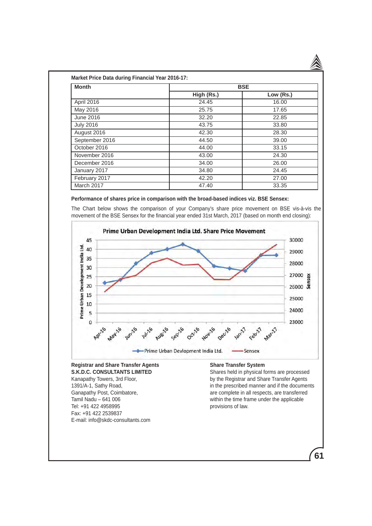| <b>Month</b>     | <b>BSE</b> |           |  |  |
|------------------|------------|-----------|--|--|
|                  | High (Rs.) | Low (Rs.) |  |  |
| April 2016       | 24.45      | 16.00     |  |  |
| May 2016         | 25.75      | 17.65     |  |  |
| June 2016        | 32.20      | 22.85     |  |  |
| <b>July 2016</b> | 43.75      | 33.80     |  |  |
| August 2016      | 42.30      | 28.30     |  |  |
| September 2016   | 44.50      | 39.00     |  |  |
| October 2016     | 44.00      | 33.15     |  |  |
| November 2016    | 43.00      | 24.30     |  |  |
| December 2016    | 34.00      | 26.00     |  |  |
| January 2017     | 34.80      | 24.45     |  |  |
| February 2017    | 42.20      | 27.00     |  |  |
| March 2017       | 47.40      | 33.35     |  |  |

#### **Performance of shares price in comparison with the broad-based indices viz. BSE Sensex:**

The Chart below shows the comparison of your Company's share price movement on BSE vis-à-vis the movement of the BSE Sensex for the financial year ended 31st March, 2017 (based on month end closing):



Tel: +91 422 4958995 provisions of law. Fax: +91 422 2539837 E-mail: info@skdc-consultants.com

Ganapathy Post, Coimbatore, and Sanapathy Post, Coimbatore, and Sanapathy Post, Coimbatore, and Sanapathy are complete in all respects, are transferred Tamil Nadu – 641 006 within the time frame under the applicable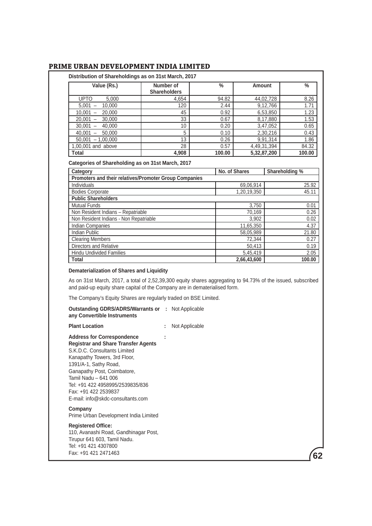| Value (Rs.)                                                                                                                                                                                                                                                           | Number of<br><b>Shareholders</b>                       | $\frac{0}{0}$ | Amount      |                | $\frac{0}{0}$                                                          |
|-----------------------------------------------------------------------------------------------------------------------------------------------------------------------------------------------------------------------------------------------------------------------|--------------------------------------------------------|---------------|-------------|----------------|------------------------------------------------------------------------|
| <b>UPTO</b><br>5.000                                                                                                                                                                                                                                                  | 4.654                                                  | 94.82         | 44,02,728   |                | 8.26                                                                   |
| $5,001 -$<br>10.000                                                                                                                                                                                                                                                   | 120                                                    | 2.44          |             | 9,12,766       | 1.71                                                                   |
| $10,001 -$<br>20,000                                                                                                                                                                                                                                                  | 45                                                     | 0.92          |             | 6,53,850       | 1.23                                                                   |
| $20.001 -$<br>30,000                                                                                                                                                                                                                                                  | 33                                                     | 0.67          |             | 8,17,880       | 1.53                                                                   |
| $30,001 -$<br>40,000                                                                                                                                                                                                                                                  | 10                                                     | 0.20          |             | 3,47,052       | 0.65                                                                   |
| $40,001 -$<br>50,000                                                                                                                                                                                                                                                  | 5                                                      | 0.10          |             | 2,30,216       | 0.43                                                                   |
| $50,001 - 1,00,000$                                                                                                                                                                                                                                                   | 13                                                     | 0.26          |             | 9,91,314       | 1.86                                                                   |
| 1,00,001 and above                                                                                                                                                                                                                                                    | 28                                                     | 0.57          | 4,49,31,394 |                | 84.32                                                                  |
| <b>Total</b>                                                                                                                                                                                                                                                          | 4,908                                                  | 100.00        | 5,32,87,200 |                | 100.00                                                                 |
|                                                                                                                                                                                                                                                                       | Promoters and their relatives/Promoter Group Companies |               |             |                |                                                                        |
| Category                                                                                                                                                                                                                                                              |                                                        | No. of Shares |             | Shareholding % |                                                                        |
| Individuals                                                                                                                                                                                                                                                           |                                                        |               | 69,06,914   |                | 25.92                                                                  |
| <b>Bodies Corporate</b>                                                                                                                                                                                                                                               |                                                        |               |             |                |                                                                        |
|                                                                                                                                                                                                                                                                       |                                                        |               | 1.20.19.350 |                |                                                                        |
|                                                                                                                                                                                                                                                                       |                                                        |               |             |                |                                                                        |
|                                                                                                                                                                                                                                                                       |                                                        |               | 3,750       |                |                                                                        |
|                                                                                                                                                                                                                                                                       |                                                        |               | 70,169      |                |                                                                        |
|                                                                                                                                                                                                                                                                       |                                                        |               | 3,902       |                |                                                                        |
|                                                                                                                                                                                                                                                                       |                                                        |               | 11,65,350   |                |                                                                        |
|                                                                                                                                                                                                                                                                       |                                                        |               | 58,05,989   |                |                                                                        |
|                                                                                                                                                                                                                                                                       |                                                        |               | 72,344      |                |                                                                        |
|                                                                                                                                                                                                                                                                       |                                                        |               | 50,413      |                |                                                                        |
| <b>Public Shareholders</b><br><b>Mutual Funds</b><br>Non Resident Indians - Repatriable<br>Non Resident Indians - Non Repatriable<br>Indian Companies<br><b>Indian Public</b><br><b>Clearing Members</b><br>Directors and Relative<br><b>Hindu Undivided Families</b> |                                                        |               | 5,45,419    |                | 45.11<br>0.01<br>0.26<br>0.02<br>4.37<br>21.80<br>0.27<br>0.19<br>2.05 |

## **Dematerialization of Shares and Liquidity**

As on 31st March, 2017, a total of 2,52,39,300 equity shares aggregating to 94.73% of the issued, subscribed and paid-up equity share capital of the Company are in dematerialised form.

**62**

The Company's Equity Shares are regularly traded on BSE Limited.

| The Company's Equity Shares are regularly traded on BSE Limited.                                                                                                                                                                                                                                                                 |                |
|----------------------------------------------------------------------------------------------------------------------------------------------------------------------------------------------------------------------------------------------------------------------------------------------------------------------------------|----------------|
| <b>Outstanding GDRS/ADRS/Warrants or : Not Applicable</b><br>any Convertible Instruments                                                                                                                                                                                                                                         |                |
| <b>Plant Location</b>                                                                                                                                                                                                                                                                                                            | Not Applicable |
| <b>Address for Correspondence</b><br><b>Registrar and Share Transfer Agents</b><br>S.K.D.C. Consultants Limited<br>Kanapathy Towers, 3rd Floor,<br>1391/A-1, Sathy Road,<br>Ganapathy Post, Coimbatore,<br>Tamil Nadu - 641 006<br>Tel: +91 422 4958995/2539835/836<br>Fax: +91 422 2539837<br>E-mail: info@skdc-consultants.com |                |
| Company<br>Prime Urban Development India Limited                                                                                                                                                                                                                                                                                 |                |
| <b>Registered Office:</b><br>110, Avanashi Road, Gandhinagar Post,<br>Tirupur 641 603, Tamil Nadu.<br>Tel: +91 421 4307800<br>Fax: +91 421 2471463                                                                                                                                                                               |                |
|                                                                                                                                                                                                                                                                                                                                  |                |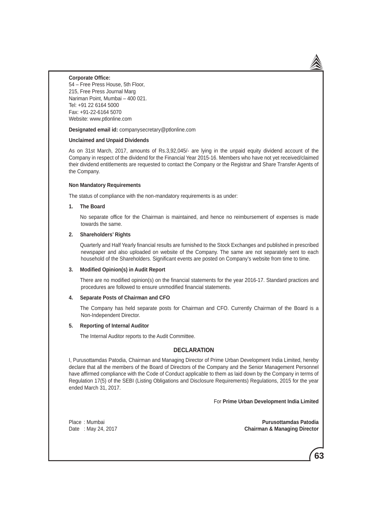#### **Corporate Office:**

54 – Free Press House, 5th Floor, 215, Free Press Journal Marg Nariman Point, Mumbai – 400 021. Tel: +91 22 6164 5000 Fax: +91-22-6164 5070 Website: www.ptlonline.com

**Designated email id:** companysecretary@ptlonline.com

### **Unclaimed and Unpaid Dividends**

As on 31st March, 2017, amounts of Rs.3,92,045/- are lying in the unpaid equity dividend account of the Company in respect of the dividend for the Financial Year 2015-16. Members who have not yet received/claimed their dividend entitlements are requested to contact the Company or the Registrar and Share Transfer Agents of the Company.

#### **Non Mandatory Requirements**

The status of compliance with the non-mandatory requirements is as under:

#### **1. The Board**

 No separate office for the Chairman is maintained, and hence no reimbursement of expenses is made towards the same.

#### **2. Shareholders' Rights**

 Quarterly and Half Yearly financial results are furnished to the Stock Exchanges and published in prescribed newspaper and also uploaded on website of the Company. The same are not separately sent to each household of the Shareholders. Significant events are posted on Company's website from time to time.

### **3. Modified Opinion(s) in Audit Report**

 There are no modified opinion(s) on the financial statements for the year 2016-17. Standard practices and procedures are followed to ensure unmodified financial statements.

### **4. Separate Posts of Chairman and CFO**

 The Company has held separate posts for Chairman and CFO. Currently Chairman of the Board is a Non-Independent Director.

#### **5. Reporting of Internal Auditor**

The Internal Auditor reports to the Audit Committee.

### **DECLARATION**

I, Purusottamdas Patodia, Chairman and Managing Director of Prime Urban Development India Limited, hereby declare that all the members of the Board of Directors of the Company and the Senior Management Personnel have affirmed compliance with the Code of Conduct applicable to them as laid down by the Company in terms of Regulation 17(5) of the SEBI (Listing Obligations and Disclosure Requirements) Regulations, 2015 for the year ended March 31, 2017.

For **Prime Urban Development India Limited**

Place : Mumbai **Purusottamdas Patodia Chairman & Managing Director**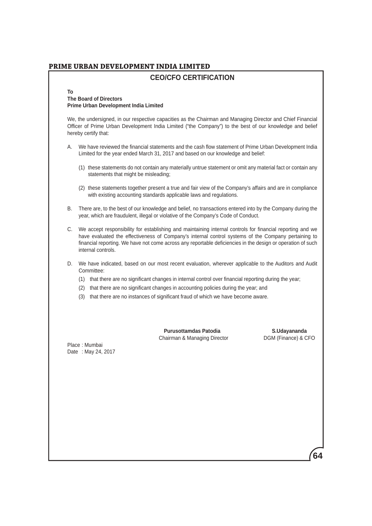# **CEO/CFO CERTIFICATION**

### **To The Board of Directors Prime Urban Development India Limited**

We, the undersigned, in our respective capacities as the Chairman and Managing Director and Chief Financial Officer of Prime Urban Development India Limited ("the Company") to the best of our knowledge and belief hereby certify that:

- A. We have reviewed the financial statements and the cash flow statement of Prime Urban Development India Limited for the year ended March 31, 2017 and based on our knowledge and belief:
	- (1) these statements do not contain any materially untrue statement or omit any material fact or contain any statements that might be misleading;
	- (2) these statements together present a true and fair view of the Company's affairs and are in compliance with existing accounting standards applicable laws and regulations.
- B. There are, to the best of our knowledge and belief, no transactions entered into by the Company during the year, which are fraudulent, illegal or violative of the Company's Code of Conduct.
- C. We accept responsibility for establishing and maintaining internal controls for financial reporting and we have evaluated the effectiveness of Company's internal control systems of the Company pertaining to financial reporting. We have not come across any reportable deficiencies in the design or operation of such internal controls.
- D. We have indicated, based on our most recent evaluation, wherever applicable to the Auditors and Audit Committee:
	- (1) that there are no significant changes in internal control over financial reporting during the year;
	- (2) that there are no significant changes in accounting policies during the year; and
	- (3) that there are no instances of significant fraud of which we have become aware.

**Purusottamdas Patodia**<br> **Purusottamdas Patodia**<br>
DGM (Finance) & CFO Chairman & Managing Director

Place : Mumbai Date : May 24, 2017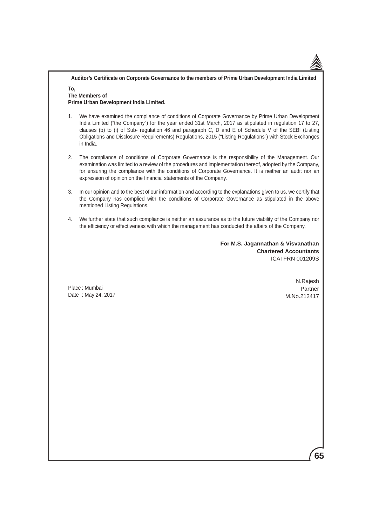**Auditor's Certificate on Corporate Governance to the members of Prime Urban Development India Limited To,**

### **The Members of Prime Urban Development India Limited.**

- 1. We have examined the compliance of conditions of Corporate Governance by Prime Urban Development India Limited ("the Company") for the year ended 31st March, 2017 as stipulated in regulation 17 to 27, clauses (b) to (i) of Sub- regulation 46 and paragraph C, D and E of Schedule V of the SEBI (Listing Obligations and Disclosure Requirements) Regulations, 2015 ("Listing Regulations") with Stock Exchanges in India.
- 2. The compliance of conditions of Corporate Governance is the responsibility of the Management. Our examination was limited to a review of the procedures and implementation thereof, adopted by the Company, for ensuring the compliance with the conditions of Corporate Governance. It is neither an audit nor an expression of opinion on the financial statements of the Company.
- 3. In our opinion and to the best of our information and according to the explanations given to us, we certify that the Company has complied with the conditions of Corporate Governance as stipulated in the above mentioned Listing Regulations.
- 4. We further state that such compliance is neither an assurance as to the future viability of the Company nor the efficiency or effectiveness with which the management has conducted the affairs of the Company.

**For M.S. Jagannathan & Visvanathan Chartered Accountants** ICAI FRN 001209S

Place : Mumbai Date : May 24, 2017

N.Rajesh Partner M.No.212417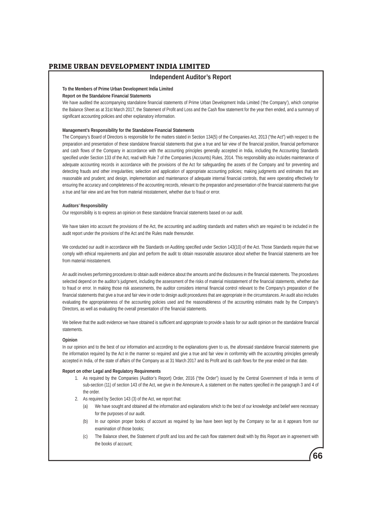## **Independent Auditor's Report**

#### **To the Members of Prime Urban Development India Limited**

#### **Report on the Standalone Financial Statements**

We have audited the accompanying standalone financial statements of Prime Urban Development India Limited ('the Company'), which comprise the Balance Sheet as at 31st March 2017, the Statement of Profit and Loss and the Cash flow statement for the year then ended, and a summary of significant accounting policies and other explanatory information.

#### **Management's Responsibility for the Standalone Financial Statements**

The Company's Board of Directors is responsible for the matters stated in Section 134(5) of the Companies Act, 2013 ("the Act") with respect to the preparation and presentation of these standalone financial statements that give a true and fair view of the financial position, financial performance and cash flows of the Company in accordance with the accounting principles generally accepted in India, including the Accounting Standards specified under Section 133 of the Act, read with Rule 7 of the Companies (Accounts) Rules, 2014. This responsibility also includes maintenance of adequate accounting records in accordance with the provisions of the Act for safeguarding the assets of the Company and for preventing and detecting frauds and other irregularities; selection and application of appropriate accounting policies; making judgments and estimates that are reasonable and prudent; and design, implementation and maintenance of adequate internal financial controls, that were operating effectively for ensuring the accuracy and completeness of the accounting records, relevant to the preparation and presentation of the financial statements that give a true and fair view and are free from material misstatement, whether due to fraud or error.

#### **Auditors' Responsibility**

Our responsibility is to express an opinion on these standalone financial statements based on our audit.

We have taken into account the provisions of the Act, the accounting and auditing standards and matters which are required to be included in the audit report under the provisions of the Act and the Rules made thereunder.

We conducted our audit in accordance with the Standards on Auditing specified under Section 143(10) of the Act. Those Standards require that we comply with ethical requirements and plan and perform the audit to obtain reasonable assurance about whether the financial statements are free from material misstatement.

An audit involves performing procedures to obtain audit evidence about the amounts and the disclosures in the financial statements. The procedures selected depend on the auditor's judgment, including the assessment of the risks of material misstatement of the financial statements, whether due to fraud or error. In making those risk assessments, the auditor considers internal financial control relevant to the Company's preparation of the financial statements that give a true and fair view in order to design audit procedures that are appropriate in the circumstances. An audit also includes evaluating the appropriateness of the accounting policies used and the reasonableness of the accounting estimates made by the Company's Directors, as well as evaluating the overall presentation of the financial statements.

We believe that the audit evidence we have obtained is sufficient and appropriate to provide a basis for our audit opinion on the standalone financial statements.

#### **Opinion**

In our opinion and to the best of our information and according to the explanations given to us, the aforesaid standalone financial statements give the information required by the Act in the manner so required and give a true and fair view in conformity with the accounting principles generally accepted in India, of the state of affairs of the Company as at 31 March 2017 and its Profit and its cash flows for the year ended on that date.

#### **Report on other Legal and Regulatory Requirements**

- 1. As required by the Companies (Auditor's Report) Order, 2016 ("the Order") issued by the Central Government of India in terms of sub-section (11) of section 143 of the Act, we give in the Annexure A, a statement on the matters specified in the paragraph 3 and 4 of the order.
- 2. As required by Section 143 (3) of the Act, we report that:
	- (a) We have sought and obtained all the information and explanations which to the best of our knowledge and belief were necessary for the purposes of our audit.
	- (b) In our opinion proper books of account as required by law have been kept by the Company so far as it appears from our examination of those books;
	- (c) The Balance sheet, the Statement of profit and loss and the cash flow statement dealt with by this Report are in agreement with the books of account;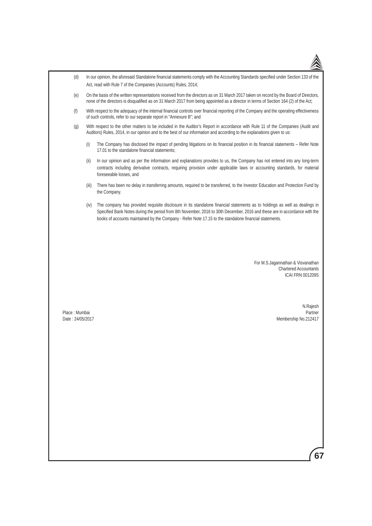| (d)                               |       | In our opinion, the aforesaid Standalone financial statements comply with the Accounting Standards specified under Section 133 of the<br>Act, read with Rule 7 of the Companies (Accounts) Rules, 2014;                                                                                                                                                            |
|-----------------------------------|-------|--------------------------------------------------------------------------------------------------------------------------------------------------------------------------------------------------------------------------------------------------------------------------------------------------------------------------------------------------------------------|
| (e)                               |       | On the basis of the written representations received from the directors as on 31 March 2017 taken on record by the Board of Directors,<br>none of the directors is disqualified as on 31 March 2017 from being appointed as a director in terms of Section 164 (2) of the Act;                                                                                     |
| (f)                               |       | With respect to the adequacy of the internal financial controls over financial reporting of the Company and the operating effectiveness<br>of such controls, refer to our separate report in "Annexure B"; and                                                                                                                                                     |
| (g)                               |       | With respect to the other matters to be included in the Auditor's Report in accordance with Rule 11 of the Companies (Audit and<br>Auditors) Rules, 2014, in our opinion and to the best of our information and according to the explanations given to us:                                                                                                         |
|                                   | (i)   | The Company has disclosed the impact of pending litigations on its financial position in its financial statements - Refer Note<br>17.01 to the standalone financial statements;                                                                                                                                                                                    |
|                                   | (ii)  | In our opinion and as per the information and explanations provides to us, the Company has not entered into any long-term<br>contracts including derivative contracts, requiring provision under applicable laws or accounting standards, for material<br>foreseeable losses, and                                                                                  |
|                                   | (iii) | There has been no delay in transferring amounts, required to be transferred, to the Investor Education and Protection Fund by<br>the Company.                                                                                                                                                                                                                      |
|                                   | (iv)  | The company has provided requisite disclosure in its standalone financial statements as to holdings as well as dealings in<br>Specified Bank Notes during the period from 8th November, 2016 to 30th December, 2016 and these are in accordance with the<br>books of accounts maintained by the Company - Refer Note 17.15 to the standalone financial statements. |
|                                   |       |                                                                                                                                                                                                                                                                                                                                                                    |
|                                   |       | For M.S.Jagannathan & Visvanathan<br><b>Chartered Accountants</b><br><b>ICAI FRN 001209S</b>                                                                                                                                                                                                                                                                       |
| Place: Mumbai<br>Date: 24/05/2017 |       | N.Rajesh<br>Partner<br>Membership No.212417                                                                                                                                                                                                                                                                                                                        |
|                                   |       |                                                                                                                                                                                                                                                                                                                                                                    |
|                                   |       |                                                                                                                                                                                                                                                                                                                                                                    |
|                                   |       |                                                                                                                                                                                                                                                                                                                                                                    |
|                                   |       |                                                                                                                                                                                                                                                                                                                                                                    |
|                                   |       |                                                                                                                                                                                                                                                                                                                                                                    |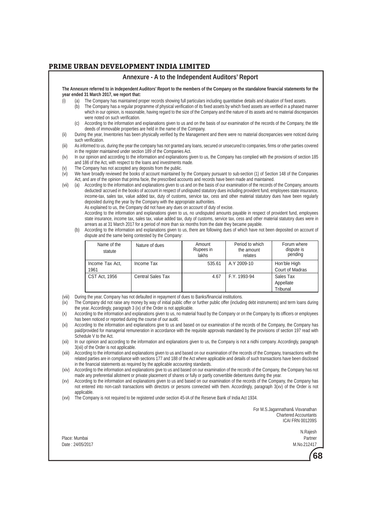#### **Annexure - A to the Independent Auditors' Report**

**The Annexure referred to in Independent Auditors' Report to the members of the Company on the standalone financial statements for the year ended 31 March 2017, we report that:**

- (i) (a) The Company has maintained proper records showing full particulars including quantitative details and situation of fixed assets.
	- (b) The Company has a regular programme of physical verification of its fixed assets by which fixed assets are verified in a phased manner which in our opinion, is reasonable, having regard to the size of the Company and the nature of its assets and no material discrepancies were noted on such verification.
	- (c) According to the information and explanations given to us and on the basis of our examination of the records of the Company, the title deeds of immovable properties are held in the name of the Company.
- (ii) During the year, Inventories has been physically verified by the Management and there were no material discrepancies were noticed during such verification.
- (iii) As informed to us, during the year the company has not granted any loans, secured or unsecured to companies, firms or other parties covered in the register maintained under section 189 of the Companies Act.
- (iv) In our opinion and according to the information and explanations given to us, the Company has complied with the provisions of section 185 and 186 of the Act, with respect to the loans and investments made.
- (v) The Company has not accepted any deposits from the public.
- $\overline{v}$  We have broadly reviewed the books of account maintained by the Company pursuant to sub-section (1) of Section 148 of the Companies Act, and are of the opinion that prima facie, the prescribed accounts and records have been made and maintained.
- (vii) (a) According to the information and explanations given to us and on the basis of our examination of the records of the Company, amounts deducted/ accrued in the books of account in respect of undisputed statutory dues including provident fund, employees state insurance, income-tax, sales tax, value added tax, duty of customs, service tax, cess and other material statutory dues have been regularly deposited during the year by the Company with the appropriate authorities.

As explained to us, the Company did not have any dues on account of duty of excise.

 According to the information and explanations given to us, no undisputed amounts payable in respect of provident fund, employees state insurance, income tax, sales tax, value added tax, duty of customs, service tax, cess and other material statutory dues were in arrears as at 31 March 2017 for a period of more than six months from the date they became payable.

 (b) According to the information and explanations given to us, there are following dues of which have not been deposited on account of dispute and the same being contested by the Company:

| Name of the<br>statute  | Nature of dues           | Amount<br>Rupees in<br>lakhs | Period to which<br>the amount<br>relates | Forum where<br>dispute is<br>pending |
|-------------------------|--------------------------|------------------------------|------------------------------------------|--------------------------------------|
| Income Tax Act,<br>1961 | Income Tax               | 535.61                       | A.Y 2009-10                              | Hon'ble High<br>Court of Madras      |
| <b>CST Act, 1956</b>    | <b>Central Sales Tax</b> | 4.67                         | F.Y. 1993-94                             | Sales Tax<br>Appellate<br>Tribunal   |

(viii) During the year, Company has not defaulted in repayment of dues to Banks/financial institutions.

(ix) The Company did not raise any money by way of initial public offer or further public offer (including debt instruments) and term loans during the year. Accordingly, paragraph 3 (ix) of the Order is not applicable.

- (xi) According to the information and explanations give to us and based on our examination of the records of the Company, the Company has paid/provided for managerial remuneration in accordance with the requisite approvals mandated by the provisions of section 197 read with Schedule V to the Act.
- (xii) In our opinion and according to the information and explanations given to us, the Company is not a nidhi company. Accordingly, paragraph 3(xii) of the Order is not applicable.
- (xiii) According to the information and explanations given to us and based on our examination of the records of the Company, transactions with the related parties are in compliance with sections 177 and 188 of the Act where applicable and details of such transactions have been disclosed in the financial statements as required by the applicable accounting standards.
- (xiv) According to the information and explanations give to us and based on our examination of the records of the Company, the Company has not made any preferential allotment or private placement of shares or fully or partly convertible debentures during the year.
- (xv) According to the information and explanations given to us and based on our examination of the records of the Company, the Company has not entered into non-cash transactions with directors or persons connected with them. Accordingly, paragraph 3(xv) of the Order is not applicable.
- (xvi) The Company is not required to be registered under section 45-IA of the Reserve Bank of India Act 1934.

For M.S.Jagannathan& Visvanathan Chartered Accountants ICAI FRN 001209S

Place: Mumbai Partner Date : 24/05/2017 M.No.212417

N.Rajesh



<sup>(</sup>x) According to the information and explanations given to us, no material fraud by the Company or on the Company by its officers or employees has been noticed or reported during the course of our audit.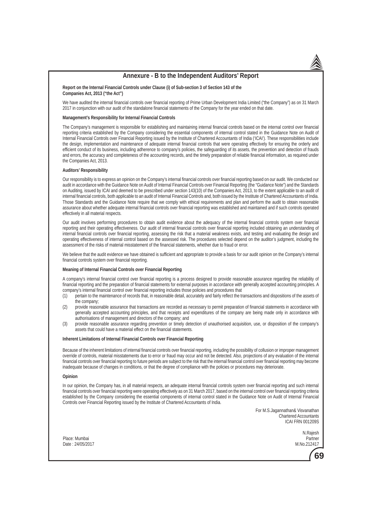### **Annexure - B to the Independent Auditors' Report**

#### **Report on the Internal Financial Controls under Clause (i) of Sub-section 3 of Section 143 of the Companies Act, 2013 ("the Act")**

We have audited the internal financial controls over financial reporting of Prime Urban Development India Limited ("the Company") as on 31 March 2017 in conjunction with our audit of the standalone financial statements of the Company for the year ended on that date.

#### **Management's Responsibility for Internal Financial Controls**

The Company's management is responsible for establishing and maintaining internal financial controls based on the internal control over financial reporting criteria established by the Company considering the essential components of internal control stated in the Guidance Note on Audit of Internal Financial Controls over Financial Reporting issued by the Institute of Chartered Accountants of India ('ICAI'). These responsibilities include the design, implementation and maintenance of adequate internal financial controls that were operating effectively for ensuring the orderly and efficient conduct of its business, including adherence to company's policies, the safeguarding of its assets, the prevention and detection of frauds and errors, the accuracy and completeness of the accounting records, and the timely preparation of reliable financial information, as required under the Companies Act, 2013.

#### **Auditors' Responsibility**

Our responsibility is to express an opinion on the Company's internal financial controls over financial reporting based on our audit. We conducted our audit in accordance with the Guidance Note on Audit of Internal Financial Controls over Financial Reporting (the "Guidance Note") and the Standards on Auditing, issued by ICAI and deemed to be prescribed under section 143(10) of the Companies Act, 2013, to the extent applicable to an audit of internal financial controls, both applicable to an audit of Internal Financial Controls and, both issued by the Institute of Chartered Accountants of India. Those Standards and the Guidance Note require that we comply with ethical requirements and plan and perform the audit to obtain reasonable assurance about whether adequate internal financial controls over financial reporting was established and maintained and if such controls operated effectively in all material respects.

Our audit involves performing procedures to obtain audit evidence about the adequacy of the internal financial controls system over financial reporting and their operating effectiveness. Our audit of internal financial controls over financial reporting included obtaining an understanding of internal financial controls over financial reporting, assessing the risk that a material weakness exists, and testing and evaluating the design and operating effectiveness of internal control based on the assessed risk. The procedures selected depend on the auditor's judgment, including the assessment of the risks of material misstatement of the financial statements, whether due to fraud or error.

We believe that the audit evidence we have obtained is sufficient and appropriate to provide a basis for our audit opinion on the Company's internal financial controls system over financial reporting.

#### **Meaning of Internal Financial Controls over Financial Reporting**

A company's internal financial control over financial reporting is a process designed to provide reasonable assurance regarding the reliability of financial reporting and the preparation of financial statements for external purposes in accordance with generally accepted accounting principles. A company's internal financial control over financial reporting includes those policies and procedures that

- (1) pertain to the maintenance of records that, in reasonable detail, accurately and fairly reflect the transactions and dispositions of the assets of the company;
- (2) provide reasonable assurance that transactions are recorded as necessary to permit preparation of financial statements in accordance with generally accepted accounting principles, and that receipts and expenditures of the company are being made only in accordance with authorisations of management and directors of the company; and
- (3) provide reasonable assurance regarding prevention or timely detection of unauthorised acquisition, use, or disposition of the company's assets that could have a material effect on the financial statements.

#### **Inherent Limitations of Internal Financial Controls over Financial Reporting**

Because of the inherent limitations of internal financial controls over financial reporting, including the possibility of collusion or improper management override of controls, material misstatements due to error or fraud may occur and not be detected. Also, projections of any evaluation of the internal financial controls over financial reporting to future periods are subject to the risk that the internal financial control over financial reporting may become inadequate because of changes in conditions, or that the degree of compliance with the policies or procedures may deteriorate.

#### **Opinion**

In our opinion, the Company has, in all material respects, an adequate internal financial controls system over financial reporting and such internal financial controls over financial reporting were operating effectively as on 31 March 2017, based on the internal control over financial reporting criteria established by the Company considering the essential components of internal control stated in the Guidance Note on Audit of Internal Financial Controls over Financial Reporting issued by the Institute of Chartered Accountants of India.

> For M.S.Jagannathan& Visvanathan Chartered Accountants ICAI FRN 001209S

Place: Mumbai Partner Date : 24/05/2017 M.No.212417

N.Rajesh

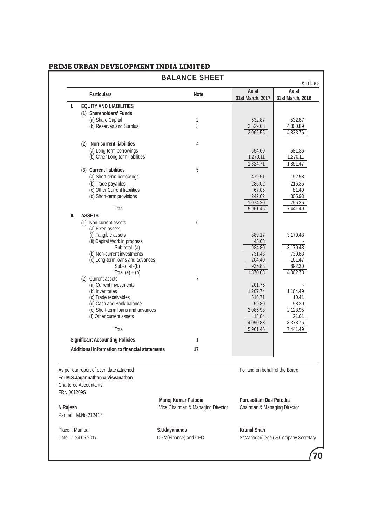|                  |                                                               | <b>BALANCE SHEET</b>              |                                | $\overline{\mathbf{z}}$ in Lacs       |
|------------------|---------------------------------------------------------------|-----------------------------------|--------------------------------|---------------------------------------|
|                  | <b>Particulars</b>                                            | <b>Note</b>                       | As at<br>31st March, 2017      | As at<br>31st March, 2016             |
| L.               | <b>EQUITY AND LIABILITIES</b>                                 |                                   |                                |                                       |
|                  | (1) Shareholders' Funds                                       |                                   |                                |                                       |
|                  | (a) Share Capital                                             | 2                                 | 532.87                         | 532.87                                |
|                  | (b) Reserves and Surplus                                      | 3                                 | 2,529.68                       | 4,300.89                              |
|                  |                                                               |                                   | 3,062.55                       | 4,833.76                              |
|                  | <b>Non-current liabilities</b><br>(2)                         | 4                                 |                                |                                       |
|                  | (a) Long-term borrowings                                      |                                   | 554.60                         | 581.36                                |
|                  | (b) Other Long term liabilities                               |                                   | 1,270.11                       | 1,270.11                              |
|                  | (3) Current liabilities                                       | 5                                 | 1,824.71                       | 1,851.47                              |
|                  | (a) Short-term borrowings                                     |                                   | 479.51                         | 152.58                                |
|                  | (b) Trade payables                                            |                                   | 285.02                         | 216.35                                |
|                  | (c) Other Current liabilities                                 |                                   | 67.05                          | 81.40                                 |
|                  | (d) Short-term provisions                                     |                                   | 242.62                         | 305.93                                |
|                  | Total                                                         |                                   | 1,074.20<br>5,961.46           | 756.26<br>7,441.49                    |
| Ш.               | <b>ASSETS</b>                                                 |                                   |                                |                                       |
|                  | (1) Non-current assets                                        | 6                                 |                                |                                       |
|                  | (a) Fixed assets                                              |                                   |                                |                                       |
|                  | (i) Tangible assets                                           |                                   | 889.17                         | 3,170.43                              |
|                  | (ii) Capital Work in progress<br>Sub-total -(a)               |                                   | 45.63<br>934.80                | 3,170.43                              |
|                  | (b) Non-current investments                                   |                                   | 731.43                         | 730.83                                |
|                  | (c) Long-term loans and advances                              |                                   | 204.40                         | 161.47                                |
|                  | Sub-total -(b)                                                |                                   | 935.83                         | 892.30                                |
|                  | Total $(a) + (b)$                                             | $\overline{7}$                    | 1,870.63                       | 4,062.73                              |
|                  | (2) Current assets<br>(a) Current investments                 |                                   | 201.76                         |                                       |
|                  | (b) Inventories                                               |                                   | 1,207.74                       | 1,164.49                              |
|                  | (c) Trade receivables                                         |                                   | 516.71                         | 10.41                                 |
|                  | (d) Cash and Bank balance                                     |                                   | 59.80                          | 58.30                                 |
|                  | (e) Short-term loans and advances<br>(f) Other current assets |                                   | 2,085.98<br>18.84              | 2,123.95<br>21.61                     |
|                  |                                                               |                                   | 4,090.83                       | 3,378.76                              |
|                  | Total                                                         |                                   | 5,961.46                       | 7,441.49                              |
|                  | <b>Significant Accounting Policies</b>                        | 1                                 |                                |                                       |
|                  | Additional information to financial statements                | 17                                |                                |                                       |
|                  |                                                               |                                   |                                |                                       |
|                  | As per our report of even date attached                       |                                   | For and on behalf of the Board |                                       |
|                  | For M.S.Jagannathan & Visvanathan                             |                                   |                                |                                       |
|                  | <b>Chartered Accountants</b>                                  |                                   |                                |                                       |
| FRN 001209S      |                                                               |                                   |                                |                                       |
|                  |                                                               | Manoj Kumar Patodia               | <b>Purusottam Das Patodia</b>  |                                       |
| N.Rajesh         |                                                               | Vice Chairman & Managing Director | Chairman & Managing Director   |                                       |
|                  | Partner M.No.212417                                           |                                   |                                |                                       |
| Place: Mumbai    |                                                               | S.Udayananda                      | <b>Krunal Shah</b>             |                                       |
|                  |                                                               |                                   |                                | Sr.Manager(Legal) & Company Secretary |
| Date: 24.05.2017 |                                                               | DGM(Finance) and CFO              |                                |                                       |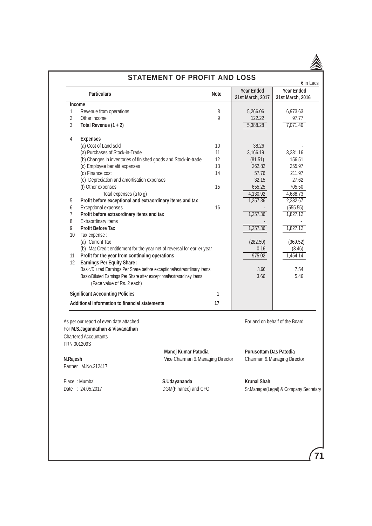| <b>STATEMENT OF PROFIT AND LOSS</b><br>$\overline{\mathbf{z}}$ in Lacs |                                                                                                              |                                   |             |                                       |                                       |  |
|------------------------------------------------------------------------|--------------------------------------------------------------------------------------------------------------|-----------------------------------|-------------|---------------------------------------|---------------------------------------|--|
|                                                                        | <b>Particulars</b>                                                                                           |                                   | <b>Note</b> | <b>Year Ended</b><br>31st March, 2017 | <b>Year Ended</b><br>31st March, 2016 |  |
| <b>Income</b>                                                          |                                                                                                              |                                   |             |                                       |                                       |  |
| 1                                                                      | Revenue from operations                                                                                      |                                   | 8           | 5,266.06                              | 6,973.63                              |  |
| $\overline{2}$                                                         | Other income                                                                                                 |                                   | 9           | 122.22                                | 97.77                                 |  |
| 3                                                                      | Total Revenue $(1 + 2)$                                                                                      |                                   |             | 5,388.28                              | 7,071.40                              |  |
| 4                                                                      | <b>Expenses</b>                                                                                              |                                   |             |                                       |                                       |  |
|                                                                        | (a) Cost of Land sold                                                                                        |                                   | 10          | 38.26                                 |                                       |  |
|                                                                        | (a) Purchases of Stock-in-Trade                                                                              |                                   | 11          | 3,166.19                              | 3,331.16                              |  |
|                                                                        | (b) Changes in inventories of finished goods and Stock-in-trade                                              |                                   | 12          | (81.51)                               | 156.51                                |  |
|                                                                        | (c) Employee benefit expenses                                                                                |                                   | 13          | 262.82                                | 255.97                                |  |
|                                                                        | (d) Finance cost                                                                                             |                                   | 14          | 57.76                                 | 211.97                                |  |
|                                                                        | (e) Depreciation and amortisation expenses                                                                   |                                   |             | 32.15                                 | 27.62                                 |  |
|                                                                        | (f) Other expenses                                                                                           |                                   | 15          | 655.25                                | 705.50                                |  |
|                                                                        | Total expenses (a to g)                                                                                      |                                   |             | 4,130.92                              | 4,688.73                              |  |
| 5                                                                      | Profit before exceptional and extraordinary items and tax                                                    |                                   |             | 1,257.36                              | 2,382.67                              |  |
| 6                                                                      | Exceptional expenses                                                                                         |                                   | 16          |                                       | (555.55)                              |  |
| $\overline{7}$                                                         | Profit before extraordinary items and tax                                                                    |                                   |             | 1,257.36                              | 1,827.12                              |  |
| 8                                                                      | Extraordinary items                                                                                          |                                   |             |                                       |                                       |  |
| 9                                                                      | <b>Profit Before Tax</b>                                                                                     |                                   |             | 1,257.36                              | 1,827.12                              |  |
| 10                                                                     |                                                                                                              |                                   |             |                                       |                                       |  |
|                                                                        | Tax expense :                                                                                                |                                   |             |                                       |                                       |  |
|                                                                        | (a) Current Tax                                                                                              |                                   |             | (282.50)                              | (369.52)                              |  |
|                                                                        | (b) Mat Credit entitlement for the year net of reversal for earlier year                                     |                                   |             | 0.16                                  | (3.46)                                |  |
| 11                                                                     | Profit for the year from continuing operations                                                               |                                   |             | 975.02                                | 1,454.14                              |  |
| 12                                                                     | <b>Earnings Per Equity Share:</b>                                                                            |                                   |             |                                       |                                       |  |
|                                                                        | Basic/Diluted Earnings Per Share before exceptional/extraordinary items                                      |                                   |             | 3.66                                  | 7.54                                  |  |
|                                                                        | Basic/Diluted Earnings Per Share after exceptional/extraordinay items<br>(Face value of Rs. 2 each)          |                                   |             | 3.66                                  | 5.46                                  |  |
|                                                                        |                                                                                                              |                                   |             |                                       |                                       |  |
|                                                                        | <b>Significant Accounting Policies</b><br>Additional information to financial statements                     |                                   | 1<br>17     |                                       |                                       |  |
|                                                                        |                                                                                                              |                                   |             |                                       |                                       |  |
| FRN 001209S                                                            | As per our report of even date attached<br>For M.S.Jagannathan & Visvanathan<br><b>Chartered Accountants</b> |                                   |             |                                       | For and on behalf of the Board        |  |
|                                                                        |                                                                                                              | Manoj Kumar Patodia               |             | <b>Purusottam Das Patodia</b>         |                                       |  |
| N.Rajesh                                                               |                                                                                                              | Vice Chairman & Managing Director |             |                                       | Chairman & Managing Director          |  |
|                                                                        | Partner M.No.212417                                                                                          |                                   |             |                                       |                                       |  |
|                                                                        |                                                                                                              |                                   |             |                                       |                                       |  |
|                                                                        | Place: Mumbai                                                                                                | S.Udayananda                      |             | <b>Krunal Shah</b>                    |                                       |  |
|                                                                        | Date: 24.05.2017                                                                                             | DGM(Finance) and CFO              |             |                                       | Sr.Manager(Legal) & Company Secretary |  |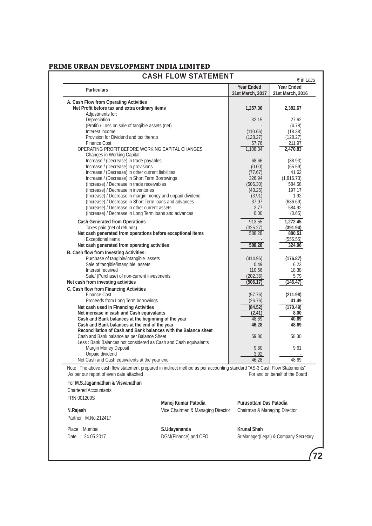| <b>Particulars</b>                                                                                                      |                                   | <b>Year Ended</b>             | <b>Year Ended</b>              |
|-------------------------------------------------------------------------------------------------------------------------|-----------------------------------|-------------------------------|--------------------------------|
|                                                                                                                         |                                   | 31st March, 2017              | 31st March, 2016               |
| A. Cash Flow from Operating Activities                                                                                  |                                   |                               |                                |
| Net Profit before tax and extra ordinary items                                                                          |                                   | 1,257.36                      | 2,382.67                       |
| Adjustments for:                                                                                                        |                                   |                               |                                |
| Depreciation                                                                                                            |                                   | 32.15                         | 27.62                          |
| (Profit) / Loss on sale of tangible assets (net)                                                                        |                                   |                               | (4.78)                         |
| Interest income                                                                                                         |                                   | (110.66)                      | (18.38)                        |
| Provision for Dividend and tax thereto                                                                                  |                                   | (128.27)                      | (128.27)                       |
| <b>Finance Cost</b>                                                                                                     |                                   | 57.76                         | 211.97                         |
| OPERATING PROFIT BEFORE WORKING CAPITAL CHANGES                                                                         |                                   | 1,108.34                      | 2,470.83                       |
| Changes in Working Capital:                                                                                             |                                   |                               |                                |
| Increase / (Decrease) in trade payables                                                                                 |                                   | 68.66                         | (88.93)                        |
| Increase / (Decrease) in provisions                                                                                     |                                   | (0.00)                        | (65.59)                        |
| Increase / (Decrease) in other current liabilities                                                                      |                                   | (77.67)                       | 41.62                          |
| Increase / (Decrease) in Short Term Borrowings                                                                          |                                   | 326.94                        | (1,816.73)                     |
| (Increase) / Decrease in trade receivables                                                                              |                                   | (506.30)                      | 584.58                         |
| (Increase) / Decrease in inventories                                                                                    |                                   | (43.25)                       | 197.17                         |
| (Increase) / Decrease in margin money and unpaid dividend                                                               |                                   | (3.91)                        | 1.92                           |
| (Increase) / Decrease in Short Term loans and advances                                                                  |                                   | 37.97                         | (636.69)                       |
| (Increase) / Decrease in other current assets                                                                           |                                   | 2.77                          | 584.92                         |
| (Increase) / Decrease in Long Term loans and advances                                                                   |                                   | 0.00                          | (0.65)                         |
| <b>Cash Generated from Operations</b>                                                                                   |                                   | 913.55                        | 1,272.45                       |
| Taxes paid (net of refunds)                                                                                             |                                   | (325.27)                      | (391.94)                       |
| Net cash generated from operations before exceptional items                                                             |                                   | 588.28                        | 880.51                         |
| <b>Exceptional items</b>                                                                                                |                                   |                               | (555.55)                       |
| Net cash generated from operating activities                                                                            |                                   | 588.28                        | 324.96                         |
| B. Cash flow from Investing Activities:                                                                                 |                                   |                               |                                |
| Purchase of tangible/intangible assets                                                                                  |                                   | (414.96)                      | (176.87)                       |
| Sale of tangible/intangible assets                                                                                      |                                   | 0.49                          | 6.23                           |
| Interest received                                                                                                       |                                   | 110.66                        | 18.38                          |
| Sale/ (Purchase) of non-current investments                                                                             |                                   | (202.36)                      | 5.79                           |
| Net cash from investing activities                                                                                      |                                   | (506.17)                      | (146.47)                       |
| C. Cash flow from Financing Activities                                                                                  |                                   |                               |                                |
| <b>Finance Cost</b>                                                                                                     |                                   | (57.76)                       | (211.98)                       |
| Proceeds from Long Term borrowings                                                                                      |                                   | (26.76)                       | 41.49                          |
| Net cash used in Financing Activities                                                                                   |                                   | (84.52)                       | (170.49)                       |
| Net increase in cash and Cash equivalants                                                                               |                                   | (2.41)                        | 8.00                           |
| Cash and Bank balances at the beginning of the year                                                                     |                                   | 48.69                         | 40.69                          |
| Cash and Bank balances at the end of the year<br>Reconciliation of Cash and Bank balances with the Balance sheet        |                                   | 46.28                         | 48.69                          |
| Cash and Bank balance as per Balance Sheet                                                                              |                                   | 59.80                         | 58.30                          |
| Less: Bank Balances not considered as Cash and Cash equivalents                                                         |                                   |                               |                                |
| Margin Money Deposit                                                                                                    |                                   | 9.60                          | 9.61                           |
| Unpaid dividend                                                                                                         |                                   | 3.92                          |                                |
| Net Cash and Cash equivalents at the year end                                                                           |                                   | 46.28                         | 48.69                          |
| Note : The above cash flow statement prepared in indirect method as per accounting standard "AS-3 Cash Flow Statements" |                                   |                               |                                |
|                                                                                                                         |                                   |                               | For and on behalf of the Board |
| As per our report of even date attached                                                                                 |                                   |                               |                                |
| For M.S.Jagannathan & Visvanathan                                                                                       |                                   |                               |                                |
| <b>Chartered Accountants</b>                                                                                            |                                   |                               |                                |
| FRN 001209S                                                                                                             |                                   |                               |                                |
|                                                                                                                         | Manoj Kumar Patodia               | <b>Purusottam Das Patodia</b> |                                |
| N.Rajesh                                                                                                                | Vice Chairman & Managing Director | Chairman & Managing Director  |                                |
| Partner M.No.212417                                                                                                     |                                   |                               |                                |
|                                                                                                                         |                                   |                               |                                |
|                                                                                                                         |                                   | <b>Krunal Shah</b>            |                                |
| Place: Mumbai                                                                                                           | S.Udayananda                      |                               |                                |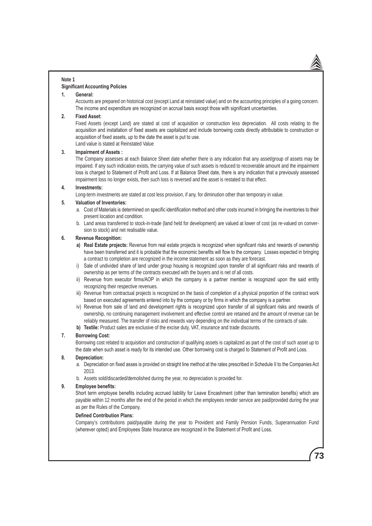#### **Note 1**

### **Significant Accounting Policies**

### **1. General:**

Accounts are prepared on historical cost (except Land at reinstated value) and on the accounting principles of a going concern. The income and expenditure are recognized on accrual basis except those with significant uncertainties.

#### **2. Fixed Asset:**

Fixed Assets (except Land) are stated at cost of acquisition or construction less depreciation. All costs relating to the acquisition and installation of fixed assets are capitalized and include borrowing costs directly attributable to construction or acquisition of fixed assets, up to the date the asset is put to use.

Land value is stated at Reinstated Value

### **3. Impairment of Assets :**

The Company assesses at each Balance Sheet date whether there is any indication that any asset/group of assets may be impaired. If any such indication exists, the carrying value of such assets is reduced to recoverable amount and the impairment loss is charged to Statement of Profit and Loss. If at Balance Sheet date, there is any indication that a previously assessed impairment loss no longer exists, then such loss is reversed and the asset is restated to that effect.

#### **4. Investments:**

Long-term investments are stated at cost less provision, if any, for diminution other than temporary in value.

### **5. Valuation of Inventories:**

- a. Cost of Materials is determined on specific identification method and other costs incurred in bringing the inventories to their present location and condition.
- b. Land areas transferred to stock-in-trade (land held for development) are valued at lower of cost (as re-valued on conversion to stock) and net realisable value.

### **6. Revenue Recognition:**

- **a) Real Estate projects:** Revenue from real estate projects is recognized when significant risks and rewards of ownership have been transferred and it is probable that the economic benefits will flow to the company. Losses expected in bringing a contract to completion are recognized in the income statement as soon as they are forecast.
- i) Sale of undivided share of land under group housing is recognized upon transfer of all significant risks and rewards of ownership as per terms of the contracts executed with the buyers and is net of all costs.
- ii) Revenue from executor firms/AOP in which the company is a partner member is recognized upon the said entity recognizing their respective revenues.
- iii) Revenue from contractual projects is recognized on the basis of completion of a physical proportion of the contract work based on executed agreements entered into by the company or by firms in which the company is a partner.
- iv) Revenue from sale of land and development rights is recognized upon transfer of all significant risks and rewards of ownership, no continuing management involvement and effective control are retained and the amount of revenue can be reliably measured. The transfer of risks and rewards vary depending on the individual terms of the contracts of sale.
- **b) Textile:** Product sales are exclusive of the excise duty, VAT, insurance and trade discounts.

#### **7. Borrowing Cost:**

Borrowing cost related to acquisition and construction of qualifying assets is capitalized as part of the cost of such asset up to the date when such asset is ready for its intended use. Other borrowing cost is charged to Statement of Profit and Loss.

#### **8. Depreciation:**

- a. Depreciation on fixed asses is provided on straight line method at the rates prescribed in Schedule II to the Companies Act 2013.
- b. Assets sold/discarded/demolished during the year, no depreciation is provided for.

#### **9. Employee benefits:**

Short term employee benefits including accrued liability for Leave Encashment (other than termination benefits) which are payable within 12 months after the end of the period in which the employees render service are paid/provided during the year as per the Rules of the Company.

#### **Defined Contribution Plans:**

Company's contributions paid/payable during the year to Provident and Family Pension Funds, Superannuation Fund (wherever opted) and Employees State Insurance are recognized in the Statement of Profit and Loss.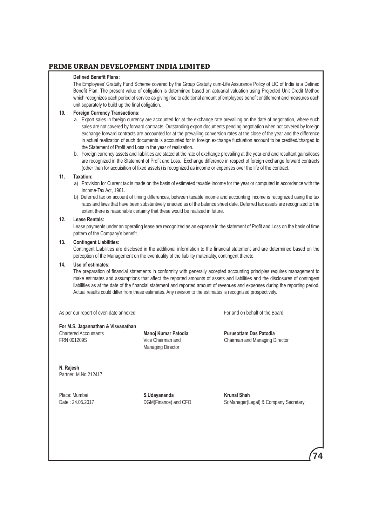### **Defined Benefit Plans:**

The Employees' Gratuity Fund Scheme covered by the Group Gratuity cum-Life Assurance Policy of LIC of India is a Defined Benefit Plan. The present value of obligation is determined based on actuarial valuation using Projected Unit Credit Method which recognizes each period of service as giving rise to additional amount of employees benefit entitlement and measures each unit separately to build up the final obligation.

### **10. Foreign Currency Transactions:**

- a. Export sales in foreign currency are accounted for at the exchange rate prevailing on the date of negotiation, where such sales are not covered by forward contracts. Outstanding export documents pending negotiation when not covered by foreign exchange forward contracts are accounted for at the prevailing conversion rates at the close of the year and the difference in actual realization of such documents is accounted for in foreign exchange fluctuation account to be credited/charged to the Statement of Profit and Loss in the year of realization.
- b. Foreign currency assets and liabilities are stated at the rate of exchange prevailing at the year-end and resultant gains/loses are recognized in the Statement of Profit and Loss. Exchange difference in respect of foreign exchange forward contracts (other than for acquisition of fixed assets) is recognized as income or expenses over the life of the contract.

#### **11. Taxation:**

- a) Provision for Current tax is made on the basis of estimated taxable income for the year or computed in accordance with the Income-Tax Act, 1961.
- b) Deferred tax on account of timing differences, between taxable income and accounting income is recognized using the tax rates and laws that have been substantively enacted as of the balance sheet date. Deferred tax assets are recognized to the extent there is reasonable certainty that these would be realized in future.

#### **12. Lease Rentals:**

Lease payments under an operating lease are recognized as an expense in the statement of Profit and Loss on the basis of time pattern of the Company's benefit.

#### **13. Contingent Liabilities:**

Contingent Liabilities are disclosed in the additional information to the financial statement and are determined based on the perception of the Management on the eventuality of the liability materiality, contingent thereto.

#### **14. Use of estimates:**

The preparation of financial statements in conformity with generally accepted accounting principles requires management to make estimates and assumptions that affect the reported amounts of assets and liabilities and the disclosures of contingent liabilities as at the date of the financial statement and reported amount of revenues and expenses during the reporting period. Actual results could differ from these estimates. Any revision to the estimates is recognized prospectively.

As per our report of even date annexed For and on behalf of the Board

**For M.S. Jagannathan & Visvanathan** Chartered Accountants **Manoj Kumar Patodia Purusottam Das Patodia**

Managing Director

FRN 001209S Vice Chairman and Chairman and Managing Director

**N. Rajesh**  Partner: M.No.212417

Place: Mumbai **S.Udayananda Krunal Shah**

Date : 24.05.2017 **DGM**(Finance) and CFO ST.Manager(Legal) & Company Secretary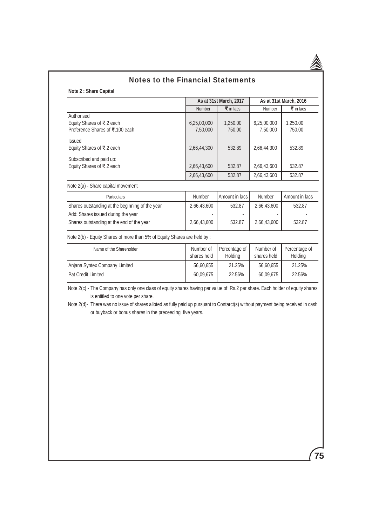

# Notes to the Financial Statements

**Note 2 : Share Capital**

|                          |                                                                                                                                        |                          | As at 31st March, 2016          |
|--------------------------|----------------------------------------------------------------------------------------------------------------------------------------|--------------------------|---------------------------------|
| Number                   | $\overline{\mathbf{z}}$ in lacs                                                                                                        | Number                   | $\overline{\mathbf{z}}$ in lacs |
| 6,25,00,000<br>7,50,000  | 1,250.00<br>750.00                                                                                                                     | 6,25,00,000<br>7,50,000  | 1,250.00<br>750.00              |
| 2,66,44,300              | 532.89                                                                                                                                 | 2,66,44,300              | 532.89                          |
| 2,66,43,600              | 532.87                                                                                                                                 | 2,66,43,600              | 532.87                          |
| 2,66,43,600              | 532.87                                                                                                                                 | 2,66,43,600              | 532.87                          |
|                          |                                                                                                                                        |                          |                                 |
| Number                   | Amount in lacs                                                                                                                         | Number                   | Amount in lacs                  |
| 2,66,43,600              | 532.87                                                                                                                                 | 2,66,43,600              | 532.87                          |
| 2,66,43,600              | 532.87                                                                                                                                 | 2,66,43,600              | 532.87                          |
|                          |                                                                                                                                        |                          |                                 |
| Number of<br>shares held | Percentage of<br>Holding                                                                                                               | Number of<br>shares held | Percentage of<br>Holding        |
| 56,60,655                | 21.25%                                                                                                                                 | 56,60,655                | 21.25%                          |
|                          |                                                                                                                                        |                          |                                 |
| 60,09,675                | 22.56%<br>Note 2(c) - The Company has only one class of equity shares having par value of Rs.2 per share. Each holder of equity shares | 60,09,675                | 22.56%                          |
|                          | Note 2(b) - Equity Shares of more than 5% of Equity Shares are held by :                                                               | As at 31st March, 2017   |                                 |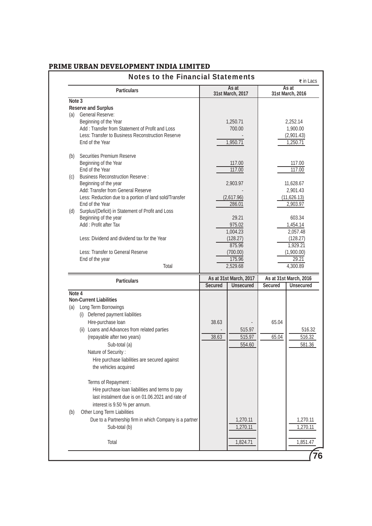|        | <b>Notes to the Financial Statements</b>                |                |                                            |                                          | $\overline{\mathbf{z}}$ in Lacs |
|--------|---------------------------------------------------------|----------------|--------------------------------------------|------------------------------------------|---------------------------------|
|        | <b>Particulars</b>                                      |                | As at<br>31st March, 2017                  |                                          | As at<br>31st March, 2016       |
| Note 3 |                                                         |                |                                            |                                          |                                 |
|        | <b>Reserve and Surplus</b>                              |                |                                            |                                          |                                 |
| (a)    | <b>General Reserve:</b>                                 |                |                                            |                                          |                                 |
|        | Beginning of the Year                                   |                | 1,250.71                                   |                                          | 2,252.14                        |
|        | Add: Transfer from Statement of Profit and Loss         |                | 700.00                                     |                                          | 1,900.00                        |
|        | Less: Transfer to Business Reconstruction Reserve       |                |                                            |                                          | (2,901.43)                      |
|        | End of the Year                                         |                | 1,950.71                                   |                                          | 1,250.71                        |
| (b)    | Securities Premium Reserve                              |                |                                            |                                          |                                 |
|        | Beginning of the Year                                   |                | 117.00                                     |                                          | 117.00                          |
|        | End of the Year                                         |                | 117.00                                     |                                          | 117.00                          |
|        | (c) Business Reconstruction Reserve :                   |                |                                            |                                          |                                 |
|        | Beginning of the year                                   |                | 2,903.97                                   |                                          | 11,628.67                       |
|        | Add: Transfer from General Reserve                      |                |                                            |                                          | 2,901.43                        |
|        | Less: Reduction due to a portion of land sold/Transfer  |                | (2,617.96)                                 |                                          | (11,626.13)                     |
|        | End of the Year                                         |                | 286.01                                     |                                          | 2,903.97                        |
|        | (d) Surplus/(Deficit) in Statement of Profit and Loss   |                |                                            |                                          |                                 |
|        | Beginning of the year                                   |                | 29.21                                      |                                          | 603.34                          |
|        | Add: Profit after Tax                                   |                | 975.02                                     |                                          | 1,454.14                        |
|        |                                                         |                | 1,004.23                                   |                                          | 2,057.48                        |
|        | Less: Dividend and dividend tax for the Year            |                | (128.27)                                   |                                          | (128.27)                        |
|        |                                                         |                | 875.96                                     |                                          | 1,929.21                        |
|        | Less: Transfer to General Reserve                       |                | (700.00)<br>175.96                         |                                          | (1,900.00)<br>29.21             |
|        | End of the year<br>Total                                |                | 2,529.68                                   |                                          | 4,300.89                        |
|        |                                                         |                |                                            |                                          |                                 |
|        | <b>Particulars</b>                                      | <b>Secured</b> | As at 31st March, 2017<br><b>Unsecured</b> | As at 31st March, 2016<br><b>Secured</b> | <b>Unsecured</b>                |
| Note 4 |                                                         |                |                                            |                                          |                                 |
|        | <b>Non-Current Liabilities</b>                          |                |                                            |                                          |                                 |
| (a)    | Long Term Borrowings                                    |                |                                            |                                          |                                 |
|        | (i) Deferred payment liabilities                        |                |                                            |                                          |                                 |
|        |                                                         |                |                                            |                                          |                                 |
|        | Hire-purchase loan                                      | 38.63          |                                            | 65.04                                    |                                 |
|        | (ii) Loans and Advances from related parties            |                | 515.97                                     |                                          |                                 |
|        | (repayable after two years)                             | 38.63          | 515.97                                     | 65.04                                    |                                 |
|        | Sub-total (a)                                           |                | 554.60                                     |                                          |                                 |
|        | Nature of Security:                                     |                |                                            |                                          |                                 |
|        | Hire purchase liabilities are secured against           |                |                                            |                                          |                                 |
|        | the vehicles acquired                                   |                |                                            |                                          |                                 |
|        |                                                         |                |                                            |                                          |                                 |
|        | Terms of Repayment :                                    |                |                                            |                                          |                                 |
|        | Hire purchase loan liabilities and terms to pay         |                |                                            |                                          | 516.32<br>516.32<br>581.36      |
|        | last instalment due is on 01.06.2021 and rate of        |                |                                            |                                          |                                 |
|        | interest is 9.50 % per annum.                           |                |                                            |                                          |                                 |
| (b)    | Other Long Term Liabilities                             |                |                                            |                                          |                                 |
|        | Due to a Partnership firm in which Company is a partner |                | 1,270.11                                   |                                          |                                 |
|        | Sub-total (b)                                           |                | 1,270.11                                   |                                          | 1,270.11<br>1,270.11            |
|        | Total                                                   |                | 1,824.71                                   |                                          | 1,851.47                        |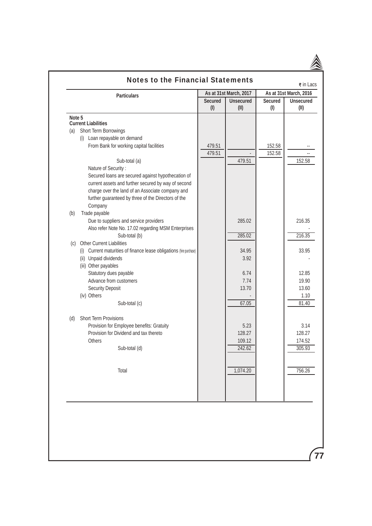| <b>Particulars</b><br><b>Current Liabilities</b><br>Short Term Borrowings<br>(i) Loan repayable on demand<br>From Bank for working capital facilities<br>Sub-total (a)<br>Nature of Security:<br>Secured loans are secured against hypothecation of<br>current assets and further secured by way of second | <b>Secured</b><br>(1)<br>479.51<br>479.51                                                                                                                                                                                                                                                                                                                                              | As at 31st March, 2017<br><b>Unsecured</b><br>(II) | As at 31st March, 2016<br><b>Secured</b><br>(1)<br>152.58 | <b>Unsecured</b><br>(II) |
|------------------------------------------------------------------------------------------------------------------------------------------------------------------------------------------------------------------------------------------------------------------------------------------------------------|----------------------------------------------------------------------------------------------------------------------------------------------------------------------------------------------------------------------------------------------------------------------------------------------------------------------------------------------------------------------------------------|----------------------------------------------------|-----------------------------------------------------------|--------------------------|
|                                                                                                                                                                                                                                                                                                            |                                                                                                                                                                                                                                                                                                                                                                                        |                                                    |                                                           |                          |
|                                                                                                                                                                                                                                                                                                            |                                                                                                                                                                                                                                                                                                                                                                                        |                                                    |                                                           |                          |
|                                                                                                                                                                                                                                                                                                            |                                                                                                                                                                                                                                                                                                                                                                                        |                                                    |                                                           |                          |
|                                                                                                                                                                                                                                                                                                            |                                                                                                                                                                                                                                                                                                                                                                                        |                                                    |                                                           |                          |
|                                                                                                                                                                                                                                                                                                            |                                                                                                                                                                                                                                                                                                                                                                                        |                                                    |                                                           |                          |
|                                                                                                                                                                                                                                                                                                            |                                                                                                                                                                                                                                                                                                                                                                                        |                                                    | 152.58                                                    |                          |
|                                                                                                                                                                                                                                                                                                            |                                                                                                                                                                                                                                                                                                                                                                                        | 479.51                                             |                                                           | 152.58                   |
|                                                                                                                                                                                                                                                                                                            |                                                                                                                                                                                                                                                                                                                                                                                        |                                                    |                                                           |                          |
|                                                                                                                                                                                                                                                                                                            |                                                                                                                                                                                                                                                                                                                                                                                        |                                                    |                                                           |                          |
|                                                                                                                                                                                                                                                                                                            |                                                                                                                                                                                                                                                                                                                                                                                        |                                                    |                                                           |                          |
| charge over the land of an Associate company and                                                                                                                                                                                                                                                           |                                                                                                                                                                                                                                                                                                                                                                                        |                                                    |                                                           |                          |
| further guaranteed by three of the Directors of the                                                                                                                                                                                                                                                        |                                                                                                                                                                                                                                                                                                                                                                                        |                                                    |                                                           |                          |
| Company                                                                                                                                                                                                                                                                                                    |                                                                                                                                                                                                                                                                                                                                                                                        |                                                    |                                                           |                          |
| Trade payable                                                                                                                                                                                                                                                                                              |                                                                                                                                                                                                                                                                                                                                                                                        |                                                    |                                                           |                          |
|                                                                                                                                                                                                                                                                                                            |                                                                                                                                                                                                                                                                                                                                                                                        |                                                    |                                                           | 216.35                   |
|                                                                                                                                                                                                                                                                                                            |                                                                                                                                                                                                                                                                                                                                                                                        |                                                    |                                                           |                          |
|                                                                                                                                                                                                                                                                                                            |                                                                                                                                                                                                                                                                                                                                                                                        |                                                    |                                                           | 216.35                   |
|                                                                                                                                                                                                                                                                                                            |                                                                                                                                                                                                                                                                                                                                                                                        |                                                    |                                                           |                          |
|                                                                                                                                                                                                                                                                                                            |                                                                                                                                                                                                                                                                                                                                                                                        | 34.95                                              |                                                           | 33.95                    |
|                                                                                                                                                                                                                                                                                                            |                                                                                                                                                                                                                                                                                                                                                                                        | 3.92                                               |                                                           |                          |
| (iii) Other payables                                                                                                                                                                                                                                                                                       |                                                                                                                                                                                                                                                                                                                                                                                        |                                                    |                                                           |                          |
| Statutory dues payable                                                                                                                                                                                                                                                                                     |                                                                                                                                                                                                                                                                                                                                                                                        | 6.74                                               |                                                           | 12.85                    |
| Advance from customers                                                                                                                                                                                                                                                                                     |                                                                                                                                                                                                                                                                                                                                                                                        | 7.74                                               |                                                           | 19.90                    |
| <b>Security Deposit</b>                                                                                                                                                                                                                                                                                    |                                                                                                                                                                                                                                                                                                                                                                                        | 13.70                                              |                                                           | 13.60                    |
| (iv) Others                                                                                                                                                                                                                                                                                                |                                                                                                                                                                                                                                                                                                                                                                                        |                                                    |                                                           | 1.10                     |
| Sub-total (c)                                                                                                                                                                                                                                                                                              |                                                                                                                                                                                                                                                                                                                                                                                        | 67.05                                              |                                                           | 81.40                    |
|                                                                                                                                                                                                                                                                                                            |                                                                                                                                                                                                                                                                                                                                                                                        |                                                    |                                                           |                          |
|                                                                                                                                                                                                                                                                                                            |                                                                                                                                                                                                                                                                                                                                                                                        |                                                    |                                                           | 3.14                     |
|                                                                                                                                                                                                                                                                                                            |                                                                                                                                                                                                                                                                                                                                                                                        |                                                    |                                                           | 128.27                   |
|                                                                                                                                                                                                                                                                                                            |                                                                                                                                                                                                                                                                                                                                                                                        |                                                    |                                                           | 174.52                   |
|                                                                                                                                                                                                                                                                                                            |                                                                                                                                                                                                                                                                                                                                                                                        |                                                    |                                                           | 305.93                   |
|                                                                                                                                                                                                                                                                                                            |                                                                                                                                                                                                                                                                                                                                                                                        |                                                    |                                                           |                          |
| Total                                                                                                                                                                                                                                                                                                      |                                                                                                                                                                                                                                                                                                                                                                                        | 1,074.20                                           |                                                           | 756.26                   |
|                                                                                                                                                                                                                                                                                                            |                                                                                                                                                                                                                                                                                                                                                                                        |                                                    |                                                           |                          |
|                                                                                                                                                                                                                                                                                                            | Due to suppliers and service providers<br>Also refer Note No. 17.02 regarding MSM Enterprises<br>Sub-total (b)<br>Other Current Liabilities<br>(i) Current maturities of finance lease obligations (hire purchase)<br>(ii) Unpaid dividends<br>Short Term Provisions<br>Provision for Employee benefits: Gratuity<br>Provision for Dividend and tax thereto<br>Others<br>Sub-total (d) |                                                    | 285.02<br>285.02<br>5.23<br>128.27<br>109.12<br>242.62    |                          |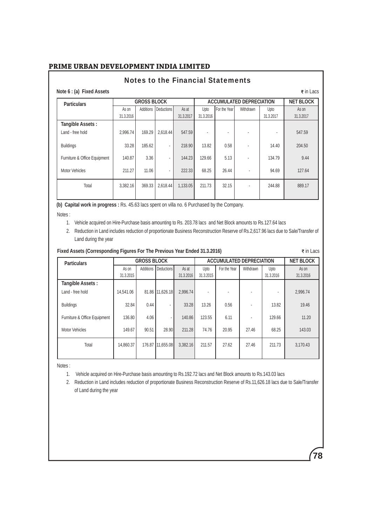# **Note 6 : (a) Fixed Assets**  $\vec{\epsilon}$  in Lacs **Particulars GROSS BLOCK GROSS BLOCK ACCUMULATED DEPRECIATION NET BLOCK As on Additions Deductions As at** Upto **For the Year** Withdrawn **Upto As on** As on Additions Deductions 31.3.2016 31.3.2017 31.3.2016 31.3.2017 31.3.2017  **Tangible Assets :**  Land - free hold 2,996.74 | 169.29 | 2,618.44 | 547.59 | | | | | | | | | | | | | | | 547.59 Buildings 33.28 185.62 - 218.90 13.82 0.58 - 14.40 204.50 Furniture & Office Equipment | 140.87 | 3.36 | 144.23 129.66 | 5.13 | 134.79 | 9.44 Motor Vehicles 211.27 11.06 - 222.33 68.25 26.44 - 94.69 127.64 l Total 3,382.16 369.33 2,618.44 1,133.05 211.73 32.15 - 244.88 889.17 Notes to the Financial Statements

**(b) Capital work in progress :** Rs. 45.63 lacs spent on villa no. 6 Purchased by the Company.

Notes :

- 1. Vehicle acquired on Hire-Purchase basis amounting to Rs. 203.78 lacs and Net Block amounts to Rs.127.64 lacs
- 2. Reduction in Land includes reduction of proportionate Business Reconstruction Reserve of Rs.2,617.96 lacs due to Sale/Transfer of Land during the year

| Fixed Assets (Corresponding Figures For The Previous Year Ended 31.3.2016) |                    |           |                 |                                 |                   |              |           |                   |                    |
|----------------------------------------------------------------------------|--------------------|-----------|-----------------|---------------------------------|-------------------|--------------|-----------|-------------------|--------------------|
| <b>Particulars</b>                                                         | <b>GROSS BLOCK</b> |           |                 | <b>ACCUMULATED DEPRECIATION</b> |                   |              |           | <b>NET BLOCK</b>  |                    |
|                                                                            | As on<br>31.3.2015 | Additions | Deductions      | As at<br>31.3.2016              | Upto<br>31.3.2015 | For the Year | Withdrawn | Upto<br>31.3.2016 | As on<br>31.3.2016 |
| <b>Tangible Assets:</b>                                                    |                    |           |                 |                                 |                   |              |           |                   |                    |
| Land - free hold                                                           | 14.541.06          |           | 81.86 11,626.18 | 2,996.74                        |                   |              |           |                   | 2,996.74           |
| <b>Buildings</b>                                                           | 32.84              | 0.44      | ٠               | 33.28                           | 13.26             | 0.56         |           | 13.82             | 19.46              |
| Furniture & Office Equipment                                               | 136.80             | 4.06      |                 | 140.86                          | 123.55            | 6.11         |           | 129.66            | 11.20              |
| <b>Motor Vehicles</b>                                                      | 149.67             | 90.51     | 28.90           | 211.28                          | 74.76             | 20.95        | 27.46     | 68.25             | 143.03             |
| Total                                                                      | 14.860.37          | 176.87    | 11,655.08       | 3,382.16                        | 211.57            | 27.62        | 27.46     | 211.73            | 3,170.43           |
|                                                                            |                    |           |                 |                                 |                   |              |           |                   |                    |

Notes :

1. Vehicle acquired on Hire-Purchase basis amounting to Rs.192.72 lacs and Net Block amounts to Rs.143.03 lacs

 2. Reduction in Land includes reduction of proportionate Business Reconstruction Reserve of Rs.11,626.18 lacs due to Sale/Transfer of Land during the year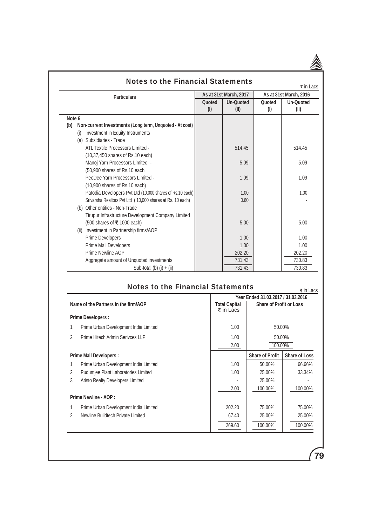|                                                                |               |                           | $\overline{\mathbf{z}}$ in Lacs |                          |
|----------------------------------------------------------------|---------------|---------------------------|---------------------------------|--------------------------|
| <b>Particulars</b>                                             |               | As at 31st March, 2017    | As at 31st March, 2016          |                          |
|                                                                | Quoted<br>(1) | <b>Un-Quoted</b><br>(III) | Quoted<br>(1)                   | <b>Un-Quoted</b><br>(II) |
| Note 6                                                         |               |                           |                                 |                          |
| Non-current Investments (Long term, Unquoted - At cost)<br>(b) |               |                           |                                 |                          |
| Investment in Equity Instruments                               |               |                           |                                 |                          |
| (a) Subsidiaries - Trade                                       |               |                           |                                 |                          |
| ATL Textile Processors Limited -                               |               | 514.45                    |                                 | 514.45                   |
| (10,37,450 shares of Rs.10 each)                               |               |                           |                                 |                          |
| Manoj Yarn Processors Limited -                                |               | 5.09                      |                                 | 5.09                     |
| (50,900 shares of Rs.10 each                                   |               |                           |                                 |                          |
| PeeDee Yarn Processors Limited -                               |               | 1.09                      |                                 | 1.09                     |
| $(10,900$ shares of Rs.10 each)                                |               |                           |                                 |                          |
| Patodia Developers Pvt Ltd (10,000 shares of Rs.10 each)       |               | 1.00                      |                                 | 1.00                     |
| Srivarsha Realtors Pvt Ltd (10,000 shares at Rs. 10 each)      |               | 0.60                      |                                 |                          |
| (b) Other entities - Non-Trade                                 |               |                           |                                 |                          |
| Tirupur Infrastructure Development Company Limited             |               |                           |                                 |                          |
| (500 shares of ₹.1000 each)                                    |               | 5.00                      |                                 | 5.00                     |
| (ii) Investment in Partnership firms/AOP                       |               |                           |                                 |                          |
| <b>Prime Developers</b>                                        |               | 1.00                      |                                 | 1.00                     |
| <b>Prime Mall Developers</b>                                   |               | 1.00                      |                                 | 1.00                     |
| Prime Newline AOP                                              |               | 202.20                    |                                 | 202.20                   |
| Aggregate amount of Unquoted investments                       |               | 731.43                    |                                 | 730.83                   |
| Sub-total (b) $(i) + (ii)$                                     |               | 731.43                    |                                 | 730.83                   |

# Notes to the Financial Statements  $\frac{1}{2}$  in Lacs

|               |                                       |                                   | Year Ended 31.03.2017 / 31.03.2016 |                      |
|---------------|---------------------------------------|-----------------------------------|------------------------------------|----------------------|
|               | Name of the Partners in the firm/AOP  | <b>Total Capital</b><br>₹ in Lacs | <b>Share of Profit or Loss</b>     |                      |
|               | <b>Prime Developers:</b>              |                                   |                                    |                      |
|               | Prime Urban Development India Limited | 1.00                              |                                    | 50.00%               |
| $\mathcal{P}$ | Prime Hitech Admin Serivces LLP       | 1.00                              | 50.00%                             |                      |
|               |                                       | 2.00                              | 100.00%                            |                      |
|               | <b>Prime Mall Developers:</b>         |                                   | <b>Share of Profit</b>             | <b>Share of Loss</b> |
|               | Prime Urban Development India Limited | 1.00                              | 50.00%                             | 66.66%               |
| 2             | Pudumiee Plant Laboratories Limited   | 1.00                              | 25.00%                             | 33.34%               |
| 3             | Aristo Realty Developers Limited      |                                   | 25.00%                             |                      |
|               |                                       | 2.00                              | 100.00%                            | 100.00%              |
|               | Prime Newline - AOP :                 |                                   |                                    |                      |
|               | Prime Urban Development India Limited | 202.20                            | 75.00%                             | 75.00%               |
| 2             | Newline Buildtech Private Limited     | 67.40                             | 25.00%                             | 25,00%               |
|               |                                       | 269.60                            | 100.00%                            | 100.00%              |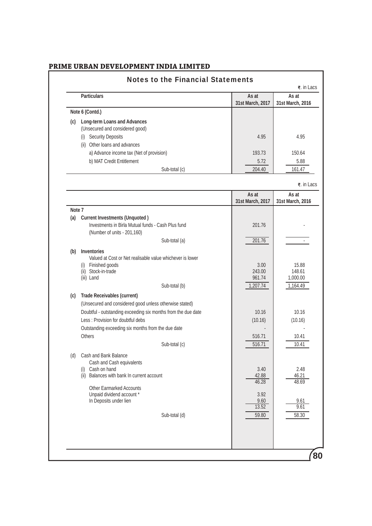|        | <b>Particulars</b>                                                                | As at<br>31st March, 2017 | As at<br>31st March, 2016 |
|--------|-----------------------------------------------------------------------------------|---------------------------|---------------------------|
|        | Note 6 (Contd.)                                                                   |                           |                           |
| (c)    | <b>Long-term Loans and Advances</b>                                               |                           |                           |
|        | (Unsecured and considered good)                                                   |                           |                           |
|        | (i) Security Deposits                                                             | 4.95                      | 4.95                      |
|        | (ii) Other loans and advances                                                     |                           |                           |
|        | a) Advance income tax (Net of provision)                                          | 193.73                    | 150.64                    |
|        | b) MAT Credit Entitlement                                                         | 5.72                      | 5.88                      |
|        | Sub-total (c)                                                                     | 204.40                    | 161.47                    |
|        |                                                                                   |                           | ₹. in Lacs                |
|        |                                                                                   | As at                     | As at                     |
| Note 7 |                                                                                   | 31st March, 2017          | 31st March, 2016          |
|        | (a) Current Investments (Unquoted)                                                |                           |                           |
|        | Investments in Birla Mutual funds - Cash Plus fund<br>(Number of units - 201,160) | 201.76                    |                           |
|        | Sub-total (a)                                                                     | 201.76                    |                           |
|        | (b) Inventories                                                                   |                           |                           |
|        | Valued at Cost or Net realisable value whichever is lower                         |                           |                           |
|        | (i) Finished goods<br>(ii) Stock-in-trade                                         | 3.00                      | 15.88                     |
|        | (iii) Land                                                                        | 243.00<br>961.74          | 148.61<br>1,000.00        |
|        | Sub-total (b)                                                                     | 1,207.74                  | 1,164.49                  |
| (c)    | <b>Trade Receivables (current)</b>                                                |                           |                           |
|        | (Unsecured and considered good unless otherwise stated)                           |                           |                           |
|        | Doubtful - outstanding exceeding six months from the due date                     | 10.16                     | 10.16                     |
|        | Less: Provision for doubtful debs                                                 | (10.16)                   | (10.16)                   |
|        | Outstanding exceeding six months from the due date                                |                           |                           |
|        | <b>Others</b>                                                                     | 516.71                    | 10.41                     |
|        | Sub-total (c)                                                                     | 516.71                    | 10.41                     |
| (d)    | Cash and Bank Balance                                                             |                           |                           |
|        | Cash and Cash equivalents                                                         |                           |                           |
|        | (i) Cash on hand<br>(ii) Balances with bank In current account                    | 3.40<br>42.88             | 2.48<br>46.21             |
|        |                                                                                   | 46.28                     | 48.69                     |
|        | <b>Other Earmarked Accounts</b><br>Unpaid dividend account *                      | 3.92                      |                           |
|        | In Deposits under lien                                                            | 9.60                      | 9.61                      |
|        |                                                                                   | 13.52                     | 9.61                      |
|        | Sub-total (d)                                                                     | 59.80                     | 58.30                     |
|        |                                                                                   |                           |                           |
|        |                                                                                   |                           |                           |
|        |                                                                                   |                           |                           |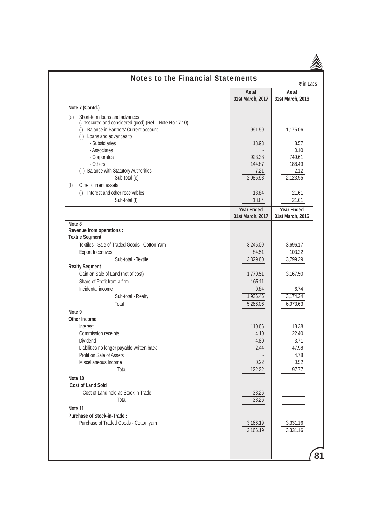|         | <b>Notes to the Financial Statements</b>              |                                       | ₹ in Lacs                             |
|---------|-------------------------------------------------------|---------------------------------------|---------------------------------------|
|         |                                                       | As at<br>31st March, 2017             | As at<br>31st March, 2016             |
|         | Note 7 (Contd.)                                       |                                       |                                       |
| (e)     | Short-term loans and advances                         |                                       |                                       |
|         | (Unsecured and considered good) (Ref.: Note No.17.10) |                                       |                                       |
|         | Balance in Partners' Current account<br>(i)           | 991.59                                | 1,175.06                              |
|         | (ii) Loans and advances to:                           |                                       |                                       |
|         | - Subsidiaries                                        | 18.93                                 | 8.57                                  |
|         | - Associates<br>- Corporates                          | 923.38                                | 0.10<br>749.61                        |
|         | - Others                                              | 144.87                                | 188.49                                |
|         | (iii) Balance with Statutory Authorities              | 7.21                                  | 2.12                                  |
|         | Sub-total (e)                                         | 2,085.98                              | 2,123.95                              |
| (f)     | Other current assets                                  |                                       |                                       |
|         | Interest and other receivables<br>(i)                 | 18.84                                 | 21.61                                 |
|         | Sub-total (f)                                         | 18.84                                 | 21.61                                 |
|         |                                                       |                                       |                                       |
|         |                                                       | <b>Year Ended</b><br>31st March, 2017 | <b>Year Ended</b><br>31st March, 2016 |
| Note 8  |                                                       |                                       |                                       |
|         | Revenue from operations :                             |                                       |                                       |
|         | <b>Textile Segment</b>                                |                                       |                                       |
|         | Textiles - Sale of Traded Goods - Cotton Yarn         | 3,245.09                              | 3,696.17                              |
|         | <b>Export Incentives</b>                              | 84.51                                 | 103.22                                |
|         | Sub-total - Textile                                   | 3,329.60                              | 3,799.39                              |
|         | <b>Realty Segment</b>                                 |                                       |                                       |
|         | Gain on Sale of Land (net of cost)                    | 1,770.51                              | 3,167.50                              |
|         | Share of Profit from a firm                           | 165.11                                |                                       |
|         | Incidental income                                     | 0.84                                  | 6.74                                  |
|         | Sub-total - Realty                                    | 1,936.46                              | 3,174.24                              |
|         | Total                                                 | 5,266.06                              | 6,973.63                              |
| Note 9  |                                                       |                                       |                                       |
|         | <b>Other Income</b>                                   |                                       |                                       |
|         | Interest                                              | 110.66                                | 18.38                                 |
|         | Commission receipts                                   | 4.10                                  | 22.40                                 |
|         | <b>Dividend</b>                                       | 4.80                                  | 3.71                                  |
|         | Liabilities no longer payable written back            | 2.44                                  | 47.98                                 |
|         | Profit on Sale of Assets                              |                                       | 4.78                                  |
|         | Miscellaneous Income<br>Total                         | 0.22<br>122.22                        | 0.52<br>97.77                         |
|         |                                                       |                                       |                                       |
| Note 10 |                                                       |                                       |                                       |
|         | <b>Cost of Land Sold</b>                              |                                       |                                       |
|         | Cost of Land held as Stock in Trade                   | 38.26                                 |                                       |
|         | Total                                                 | 38.26                                 |                                       |
| Note 11 |                                                       |                                       |                                       |
|         | <b>Purchase of Stock-in-Trade:</b>                    |                                       |                                       |
|         | Purchase of Traded Goods - Cotton yarn                | 3,166.19                              | 3,331.16                              |
|         |                                                       | 3,166.19                              | 3,331.16                              |
|         |                                                       |                                       |                                       |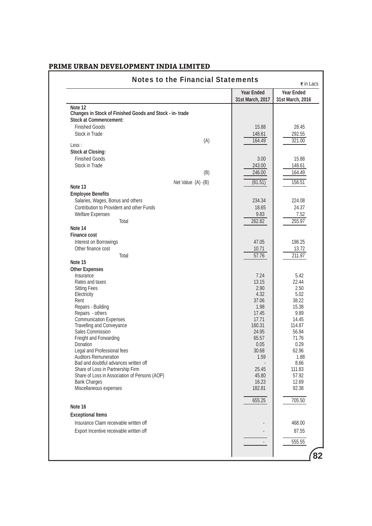|                                                                            | <b>Year Ended</b> | <b>Year Ended</b> |
|----------------------------------------------------------------------------|-------------------|-------------------|
|                                                                            | 31st March, 2017  | 31st March, 2016  |
| Note 12                                                                    |                   |                   |
| Changes in Stock of Finished Goods and Stock - in-trade                    |                   |                   |
| <b>Stock at Commencement:</b>                                              |                   |                   |
| <b>Finished Goods</b>                                                      | 15.88             | 28.45             |
| Stock in Trade                                                             | 148.61            | 292.55            |
| (A)<br>Less:                                                               | 164.49            | 321.00            |
| <b>Stock at Closing:</b>                                                   |                   |                   |
| <b>Finished Goods</b>                                                      | 3.00              | 15.88             |
| Stock in Trade                                                             | 243.00            | 148.61            |
| (B)                                                                        | 246.00            | 164.49            |
|                                                                            |                   |                   |
| Net Value (A) -(B)<br>Note 13                                              | (81.51)           | 156.51            |
| <b>Employee Benefits</b>                                                   |                   |                   |
| Salaries, Wages, Bonus and others                                          | 234.34            | 224.08            |
| Contribution to Provident and other Funds                                  | 18.65             | 24.37             |
| <b>Welfare Expenses</b>                                                    | 9.83              | 7.52              |
| Total                                                                      | 262.82            | 255.97            |
| Note 14                                                                    |                   |                   |
| <b>Finance cost</b>                                                        |                   |                   |
| Interest on Borrowings                                                     | 47.05             | 198.25            |
| Other finance cost                                                         | 10.71             | 13.72             |
| Total                                                                      | 57.76             | 211.97            |
| Note 15                                                                    |                   |                   |
| <b>Other Expenses</b><br>Insurance                                         | 7.24              | 5.42              |
| Rates and taxes                                                            | 13.15             | 22.44             |
| <b>Sitting Fees</b>                                                        | 2.90              | 2.50              |
| Electricity                                                                | 4.32              | 5.02              |
| Rent                                                                       | 37.06             | 38.22             |
| Repairs - Building                                                         | 1.98              | 15.38             |
| Repairs - others                                                           | 17.45             | 9.89              |
| <b>Communication Expenses</b><br><b>Travelling and Conveyance</b>          | 17.71<br>160.31   | 14.45<br>114.87   |
| Sales Commission                                                           | 24.95             | 56.94             |
| Freight and Forwarding                                                     | 65.57             | 71.76             |
| Donation                                                                   | 0.05              | 0.29              |
| Legal and Professional fees                                                | 30.68             | 62.96             |
| <b>Auditors Remuneration</b>                                               | 1.59              | 1.88              |
| Bad and doubtful advances written off<br>Share of Loss in Partnership Firm | 25.45             | 8.66<br>111.83    |
| Share of Loss in Association of Persons (AOP)                              | 45.80             | 57.92             |
| <b>Bank Charges</b>                                                        | 16.23             | 12.69             |
| Miscellaneous expenses                                                     | 182.81            | 92.38             |
|                                                                            |                   |                   |
| Note 16                                                                    | 655.25            | 705.50            |
|                                                                            |                   |                   |
| <b>Exceptional Items</b>                                                   |                   |                   |
| Insurance Claim receivable written off                                     |                   | 468.00            |
| Export Incentive receivable written off                                    |                   | 87.55             |
|                                                                            |                   | 555.55            |
|                                                                            |                   |                   |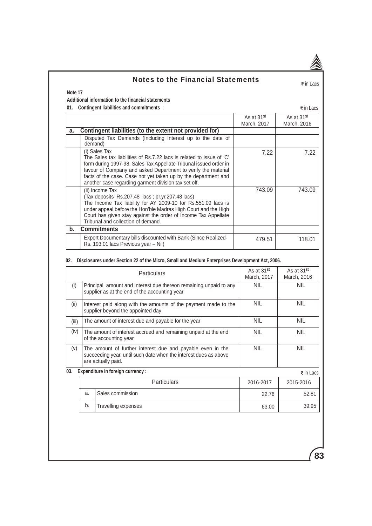# Notes to the Financial Statements<br> $\frac{1}{2}$   $\frac{1}{2}$   $\frac{1}{2}$   $\frac{1}{2}$   $\frac{1}{2}$   $\frac{1}{2}$   $\frac{1}{2}$   $\frac{1}{2}$   $\frac{1}{2}$   $\frac{1}{2}$   $\frac{1}{2}$   $\frac{1}{2}$   $\frac{1}{2}$   $\frac{1}{2}$   $\frac{1}{2}$   $\frac{1}{2}$   $\frac{1}{2}$   $\frac{1}{2}$   $\frac{1}{2$

## **Note 17**

## **Additional information to the financial statements**

**01.** Contingent liabilities and commitments :  $\overline{\epsilon}$  in Lacs

|    |                                                                                                                                                                                                                                                                                                                                                       | As at 31 <sup>st</sup> | As at 31 <sup>st</sup> |
|----|-------------------------------------------------------------------------------------------------------------------------------------------------------------------------------------------------------------------------------------------------------------------------------------------------------------------------------------------------------|------------------------|------------------------|
|    |                                                                                                                                                                                                                                                                                                                                                       | March, 2017            | March, 2016            |
| a. | Contingent liabilities (to the extent not provided for)                                                                                                                                                                                                                                                                                               |                        |                        |
|    | Disputed Tax Demands (Including Interest up to the date of<br>demand)                                                                                                                                                                                                                                                                                 |                        |                        |
|    | (i) Sales Tax<br>The Sales tax liabilities of Rs.7.22 lacs is related to issue of 'C'<br>form during 1997-98. Sales Tax Appellate Tribunal issued order in<br>favour of Company and asked Department to verify the material<br>facts of the case. Case not yet taken up by the department and<br>another case regarding garment division tax set off. | 7.22                   | 7.22                   |
|    | (ii) Income Tax<br>(Tax deposits Rs.207.48 lacs; pr.yr.207.48 lacs)<br>The Income Tax liability for AY 2009-10 for Rs.551.09 lacs is<br>under appeal before the Hon'ble Madras High Court and the High<br>Court has given stay against the order of Income Tax Appellate<br>Tribunal and collection of demand.                                        | 743.09                 | 743.09                 |
| b. | <b>Commitments</b>                                                                                                                                                                                                                                                                                                                                    |                        |                        |
|    | Export Documentary bills discounted with Bank (Since Realized-<br>Rs. 193.01 lacs Previous year - Nil)                                                                                                                                                                                                                                                | 479.51                 | 118.01                 |

## **02. Disclosures under Section 22 of the Micro, Small and Medium Enterprises Development Act, 2006.**

|       |                                                                                                                                                      | <b>Particulars</b>                                  | As at 31 <sup>st</sup><br>March, 2017 | As at 31 <sup>st</sup><br>March, 2016 |
|-------|------------------------------------------------------------------------------------------------------------------------------------------------------|-----------------------------------------------------|---------------------------------------|---------------------------------------|
| (i)   | Principal amount and Interest due thereon remaining unpaid to any<br>supplier as at the end of the accounting year                                   |                                                     | <b>NIL</b>                            | <b>NIL</b>                            |
| (ii)  | Interest paid along with the amounts of the payment made to the<br>supplier beyond the appointed day                                                 |                                                     | <b>NIL</b>                            | <b>NIL</b>                            |
| (iii) |                                                                                                                                                      | The amount of interest due and payable for the year | <b>NIL</b>                            | <b>NIL</b>                            |
| (iv)  | The amount of interest accrued and remaining unpaid at the end<br>of the accounting year                                                             |                                                     | <b>NIL</b>                            | <b>NIL</b>                            |
| (v)   | The amount of further interest due and payable even in the<br>succeeding year, until such date when the interest dues as above<br>are actually paid. |                                                     | <b>NIL</b>                            | <b>NIL</b>                            |
| 03.   |                                                                                                                                                      | Expenditure in foreign currency :                   |                                       | ₹ in Lacs                             |
|       |                                                                                                                                                      | <b>Particulars</b>                                  | 2016-2017                             | 2015-2016                             |
|       | a.                                                                                                                                                   | Sales commission                                    | 22.76                                 | 52.81                                 |
|       | b.                                                                                                                                                   | Travelling expenses                                 | 63.00                                 | 39.95                                 |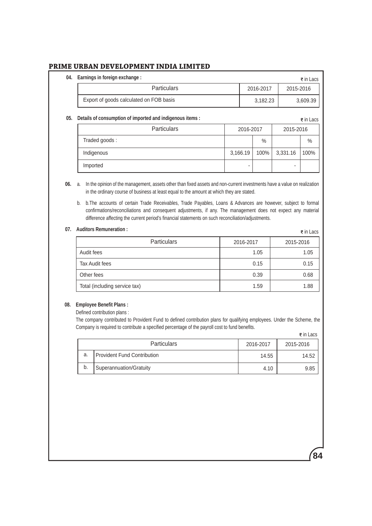| 04. | Earnings in foreign exchange :                            |           | ₹ in Lacs |
|-----|-----------------------------------------------------------|-----------|-----------|
|     | <b>Particulars</b>                                        | 2016-2017 | 2015-2016 |
|     | Export of goods calculated on FOB basis                   | 3,182.23  | 3,609.39  |
| 05. | Details of consumption of imported and indigenous items : |           | ₹in Lacs  |

#### Particulars 2016-2017 2015-2016 Traded goods : Indigenous Imported % 3,166.19 100% - % 3,331.16 100% - ₹ in Lacs

**06.** a. In the opinion of the management, assets other than fixed assets and non-current investments have a value on realization in the ordinary course of business at least equal to the amount at which they are stated.

 b. b. The accounts of certain Trade Receivables, Trade Payables, Loans & Advances are however, subject to formal confirmations/reconciliations and consequent adjustments, if any. The management does not expect any material difference affecting the current period's financial statements on such reconciliation/adjustments.

## **07. Auditors Remuneration :**

| \uditors Remuneration :_      |           | ₹ in Lacs |
|-------------------------------|-----------|-----------|
| <b>Particulars</b>            | 2016-2017 | 2015-2016 |
| Audit fees                    | 1.05      | 1.05      |
| Tax Audit fees                | 0.15      | 0.15      |
| Other fees                    | 0.39      | 0.68      |
| Total (including service tax) | 1.59      | 1.88      |

### **08. Employee Benefit Plans :**

Defined contribution plans :

 The company contributed to Provident Fund to defined contribution plans for qualifying employees. Under the Scheme, the Company is required to contribute a specified percentage of the payroll cost to fund benefits.  $\overline{\bullet}$  in Lacs

|    |                                    |           | S III Lavo |
|----|------------------------------------|-----------|------------|
|    | <b>Particulars</b>                 | 2016-2017 | 2015-2016  |
| a. | <b>Provident Fund Contribution</b> | 14.55     | 14.52      |
| b. | Superannuation/Gratuity            | 4.10      | 9.85       |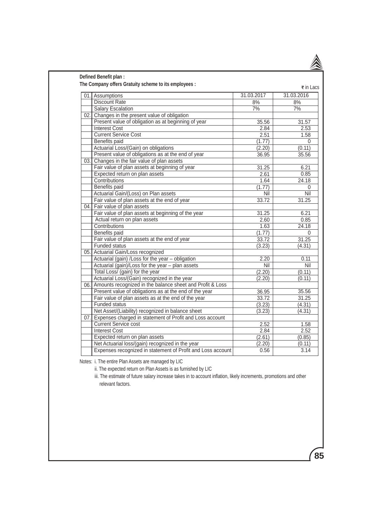|                                                               |            | ₹ in Lacs  |
|---------------------------------------------------------------|------------|------------|
| 01. Assumptions                                               | 31.03.2017 | 31.03.2016 |
| <b>Discount Rate</b>                                          | 8%         | 8%         |
| <b>Salary Escalation</b>                                      | 7%         | 7%         |
| 02. Changes in the present value of obligation                |            |            |
| Present value of obligation as at beginning of year           | 35.56      | 31.57      |
| <b>Interest Cost</b>                                          | 2.84       | 2.53       |
| <b>Current Service Cost</b>                                   | 2.51       | 1.58       |
| Benefits paid                                                 | (1.77)     | $\Omega$   |
| Actuarial Loss/(Gain) on obligations                          | (2.20)     | (0.11)     |
| Present value of obligations as at the end of year            | 36.95      | 35.56      |
| 03. Changes in the fair value of plan assets                  |            |            |
| Fair value of plan assets at beginning of year                | 31.25      | 6.21       |
| Expected return on plan assets                                | 2.61       | 0.85       |
| Contributions                                                 | 1.64       | 24.18      |
| <b>Benefits paid</b>                                          | (1.77)     | $\Omega$   |
| Actuarial Gain/(Loss) on Plan assets                          | Nil        | Nil        |
| Fair value of plan assets at the end of year                  | 33.72      | 31.25      |
| 04. Fair value of plan assets                                 |            |            |
| Fair value of plan assets at beginning of the year            | 31.25      | 6.21       |
| Actual return on plan assets                                  | 2.60       | 0.85       |
| Contributions                                                 | 1.63       | 24.18      |
| <b>Benefits paid</b>                                          | (1.77)     | $\Omega$   |
| Fair value of plan assets at the end of year                  | 33.72      | 31.25      |
| <b>Funded status</b>                                          | (3.23)     | (4.31)     |
| 05. Actuarial Gain/Loss recognized                            |            |            |
| Actuarial (gain) /Loss for the year - obligation              | 2.20       | 0.11       |
| Actuarial (gain)/Loss for the year - plan assets              | Nil        | Nil        |
| Total Loss/ (gain) for the year                               | (2.20)     | (0.11)     |
| Actuarial Loss/(Gain) recognized in the year                  | (2.20)     | (0.11)     |
| 06. Amounts recognized in the balance sheet and Profit & Loss |            |            |
| Present value of obligations as at the end of the year        | 36.95      | 35.56      |
| Fair value of plan assets as at the end of the year           | 33.72      | 31.25      |
| <b>Funded status</b>                                          | (3.23)     | (4.31)     |
| Net Asset/(Liability) recognized in balance sheet             | (3.23)     | (4.31)     |
| 07. Expenses charged in statement of Profit and Loss account  |            |            |
| <b>Current Service cost</b>                                   | 2.52       | 1.58       |
| <b>Interest Cost</b>                                          | 2.84       | 2.52       |
| Expected return on plan assets                                | (2.61)     | (0.85)     |
| Net Actuarial loss/(gain) recognized in the year              | (2.20)     | (0.11)     |
| Expenses recognized in statement of Profit and Loss account   | 0.56       | 3.14       |

Notes: i. The entire Plan Assets are managed by LIC

ii. The expected return on Plan Assets is as furnished by LIC

 iii. The estimate of future salary increase takes in to account inflation, likely increments, promotions and other relevant factors.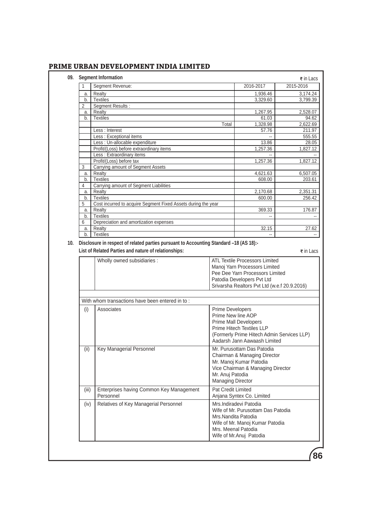| Segment Revenue:<br>Realty<br>a.<br><b>Textiles</b><br>b.<br>Segment Results :<br>Realty<br>a.<br><b>Textiles</b><br>b.<br>Less : Interest<br>Less : Exceptional items<br>Less : Un-allocable expenditure<br>Profit/(Loss) before extraordinary items<br>Less : Extraordinary items<br>Profit/(Loss) before tax<br>Carrying amount of Segment Assets<br>Realty<br>a.<br><b>Textiles</b><br>b.<br>Carrying amount of Segment Liabilities<br>Realty<br>a.<br><b>Textiles</b><br>b.<br>Cost incurred to acquire Segment Fixed Assets during the year<br>Realty<br>a.<br><b>Textiles</b><br>b.<br>Depreciation and amortization expenses<br>Realty<br>a.<br><b>Textiles</b><br>b.<br>10. Disclosure in respect of related parties pursuant to Accounting Standard -18 (AS 18):-<br>List of Related Parties and nature of relationships:<br>Wholly owned subsidiaries : | Total<br><b>ATL Textile Processors Limited</b>                                   | 2016-2017<br>1,936.46<br>3,329.60<br>1,267.95<br>61.03<br>1,328.98<br>57.76<br>13.86<br>1,257.36<br>1,257.36<br>4,621.63<br>608.00<br>2,170.68<br>600.00<br>369.33<br>ц,<br>32.15 | 2015-2016<br>3,174.24<br>3,799.39<br>2,528.07<br>94.62<br>2,622.69<br>211.97<br>555.55<br>28.05<br>1,827.12<br>1,827.12<br>6,507.05<br>203.61<br>2,351.31<br>256.42<br>176.87<br>27.62                                                                                                                                                                                                                                                                                                                                                                                                                                                                 |  |  |  |
|--------------------------------------------------------------------------------------------------------------------------------------------------------------------------------------------------------------------------------------------------------------------------------------------------------------------------------------------------------------------------------------------------------------------------------------------------------------------------------------------------------------------------------------------------------------------------------------------------------------------------------------------------------------------------------------------------------------------------------------------------------------------------------------------------------------------------------------------------------------------|----------------------------------------------------------------------------------|-----------------------------------------------------------------------------------------------------------------------------------------------------------------------------------|--------------------------------------------------------------------------------------------------------------------------------------------------------------------------------------------------------------------------------------------------------------------------------------------------------------------------------------------------------------------------------------------------------------------------------------------------------------------------------------------------------------------------------------------------------------------------------------------------------------------------------------------------------|--|--|--|
|                                                                                                                                                                                                                                                                                                                                                                                                                                                                                                                                                                                                                                                                                                                                                                                                                                                                    |                                                                                  |                                                                                                                                                                                   |                                                                                                                                                                                                                                                                                                                                                                                                                                                                                                                                                                                                                                                        |  |  |  |
|                                                                                                                                                                                                                                                                                                                                                                                                                                                                                                                                                                                                                                                                                                                                                                                                                                                                    |                                                                                  |                                                                                                                                                                                   |                                                                                                                                                                                                                                                                                                                                                                                                                                                                                                                                                                                                                                                        |  |  |  |
|                                                                                                                                                                                                                                                                                                                                                                                                                                                                                                                                                                                                                                                                                                                                                                                                                                                                    |                                                                                  |                                                                                                                                                                                   |                                                                                                                                                                                                                                                                                                                                                                                                                                                                                                                                                                                                                                                        |  |  |  |
|                                                                                                                                                                                                                                                                                                                                                                                                                                                                                                                                                                                                                                                                                                                                                                                                                                                                    |                                                                                  |                                                                                                                                                                                   |                                                                                                                                                                                                                                                                                                                                                                                                                                                                                                                                                                                                                                                        |  |  |  |
|                                                                                                                                                                                                                                                                                                                                                                                                                                                                                                                                                                                                                                                                                                                                                                                                                                                                    |                                                                                  |                                                                                                                                                                                   |                                                                                                                                                                                                                                                                                                                                                                                                                                                                                                                                                                                                                                                        |  |  |  |
|                                                                                                                                                                                                                                                                                                                                                                                                                                                                                                                                                                                                                                                                                                                                                                                                                                                                    |                                                                                  |                                                                                                                                                                                   |                                                                                                                                                                                                                                                                                                                                                                                                                                                                                                                                                                                                                                                        |  |  |  |
|                                                                                                                                                                                                                                                                                                                                                                                                                                                                                                                                                                                                                                                                                                                                                                                                                                                                    |                                                                                  |                                                                                                                                                                                   |                                                                                                                                                                                                                                                                                                                                                                                                                                                                                                                                                                                                                                                        |  |  |  |
|                                                                                                                                                                                                                                                                                                                                                                                                                                                                                                                                                                                                                                                                                                                                                                                                                                                                    |                                                                                  |                                                                                                                                                                                   |                                                                                                                                                                                                                                                                                                                                                                                                                                                                                                                                                                                                                                                        |  |  |  |
|                                                                                                                                                                                                                                                                                                                                                                                                                                                                                                                                                                                                                                                                                                                                                                                                                                                                    |                                                                                  |                                                                                                                                                                                   |                                                                                                                                                                                                                                                                                                                                                                                                                                                                                                                                                                                                                                                        |  |  |  |
|                                                                                                                                                                                                                                                                                                                                                                                                                                                                                                                                                                                                                                                                                                                                                                                                                                                                    |                                                                                  |                                                                                                                                                                                   |                                                                                                                                                                                                                                                                                                                                                                                                                                                                                                                                                                                                                                                        |  |  |  |
|                                                                                                                                                                                                                                                                                                                                                                                                                                                                                                                                                                                                                                                                                                                                                                                                                                                                    |                                                                                  |                                                                                                                                                                                   |                                                                                                                                                                                                                                                                                                                                                                                                                                                                                                                                                                                                                                                        |  |  |  |
|                                                                                                                                                                                                                                                                                                                                                                                                                                                                                                                                                                                                                                                                                                                                                                                                                                                                    |                                                                                  |                                                                                                                                                                                   |                                                                                                                                                                                                                                                                                                                                                                                                                                                                                                                                                                                                                                                        |  |  |  |
|                                                                                                                                                                                                                                                                                                                                                                                                                                                                                                                                                                                                                                                                                                                                                                                                                                                                    |                                                                                  |                                                                                                                                                                                   |                                                                                                                                                                                                                                                                                                                                                                                                                                                                                                                                                                                                                                                        |  |  |  |
|                                                                                                                                                                                                                                                                                                                                                                                                                                                                                                                                                                                                                                                                                                                                                                                                                                                                    |                                                                                  |                                                                                                                                                                                   |                                                                                                                                                                                                                                                                                                                                                                                                                                                                                                                                                                                                                                                        |  |  |  |
|                                                                                                                                                                                                                                                                                                                                                                                                                                                                                                                                                                                                                                                                                                                                                                                                                                                                    |                                                                                  |                                                                                                                                                                                   |                                                                                                                                                                                                                                                                                                                                                                                                                                                                                                                                                                                                                                                        |  |  |  |
|                                                                                                                                                                                                                                                                                                                                                                                                                                                                                                                                                                                                                                                                                                                                                                                                                                                                    |                                                                                  |                                                                                                                                                                                   |                                                                                                                                                                                                                                                                                                                                                                                                                                                                                                                                                                                                                                                        |  |  |  |
|                                                                                                                                                                                                                                                                                                                                                                                                                                                                                                                                                                                                                                                                                                                                                                                                                                                                    |                                                                                  |                                                                                                                                                                                   |                                                                                                                                                                                                                                                                                                                                                                                                                                                                                                                                                                                                                                                        |  |  |  |
|                                                                                                                                                                                                                                                                                                                                                                                                                                                                                                                                                                                                                                                                                                                                                                                                                                                                    |                                                                                  |                                                                                                                                                                                   |                                                                                                                                                                                                                                                                                                                                                                                                                                                                                                                                                                                                                                                        |  |  |  |
|                                                                                                                                                                                                                                                                                                                                                                                                                                                                                                                                                                                                                                                                                                                                                                                                                                                                    |                                                                                  |                                                                                                                                                                                   |                                                                                                                                                                                                                                                                                                                                                                                                                                                                                                                                                                                                                                                        |  |  |  |
|                                                                                                                                                                                                                                                                                                                                                                                                                                                                                                                                                                                                                                                                                                                                                                                                                                                                    |                                                                                  |                                                                                                                                                                                   |                                                                                                                                                                                                                                                                                                                                                                                                                                                                                                                                                                                                                                                        |  |  |  |
|                                                                                                                                                                                                                                                                                                                                                                                                                                                                                                                                                                                                                                                                                                                                                                                                                                                                    |                                                                                  |                                                                                                                                                                                   |                                                                                                                                                                                                                                                                                                                                                                                                                                                                                                                                                                                                                                                        |  |  |  |
|                                                                                                                                                                                                                                                                                                                                                                                                                                                                                                                                                                                                                                                                                                                                                                                                                                                                    |                                                                                  |                                                                                                                                                                                   |                                                                                                                                                                                                                                                                                                                                                                                                                                                                                                                                                                                                                                                        |  |  |  |
|                                                                                                                                                                                                                                                                                                                                                                                                                                                                                                                                                                                                                                                                                                                                                                                                                                                                    |                                                                                  |                                                                                                                                                                                   |                                                                                                                                                                                                                                                                                                                                                                                                                                                                                                                                                                                                                                                        |  |  |  |
|                                                                                                                                                                                                                                                                                                                                                                                                                                                                                                                                                                                                                                                                                                                                                                                                                                                                    |                                                                                  |                                                                                                                                                                                   |                                                                                                                                                                                                                                                                                                                                                                                                                                                                                                                                                                                                                                                        |  |  |  |
|                                                                                                                                                                                                                                                                                                                                                                                                                                                                                                                                                                                                                                                                                                                                                                                                                                                                    |                                                                                  | Patodia Developers Pvt Ltd                                                                                                                                                        |                                                                                                                                                                                                                                                                                                                                                                                                                                                                                                                                                                                                                                                        |  |  |  |
| With whom transactions have been entered in to:                                                                                                                                                                                                                                                                                                                                                                                                                                                                                                                                                                                                                                                                                                                                                                                                                    |                                                                                  |                                                                                                                                                                                   |                                                                                                                                                                                                                                                                                                                                                                                                                                                                                                                                                                                                                                                        |  |  |  |
|                                                                                                                                                                                                                                                                                                                                                                                                                                                                                                                                                                                                                                                                                                                                                                                                                                                                    |                                                                                  |                                                                                                                                                                                   |                                                                                                                                                                                                                                                                                                                                                                                                                                                                                                                                                                                                                                                        |  |  |  |
|                                                                                                                                                                                                                                                                                                                                                                                                                                                                                                                                                                                                                                                                                                                                                                                                                                                                    |                                                                                  |                                                                                                                                                                                   |                                                                                                                                                                                                                                                                                                                                                                                                                                                                                                                                                                                                                                                        |  |  |  |
|                                                                                                                                                                                                                                                                                                                                                                                                                                                                                                                                                                                                                                                                                                                                                                                                                                                                    |                                                                                  |                                                                                                                                                                                   |                                                                                                                                                                                                                                                                                                                                                                                                                                                                                                                                                                                                                                                        |  |  |  |
|                                                                                                                                                                                                                                                                                                                                                                                                                                                                                                                                                                                                                                                                                                                                                                                                                                                                    |                                                                                  |                                                                                                                                                                                   |                                                                                                                                                                                                                                                                                                                                                                                                                                                                                                                                                                                                                                                        |  |  |  |
|                                                                                                                                                                                                                                                                                                                                                                                                                                                                                                                                                                                                                                                                                                                                                                                                                                                                    |                                                                                  |                                                                                                                                                                                   |                                                                                                                                                                                                                                                                                                                                                                                                                                                                                                                                                                                                                                                        |  |  |  |
|                                                                                                                                                                                                                                                                                                                                                                                                                                                                                                                                                                                                                                                                                                                                                                                                                                                                    |                                                                                  |                                                                                                                                                                                   |                                                                                                                                                                                                                                                                                                                                                                                                                                                                                                                                                                                                                                                        |  |  |  |
|                                                                                                                                                                                                                                                                                                                                                                                                                                                                                                                                                                                                                                                                                                                                                                                                                                                                    |                                                                                  |                                                                                                                                                                                   |                                                                                                                                                                                                                                                                                                                                                                                                                                                                                                                                                                                                                                                        |  |  |  |
| (II)<br>Key Managerial Personnel                                                                                                                                                                                                                                                                                                                                                                                                                                                                                                                                                                                                                                                                                                                                                                                                                                   |                                                                                  |                                                                                                                                                                                   |                                                                                                                                                                                                                                                                                                                                                                                                                                                                                                                                                                                                                                                        |  |  |  |
|                                                                                                                                                                                                                                                                                                                                                                                                                                                                                                                                                                                                                                                                                                                                                                                                                                                                    |                                                                                  |                                                                                                                                                                                   |                                                                                                                                                                                                                                                                                                                                                                                                                                                                                                                                                                                                                                                        |  |  |  |
|                                                                                                                                                                                                                                                                                                                                                                                                                                                                                                                                                                                                                                                                                                                                                                                                                                                                    |                                                                                  |                                                                                                                                                                                   |                                                                                                                                                                                                                                                                                                                                                                                                                                                                                                                                                                                                                                                        |  |  |  |
|                                                                                                                                                                                                                                                                                                                                                                                                                                                                                                                                                                                                                                                                                                                                                                                                                                                                    |                                                                                  |                                                                                                                                                                                   |                                                                                                                                                                                                                                                                                                                                                                                                                                                                                                                                                                                                                                                        |  |  |  |
|                                                                                                                                                                                                                                                                                                                                                                                                                                                                                                                                                                                                                                                                                                                                                                                                                                                                    |                                                                                  |                                                                                                                                                                                   |                                                                                                                                                                                                                                                                                                                                                                                                                                                                                                                                                                                                                                                        |  |  |  |
|                                                                                                                                                                                                                                                                                                                                                                                                                                                                                                                                                                                                                                                                                                                                                                                                                                                                    |                                                                                  |                                                                                                                                                                                   |                                                                                                                                                                                                                                                                                                                                                                                                                                                                                                                                                                                                                                                        |  |  |  |
|                                                                                                                                                                                                                                                                                                                                                                                                                                                                                                                                                                                                                                                                                                                                                                                                                                                                    |                                                                                  |                                                                                                                                                                                   |                                                                                                                                                                                                                                                                                                                                                                                                                                                                                                                                                                                                                                                        |  |  |  |
|                                                                                                                                                                                                                                                                                                                                                                                                                                                                                                                                                                                                                                                                                                                                                                                                                                                                    |                                                                                  |                                                                                                                                                                                   |                                                                                                                                                                                                                                                                                                                                                                                                                                                                                                                                                                                                                                                        |  |  |  |
|                                                                                                                                                                                                                                                                                                                                                                                                                                                                                                                                                                                                                                                                                                                                                                                                                                                                    |                                                                                  |                                                                                                                                                                                   |                                                                                                                                                                                                                                                                                                                                                                                                                                                                                                                                                                                                                                                        |  |  |  |
| (iv)                                                                                                                                                                                                                                                                                                                                                                                                                                                                                                                                                                                                                                                                                                                                                                                                                                                               |                                                                                  |                                                                                                                                                                                   |                                                                                                                                                                                                                                                                                                                                                                                                                                                                                                                                                                                                                                                        |  |  |  |
|                                                                                                                                                                                                                                                                                                                                                                                                                                                                                                                                                                                                                                                                                                                                                                                                                                                                    |                                                                                  |                                                                                                                                                                                   |                                                                                                                                                                                                                                                                                                                                                                                                                                                                                                                                                                                                                                                        |  |  |  |
|                                                                                                                                                                                                                                                                                                                                                                                                                                                                                                                                                                                                                                                                                                                                                                                                                                                                    |                                                                                  |                                                                                                                                                                                   |                                                                                                                                                                                                                                                                                                                                                                                                                                                                                                                                                                                                                                                        |  |  |  |
|                                                                                                                                                                                                                                                                                                                                                                                                                                                                                                                                                                                                                                                                                                                                                                                                                                                                    |                                                                                  |                                                                                                                                                                                   |                                                                                                                                                                                                                                                                                                                                                                                                                                                                                                                                                                                                                                                        |  |  |  |
|                                                                                                                                                                                                                                                                                                                                                                                                                                                                                                                                                                                                                                                                                                                                                                                                                                                                    |                                                                                  |                                                                                                                                                                                   |                                                                                                                                                                                                                                                                                                                                                                                                                                                                                                                                                                                                                                                        |  |  |  |
|                                                                                                                                                                                                                                                                                                                                                                                                                                                                                                                                                                                                                                                                                                                                                                                                                                                                    |                                                                                  |                                                                                                                                                                                   |                                                                                                                                                                                                                                                                                                                                                                                                                                                                                                                                                                                                                                                        |  |  |  |
|                                                                                                                                                                                                                                                                                                                                                                                                                                                                                                                                                                                                                                                                                                                                                                                                                                                                    |                                                                                  |                                                                                                                                                                                   |                                                                                                                                                                                                                                                                                                                                                                                                                                                                                                                                                                                                                                                        |  |  |  |
|                                                                                                                                                                                                                                                                                                                                                                                                                                                                                                                                                                                                                                                                                                                                                                                                                                                                    | (i)<br>Associates<br>(iii)<br>Personnel<br>Relatives of Key Managerial Personnel | Enterprises having Common Key Management                                                                                                                                          | Srivarsha Realtors Pvt Ltd (w.e.f 20.9.2016)<br><b>Prime Developers</b><br>Prime New line AOP<br><b>Prime Mall Developers</b><br>Prime Hitech Textiles LLP<br>(Formerly Prime Hitech Admin Services LLP)<br>Aadarsh Jann Aawaash Limited<br>Mr. Purusottam Das Patodia<br>Chairman & Managing Director<br>Mr. Manoj Kumar Patodia<br>Vice Chairman & Managing Director<br>Mr. Anuj Patodia<br><b>Managing Director</b><br>Pat Credit Limited<br>Anjana Syntex Co. Limited<br>Mrs.Indiradevi Patodia<br>Wife of Mr. Purusottam Das Patodia<br>Mrs. Nandita Patodia<br>Wife of Mr. Manoj Kumar Patodia<br>Mrs. Meenal Patodia<br>Wife of Mr.Anuj Patodia |  |  |  |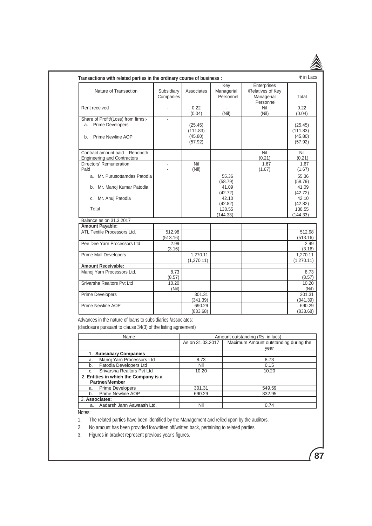| Subsidiary                |                                           |                                                                                                                                                      |                                                             |                                                                                            |
|---------------------------|-------------------------------------------|------------------------------------------------------------------------------------------------------------------------------------------------------|-------------------------------------------------------------|--------------------------------------------------------------------------------------------|
| Companies                 | Associates                                | Key<br>Managerial<br>Personnel                                                                                                                       | Enterprises<br>/Relatives of Key<br>Managerial<br>Personnel | Total                                                                                      |
| ÷,                        | 0.22                                      |                                                                                                                                                      | Nil                                                         | 0.22<br>(0.04)                                                                             |
|                           | (25.45)<br>(111.83)<br>(45.80)<br>(57.92) |                                                                                                                                                      |                                                             | (25.45)<br>(111.83)<br>(45.80)<br>(57.92)                                                  |
|                           |                                           |                                                                                                                                                      | Nil<br>(0.21)                                               | Nil<br>(0.21)                                                                              |
|                           | Nil<br>(Nil)                              |                                                                                                                                                      | 1.67<br>(1.67)                                              | 1.67<br>(1.67)                                                                             |
|                           |                                           | 55.36<br>(58.79)<br>41.09                                                                                                                            |                                                             | 55.36<br>(58.79)<br>41.09<br>(42.72)                                                       |
|                           |                                           | 42.10<br>(42.82)                                                                                                                                     |                                                             | 42.10<br>(42.82)                                                                           |
|                           |                                           | 138.55<br>(144.33)                                                                                                                                   |                                                             | 138.55<br>(144.33)                                                                         |
|                           |                                           |                                                                                                                                                      |                                                             |                                                                                            |
|                           |                                           |                                                                                                                                                      |                                                             |                                                                                            |
| (513.16)                  |                                           |                                                                                                                                                      |                                                             | 512.98<br>(513.16)                                                                         |
| 2.99<br>(3.16)            |                                           |                                                                                                                                                      |                                                             | (3.16)                                                                                     |
|                           | (1,270.11)                                |                                                                                                                                                      |                                                             | 1.270.11<br>(1, 270.11)                                                                    |
|                           |                                           |                                                                                                                                                      |                                                             |                                                                                            |
| (8.57)                    |                                           |                                                                                                                                                      |                                                             | (8.57)                                                                                     |
| 10.20<br>(Nil)            |                                           |                                                                                                                                                      |                                                             |                                                                                            |
|                           | 301.31<br>(341.39)                        |                                                                                                                                                      |                                                             | 301.31<br>(341.39)                                                                         |
|                           | 690.29<br>(833.68)                        |                                                                                                                                                      |                                                             | 690.29<br>(833.68)                                                                         |
|                           |                                           |                                                                                                                                                      |                                                             |                                                                                            |
|                           |                                           |                                                                                                                                                      |                                                             |                                                                                            |
|                           |                                           |                                                                                                                                                      |                                                             |                                                                                            |
| Manoj Yarn Processors Ltd | 512.98<br>8.73                            | (0.04)<br>1.270.11<br>Advances in the nature of loans to subsidiaries /associates:<br>(disclosure pursuant to clause 34(3) of the listing agreement) | (Nil)<br>(42.72)<br>As on 31.03.2017                        | (Nil)<br>Amount outstanding (Rs. in lacs)<br>Maximum Amount outstanding during the<br>year |

| 1. Subsidiary Companies               |        |        |
|---------------------------------------|--------|--------|
| Manoj Yarn Processors Ltd<br>a.       | 8.73   | 8.73   |
| Patodia Developers Ltd<br>b.          | Nil    | 0.15   |
| Srivarsha Realtors Pvt Ltd<br>C.      | 10.20  | 10.20  |
| 2. Entities in which the Company is a |        |        |
| <b>Partner/Member</b>                 |        |        |
| <b>Prime Developers</b><br>a.         | 301.31 | 549.59 |
| Prime Newline AOP<br>b.               | 690.29 | 832.95 |
| 3. Associates:                        |        |        |
| Aadarsh Jann Aawaash Ltd.<br>a.       | Nil    | 0.74   |

**87**

Notes:

1. The related parties have been identified by the Management and relied upon by the auditors.

2. No amount has been provided for/written off/written back, pertaining to related parties.

3. Figures in bracket represent previous year's figures.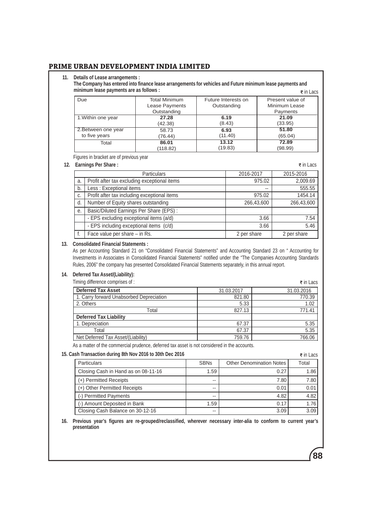#### **11. Details of Lease arrangements :**

 **The Company has entered into finance lease arrangements for vehicles and Future minimum lease payments and minimum lease payments are as follows :**  $\vec{\epsilon}$  in Lacs

| Due                 | <b>Total Minimum</b> | Future Interests on | Present value of |
|---------------------|----------------------|---------------------|------------------|
|                     | Lease Payments       | Outstanding         | Minimum Lease    |
|                     | Outstanding          |                     | Payments         |
| 1. Within one year  | 27.28                | 6.19                | 21.09            |
|                     | (42.38)              | (8.43)              | (33.95)          |
| 2. Between one year | 58.73                | 6.93                | 51.80            |
| to five years       | (76.44)              | (11.40)             | (65.04)          |
| Total               | 86.01                | 13.12               | 72.89            |
|                     | (118.82)             | (19.83)             | (98.99)          |

Figures in bracket are of previous year

## **12. Earnings Per Share :**

| Earnings Per Share: |                                              |             | ₹ in Lacs   |
|---------------------|----------------------------------------------|-------------|-------------|
|                     | <b>Particulars</b>                           | 2016-2017   | 2015-2016   |
| a.                  | Profit after tax excluding exceptional items | 975.02      | 2,009.69    |
| b.                  | Less: Exceptional items                      | $-$         | 555.55      |
| C <sub>r</sub>      | Profit after tax including exceptional items | 975.02      | 1454.14     |
| d.                  | Number of Equity shares outstanding          | 266,43,600  | 266,43,600  |
| е.                  | Basic/Diluted Earnings Per Share (EPS) :     |             |             |
|                     | - EPS excluding exceptional items (a/d)      | 3.66        | 7.54        |
|                     | - EPS including exceptional items (c/d)      | 3.66        | 5.46        |
|                     | Face value per share – in Rs.                | 2 per share | 2 per share |

#### **13. Consolidated Financial Statements :**

As per Accounting Standard 21 on "Consolidated Financial Statements" and Accounting Standard 23 on " Accounting for Investments in Associates in Consolidated Financial Statements" notified under the "The Companies Accounting Standards Rules, 2006" the company has presented Consolidated Financial Statements separately, in this annual report.

### **14. Deferred Tax Asset/(Liability):**

Timing difference comprises of :

| Timing difference comprises of:          |            | $\overline{\epsilon}$ in Lacs |
|------------------------------------------|------------|-------------------------------|
| <b>Deferred Tax Asset</b>                | 31.03.2017 | 31.03.2016                    |
| 1. Carry forward Unabsorbed Depreciation | 821.80     | 770.39                        |
| 2. Others                                | 5.33       | 1.02                          |
| Total                                    | 827.13     | 771.41                        |
| <b>Deferred Tax Liability</b>            |            |                               |
| 1. Depreciation                          | 67.37      | 5.35                          |
| Total                                    | 67.37      | 5.35                          |
| Net Deferred Tax Asset/(Liability)       | 759.76     | 766.06                        |

As a matter of the commercial prudence, deferred tax asset is not considered in the accounts.

## **15. Cash Transaction during 8th Nov 2016 to 30th Dec 2016**

| sh Transaction during 8th Nov 2016 to 30th Dec 2016 |                          |                                 |       |
|-----------------------------------------------------|--------------------------|---------------------------------|-------|
| <b>Particulars</b>                                  | <b>SBNs</b>              | <b>Other Denomination Notes</b> | Total |
| Closing Cash in Hand as on 08-11-16                 | 1.59                     | 0.27                            | 1.86  |
| (+) Permitted Receipts                              | $-$                      | 7.80                            | 7.80  |
| (+) Other Permitted Receipts                        | $- -$                    | 0.01                            | 0.01  |
| (-) Permitted Payments                              | $\overline{\phantom{m}}$ | 4.82                            | 4.82  |
| (-) Amount Deposited in Bank                        | 1.59                     | 0.17                            | 1.76  |
| Closing Cash Balance on 30-12-16                    | $- -$                    | 3.09                            | 3.09  |

**16. Previous year's figures are re-grouped/reclassified, wherever necessary inter-alia to conform to current year's presentation**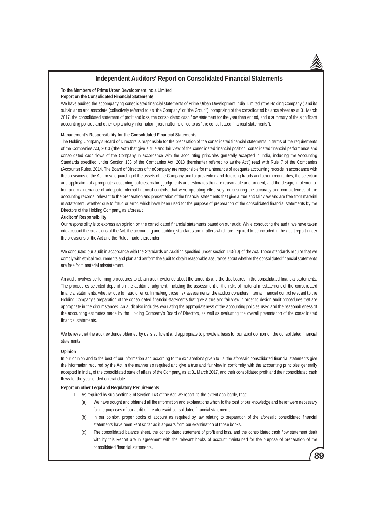### **Independent Auditors' Report on Consolidated Financial Statements**

#### **To the Members of Prime Urban Development India Limited**

#### **Report on the Consolidated Financial Statements**

We have audited the accompanying consolidated financial statements of Prime Urban Development India Limited ("the Holding Company") and its subsidiaries and associate (collectively referred to as "the Company" or "the Group"), comprising of the consolidated balance sheet as at 31 March 2017, the consolidated statement of profit and loss, the consolidated cash flow statement for the year then ended, and a summary of the significant accounting policies and other explanatory information (hereinafter referred to as "the consolidated financial statements").

#### **Management's Responsibility for the Consolidated Financial Statements:**

The Holding Company's Board of Directors is responsible for the preparation of the consolidated financial statements in terms of the requirements of the Companies Act, 2013 ("the Act") that give a true and fair view of the consolidated financial position, consolidated financial performance and consolidated cash flows of the Company in accordance with the accounting principles generally accepted in India, including the Accounting Standards specified under Section 133 of the Companies Act, 2013 (hereinafter referred to as"the Act") read with Rule 7 of the Companies (Accounts) Rules, 2014. The Board of Directors of theCompany are responsible for maintenance of adequate accounting records in accordance with the provisions of the Act for safeguarding of the assets of the Company and for preventing and detecting frauds and other irregularities; the selection and application of appropriate accounting policies; making judgments and estimates that are reasonable and prudent; and the design, implementation and maintenance of adequate internal financial controls, that were operating effectively for ensuring the accuracy and completeness of the accounting records, relevant to the preparation and presentation of the financial statements that give a true and fair view and are free from material misstatement, whether due to fraud or error, which have been used for the purpose of preparation of the consolidated financial statements by the Directors of the Holding Company, as aforesaid.

#### **Auditors' Responsibility**

Our responsibility is to express an opinion on the consolidated financial statements based on our audit. While conducting the audit, we have taken into account the provisions of the Act, the accounting and auditing standards and matters which are required to be included in the audit report under the provisions of the Act and the Rules made thereunder.

We conducted our audit in accordance with the Standards on Auditing specified under section 143(10) of the Act. Those standards require that we comply with ethical requirements and plan and perform the audit to obtain reasonable assurance about whether the consolidated financial statements are free from material misstatement.

An audit involves performing procedures to obtain audit evidence about the amounts and the disclosures in the consolidated financial statements. The procedures selected depend on the auditor's judgment, including the assessment of the risks of material misstatement of the consolidated financial statements, whether due to fraud or error. In making those risk assessments, the auditor considers internal financial control relevant to the Holding Company's preparation of the consolidated financial statements that give a true and fair view in order to design audit procedures that are appropriate in the circumstances. An audit also includes evaluating the appropriateness of the accounting policies used and the reasonableness of the accounting estimates made by the Holding Company's Board of Directors, as well as evaluating the overall presentation of the consolidated financial statements.

We believe that the audit evidence obtained by us is sufficient and appropriate to provide a basis for our audit opinion on the consolidated financial statements.

#### **Opinion**

In our opinion and to the best of our information and according to the explanations given to us, the aforesaid consolidated financial statements give the information required by the Act in the manner so required and give a true and fair view in conformity with the accounting principles generally accepted in India, of the consolidated state of affairs of the Company, as at 31 March 2017, and their consolidated profit and their consolidated cash flows for the year ended on that date.

#### **Report on other Legal and Regulatory Requirements**

- 1. As required by sub-section 3 of Section 143 of the Act, we report, to the extent applicable, that:
	- (a) We have sought and obtained all the information and explanations which to the best of our knowledge and belief were necessary for the purposes of our audit of the aforesaid consolidated financial statements.
	- (b) In our opinion, proper books of account as required by law relating to preparation of the aforesaid consolidated financial statements have been kept so far as it appears from our examination of those books.
	- (c) The consolidated balance sheet, the consolidated statement of profit and loss, and the consolidated cash flow statement dealt with by this Report are in agreement with the relevant books of account maintained for the purpose of preparation of the consolidated financial statements.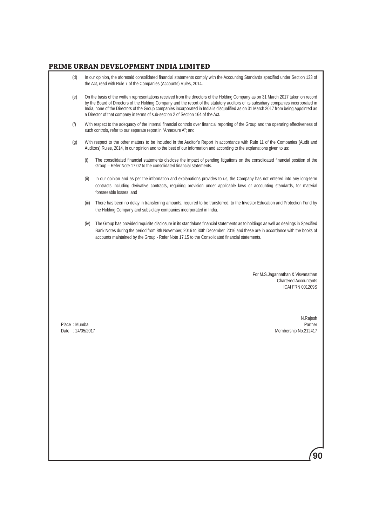| (d)                               |       | In our opinion, the aforesaid consolidated financial statements comply with the Accounting Standards specified under Section 133 of<br>the Act, read with Rule 7 of the Companies (Accounts) Rules, 2014.                                                                                                                                                                                                                                                                                               |
|-----------------------------------|-------|---------------------------------------------------------------------------------------------------------------------------------------------------------------------------------------------------------------------------------------------------------------------------------------------------------------------------------------------------------------------------------------------------------------------------------------------------------------------------------------------------------|
| (e)                               |       | On the basis of the written representations received from the directors of the Holding Company as on 31 March 2017 taken on record<br>by the Board of Directors of the Holding Company and the report of the statutory auditors of its subsidiary companies incorporated in<br>India, none of the Directors of the Group companies incorporated in India is disqualified as on 31 March 2017 from being appointed as<br>a Director of that company in terms of sub-section 2 of Section 164 of the Act. |
| (f)                               |       | With respect to the adequacy of the internal financial controls over financial reporting of the Group and the operating effectiveness of<br>such controls, refer to our separate report in "Annexure A"; and                                                                                                                                                                                                                                                                                            |
| (g)                               |       | With respect to the other matters to be included in the Auditor's Report in accordance with Rule 11 of the Companies (Audit and<br>Auditors) Rules, 2014, in our opinion and to the best of our information and according to the explanations given to us:                                                                                                                                                                                                                                              |
|                                   | (i)   | The consolidated financial statements disclose the impact of pending litigations on the consolidated financial position of the<br>Group - Refer Note 17.02 to the consolidated financial statements.                                                                                                                                                                                                                                                                                                    |
|                                   | (ii)  | In our opinion and as per the information and explanations provides to us, the Company has not entered into any long-term<br>contracts including derivative contracts, requiring provision under applicable laws or accounting standards, for material<br>foreseeable losses, and                                                                                                                                                                                                                       |
|                                   | (iii) | There has been no delay in transferring amounts, required to be transferred, to the Investor Education and Protection Fund by<br>the Holding Company and subsidiary companies incorporated in India.                                                                                                                                                                                                                                                                                                    |
|                                   | (iv)  | The Group has provided requisite disclosure in its standalone financial statements as to holdings as well as dealings in Specified<br>Bank Notes during the period from 8th November, 2016 to 30th December, 2016 and these are in accordance with the books of<br>accounts maintained by the Group - Refer Note 17.15 to the Consolidated financial statements.                                                                                                                                        |
|                                   |       |                                                                                                                                                                                                                                                                                                                                                                                                                                                                                                         |
|                                   |       | For M.S. Jagannathan & Visvanathan<br><b>Chartered Accountants</b><br>ICAI FRN 001209S                                                                                                                                                                                                                                                                                                                                                                                                                  |
| Place: Mumbai<br>Date: 24/05/2017 |       | N.Rajesh<br>Partner<br>Membership No.212417                                                                                                                                                                                                                                                                                                                                                                                                                                                             |
|                                   |       |                                                                                                                                                                                                                                                                                                                                                                                                                                                                                                         |
|                                   |       |                                                                                                                                                                                                                                                                                                                                                                                                                                                                                                         |
|                                   |       |                                                                                                                                                                                                                                                                                                                                                                                                                                                                                                         |
|                                   |       |                                                                                                                                                                                                                                                                                                                                                                                                                                                                                                         |
|                                   |       |                                                                                                                                                                                                                                                                                                                                                                                                                                                                                                         |
|                                   |       |                                                                                                                                                                                                                                                                                                                                                                                                                                                                                                         |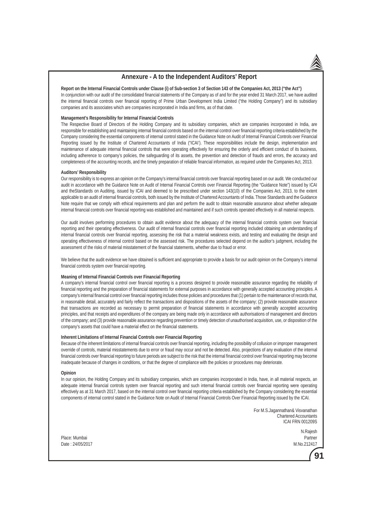#### **Annexure - A to the Independent Auditors' Report**

**Report on the Internal Financial Controls under Clause (i) of Sub-section 3 of Section 143 of the Companies Act, 2013 ("the Act")** In conjunction with our audit of the consolidated financial statements of the Company as of and for the year ended 31 March 2017, we have audited the internal financial controls over financial reporting of Prime Urban Development India Limited ("the Holding Company") and its subsidiary companies and its associates which are companies incorporated in India and firms, as of that date.

#### **Management's Responsibility for Internal Financial Controls**

The Respective Board of Directors of the Holding Company and its subsidiary companies, which are companies incorporated in India, are responsible for establishing and maintaining internal financial controls based on the internal control over financial reporting criteria established by the Company considering the essential components of internal control stated in the Guidance Note on Audit of Internal Financial Controls over Financial Reporting issued by the Institute of Chartered Accountants of India ("ICAI'). These responsibilities include the design, implementation and maintenance of adequate internal financial controls that were operating effectively for ensuring the orderly and efficient conduct of its business, including adherence to company's policies, the safeguarding of its assets, the prevention and detection of frauds and errors, the accuracy and completeness of the accounting records, and the timely preparation of reliable financial information, as required under the Companies Act, 2013.

#### **Auditors' Responsibility**

Our responsibility is to express an opinion on the Company's internal financial controls over financial reporting based on our audit. We conducted our audit in accordance with the Guidance Note on Audit of Internal Financial Controls over Financial Reporting (the "Guidance Note") issued by ICAI and theStandards on Auditing, issued by ICAI and deemed to be prescribed under section 143(10) of the Companies Act, 2013, to the extent applicable to an audit of internal financial controls, both issued by the Institute of Chartered Accountants of India. Those Standards and the Guidance Note require that we comply with ethical requirements and plan and perform the audit to obtain reasonable assurance about whether adequate internal financial controls over financial reporting was established and maintained and if such controls operated effectively in all material respects.

Our audit involves performing procedures to obtain audit evidence about the adequacy of the internal financial controls system over financial reporting and their operating effectiveness. Our audit of internal financial controls over financial reporting included obtaining an understanding of internal financial controls over financial reporting, assessing the risk that a material weakness exists, and testing and evaluating the design and operating effectiveness of internal control based on the assessed risk. The procedures selected depend on the auditor's judgment, including the assessment of the risks of material misstatement of the financial statements, whether due to fraud or error.

We believe that the audit evidence we have obtained is sufficient and appropriate to provide a basis for our audit opinion on the Company's internal financial controls system over financial reporting.

#### **Meaning of Internal Financial Controls over Financial Reporting**

A company's internal financial control over financial reporting is a process designed to provide reasonable assurance regarding the reliability of financial reporting and the preparation of financial statements for external purposes in accordance with generally accepted accounting principles. A company's internal financial control over financial reporting includes those policies and procedures that (1) pertain to the maintenance of records that, in reasonable detail, accurately and fairly reflect the transactions and dispositions of the assets of the company; (2) provide reasonable assurance that transactions are recorded as necessary to permit preparation of financial statements in accordance with generally accepted accounting principles, and that receipts and expenditures of the company are being made only in accordance with authorisations of management and directors of the company; and (3) provide reasonable assurance regarding prevention or timely detection of unauthorised acquisition, use, or disposition of the company's assets that could have a material effect on the financial statements.

#### **Inherent Limitations of Internal Financial Controls over Financial Reporting**

Because of the inherent limitations of internal financial controls over financial reporting, including the possibility of collusion or improper management override of controls, material misstatements due to error or fraud may occur and not be detected. Also, projections of any evaluation of the internal financial controls over financial reporting to future periods are subject to the risk that the internal financial control over financial reporting may become inadequate because of changes in conditions, or that the degree of compliance with the policies or procedures may deteriorate.

#### **Opinion**

In our opinion, the Holding Company and its subsidiary companies, which are companies incorporated in India, have, in all material respects, an adequate internal financial controls system over financial reporting and such internal financial controls over financial reporting were operating effectively as at 31 March 2017, based on the internal control over financial reporting criteria established by the Company considering the essential components of internal control stated in the Guidance Note on Audit of Internal Financial Controls Over Financial Reporting issued by the ICAI.

> For M.S.Jagannathan& Visvanathan Chartered Accountants ICAI FRN 001209S

Place: Mumbai Partner Date : 24/05/2017 M.No.212417

N.Rajesh

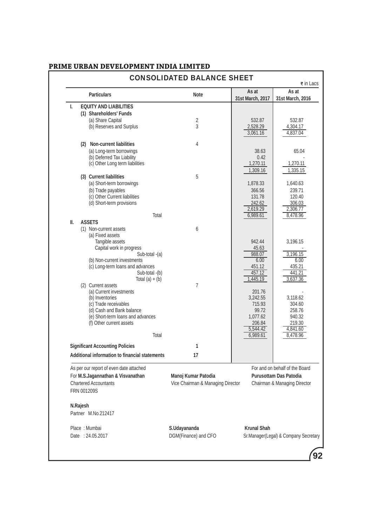|    |          | <b>Particulars</b>                             | <b>Note</b>                       | As at              | As at                                 |
|----|----------|------------------------------------------------|-----------------------------------|--------------------|---------------------------------------|
| I. |          | <b>EQUITY AND LIABILITIES</b>                  |                                   | 31st March, 2017   | 31st March, 2016                      |
|    |          | (1) Shareholders' Funds                        |                                   |                    |                                       |
|    |          | (a) Share Capital                              | $\overline{2}$                    | 532.87             | 532.87                                |
|    |          | (b) Reserves and Surplus                       | 3                                 | 2,528.29           | 4,304.17                              |
|    |          |                                                |                                   | 3,061.16           | 4,837.04                              |
|    |          | (2) Non-current liabilities                    | 4                                 |                    |                                       |
|    |          | (a) Long-term borrowings                       |                                   | 38.63              | 65.04                                 |
|    |          | (b) Deferred Tax Liability                     |                                   | 0.42               |                                       |
|    |          | (c) Other Long term liabilities                |                                   | 1,270.11           | 1,270.11                              |
|    |          |                                                |                                   | 1,309.16           | 1,335.15                              |
|    |          | (3) Current liabilities                        | 5                                 |                    |                                       |
|    |          | (a) Short-term borrowings                      |                                   | 1,878.33           | 1,640.63                              |
|    |          | (b) Trade payables                             |                                   | 366.56             | 239.71                                |
|    |          | (c) Other Current liabilities                  |                                   | 131.78             | 120.40                                |
|    |          | (d) Short-term provisions                      |                                   | 242.62             | 306.03                                |
|    |          |                                                |                                   | 2,619.29           | 2,306.77                              |
| Ш. |          | Total<br><b>ASSETS</b>                         |                                   | 6,989.61           | 8,478.96                              |
|    |          | (1) Non-current assets                         | 6                                 |                    |                                       |
|    |          | (a) Fixed assets                               |                                   |                    |                                       |
|    |          | Tangible assets                                |                                   | 942.44             | 3,196.15                              |
|    |          | Capital work in progress                       |                                   | 45.63              |                                       |
|    |          | Sub-total -(a)                                 |                                   | 988.07             | 3,196.15                              |
|    |          | (b) Non-current investments                    |                                   | 6.00               | 6.00                                  |
|    |          | (c) Long-term loans and advances               |                                   | 451.12             | 435.21                                |
|    |          | Sub-total -(b)                                 |                                   | 457.12             | 441.21                                |
|    |          | Total $(a) + (b)$<br>(2) Current assets        | $\overline{7}$                    | 1,445.19           | 3,637.36                              |
|    |          | (a) Current investments                        |                                   | 201.76             |                                       |
|    |          | (b) Inventories                                |                                   | 3,242.55           | 3,118.62                              |
|    |          | (c) Trade receivables                          |                                   | 715.93             | 304.60                                |
|    |          | (d) Cash and Bank balance                      |                                   | 99.72              | 258.76                                |
|    |          | (e) Short-term loans and advances              |                                   | 1,077.62           | 940.32                                |
|    |          | (f) Other current assets                       |                                   | 206.84             | 219.30                                |
|    |          |                                                |                                   | 5,544.42           | 4,841.60                              |
|    |          | Total                                          |                                   | 6,989.61           | 8,478.96                              |
|    |          | <b>Significant Accounting Policies</b>         | 1                                 |                    |                                       |
|    |          | Additional information to financial statements | 17                                |                    |                                       |
|    |          | As per our report of even date attached        |                                   |                    | For and on behalf of the Board        |
|    |          | For M.S.Jagannathan & Visvanathan              | Manoj Kumar Patodia               |                    | <b>Purusottam Das Patodia</b>         |
|    |          | <b>Chartered Accountants</b>                   | Vice Chairman & Managing Director |                    | Chairman & Managing Director          |
|    |          | FRN 001209S                                    |                                   |                    |                                       |
|    |          |                                                |                                   |                    |                                       |
|    | N.Rajesh |                                                |                                   |                    |                                       |
|    |          | Partner M.No.212417                            |                                   |                    |                                       |
|    |          | Place: Mumbai                                  | S.Udayananda                      | <b>Krunal Shah</b> |                                       |
|    |          | Date: 24.05.2017                               | DGM(Finance) and CFO              |                    | Sr.Manager(Legal) & Company Secretary |
|    |          |                                                |                                   |                    |                                       |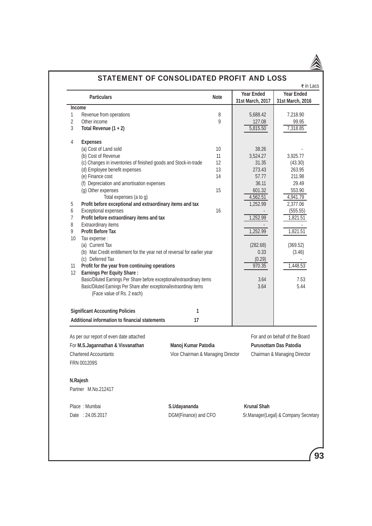

|                 | <b>Particulars</b>                                                       |                                   | <b>Note</b> | <b>Year Ended</b><br>31st March, 2017 | <b>Year Ended</b><br>31st March, 2016 |
|-----------------|--------------------------------------------------------------------------|-----------------------------------|-------------|---------------------------------------|---------------------------------------|
| <b>Income</b>   |                                                                          |                                   |             |                                       |                                       |
| 1               | Revenue from operations                                                  |                                   | 8           | 5,688.42                              | 7,218.90                              |
| $\overline{2}$  | Other income                                                             |                                   | 9           | 127.08                                | 99.95                                 |
| 3               | Total Revenue $(1 + 2)$                                                  |                                   |             | 5,815.50                              | 7,318.85                              |
|                 |                                                                          |                                   |             |                                       |                                       |
| 4               | <b>Expenses</b>                                                          |                                   |             |                                       |                                       |
|                 | (a) Cost of Land sold                                                    |                                   | 10<br>11    | 38.26                                 |                                       |
|                 | (b) Cost of Revenue                                                      |                                   | 12          | 3,524.27<br>31.35                     | 3,925.77<br>(43.30)                   |
|                 | (c) Changes in inventories of finished goods and Stock-in-trade          |                                   | 13          | 273.43                                |                                       |
|                 | (d) Employee benefit expenses                                            |                                   | 14          | 57.77                                 | 263.95<br>211.98                      |
|                 | (e) Finance cost                                                         |                                   |             |                                       |                                       |
|                 | (f) Depreciation and amortisation expenses                               |                                   |             | 36.11                                 | 29.49                                 |
|                 | (g) Other expenses                                                       |                                   | 15          | 601.32                                | 553.90                                |
|                 | Total expenses (a to g)                                                  |                                   |             | 4,562.51                              | 4,941.79                              |
| 5               | Profit before exceptional and extraordinary items and tax                |                                   |             | 1,252.99                              | 2,377.06                              |
| 6               | Exceptional expenses                                                     |                                   | 16          |                                       | (555.55)                              |
| $\overline{7}$  | Profit before extraordinary items and tax                                |                                   |             | 1,252.99                              | 1,821.51                              |
| 8               | Extraordinary items                                                      |                                   |             |                                       |                                       |
| 9               | <b>Profit Before Tax</b>                                                 |                                   |             | 1,252.99                              | 1,821.51                              |
| 10              | Tax expense :                                                            |                                   |             |                                       |                                       |
|                 | (a) Current Tax                                                          |                                   |             | (282.68)                              | (369.52)                              |
|                 | (b) Mat Credit entitlement for the year net of reversal for earlier year |                                   |             | 0.33                                  | (3.46)                                |
|                 | (c) Deferred Tax                                                         |                                   |             | (0.29)                                |                                       |
| 11              | Profit for the year from continuing operations                           |                                   |             | 970.35                                | 1,448.53                              |
| 12 <sup>°</sup> | <b>Earnings Per Equity Share:</b>                                        |                                   |             |                                       |                                       |
|                 | Basic/Diluted Earnings Per Share before exceptional/extraordinary items  |                                   |             | 3.64                                  | 7.53                                  |
|                 | Basic/Diluted Earnings Per Share after exceptional/extraordinay items    |                                   |             | 3.64                                  | 5.44                                  |
|                 | (Face value of Rs. 2 each)                                               |                                   |             |                                       |                                       |
|                 |                                                                          |                                   |             |                                       |                                       |
|                 | <b>Significant Accounting Policies</b>                                   | 1                                 |             |                                       |                                       |
|                 | Additional information to financial statements                           | 17                                |             |                                       |                                       |
|                 | As per our report of even date attached                                  |                                   |             |                                       | For and on behalf of the Board        |
|                 | For M.S.Jagannathan & Visvanathan                                        | Manoj Kumar Patodia               |             |                                       | <b>Purusottam Das Patodia</b>         |
|                 | <b>Chartered Accountants</b>                                             | Vice Chairman & Managing Director |             |                                       | Chairman & Managing Director          |
|                 |                                                                          |                                   |             |                                       |                                       |
|                 | FRN 001209S                                                              |                                   |             |                                       |                                       |
|                 | N.Rajesh                                                                 |                                   |             |                                       |                                       |
|                 | Partner M.No.212417                                                      |                                   |             |                                       |                                       |
|                 | Place: Mumbai                                                            | S.Udayananda                      |             | <b>Krunal Shah</b>                    |                                       |
|                 | Date: 24.05.2017                                                         | DGM(Finance) and CFO              |             |                                       | Sr.Manager(Legal) & Company Secretary |
|                 |                                                                          |                                   |             |                                       |                                       |
|                 |                                                                          |                                   |             |                                       |                                       |
|                 |                                                                          |                                   |             |                                       |                                       |

# STATEMENT OF CONSOLIDATED PROFIT AND LOSS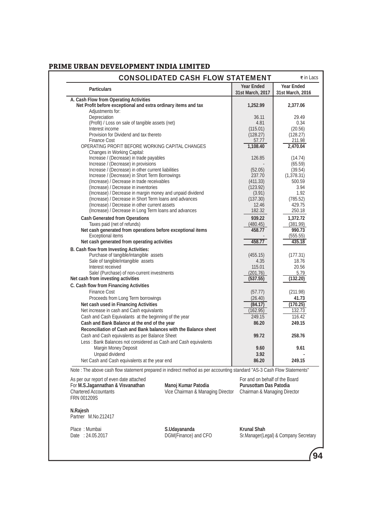|                                                                                                                         | <b>CONSOLIDATED CASH FLOW STATEMENT</b> |                                       | ₹ in Lacs                             |
|-------------------------------------------------------------------------------------------------------------------------|-----------------------------------------|---------------------------------------|---------------------------------------|
| <b>Particulars</b>                                                                                                      |                                         | <b>Year Ended</b><br>31st March, 2017 | <b>Year Ended</b><br>31st March, 2016 |
| A. Cash Flow from Operating Activities                                                                                  |                                         |                                       |                                       |
| Net Profit before exceptional and extra ordinary items and tax                                                          |                                         | 1,252.99                              | 2,377.06                              |
| Adjustments for:                                                                                                        |                                         |                                       |                                       |
| Depreciation                                                                                                            |                                         | 36.11                                 | 29.49                                 |
| (Profit) / Loss on sale of tangible assets (net)                                                                        |                                         | 4.81                                  | 0.34                                  |
| Interest income                                                                                                         |                                         | (115.01)                              | (20.56)                               |
| Provision for Dividend and tax thereto                                                                                  |                                         | (128.27)                              | (128.27)                              |
| <b>Finance Cost</b>                                                                                                     |                                         | 57.77                                 | 211.98                                |
| OPERATING PROFIT BEFORE WORKING CAPITAL CHANGES                                                                         |                                         | 1,108.40                              | 2,470.04                              |
|                                                                                                                         |                                         |                                       |                                       |
| Changes in Working Capital:                                                                                             |                                         |                                       |                                       |
| Increase / (Decrease) in trade payables                                                                                 |                                         | 126.85                                | (14.74)                               |
| Increase / (Decrease) in provisions                                                                                     |                                         |                                       | (65.59)                               |
| Increase / (Decrease) in other current liabilities                                                                      |                                         | (52.05)                               | (39.54)                               |
| Increase / (Decrease) in Short Term Borrowings                                                                          |                                         | 237.70                                | (1,378.31)                            |
| (Increase) / Decrease in trade receivables                                                                              |                                         | (411.33)                              | 500.59                                |
| (Increase) / Decrease in inventories                                                                                    |                                         | (123.92)                              | 3.94                                  |
| (Increase) / Decrease in margin money and unpaid dividend                                                               |                                         | (3.91)                                | 1.92                                  |
| (Increase) / Decrease in Short Term loans and advances                                                                  |                                         | (137.30)                              | (785.52)                              |
| (Increase) / Decrease in other current assets                                                                           |                                         |                                       | 429.75                                |
|                                                                                                                         |                                         | 12.46                                 |                                       |
| (Increase) / Decrease in Long Term loans and advances                                                                   |                                         | 182.32                                | 250.18                                |
| <b>Cash Generated from Operations</b>                                                                                   |                                         | 939.22                                | 1,372.72                              |
| Taxes paid (net of refunds)                                                                                             |                                         | (480.45)                              | (381.99)                              |
| Net cash generated from operations before exceptional items                                                             |                                         | 458.77                                | 990.73                                |
| <b>Exceptional items</b>                                                                                                |                                         |                                       |                                       |
| Net cash generated from operating activities                                                                            |                                         | 458.77                                | (555.55)                              |
|                                                                                                                         |                                         |                                       | 435.18                                |
| B. Cash flow from Investing Activities:                                                                                 |                                         |                                       |                                       |
| Purchase of tangible/intangible assets                                                                                  |                                         | (455.15)                              | (177.31)                              |
| Sale of tangible/intangible assets                                                                                      |                                         | 4.35                                  | 18.76                                 |
| Interest received                                                                                                       |                                         | 115.01                                | 20.56                                 |
| Sale/ (Purchase) of non-current investments                                                                             |                                         | (201.76)                              | 5.79                                  |
| Net cash from investing activities                                                                                      |                                         | (537.55)                              | (132.20)                              |
| C. Cash flow from Financing Activities                                                                                  |                                         |                                       |                                       |
|                                                                                                                         |                                         |                                       |                                       |
| <b>Finance Cost</b>                                                                                                     |                                         | (57.77)                               | (211.98)                              |
| Proceeds from Long Term borrowings                                                                                      |                                         | (26.40)                               | 41.73                                 |
| Net cash used in Financing Activities                                                                                   |                                         | (84.17)                               | (170.25)                              |
| Net increase in cash and Cash equivalants                                                                               |                                         | (162.95)                              | 132.73                                |
| Cash and Cash Equivalants at the beginning of the year                                                                  |                                         | 249.15                                | 116.42                                |
|                                                                                                                         |                                         |                                       |                                       |
| Cash and Bank Balance at the end of the year                                                                            |                                         | 86.20                                 | 249.15                                |
| Reconciliation of Cash and Bank balances with the Balance sheet                                                         |                                         |                                       |                                       |
| Cash and Cash equivalents as per Balance Sheet                                                                          |                                         | 99.72                                 | 258.76                                |
| Less: Bank Balances not considered as Cash and Cash equivalents                                                         |                                         |                                       |                                       |
|                                                                                                                         |                                         |                                       | 9.61                                  |
| Margin Money Deposit                                                                                                    |                                         | 9.60                                  |                                       |
| Unpaid dividend                                                                                                         |                                         | 3.92                                  |                                       |
| Net Cash and Cash equivalents at the year end                                                                           |                                         | 86.20                                 | 249.15                                |
| Note : The above cash flow statement prepared in indirect method as per accounting standard "AS-3 Cash Flow Statements" |                                         |                                       |                                       |
| As per our report of even date attached                                                                                 |                                         | For and on behalf of the Board        |                                       |
|                                                                                                                         |                                         |                                       |                                       |
| For M.S.Jagannathan & Visvanathan                                                                                       | Manoj Kumar Patodia                     | <b>Purusottam Das Patodia</b>         |                                       |
| <b>Chartered Accountants</b>                                                                                            | Vice Chairman & Managing Director       | Chairman & Managing Director          |                                       |
| FRN 001209S                                                                                                             |                                         |                                       |                                       |
|                                                                                                                         |                                         |                                       |                                       |
| N.Rajesh                                                                                                                |                                         |                                       |                                       |
| Partner M.No.212417                                                                                                     |                                         |                                       |                                       |
|                                                                                                                         |                                         |                                       |                                       |
| Place: Mumbai                                                                                                           | S.Udayananda                            | <b>Krunal Shah</b>                    |                                       |
| Date: 24.05.2017                                                                                                        | DGM(Finance) and CFO                    | Sr.Manager(Legal) & Company Secretary |                                       |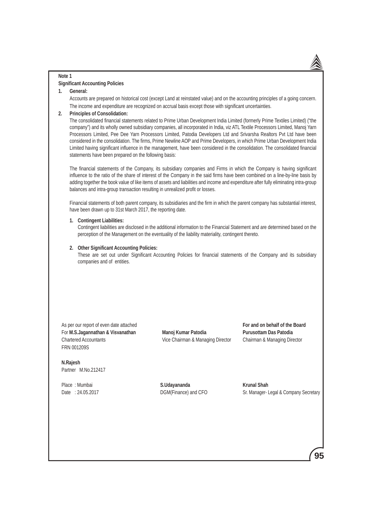### **Note 1**

#### **Significant Accounting Policies**

### **1. General:**

 Accounts are prepared on historical cost (except Land at reinstated value) and on the accounting principles of a going concern. The income and expenditure are recognized on accrual basis except those with significant uncertainties.

### **2. Principles of Consolidation:**

 The consolidated financial statements related to Prime Urban Development India Limited (formerly Prime Textiles Limited) ("the company") and its wholly owned subsidiary companies, all incorporated in India, viz ATL Textile Processors Limited, Manoj Yarn Processors Limited, Pee Dee Yarn Processors Limited, Patodia Developers Ltd and Srivarsha Realtors Pvt Ltd have been considered in the consolidation. The firms, Prime Newline AOP and Prime Developers, in which Prime Urban Development India Limited having significant influence in the management, have been considered in the consolidation. The consolidated financial statements have been prepared on the following basis:

 The financial statements of the Company, its subsidiary companies and Firms in which the Company is having significant influence to the ratio of the share of interest of the Company in the said firms have been combined on a line-by-line basis by adding together the book value of like items of assets and liabilities and income and expenditure after fully eliminating intra-group balances and intra-group transaction resulting in unrealized profit or losses.

 Financial statements of both parent company, its subsidiaries and the firm in which the parent company has substantial interest, have been drawn up to 31st March 2017, the reporting date.

#### **1. Contingent Liabilities:**

 Contingent liabilities are disclosed in the additional information to the Financial Statement and are determined based on the perception of the Management on the eventuality of the liability materiality, contingent thereto.

#### **2. Other Significant Accounting Policies:**

 These are set out under Significant Accounting Policies for financial statements of the Company and its subsidiary companies and of entities.

As per our report of even date attached **For and on behalf of the Board For and on behalf of the Board** For M.S.Jagannathan & Visvanathan Manoj Kumar Patodia **Patodia Purusottam Das Patodia** Chartered Accountants Vice Chairman & Managing Director Chairman & Managing Director FRN 001209S

**N.Rajesh**  Partner M.No.212417

Place : Mumbai **S.Udayananda S.Udayananda** Krunal Shah

Date : 24.05.2017 Quarrelative DGM(Finance) and CFO Sr. Manager- Legal & Company Secretary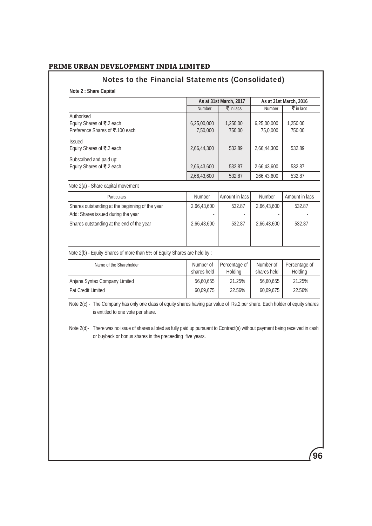# Notes to the Financial Statements (Consolidated)

**Note 2 : Share Capital**

|                                                                                       |                          | As at 31st March, 2017          |                          | As at 31st March, 2016          |
|---------------------------------------------------------------------------------------|--------------------------|---------------------------------|--------------------------|---------------------------------|
|                                                                                       | Number                   | $\overline{\mathbf{z}}$ in lacs | Number                   | $\overline{\mathbf{z}}$ in lacs |
| Authorised<br>Equity Shares of ₹.2 each<br>Preference Shares of ₹.100 each            | 6,25,00,000<br>7,50,000  | 1,250.00<br>750.00              | 6,25,00,000<br>75,0,000  | 1,250.00<br>750.00              |
| <b>Issued</b><br>Equity Shares of ₹.2 each                                            | 2,66,44,300              | 532.89                          | 2,66,44,300              | 532.89                          |
| Subscribed and paid up:<br>Equity Shares of ₹.2 each                                  | 2,66,43,600              | 532.87                          | 2,66,43,600              | 532.87                          |
|                                                                                       | 2,66,43,600              | 532.87                          | 266,43,600               | 532.87                          |
| Note 2(a) - Share capital movement                                                    |                          |                                 |                          |                                 |
| Particulars                                                                           | Number                   | Amount in lacs                  | Number                   | Amount in lacs                  |
| Shares outstanding at the beginning of the year<br>Add: Shares issued during the year | 2,66,43,600              | 532.87                          | 2,66,43,600              | 532.87                          |
| Shares outstanding at the end of the year                                             | 2,66,43,600              | 532.87                          | 2,66,43,600              | 532.87                          |
| Note 2(b) - Equity Shares of more than 5% of Equity Shares are held by :              |                          |                                 |                          |                                 |
| Name of the Shareholder                                                               | Number of<br>shares held | Percentage of<br>Holding        | Number of<br>shares held | Percentage of<br>Holding        |
| Anjana Syntex Company Limited                                                         | 56,60,655                | 21.25%                          | 56,60,655                | 21.25%                          |
| <b>Pat Credit Limited</b>                                                             | 60,09,675                | 22.56%                          | 60,09,675                | 22.56%                          |

Note 2(c) - The Company has only one class of equity shares having par value of Rs.2 per share. Each holder of equity shares is entitled to one vote per share.

Note 2(d)- There was no issue of shares alloted as fully paid up pursuant to Contract(s) without payment being received in cash or buyback or bonus shares in the preceeding five years.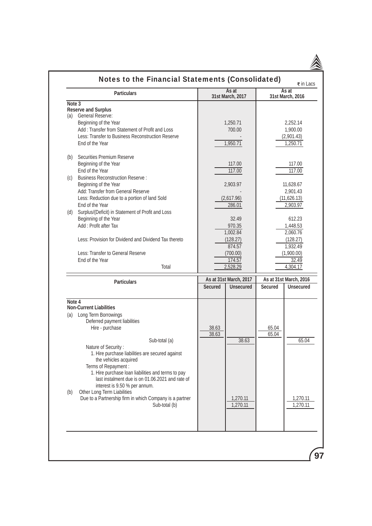|        | <b>Particulars</b>                                                                     |                                          | As at                  |                      | $\overline{\mathbf{z}}$ in Lacs<br>As at |  |
|--------|----------------------------------------------------------------------------------------|------------------------------------------|------------------------|----------------------|------------------------------------------|--|
| Note 3 |                                                                                        |                                          | 31st March, 2017       |                      | 31st March, 2016                         |  |
|        | <b>Reserve and Surplus</b>                                                             |                                          |                        |                      |                                          |  |
|        | (a) General Reserve:                                                                   |                                          |                        |                      |                                          |  |
|        | Beginning of the Year                                                                  |                                          | 1,250.71               |                      | 2,252.14                                 |  |
|        | Add: Transfer from Statement of Profit and Loss                                        |                                          | 700.00                 |                      | 1,900.00                                 |  |
|        | Less: Transfer to Business Reconstruction Reserve                                      |                                          |                        |                      | (2,901.43)                               |  |
|        | End of the Year                                                                        |                                          | 1,950.71               |                      | 1,250.71                                 |  |
| (b)    | Securities Premium Reserve                                                             |                                          |                        |                      |                                          |  |
|        | Beginning of the Year                                                                  |                                          | 117.00                 |                      | 117.00                                   |  |
|        | End of the Year                                                                        |                                          | 117.00                 |                      | 117.00                                   |  |
| (C)    | <b>Business Reconstruction Reserve:</b>                                                |                                          |                        |                      |                                          |  |
|        | Beginning of the Year                                                                  |                                          | 2,903.97               |                      | 11,628.67                                |  |
|        | Add: Transfer from General Reserve                                                     |                                          |                        |                      | 2,901.43                                 |  |
|        | Less: Reduction due to a portion of land Sold                                          |                                          | (2,617.96)             |                      | (11, 626.13)                             |  |
|        | End of the Year                                                                        |                                          | 286.01                 |                      | 2,903.97                                 |  |
| (d)    | Surplus/(Deficit) in Statement of Profit and Loss                                      |                                          |                        |                      |                                          |  |
|        | Beginning of the Year                                                                  | 32.49<br>Add: Profit after Tax<br>970.35 |                        | 612.23               |                                          |  |
|        |                                                                                        |                                          |                        |                      | 1,448.53                                 |  |
|        |                                                                                        |                                          | 1,002.84               |                      | 2,060.76                                 |  |
|        | Less: Provision for Dividend and Dividend Tax thereto                                  |                                          | (128.27)<br>874.57     | (128.27)<br>1,932.49 |                                          |  |
|        | Less: Transfer to General Reserve                                                      | (700.00)                                 |                        | (1,900.00)           |                                          |  |
|        | End of the Year                                                                        |                                          | 174.57                 |                      | 32.49                                    |  |
|        | Total                                                                                  |                                          | 2,528.29               |                      | 4,304.17                                 |  |
|        |                                                                                        |                                          | As at 31st March, 2017 |                      | As at 31st March, 2016                   |  |
|        | <b>Particulars</b>                                                                     | <b>Secured</b>                           | <b>Unsecured</b>       | <b>Secured</b>       | <b>Unsecured</b>                         |  |
| Note 4 |                                                                                        |                                          |                        |                      |                                          |  |
|        | <b>Non-Current Liabilities</b>                                                         |                                          |                        |                      |                                          |  |
| (a)    | Long Term Borrowings                                                                   |                                          |                        |                      |                                          |  |
|        | Deferred payment liabilities                                                           |                                          |                        |                      |                                          |  |
|        | Hire - purchase                                                                        | 38.63                                    |                        | 65.04                |                                          |  |
|        | Sub-total (a)                                                                          | 38.63                                    | 38.63                  | 65.04                | 65.04                                    |  |
|        | Nature of Security:                                                                    |                                          |                        |                      |                                          |  |
|        | 1. Hire purchase liabilities are secured against                                       |                                          |                        |                      |                                          |  |
|        | the vehicles acquired                                                                  |                                          |                        |                      |                                          |  |
|        | Terms of Repayment :                                                                   |                                          |                        |                      |                                          |  |
|        | 1. Hire purchase loan liabilities and terms to pay                                     |                                          |                        |                      |                                          |  |
|        | last instalment due is on 01.06.2021 and rate of                                       |                                          |                        |                      |                                          |  |
|        | interest is 9.50 % per annum.                                                          |                                          |                        |                      |                                          |  |
| (b)    | Other Long Term Liabilities<br>Due to a Partnership firm in which Company is a partner |                                          | 1,270.11               |                      | 1,270.11                                 |  |
|        | Sub-total (b)                                                                          |                                          | 1,270.11               |                      | 1,270.11                                 |  |
|        |                                                                                        |                                          |                        |                      |                                          |  |
|        |                                                                                        |                                          |                        |                      |                                          |  |
|        |                                                                                        |                                          |                        |                      |                                          |  |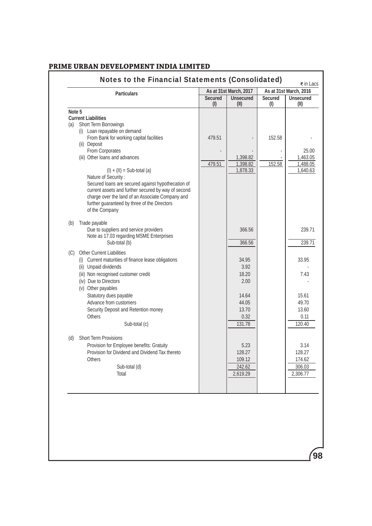| <b>Particulars</b>                                  |                       | As at 31st March, 2017   |                       | As at 31st March, 2016   |
|-----------------------------------------------------|-----------------------|--------------------------|-----------------------|--------------------------|
|                                                     | <b>Secured</b><br>(1) | <b>Unsecured</b><br>(II) | <b>Secured</b><br>(1) | <b>Unsecured</b><br>(II) |
| Note 5                                              |                       |                          |                       |                          |
| <b>Current Liabilities</b>                          |                       |                          |                       |                          |
| Short Term Borrowings<br>(a)                        |                       |                          |                       |                          |
| (i) Loan repayable on demand                        |                       |                          |                       |                          |
| From Bank for working capital facilities            | 479.51                |                          | 152.58                |                          |
| (ii) Deposit<br>From Corporates                     |                       |                          |                       | 25.00                    |
| (iii) Other loans and advances                      |                       | 1,398.82                 |                       | 1,463.05                 |
|                                                     | 479.51                | 1,398.82                 | 152.58                | 1,488.05                 |
| $(I) + (II) = Sub-total (a)$                        |                       | 1,878.33                 |                       | 1,640.63                 |
| Nature of Security:                                 |                       |                          |                       |                          |
| Secured loans are secured against hypothecation of  |                       |                          |                       |                          |
| current assets and further secured by way of second |                       |                          |                       |                          |
| charge over the land of an Associate Company and    |                       |                          |                       |                          |
| further guaranteed by three of the Directors        |                       |                          |                       |                          |
| of the Company                                      |                       |                          |                       |                          |
| Trade payable<br>(b)                                |                       |                          |                       |                          |
| Due to suppliers and service providers              |                       | 366.56                   |                       | 239.71                   |
| Note as 17.03 regarding MSME Enterprises            |                       |                          |                       |                          |
| Sub-total (b)                                       |                       | 366.56                   |                       | 239.71                   |
| Other Current Liabilities<br>(C)                    |                       |                          |                       |                          |
| (i) Current maturities of finance lease obligations |                       | 34.95                    |                       | 33.95                    |
| (ii) Unpaid dividends                               |                       | 3.92                     |                       |                          |
| (iii) Non recognised customer credit                |                       | 18.20                    |                       | 7.43                     |
| (iv) Due to Directors                               |                       | 2.00                     |                       |                          |
| (v) Other payables                                  |                       |                          |                       |                          |
| Statutory dues payable                              |                       | 14.64                    |                       | 15.61                    |
| Advance from customers                              |                       | 44.05                    |                       | 49.70                    |
| Security Deposit and Retention money                |                       | 13.70                    |                       | 13.60                    |
| <b>Others</b>                                       |                       | 0.32                     |                       | 0.11                     |
| Sub-total (c)                                       |                       | 131.78                   |                       | 120.40                   |
| Short Term Provisions<br>(d)                        |                       |                          |                       |                          |
| Provision for Employee benefits: Gratuity           |                       | 5.23                     |                       | 3.14                     |
| Provision for Dividend and Dividend Tax thereto     |                       | 128.27                   |                       | 128.27                   |
| Others                                              |                       | 109.12                   |                       | 174.62                   |
| Sub-total (d)                                       |                       | 242.62                   |                       | 306.03                   |
| Total                                               |                       | 2,619.29                 |                       | 2,306.77                 |
|                                                     |                       |                          |                       |                          |
|                                                     |                       |                          |                       |                          |
|                                                     |                       |                          |                       |                          |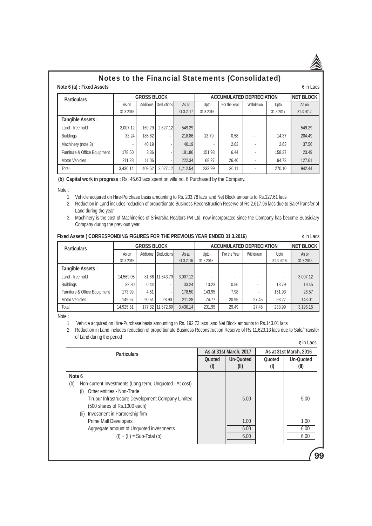## **Note 6 (a) : Fixed Assets**  $\vec{\bm{\epsilon}}$  in Lacs Notes to the Financial Statements (Consolidated)

| <b>Particulars</b>           | <b>GROSS BLOCK</b> |                  |            |           |           | <b>ACCUMULATED DEPRECIATION</b> |           |           |           |  |
|------------------------------|--------------------|------------------|------------|-----------|-----------|---------------------------------|-----------|-----------|-----------|--|
|                              | As on              | <b>Additions</b> | Deductions | As at     | Upto      | For the Year                    | Withdrawn | Upto      | As on     |  |
|                              | 31.3.2016          |                  |            | 31.3.2017 | 31.3.2016 |                                 |           | 31.3.2017 | 31.3.2017 |  |
| Tangible Assets:             |                    |                  |            |           |           |                                 |           |           |           |  |
| Land - free hold             | 3.007.12           | 169.29           | 2.627.12   | 549.29    |           |                                 |           |           | 549.29    |  |
| <b>Buildings</b>             | 33.24              | 185.62           | ٠          | 218.86    | 13.79     | 0.58                            |           | 14.37     | 204.49    |  |
| Machinery (note 3)           |                    | 40.19            |            | 40.19     |           | 2.63                            |           | 2.63      | 37.56     |  |
| Furniture & Office Equipment | 178.50             | 3.36             |            | 181.86    | 151.93    | 6.44                            |           | 158.37    | 23.49     |  |
| <b>Motor Vehicles</b>        | 211.28             | 11.06            |            | 222.34    | 68.27     | 26.46                           |           | 94.73     | 127.61    |  |
| Total                        | 3.430.14           | 409.52           | 2.627.12   | 1.212.54  | 233.99    | 36.11                           |           | 270.10    | 942.44    |  |

**(b) Capital work in progress :** Rs. 45.63 lacs spent on villa no. 6 Purchased by the Company.

Note :

1. Vehicle acquired on Hire-Purchase basis amounting to Rs. 203.78 lacs and Net Block amounts to Rs.127.61 lacs

- 2. Reduction in Land includes reduction of proportionate Business Reconstruction Reserve of Rs.2,617.96 lacs due to Sale/Transfer of Land during the year
- 3. Machinery is the cost of Machineries of Srivarsha Realtors Pvt Ltd, now incorporated since the Company has become Subsidiary Company during the previous year

| Fixed Assets (CORRESPONDING FIGURES FOR THE PREVIOUS YEAR ENDED 31.3.2016) | ₹ in Lacs |
|----------------------------------------------------------------------------|-----------|
|----------------------------------------------------------------------------|-----------|

| <b>Particulars</b>           | <b>GROSS BLOCK</b> |           |                  |           | <b>ACCUMULATED DEPRECIATION</b> | <b>NET BLOCK</b> |           |           |           |
|------------------------------|--------------------|-----------|------------------|-----------|---------------------------------|------------------|-----------|-----------|-----------|
|                              | As on              | Additions | Deductions       | As at     | Upto                            | For the Year     | Withdrawn | Upto      | As on     |
|                              | 31.3.2015          |           |                  | 31.3.2016 | 31.3.2015                       |                  |           | 31.3.2016 | 31.3.2016 |
| Tangible Assets:             |                    |           |                  |           |                                 |                  |           |           |           |
| Land - free hold             | 14.569.05          |           | 81.86 11,643.79  | 3.007.12  |                                 |                  |           |           | 3.007.12  |
| <b>Buildings</b>             | 32.80              | 0.44      |                  | 33.24     | 13.23                           | 0.56             |           | 13.79     | 19.45     |
| Furniture & Office Equipment | 173.99             | 4.51      |                  | 178.50    | 143.95                          | 7.98             |           | 151.93    | 26.57     |
| <b>Motor Vehicles</b>        | 149.67             | 90.51     | 28.90            | 211.28    | 74.77                           | 20.95            | 27.45     | 68.27     | 143.01    |
| Total                        | 14,925.51          |           | 177.32 11,672.69 | 3.430.14  | 231.95                          | 29.49            | 27.45     | 233.99    | 3,196.15  |

Note :

1. Vehicle acquired on Hire-Purchase basis amounting to Rs. 192.72 lacs and Net Block amounts to Rs.143.01 lacs

 2. Reduction in Land includes reduction of proportionate Business Reconstruction Reserve of Rs.11,623.13 lacs due to Sale/Transfer of Land during the period  $\overline{\ast}$  in Lacs

| <b>Particulars</b>                                                                                                                                                                                                                  |               | As at 31st March, 2017   | As at 31st March, 2016 |                          |  |
|-------------------------------------------------------------------------------------------------------------------------------------------------------------------------------------------------------------------------------------|---------------|--------------------------|------------------------|--------------------------|--|
|                                                                                                                                                                                                                                     | Quoted<br>(1) | <b>Un-Quoted</b><br>(II) | Quoted<br>(I)          | <b>Un-Quoted</b><br>(II) |  |
| Note 6                                                                                                                                                                                                                              |               |                          |                        |                          |  |
| Non-current Investments (Long term, Unquoted - At cost)<br>(b)<br>Other entities - Non-Trade<br>(i)<br>Tirupur Infrastructure Development Company Limited<br>(500 shares of Rs.1000 each)<br>Investment in Partnership firm<br>(ii) |               | 5.00                     |                        | 5.00                     |  |
| <b>Prime Mall Developers</b><br>Aggregate amount of Unquoted investments<br>$(I) + (II) = Sub-Total (b)$                                                                                                                            |               | 1.00<br>6.00<br>6.00     |                        | 1.00<br>6.00<br>6.00     |  |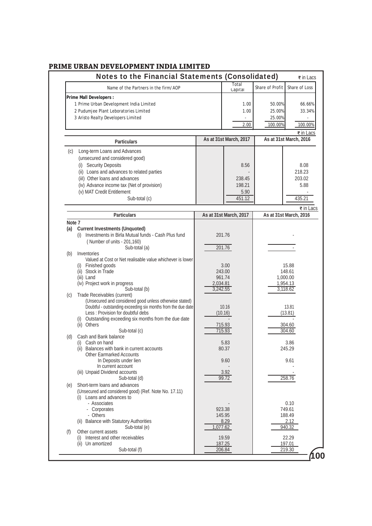|                      | Notes to the Financial Statements (Consolidated)                                                                                                                                                                                                                                                                                            |                                      |                                              |                                       | ₹ in Lacs                                             |
|----------------------|---------------------------------------------------------------------------------------------------------------------------------------------------------------------------------------------------------------------------------------------------------------------------------------------------------------------------------------------|--------------------------------------|----------------------------------------------|---------------------------------------|-------------------------------------------------------|
|                      | Name of the Partners in the firm/AOP                                                                                                                                                                                                                                                                                                        |                                      | Total<br>Capital                             | Share of Profit                       | Share of Loss                                         |
|                      | Prime Mall Developers :<br>1 Prime Urban Development India Limited<br>2 Pudumjee Plant Leboratories Limited<br>3 Aristo Realty Developers Limited                                                                                                                                                                                           |                                      | 1.00<br>1.00<br>2.00                         | 50.00%<br>25.00%<br>25.00%<br>100.00% | 66.66%<br>33.34%<br>100.00%                           |
|                      | <b>Particulars</b>                                                                                                                                                                                                                                                                                                                          |                                      | As at 31st March, 2017                       |                                       | ₹ in Lacs<br>As at 31st March, 2016                   |
| (c)                  | Long-term Loans and Advances<br>(unsecured and considered good)<br>(i) Security Deposits<br>(ii) Loans and advances to related parties<br>(iil) Other loans and advances<br>(iv) Advance income tax (Net of provision)<br>(v) MAT Credit Entitlement<br>Sub-total (c)                                                                       |                                      | 8.56<br>238.45<br>198.21<br>5.90<br>451.12   |                                       | 8.08<br>218.23<br>203.02<br>5.88<br>435.21            |
|                      |                                                                                                                                                                                                                                                                                                                                             |                                      |                                              |                                       | ₹ in Lacs                                             |
|                      | <b>Particulars</b>                                                                                                                                                                                                                                                                                                                          |                                      | As at 31st March, 2017                       |                                       | As at 31st March, 2016                                |
| Note 7<br>(a)<br>(b) | <b>Current Investments (Unquoted)</b><br>Investments in Birla Mutual funds - Cash Plus fund<br>(i)<br>(Number of units - 201,160)<br>Sub-total (a)<br>Inventories<br>Valued at Cost or Net realisable value whichever is lower<br>(i) Finished goods<br>(ii) Stock in Trade<br>(iii) Land<br>(iv) Project work in progress<br>Sub-total (b) | 2,034.81<br>3,242.55                 | 201.76<br>201.76<br>3.00<br>243.00<br>961.74 |                                       | 15.88<br>148.61<br>1,000.00<br>1,954.13<br>3,118.62   |
| (c)                  | Trade Receivables (current)<br>(Unsecured and considered good unless otherwise stated)<br>Doubtful - outstanding exceeding six months from the due date<br>Less: Provision for doubtful debs<br>(i) Outstanding exceeding six months from the due date<br>(ii) Others<br>Sub-total (c)                                                      | 10.16<br>(10.16)<br>715.93<br>715.93 |                                              | 13.81<br>(13.81)<br>304.60<br>304.60  |                                                       |
| (d)                  | Cash and Bank balance<br>(i) Cash on hand<br>(ii) Balances with bank in current accounts<br><b>Other Earmarked Accounts</b><br>In Deposits under lien<br>In current account                                                                                                                                                                 | 5.83<br>80.37<br>9.60                |                                              | 3.86<br>245.29<br>9.61                |                                                       |
| (e)                  | (iii) Unpaid Dividend accounts<br>Sub-total (d)<br>Short-term loans and advances<br>(Unsecured and considered good) (Ref. Note No. 17.11)<br>(i) Loans and advances to<br>- Associates                                                                                                                                                      |                                      | 3.92<br>99.72                                |                                       | 258.76<br>0.10                                        |
| (f)                  | - Corporates<br>- Others<br><b>Balance with Statutory Authorities</b><br>(ii)<br>Sub-total (e)<br>Other current assets<br>(i) Interest and other receivables<br>(ii) Un amortized                                                                                                                                                           | 1,077.62                             | 923.38<br>145.95<br>8.29<br>19.59<br>187.25  |                                       | 749.61<br>188.49<br>2.12<br>940.32<br>22.29<br>197.01 |
|                      | Sub-total (f)                                                                                                                                                                                                                                                                                                                               |                                      | 206.84                                       |                                       | 219.30                                                |

 $\mathbf{0}$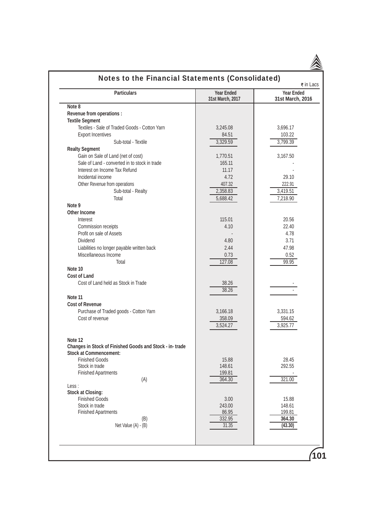|                                                         | Notes to the Financial Statements (Consolidated) | ₹ in Lacs                             |
|---------------------------------------------------------|--------------------------------------------------|---------------------------------------|
| <b>Particulars</b>                                      | <b>Year Ended</b><br>31st March, 2017            | <b>Year Ended</b><br>31st March, 2016 |
| Note 8                                                  |                                                  |                                       |
| Revenue from operations :                               |                                                  |                                       |
| <b>Textile Segment</b>                                  |                                                  |                                       |
| Textiles - Sale of Traded Goods - Cotton Yarn           | 3,245.08                                         | 3,696.17                              |
| <b>Export Incentives</b>                                | 84.51                                            | 103.22                                |
| Sub-total - Textile                                     | 3,329.59                                         | 3,799.39                              |
| <b>Realty Segment</b>                                   |                                                  |                                       |
| Gain on Sale of Land (net of cost)                      | 1,770.51                                         | 3,167.50                              |
| Sale of Land - converted in to stock in trade           | 165.11                                           |                                       |
| Interest on Income Tax Refund                           | 11.17                                            |                                       |
| Incidental income                                       | 4.72                                             | 29.10                                 |
| Other Revenue from operations                           | 407.32                                           | 222.91                                |
| Sub-total - Realty                                      | 2,358.83                                         | 3,419.51                              |
| Total                                                   | 5,688.42                                         | 7,218.90                              |
| Note 9                                                  |                                                  |                                       |
| <b>Other Income</b>                                     |                                                  |                                       |
| Interest                                                | 115.01                                           | 20.56                                 |
| Commission receipts                                     | 4.10                                             | 22.40                                 |
| Profit on sale of Assets                                |                                                  | 4.78                                  |
| <b>Dividend</b>                                         | 4.80                                             | 3.71                                  |
| Liabilities no longer payable written back              | 2.44                                             | 47.98                                 |
| Miscellaneous Income                                    | 0.73                                             | 0.52                                  |
| Total                                                   | 127.08                                           | 99.95                                 |
| Note 10                                                 |                                                  |                                       |
| Cost of Land                                            |                                                  |                                       |
| Cost of Land held as Stock in Trade                     | 38.26<br>38.26                                   |                                       |
| Note 11                                                 |                                                  |                                       |
| <b>Cost of Revenue</b>                                  |                                                  |                                       |
| Purchase of Traded goods - Cotton Yarn                  | 3,166.18                                         | 3,331.15                              |
| Cost of revenue                                         | 358.09                                           | 594.62                                |
|                                                         | 3,524.27                                         | 3,925.77                              |
|                                                         |                                                  |                                       |
| Note 12                                                 |                                                  |                                       |
| Changes in Stock of Finished Goods and Stock - in-trade |                                                  |                                       |
| <b>Stock at Commencement:</b>                           |                                                  |                                       |
| <b>Finished Goods</b>                                   | 15.88                                            | 28.45                                 |
| Stock in trade                                          | 148.61                                           | 292.55                                |
| <b>Finished Apartments</b>                              | 199.81                                           |                                       |
| (A)                                                     | 364.30                                           | 321.00                                |
| Less:                                                   |                                                  |                                       |
| <b>Stock at Closing:</b>                                |                                                  |                                       |
| <b>Finished Goods</b>                                   | 3.00                                             | 15.88                                 |
| Stock in trade                                          | 243.00                                           | 148.61                                |
| <b>Finished Apartments</b>                              | 86.95                                            | 199.81                                |
| (B)                                                     | 332.95<br>31.35                                  | 364.30                                |
| Net Value (A) - (B)                                     |                                                  | (43.30)                               |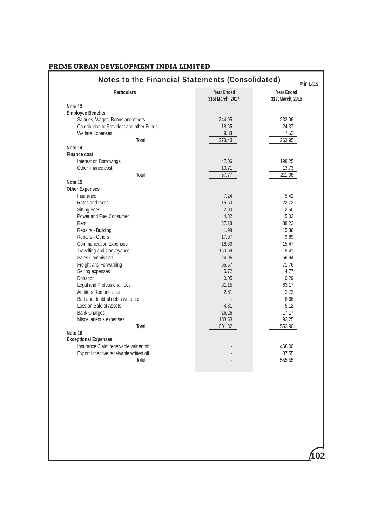| <b>Particulars</b>                        | <b>Year Ended</b><br>31st March, 2017 | <b>Year Ended</b><br>31st March, 2016 |
|-------------------------------------------|---------------------------------------|---------------------------------------|
| Note 13                                   |                                       |                                       |
| <b>Employee Benefits</b>                  |                                       |                                       |
| Salaries, Wages, Bonus and others         | 244.95                                | 232.06                                |
| Contribution to Provident and other Funds | 18.65                                 | 24.37                                 |
| <b>Welfare Expenses</b>                   | 9.83                                  | 7.52                                  |
| Total                                     | 273.43                                | 263.95                                |
| Note 14                                   |                                       |                                       |
| <b>Finance cost</b>                       |                                       |                                       |
| Interest on Borrowings                    | 47.06                                 | 198.25                                |
| Other finance cost                        | 10.71                                 | 13.73                                 |
| Total                                     | 57.77                                 | 211.98                                |
| Note 15                                   |                                       |                                       |
| <b>Other Expenses</b>                     |                                       |                                       |
| Insurance                                 | 7.24                                  | 5.42                                  |
| Rates and taxes                           | 15.50                                 | 22.73                                 |
| <b>Sitting Fees</b>                       | 2.90                                  | 2.50                                  |
| Power and Fuel Consumed                   | 4.32                                  | 5.02                                  |
| Rent                                      | 37.18                                 | 38.22                                 |
| Repairs - Building                        | 1.98                                  | 15.38                                 |
| Repairs - Others                          | 17.97                                 | 9.89                                  |
| <b>Communication Expenses</b>             | 18.89                                 | 15.47                                 |
| Travelling and Conveyance                 | 160.69                                | 115.41                                |
| Sales Commission                          | 24.95                                 | 56.94                                 |
| Freight and Forwarding                    | 65.57                                 | 71.76                                 |
| Selling expenses                          | 5.72                                  | 4.77                                  |
| Donation                                  | 0.05                                  | 0.29                                  |
| Legal and Professional fees               | 31.15                                 | 63.17                                 |
| <b>Auditors Remuneration</b>              | 2.61                                  | 2.73                                  |
| Bad and doubtful debts written off        |                                       | 8.66                                  |
| Loss on Sale of Assets                    | 4.81                                  | 5.12                                  |
| <b>Bank Charges</b>                       | 16.26                                 | 17.17                                 |
| Miscellaneous expenses                    | 183.53                                | 93.25                                 |
| Total                                     | 601.32                                | 553.90                                |
| Note 16                                   |                                       |                                       |
| <b>Exceptional Expenses</b>               |                                       |                                       |
| Insurance Claim receivable written off    |                                       | 468.00                                |
| Export Incentive receivable written off   |                                       | 87.55                                 |
| Total                                     |                                       | 555.55                                |
|                                           |                                       |                                       |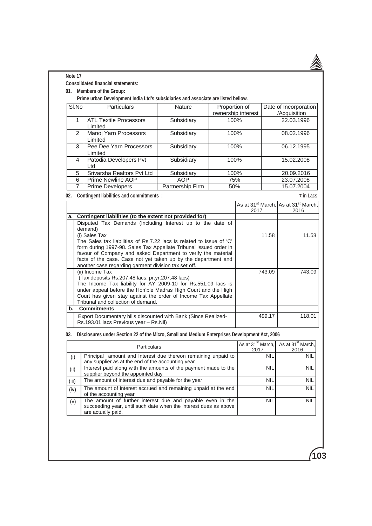| Note 17    |                                                                                                                    |                  |                    |                                       |            |                                                                     |
|------------|--------------------------------------------------------------------------------------------------------------------|------------------|--------------------|---------------------------------------|------------|---------------------------------------------------------------------|
|            | <b>Consolidated financial statements:</b>                                                                          |                  |                    |                                       |            |                                                                     |
| 01.        | <b>Members of the Group:</b>                                                                                       |                  |                    |                                       |            |                                                                     |
|            | Prime urban Development India Ltd's subsidiaries and associate are listed bellow.                                  |                  |                    |                                       |            |                                                                     |
| SI.No      | Particulars                                                                                                        | Nature           | Proportion of      |                                       |            | Date of Incorporation                                               |
| 1          |                                                                                                                    |                  | ownership interest |                                       |            | /Acquisition                                                        |
|            | <b>ATL Textile Processors</b><br>Limited                                                                           | Subsidiary       | 100%               |                                       |            | 22.03.1996                                                          |
| 2          | Manoj Yarn Processors<br>Limited                                                                                   | Subsidiary       | 100%               |                                       |            | 08.02.1996                                                          |
| 3          | Pee Dee Yarn Processors<br>Limited                                                                                 | Subsidiary       | 100%               |                                       |            | 06.12.1995                                                          |
| 4          | Patodia Developers Pvt<br>Ltd                                                                                      | Subsidiary       | 100%               |                                       |            | 15.02.2008                                                          |
| 5          | Srivarsha Realtors Pvt Ltd                                                                                         | Subsidiary       | 100%               |                                       |            | 20.09.2016                                                          |
| 6          | Prime Newline AOP                                                                                                  | <b>AOP</b>       | 75%                |                                       |            | 23.07.2008                                                          |
| 7          | <b>Prime Developers</b>                                                                                            | Partnership Firm | 50%                |                                       |            | 15.07.2004                                                          |
| 02.        | <b>Contingent liabilities and commitments :</b>                                                                    |                  |                    |                                       |            | $\overline{\epsilon}$ in Lacs                                       |
|            |                                                                                                                    |                  |                    | 2017                                  |            | As at 31 <sup>st</sup> March, As at 31 <sup>st</sup> March,<br>2016 |
| a.         | Contingent liabilities (to the extent not provided for)                                                            |                  |                    |                                       |            |                                                                     |
|            | Disputed Tax Demands (Including Interest up to the date of                                                         |                  |                    |                                       |            |                                                                     |
|            | demand)                                                                                                            |                  |                    |                                       |            |                                                                     |
|            | (i) Sales Tax<br>The Sales tax liabilities of Rs.7.22 lacs is related to issue of 'C'                              |                  |                    |                                       | 11.58      | 11.58                                                               |
|            | form during 1997-98. Sales Tax Appellate Tribunal issued order in                                                  |                  |                    |                                       |            |                                                                     |
|            | favour of Company and asked Department to verify the material                                                      |                  |                    |                                       |            |                                                                     |
|            | facts of the case. Case not yet taken up by the department and                                                     |                  |                    |                                       |            |                                                                     |
|            | another case regarding garment division tax set off.                                                               |                  |                    |                                       |            |                                                                     |
|            | (ii) Income Tax                                                                                                    |                  |                    |                                       | 743.09     | 743.09                                                              |
|            | (Tax deposits Rs.207.48 lacs; pr.yr.207.48 lacs)<br>The Income Tax liability for AY 2009-10 for Rs.551.09 lacs is  |                  |                    |                                       |            |                                                                     |
|            | under appeal before the Hon'ble Madras High Court and the High                                                     |                  |                    |                                       |            |                                                                     |
|            | Court has given stay against the order of Income Tax Appellate                                                     |                  |                    |                                       |            |                                                                     |
|            | Tribunal and collection of demand.                                                                                 |                  |                    |                                       |            |                                                                     |
| b.         | <b>Commitments</b>                                                                                                 |                  |                    |                                       |            |                                                                     |
|            | Export Documentary bills discounted with Bank (Since Realized-<br>Rs.193.01 lacs Previous year - Rs.Nil)           |                  |                    |                                       | 499.17     | 118.01                                                              |
| 03.        | Disclosures under Section 22 of the Micro, Small and Medium Enterprises Development Act, 2006                      |                  |                    |                                       |            |                                                                     |
|            | Particulars                                                                                                        |                  |                    | As at 31 <sup>st</sup> March,<br>2017 |            | As at 31 <sup>st</sup> March,<br>2016                               |
| (i)        | Principal amount and Interest due thereon remaining unpaid to<br>any supplier as at the end of the accounting year |                  |                    |                                       | <b>NIL</b> | <b>NIL</b>                                                          |
| $\sqrt{2}$ | Interest paid along with the amounts of the payment made to the                                                    |                  |                    |                                       | NII        | <b>NII</b>                                                          |

|       | any supplier as at the end of the accounting year                |            |                  |
|-------|------------------------------------------------------------------|------------|------------------|
| (ii)  | Interest paid along with the amounts of the payment made to the  | <b>NIL</b> | <b>NIL</b>       |
|       | supplier beyond the appointed day                                |            |                  |
| (iii) | The amount of interest due and payable for the year              | <b>NIL</b> | <b>NIL</b>       |
| (iv)  | The amount of interest accrued and remaining unpaid at the end   | <b>NIL</b> | NIL <sup>1</sup> |
|       | of the accounting year                                           |            |                  |
| (v)   | The amount of further interest due and payable even in the       | <b>NIL</b> | <b>NIL</b>       |
|       | succeeding year, until such date when the interest dues as above |            |                  |
|       | are actually paid.                                               |            |                  |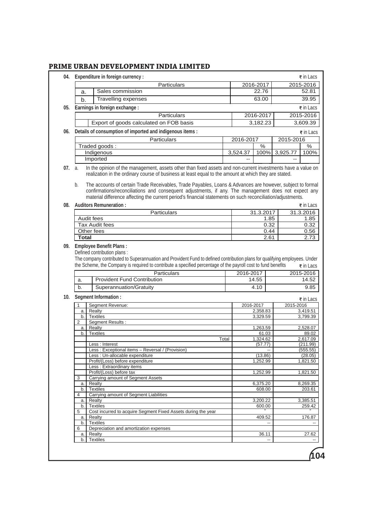|            |              | 04. Expenditure in foreign currency :                                                                                                                                                                                                                                                                                               |                |                      |           | ₹ in Lacs                                                                                                                                                                                                                                                   |
|------------|--------------|-------------------------------------------------------------------------------------------------------------------------------------------------------------------------------------------------------------------------------------------------------------------------------------------------------------------------------------|----------------|----------------------|-----------|-------------------------------------------------------------------------------------------------------------------------------------------------------------------------------------------------------------------------------------------------------------|
|            |              | Particulars                                                                                                                                                                                                                                                                                                                         |                | 2016-2017            |           | 2015-2016                                                                                                                                                                                                                                                   |
|            | a.           | Sales commission                                                                                                                                                                                                                                                                                                                    |                | 22.76                |           | 52.81                                                                                                                                                                                                                                                       |
|            | b.           | Travelling expenses                                                                                                                                                                                                                                                                                                                 |                | 63.00                |           | 39.95                                                                                                                                                                                                                                                       |
| 05.        |              | Earnings in foreign exchange :                                                                                                                                                                                                                                                                                                      |                |                      |           | ₹ in Lacs                                                                                                                                                                                                                                                   |
|            |              | Particulars                                                                                                                                                                                                                                                                                                                         |                | 2016-2017            |           | 2015-2016                                                                                                                                                                                                                                                   |
|            |              | Export of goods calculated on FOB basis                                                                                                                                                                                                                                                                                             |                | 3,182.23             |           | 3,609.39                                                                                                                                                                                                                                                    |
| 06.        |              | Details of consumption of imported and indigenous items :                                                                                                                                                                                                                                                                           |                |                      |           | ₹ in Lacs                                                                                                                                                                                                                                                   |
|            |              | Particulars                                                                                                                                                                                                                                                                                                                         | 2016-2017      |                      | 2015-2016 |                                                                                                                                                                                                                                                             |
|            |              | Traded goods:                                                                                                                                                                                                                                                                                                                       |                | %                    |           | $\%$                                                                                                                                                                                                                                                        |
|            |              | Indigenous                                                                                                                                                                                                                                                                                                                          | 3,524.37       | 100%                 | 3,925.77  | 100%                                                                                                                                                                                                                                                        |
|            |              | Imported                                                                                                                                                                                                                                                                                                                            | $\overline{a}$ |                      | $-$       |                                                                                                                                                                                                                                                             |
| 07.        | a.<br>b.     | In the opinion of the management, assets other than fixed assets and non-current investments have a value on<br>realization in the ordinary course of business at least equal to the amount at which they are stated.<br>The accounts of certain Trade Receivables, Trade Payables, Loans & Advances are however, subject to formal |                |                      |           |                                                                                                                                                                                                                                                             |
|            |              | confirmations/reconciliations and consequent adjustments, if any. The management does not expect any<br>material difference affecting the current period's financial statements on such reconciliation/adjustments.                                                                                                                 |                |                      |           |                                                                                                                                                                                                                                                             |
| 08.        |              | <b>Auditors Remuneration:</b>                                                                                                                                                                                                                                                                                                       |                |                      |           | ₹ in Lacs                                                                                                                                                                                                                                                   |
|            |              | Particulars                                                                                                                                                                                                                                                                                                                         |                | 31.3.2017            |           | 31.3.2016                                                                                                                                                                                                                                                   |
|            |              | Audit fees                                                                                                                                                                                                                                                                                                                          |                | 1.85                 |           | 1.85                                                                                                                                                                                                                                                        |
|            |              | <b>Tax Audit fees</b>                                                                                                                                                                                                                                                                                                               |                | 0.32                 |           | 0.32                                                                                                                                                                                                                                                        |
|            | <b>Total</b> | Other fees                                                                                                                                                                                                                                                                                                                          |                | 0.44<br>2.61         |           | 0.56<br>2.73                                                                                                                                                                                                                                                |
|            |              | <b>Employee Benefit Plans:</b><br>Defined contribution plans:                                                                                                                                                                                                                                                                       |                |                      |           |                                                                                                                                                                                                                                                             |
|            |              | The company contributed to Superannuation and Provident Fund to defined contribution plans for qualifying employees. Under<br>the Scheme, the Company is required to contribute a specified percentage of the payroll cost to fund benefits                                                                                         |                |                      |           |                                                                                                                                                                                                                                                             |
|            |              | Particulars                                                                                                                                                                                                                                                                                                                         | 2016-2017      |                      |           |                                                                                                                                                                                                                                                             |
|            | a.           | <b>Provident Fund Contribution</b>                                                                                                                                                                                                                                                                                                  |                | 14.55                |           |                                                                                                                                                                                                                                                             |
|            | b.           | Superannuation/Gratuity                                                                                                                                                                                                                                                                                                             |                | 4.10                 |           |                                                                                                                                                                                                                                                             |
|            |              | <b>Segment Information:</b>                                                                                                                                                                                                                                                                                                         |                |                      |           |                                                                                                                                                                                                                                                             |
|            | 1            | Segment Revenue:                                                                                                                                                                                                                                                                                                                    | 2016-2017      |                      | 2015-2016 |                                                                                                                                                                                                                                                             |
|            | a.<br>b.     | Realty<br><b>Textiles</b>                                                                                                                                                                                                                                                                                                           |                | 2,358.83<br>3,329.59 |           |                                                                                                                                                                                                                                                             |
|            | 2            | Segment Results :                                                                                                                                                                                                                                                                                                                   |                |                      |           |                                                                                                                                                                                                                                                             |
|            | a.           | Realty                                                                                                                                                                                                                                                                                                                              |                | 1,263.59             |           |                                                                                                                                                                                                                                                             |
|            | b.           | <b>Textiles</b>                                                                                                                                                                                                                                                                                                                     |                | 61.03                |           |                                                                                                                                                                                                                                                             |
|            |              | Total<br>Less : Interest                                                                                                                                                                                                                                                                                                            |                | 1,324.62<br>(57.77)  |           |                                                                                                                                                                                                                                                             |
|            |              | Less: Exceptional items - Reversal / (Provision)                                                                                                                                                                                                                                                                                    |                |                      |           |                                                                                                                                                                                                                                                             |
|            |              | Less : Un-allocable expenditure                                                                                                                                                                                                                                                                                                     |                | (13.86)              |           |                                                                                                                                                                                                                                                             |
|            |              | Profit/(Loss) before expenditure                                                                                                                                                                                                                                                                                                    |                | 1.252.99             |           |                                                                                                                                                                                                                                                             |
|            |              | Less: Extraordinary items                                                                                                                                                                                                                                                                                                           |                |                      |           |                                                                                                                                                                                                                                                             |
|            | 3            | Profit/(Loss) before tax<br>Carrying amount of Segment Assets                                                                                                                                                                                                                                                                       |                | 1,252.99             |           |                                                                                                                                                                                                                                                             |
|            | a.           | Realty                                                                                                                                                                                                                                                                                                                              |                | 6,375.20             |           |                                                                                                                                                                                                                                                             |
|            | b.           | <b>Textiles</b>                                                                                                                                                                                                                                                                                                                     |                | 608.00               |           |                                                                                                                                                                                                                                                             |
|            | 4<br>a.      | Carrying amount of Segment Liabilities<br>Realty                                                                                                                                                                                                                                                                                    |                | 3,200.22             |           |                                                                                                                                                                                                                                                             |
|            | b.           | <b>Textiles</b>                                                                                                                                                                                                                                                                                                                     |                | 600.00               |           |                                                                                                                                                                                                                                                             |
|            | 5            | Cost incurred to acquire Segment Fixed Assets during the year                                                                                                                                                                                                                                                                       |                |                      |           |                                                                                                                                                                                                                                                             |
|            | a.           | Realty                                                                                                                                                                                                                                                                                                                              |                | 409.52               |           |                                                                                                                                                                                                                                                             |
|            | b.<br>6      | <b>Textiles</b><br>Depreciation and amortization expenses                                                                                                                                                                                                                                                                           |                |                      |           |                                                                                                                                                                                                                                                             |
| 09.<br>10. | a.<br>b.     | Realty<br><b>Textiles</b>                                                                                                                                                                                                                                                                                                           |                | 36.11                |           | $\overline{\epsilon}$ in Lacs<br>2015-2016<br>14.52<br>9.85<br>₹ in Lacs<br>3,419.51<br>3,799.39<br>2,528.07<br>89.02<br>2,617.09<br>(211.99)<br>(555.55)<br>(28.05)<br>1,821.50<br>1,821.50<br>8,269.35<br>203.61<br>3,385.51<br>259.42<br>176.87<br>27.62 |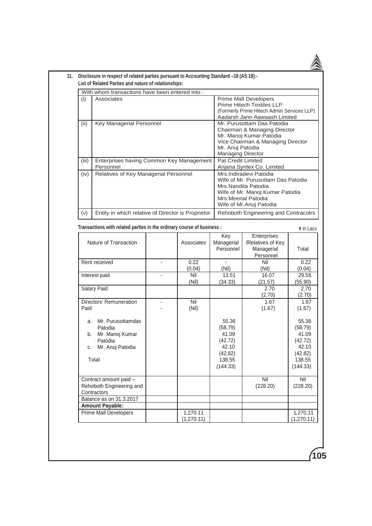| Associates<br><b>Prime Mall Developers</b><br>(i)<br><b>Prime Hitech Textiles LLP</b><br>(Formerly Prime Hitech Admin Services LLP)<br>Aadarsh Jann Aawaash Limited<br>Mr. Purusottam Das Patodia<br><b>Key Managerial Personnel</b><br>(ii)<br>Chairman & Managing Director<br>Mr. Manoj Kumar Patodia<br>Vice Chairman & Managing Director<br>Mr. Anuj Patodia<br><b>Managing Director</b><br>Enterprises having Common Key Management<br><b>Pat Credit Limited</b><br>(iii)<br>Personnel<br>Anjana Syntex Co. Limited<br>Relatives of Key Managerial Personnel<br>Mrs.Indiradevi Patodia<br>(iv)<br>Wife of Mr. Purusottam Das Patodia<br>Mrs.Nandita Patodia<br>Wife of Mr. Manoj Kumar Patodia<br>Mrs.Meenal Patodia<br>Wife of Mr.Anuj Patodia<br>(v)<br>Entity in which relative of Director is Proprietor<br>Rehoboth Engineering and Contracotrs<br>Transactions with related parties in the ordinary course of business :<br>₹ in Lacs<br>Enterprises<br>Key<br>Nature of Transaction<br>Associates<br>/Relatives of Key<br>Managerial<br>Managerial<br>Personnel<br>Personnel<br>Rent received<br>0.22<br>Nil<br>(0.04)<br>(Nil)<br>(0.04)<br>(Nil)<br>Interest paid<br>Nil<br>13.51<br>16.07<br>(Nil)<br>(34.33)<br>(21.57)<br><b>Salary Paid</b><br>2.70<br>(2.70)<br>Directors' Remuneration<br>1.67<br>Nil<br>$\overline{\phantom{0}}$<br>Paid<br>(Nil)<br>(1.67)<br>(1.67)<br>Mr. Purusottamdas<br>55.36<br>а.<br>(58.79)<br>Patodia<br>Mr. Manoj Kumar<br>41.09<br>b.<br>(42.72)<br>Patodia<br>(42.72)<br>Mr. Anuj Patodia<br>42.10<br>c.<br>(42.82)<br>Total<br>138.55<br>(144.33)<br>Contract amount paid -<br>Nil<br>Rehoboth Engineering and<br>(228.20)<br>(228.20)<br>Contractors<br>Balance as on 31.3.2017<br><b>Amount Payable:</b><br><b>Prime Mall Developers</b> | With whom transactions have been entered into: |          |  |            |
|-----------------------------------------------------------------------------------------------------------------------------------------------------------------------------------------------------------------------------------------------------------------------------------------------------------------------------------------------------------------------------------------------------------------------------------------------------------------------------------------------------------------------------------------------------------------------------------------------------------------------------------------------------------------------------------------------------------------------------------------------------------------------------------------------------------------------------------------------------------------------------------------------------------------------------------------------------------------------------------------------------------------------------------------------------------------------------------------------------------------------------------------------------------------------------------------------------------------------------------------------------------------------------------------------------------------------------------------------------------------------------------------------------------------------------------------------------------------------------------------------------------------------------------------------------------------------------------------------------------------------------------------------------------------------------------------------------------------------------------------------------------------------------------------------|------------------------------------------------|----------|--|------------|
|                                                                                                                                                                                                                                                                                                                                                                                                                                                                                                                                                                                                                                                                                                                                                                                                                                                                                                                                                                                                                                                                                                                                                                                                                                                                                                                                                                                                                                                                                                                                                                                                                                                                                                                                                                                               |                                                |          |  |            |
|                                                                                                                                                                                                                                                                                                                                                                                                                                                                                                                                                                                                                                                                                                                                                                                                                                                                                                                                                                                                                                                                                                                                                                                                                                                                                                                                                                                                                                                                                                                                                                                                                                                                                                                                                                                               |                                                |          |  |            |
|                                                                                                                                                                                                                                                                                                                                                                                                                                                                                                                                                                                                                                                                                                                                                                                                                                                                                                                                                                                                                                                                                                                                                                                                                                                                                                                                                                                                                                                                                                                                                                                                                                                                                                                                                                                               |                                                |          |  |            |
|                                                                                                                                                                                                                                                                                                                                                                                                                                                                                                                                                                                                                                                                                                                                                                                                                                                                                                                                                                                                                                                                                                                                                                                                                                                                                                                                                                                                                                                                                                                                                                                                                                                                                                                                                                                               |                                                |          |  |            |
|                                                                                                                                                                                                                                                                                                                                                                                                                                                                                                                                                                                                                                                                                                                                                                                                                                                                                                                                                                                                                                                                                                                                                                                                                                                                                                                                                                                                                                                                                                                                                                                                                                                                                                                                                                                               |                                                |          |  |            |
|                                                                                                                                                                                                                                                                                                                                                                                                                                                                                                                                                                                                                                                                                                                                                                                                                                                                                                                                                                                                                                                                                                                                                                                                                                                                                                                                                                                                                                                                                                                                                                                                                                                                                                                                                                                               |                                                |          |  |            |
|                                                                                                                                                                                                                                                                                                                                                                                                                                                                                                                                                                                                                                                                                                                                                                                                                                                                                                                                                                                                                                                                                                                                                                                                                                                                                                                                                                                                                                                                                                                                                                                                                                                                                                                                                                                               |                                                |          |  |            |
|                                                                                                                                                                                                                                                                                                                                                                                                                                                                                                                                                                                                                                                                                                                                                                                                                                                                                                                                                                                                                                                                                                                                                                                                                                                                                                                                                                                                                                                                                                                                                                                                                                                                                                                                                                                               |                                                |          |  |            |
|                                                                                                                                                                                                                                                                                                                                                                                                                                                                                                                                                                                                                                                                                                                                                                                                                                                                                                                                                                                                                                                                                                                                                                                                                                                                                                                                                                                                                                                                                                                                                                                                                                                                                                                                                                                               |                                                |          |  |            |
|                                                                                                                                                                                                                                                                                                                                                                                                                                                                                                                                                                                                                                                                                                                                                                                                                                                                                                                                                                                                                                                                                                                                                                                                                                                                                                                                                                                                                                                                                                                                                                                                                                                                                                                                                                                               |                                                |          |  |            |
|                                                                                                                                                                                                                                                                                                                                                                                                                                                                                                                                                                                                                                                                                                                                                                                                                                                                                                                                                                                                                                                                                                                                                                                                                                                                                                                                                                                                                                                                                                                                                                                                                                                                                                                                                                                               |                                                |          |  |            |
|                                                                                                                                                                                                                                                                                                                                                                                                                                                                                                                                                                                                                                                                                                                                                                                                                                                                                                                                                                                                                                                                                                                                                                                                                                                                                                                                                                                                                                                                                                                                                                                                                                                                                                                                                                                               |                                                |          |  |            |
|                                                                                                                                                                                                                                                                                                                                                                                                                                                                                                                                                                                                                                                                                                                                                                                                                                                                                                                                                                                                                                                                                                                                                                                                                                                                                                                                                                                                                                                                                                                                                                                                                                                                                                                                                                                               |                                                |          |  |            |
|                                                                                                                                                                                                                                                                                                                                                                                                                                                                                                                                                                                                                                                                                                                                                                                                                                                                                                                                                                                                                                                                                                                                                                                                                                                                                                                                                                                                                                                                                                                                                                                                                                                                                                                                                                                               |                                                |          |  |            |
|                                                                                                                                                                                                                                                                                                                                                                                                                                                                                                                                                                                                                                                                                                                                                                                                                                                                                                                                                                                                                                                                                                                                                                                                                                                                                                                                                                                                                                                                                                                                                                                                                                                                                                                                                                                               |                                                |          |  |            |
|                                                                                                                                                                                                                                                                                                                                                                                                                                                                                                                                                                                                                                                                                                                                                                                                                                                                                                                                                                                                                                                                                                                                                                                                                                                                                                                                                                                                                                                                                                                                                                                                                                                                                                                                                                                               |                                                |          |  |            |
|                                                                                                                                                                                                                                                                                                                                                                                                                                                                                                                                                                                                                                                                                                                                                                                                                                                                                                                                                                                                                                                                                                                                                                                                                                                                                                                                                                                                                                                                                                                                                                                                                                                                                                                                                                                               |                                                |          |  |            |
|                                                                                                                                                                                                                                                                                                                                                                                                                                                                                                                                                                                                                                                                                                                                                                                                                                                                                                                                                                                                                                                                                                                                                                                                                                                                                                                                                                                                                                                                                                                                                                                                                                                                                                                                                                                               |                                                |          |  |            |
|                                                                                                                                                                                                                                                                                                                                                                                                                                                                                                                                                                                                                                                                                                                                                                                                                                                                                                                                                                                                                                                                                                                                                                                                                                                                                                                                                                                                                                                                                                                                                                                                                                                                                                                                                                                               |                                                |          |  | Total      |
|                                                                                                                                                                                                                                                                                                                                                                                                                                                                                                                                                                                                                                                                                                                                                                                                                                                                                                                                                                                                                                                                                                                                                                                                                                                                                                                                                                                                                                                                                                                                                                                                                                                                                                                                                                                               |                                                |          |  |            |
|                                                                                                                                                                                                                                                                                                                                                                                                                                                                                                                                                                                                                                                                                                                                                                                                                                                                                                                                                                                                                                                                                                                                                                                                                                                                                                                                                                                                                                                                                                                                                                                                                                                                                                                                                                                               |                                                |          |  | 0.22       |
|                                                                                                                                                                                                                                                                                                                                                                                                                                                                                                                                                                                                                                                                                                                                                                                                                                                                                                                                                                                                                                                                                                                                                                                                                                                                                                                                                                                                                                                                                                                                                                                                                                                                                                                                                                                               |                                                |          |  | 29.58      |
|                                                                                                                                                                                                                                                                                                                                                                                                                                                                                                                                                                                                                                                                                                                                                                                                                                                                                                                                                                                                                                                                                                                                                                                                                                                                                                                                                                                                                                                                                                                                                                                                                                                                                                                                                                                               |                                                |          |  | (55.90)    |
|                                                                                                                                                                                                                                                                                                                                                                                                                                                                                                                                                                                                                                                                                                                                                                                                                                                                                                                                                                                                                                                                                                                                                                                                                                                                                                                                                                                                                                                                                                                                                                                                                                                                                                                                                                                               |                                                |          |  | 2.70       |
|                                                                                                                                                                                                                                                                                                                                                                                                                                                                                                                                                                                                                                                                                                                                                                                                                                                                                                                                                                                                                                                                                                                                                                                                                                                                                                                                                                                                                                                                                                                                                                                                                                                                                                                                                                                               |                                                |          |  | (2.70)     |
|                                                                                                                                                                                                                                                                                                                                                                                                                                                                                                                                                                                                                                                                                                                                                                                                                                                                                                                                                                                                                                                                                                                                                                                                                                                                                                                                                                                                                                                                                                                                                                                                                                                                                                                                                                                               |                                                |          |  | 1.67       |
|                                                                                                                                                                                                                                                                                                                                                                                                                                                                                                                                                                                                                                                                                                                                                                                                                                                                                                                                                                                                                                                                                                                                                                                                                                                                                                                                                                                                                                                                                                                                                                                                                                                                                                                                                                                               |                                                |          |  |            |
|                                                                                                                                                                                                                                                                                                                                                                                                                                                                                                                                                                                                                                                                                                                                                                                                                                                                                                                                                                                                                                                                                                                                                                                                                                                                                                                                                                                                                                                                                                                                                                                                                                                                                                                                                                                               |                                                |          |  | 55.36      |
|                                                                                                                                                                                                                                                                                                                                                                                                                                                                                                                                                                                                                                                                                                                                                                                                                                                                                                                                                                                                                                                                                                                                                                                                                                                                                                                                                                                                                                                                                                                                                                                                                                                                                                                                                                                               |                                                |          |  | (58.79)    |
|                                                                                                                                                                                                                                                                                                                                                                                                                                                                                                                                                                                                                                                                                                                                                                                                                                                                                                                                                                                                                                                                                                                                                                                                                                                                                                                                                                                                                                                                                                                                                                                                                                                                                                                                                                                               |                                                |          |  | 41.09      |
|                                                                                                                                                                                                                                                                                                                                                                                                                                                                                                                                                                                                                                                                                                                                                                                                                                                                                                                                                                                                                                                                                                                                                                                                                                                                                                                                                                                                                                                                                                                                                                                                                                                                                                                                                                                               |                                                |          |  | 42.10      |
|                                                                                                                                                                                                                                                                                                                                                                                                                                                                                                                                                                                                                                                                                                                                                                                                                                                                                                                                                                                                                                                                                                                                                                                                                                                                                                                                                                                                                                                                                                                                                                                                                                                                                                                                                                                               |                                                |          |  | (42.82)    |
|                                                                                                                                                                                                                                                                                                                                                                                                                                                                                                                                                                                                                                                                                                                                                                                                                                                                                                                                                                                                                                                                                                                                                                                                                                                                                                                                                                                                                                                                                                                                                                                                                                                                                                                                                                                               |                                                |          |  | 138.55     |
|                                                                                                                                                                                                                                                                                                                                                                                                                                                                                                                                                                                                                                                                                                                                                                                                                                                                                                                                                                                                                                                                                                                                                                                                                                                                                                                                                                                                                                                                                                                                                                                                                                                                                                                                                                                               |                                                |          |  | (144.33)   |
|                                                                                                                                                                                                                                                                                                                                                                                                                                                                                                                                                                                                                                                                                                                                                                                                                                                                                                                                                                                                                                                                                                                                                                                                                                                                                                                                                                                                                                                                                                                                                                                                                                                                                                                                                                                               |                                                |          |  | Nil        |
|                                                                                                                                                                                                                                                                                                                                                                                                                                                                                                                                                                                                                                                                                                                                                                                                                                                                                                                                                                                                                                                                                                                                                                                                                                                                                                                                                                                                                                                                                                                                                                                                                                                                                                                                                                                               |                                                |          |  |            |
|                                                                                                                                                                                                                                                                                                                                                                                                                                                                                                                                                                                                                                                                                                                                                                                                                                                                                                                                                                                                                                                                                                                                                                                                                                                                                                                                                                                                                                                                                                                                                                                                                                                                                                                                                                                               |                                                |          |  |            |
|                                                                                                                                                                                                                                                                                                                                                                                                                                                                                                                                                                                                                                                                                                                                                                                                                                                                                                                                                                                                                                                                                                                                                                                                                                                                                                                                                                                                                                                                                                                                                                                                                                                                                                                                                                                               |                                                | 1,270.11 |  | 1,270.11   |
| (1,270.11)                                                                                                                                                                                                                                                                                                                                                                                                                                                                                                                                                                                                                                                                                                                                                                                                                                                                                                                                                                                                                                                                                                                                                                                                                                                                                                                                                                                                                                                                                                                                                                                                                                                                                                                                                                                    |                                                |          |  | (1,270.11) |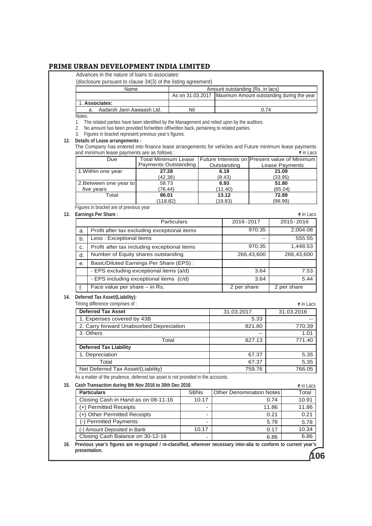Advances in the nature of loans to associates:

| (disclosure pursuant to clause 34(3) of the listing agreement) |  |
|----------------------------------------------------------------|--|
|----------------------------------------------------------------|--|

|                | Name                      |     | Amount outstanding (Rs. in lacs)                              |
|----------------|---------------------------|-----|---------------------------------------------------------------|
|                |                           |     | As on 31.03.2017   Maximum Amount outstanding during the year |
| 1. Associates: |                           |     |                                                               |
|                | Aadarsh Jann Aawaash Ltd. | Nil | 0.74                                                          |

Notes:

1. The related parties have been identified by the Management and relied upon by the auditors.

2. No amount has been provided for/written off/written back, pertaining to related parties.

3. Figures in bracket represent previous year's figures.

## **12. Details of Lease arrangements :**

The Company has entered into finance lease arrangements for vehicles and Future minimum lease payments and minimum lease payments are as follows :  $\overline{\bullet}$  in Lacs

| Due                    | <b>Total Minimum Lease</b> |             | Future Interests on Present value of Minimum |
|------------------------|----------------------------|-------------|----------------------------------------------|
|                        | Payments Outstanding       | Outstanding | Lease Payments                               |
| 1. Within one year     | 27.28                      | 6.19        | 21.09                                        |
|                        | (42.38)                    | (8.43)      | (33.95)                                      |
| 2. Between one year to | 58.73                      | 6.93        | 51.80                                        |
| five years             | (76.44)                    | (11.40)     | (65.04)                                      |
| Total                  | 86.01                      | 13.12       | 72.89                                        |
|                        | (118.82)                   | (19.83)     | (98.99)                                      |

Figures in bracket are of previous year

## **13. Earnings Per Share :**

| Earnings Per Share :                         |             | $\overline{\epsilon}$ in Lacs |
|----------------------------------------------|-------------|-------------------------------|
| <b>Particulars</b>                           | 2016-2017   | 2015-2016                     |
| Profit after tax excluding exceptional items | 970.35      | 2,004.08                      |
| Less: Exceptional items                      | --          | 555.55                        |
| Profit after tax including exceptional items | 970.35      | 1,448.53                      |
| Number of Equity shares outstanding          | 266,43,600  | 266,43,600                    |
| Basic/Diluted Earnings Per Share (EPS):      |             |                               |
| - EPS excluding exceptional items (a/d)      | 3.64        | 7.53                          |
| - EPS including exceptional items (c/d)      | 3.64        | 5.44                          |
| Face value per share - in Rs.                | 2 per share | 2 per share                   |
|                                              |             |                               |

### **14. Deferred Tax Asset/(Liability):**

| Timing difference comprises of :         |            | $\overline{\epsilon}$ in Lacs |
|------------------------------------------|------------|-------------------------------|
| <b>Deferred Tax Asset</b>                | 31.03.2017 | 31.03.2016                    |
| 1. Expenses covered by 43B               | 5.33       |                               |
| 2. Carry forward Unabsorbed Depreciation | 821.80     | 770.39                        |
| 3. Others                                | $- -$      | 1.01                          |
| Total                                    | 827.13     | 771.40                        |
| <b>Deferred Tax Liability</b>            |            |                               |
| 1. Depreciation                          | 67.37      | 5.35                          |
| Total                                    | 67.37      | 5.35                          |
| Net Deferred Tax Asset/(Liability)       | 759.76     | 766.05                        |

As a matter of the prudence, deferred tax asset is not provided in the accounts.

### **15. Cash Transaction during 8th Nov 2016 to 30th Dec 2016**

| Cash Transaction during 8th Nov 2016 to 30th Dec 2016 |                          |                                 |       |  |  |
|-------------------------------------------------------|--------------------------|---------------------------------|-------|--|--|
| <b>Particulars</b>                                    | <b>SBNs</b>              | <b>Other Denomination Notes</b> | Total |  |  |
| Closing Cash in Hand as on 08-11-16                   | 10.17                    | 0.74                            | 10.91 |  |  |
| (+) Permitted Receipts                                | $\overline{\phantom{0}}$ | 11.86                           | 11.86 |  |  |
| (+) Other Permitted Receipts                          | -                        | 0.21                            | 0.21  |  |  |
| (-) Permitted Payments                                | -                        | 5.78                            | 5.78  |  |  |
| (-) Amount Deposited in Bank                          | 10.17                    | 0.17                            | 10.34 |  |  |
| Closing Cash Balance on 30-12-16                      | $\overline{\phantom{0}}$ | 6.86                            | 6.86  |  |  |

**16. Previous year's figures are re-grouped / re-classified, wherever necessary inter-alia to conform to current year's presentation.**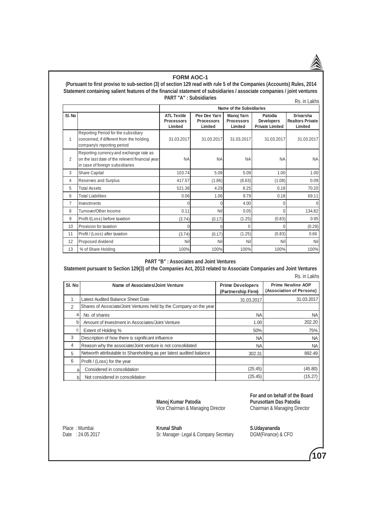#### **FORM AOC-1**

 **(Pursuant to first proviso to sub-section (3) of section 129 read with rule 5 of the Companies (Accounts) Rules, 2014 Statement containing salient features of the financial statement of subsidiaries / associate companies / joint ventures PART "A" : Subsidiaries** Rs. in Lakhs

|                |                                                                                                                               |                                                    |                                              | Name of the Subsidiaries                   |                                                        |                                                 |
|----------------|-------------------------------------------------------------------------------------------------------------------------------|----------------------------------------------------|----------------------------------------------|--------------------------------------------|--------------------------------------------------------|-------------------------------------------------|
| SI. No         |                                                                                                                               | <b>ATL Textile</b><br><b>Processors</b><br>Limited | Pee Dee Yarn<br><b>Processors</b><br>Limited | Manoj Yarn<br><b>Processors</b><br>Limited | Patodia<br><b>Developers</b><br><b>Private Limited</b> | Srivarsha<br><b>Realtors Private</b><br>Limited |
| 1              | Reporting Period for the subsidiary<br>concerned, if different from the holding<br>company's reporting period                 | 31.03.2017                                         | 31.03.2017                                   | 31.03.2017                                 | 31.03.2017                                             | 31.03.2017                                      |
| 2              | Reporting currency and exchange rate as<br>on the last date of the relevent financial year<br>in case of foreign subsidiaries | <b>NA</b>                                          | <b>NA</b>                                    | <b>NA</b>                                  | <b>NA</b>                                              | <b>NA</b>                                       |
| 3              | Share Capital                                                                                                                 | 103.74                                             | 5.09                                         | 5.09                                       | 1.00 <sub>l</sub>                                      | 1.00                                            |
| 4              | Reserves and Surplus                                                                                                          | 417.57                                             | (1.86)                                       | (6.63)                                     | (1.08)                                                 | 0.09                                            |
| 5              | <b>Total Assets</b>                                                                                                           | 521.38                                             | 4.29                                         | 8.25                                       | 0.18                                                   | 70.20                                           |
| 6              | <b>Total Liabilities</b>                                                                                                      | 0.06                                               | 1.06                                         | 9.79                                       | 0.18                                                   | 69.11                                           |
| $\overline{7}$ | Investments                                                                                                                   | 0                                                  | 0                                            | 4.00                                       | $\overline{0}$                                         | $\Omega$                                        |
| 8              | Turnover/Other Income                                                                                                         | 0.11                                               | Nil                                          | 0.05                                       | $\overline{0}$                                         | 134.82                                          |
| 9              | Profit /(Loss) before taxation                                                                                                | (3.74)                                             | (0.17)                                       | (1.25)                                     | (0.83)                                                 | 0.95                                            |
| 10             | Provision for taxation                                                                                                        | U                                                  | U                                            | 0                                          | $\Omega$                                               | (0.29)                                          |
| 11             | Profit / (Loss) after taxation                                                                                                | (3.74)                                             | (0.17)                                       | (1.25)                                     | (0.83)                                                 | 0.66                                            |
| 12             | Proposed dividend                                                                                                             | Nil                                                | Nil                                          | Nil                                        | Nil                                                    | Nil                                             |
| 13             | % of Share Holding                                                                                                            | 100%                                               | 100%                                         | 100%                                       | 100%                                                   | 100%                                            |

#### **PART "B" : Associates and Joint Ventures**

**Statement pursuant to Section 129(3) of the Companies Act, 2013 related to Associate Companies and Joint Ventures** Rs. in Lakhs

| SI. No         | Name of Associates/Joint Venture                                    | <b>Prime Developers</b><br>(Partnership Firm) | <b>Prime Newline AOP</b><br>(Association of Persons) |
|----------------|---------------------------------------------------------------------|-----------------------------------------------|------------------------------------------------------|
|                | Latest Audited Balance Sheet Date                                   | 31.03.2017                                    | 31.03.2017                                           |
| $\mathfrak{D}$ | Shares of Associate/Joint Ventures held by the Company on the year  |                                               |                                                      |
| a              | No. of shares                                                       | <b>NA</b>                                     | <b>NA</b>                                            |
| b              | Amount of Investment in Associates/Joint Venture                    | 1.00                                          | 202.20                                               |
| С              | Extent of Holding %                                                 | 50%                                           | 75%                                                  |
| 3              | Description of how there is significant influence                   | <b>NA</b>                                     | <b>NA</b>                                            |
| 4              | Reason why the associate/Joint venture is not consolidated          | <b>NA</b>                                     | <b>NA</b>                                            |
| 5              | Networth attributable to Shareholding as per latest audited balance | 302.31                                        | 892.49                                               |
| 6              | Profit / (Loss) for the year                                        |                                               |                                                      |
| a              | Considered in consolidation                                         | (25.45)                                       | (45.80)                                              |
| $\mathsf{b}$   | Not considered in consolidation                                     | (25.45)                                       | (15.27)                                              |

Vice Chairman & Managing Director

Place: Mumbai

Place : Mumbai **Krunal Shah Krunal Shah S.Udayananda**<br>
Date : 24.05.2017 **Sr.** Manager- Legal & Company Secretary DGM(Finance) & CFO Sr. Manager- Legal & Company Secretary

 **For and on behalf of the Board Purusottam Das Patodia**<br>Chairman & Managing Director

**107**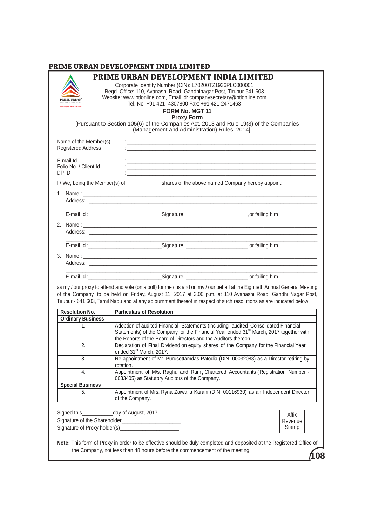|                                             |                                                | PRIME URBAN DEVELOPMENT INDIA LIMITED<br>Corporate Identity Number (CIN): L70200TZ1936PLC000001<br>Regd. Office: 110, Avanashi Road, Gandhinagar Post, Tirupur-641 603<br>Website: www.ptlonline.com, Email id: companysecretary@ptlonline.com<br>Tel. No: +91 421- 4307800 Fax: +91 421-2471463 |                                                                                                                                                                                                                                                                                                                                                                   |    |
|---------------------------------------------|------------------------------------------------|--------------------------------------------------------------------------------------------------------------------------------------------------------------------------------------------------------------------------------------------------------------------------------------------------|-------------------------------------------------------------------------------------------------------------------------------------------------------------------------------------------------------------------------------------------------------------------------------------------------------------------------------------------------------------------|----|
|                                             |                                                | <b>FORM No. MGT 11</b><br><b>Proxy Form</b><br>(Management and Administration) Rules, 2014]                                                                                                                                                                                                      | [Pursuant to Section 105(6) of the Companies Act, 2013 and Rule 19(3) of the Companies                                                                                                                                                                                                                                                                            |    |
| Name of the Member(s)<br>Registered Address |                                                |                                                                                                                                                                                                                                                                                                  |                                                                                                                                                                                                                                                                                                                                                                   |    |
| E-mail Id<br>Folio No. / Client Id<br>DP ID |                                                |                                                                                                                                                                                                                                                                                                  |                                                                                                                                                                                                                                                                                                                                                                   |    |
|                                             |                                                |                                                                                                                                                                                                                                                                                                  |                                                                                                                                                                                                                                                                                                                                                                   |    |
|                                             |                                                |                                                                                                                                                                                                                                                                                                  | Address: the contract of the contract of the contract of the contract of the contract of the contract of the contract of the contract of the contract of the contract of the contract of the contract of the contract of the c                                                                                                                                    |    |
|                                             |                                                |                                                                                                                                                                                                                                                                                                  |                                                                                                                                                                                                                                                                                                                                                                   |    |
|                                             |                                                |                                                                                                                                                                                                                                                                                                  | Address: the contract of the contract of the contract of the contract of the contract of the contract of the contract of the contract of the contract of the contract of the contract of the contract of the contract of the c                                                                                                                                    |    |
|                                             |                                                | E-mail Id: Contract Contract Contract Contract Contract Contract Contract Contract Contract Contract Contract Contract Contract Contract Contract Contract Contract Contract Contract Contract Contract Contract Contract Cont                                                                   |                                                                                                                                                                                                                                                                                                                                                                   |    |
|                                             |                                                |                                                                                                                                                                                                                                                                                                  |                                                                                                                                                                                                                                                                                                                                                                   |    |
|                                             |                                                |                                                                                                                                                                                                                                                                                                  | <u> 1989 - Johann John Stone, markin sammen fyrstum og fyrir og fyrir og fyrir og fyrir og fyrir og fyrir og fyri</u>                                                                                                                                                                                                                                             |    |
| <b>Resolution No.</b>                       |                                                | <b>Particulars of Resolution</b>                                                                                                                                                                                                                                                                 | as my / our proxy to attend and vote (on a poll) for me / us and on my / our behalf at the Eightieth Annual General Meeting<br>of the Company, to be held on Friday, August 11, 2017 at 3.00 p.m. at 110 Avanashi Road, Gandhi Nagar Post,<br>Tirupur - 641 603, Tamil Nadu and at any adjournment thereof in respect of such resolutions as are indicated below: |    |
| <b>Ordinary Business</b>                    |                                                |                                                                                                                                                                                                                                                                                                  |                                                                                                                                                                                                                                                                                                                                                                   |    |
| 1.                                          |                                                | the Reports of the Board of Directors and the Auditors thereon.                                                                                                                                                                                                                                  | Adoption of audited Financial Statements (including audited Consolidated Financial<br>Statements) of the Company for the Financial Year ended 31 <sup>st</sup> March, 2017 together with                                                                                                                                                                          |    |
| 2.                                          |                                                | ended 31 <sup>st</sup> March, 2017.                                                                                                                                                                                                                                                              | Declaration of Final Dividend on equity shares of the Company for the Financial Year                                                                                                                                                                                                                                                                              |    |
| 3.                                          | rotation.                                      |                                                                                                                                                                                                                                                                                                  | Re-appointment of Mr. Purusottamdas Patodia (DIN: 00032088) as a Director retiring by                                                                                                                                                                                                                                                                             |    |
| 4.                                          |                                                | 0033405) as Statutory Auditors of the Company.                                                                                                                                                                                                                                                   | Appointment of M/s. Raghu and Ram, Chartered Accountants (Registration Number -                                                                                                                                                                                                                                                                                   |    |
| <b>Special Business</b>                     |                                                |                                                                                                                                                                                                                                                                                                  |                                                                                                                                                                                                                                                                                                                                                                   |    |
| 5.                                          | of the Company.                                |                                                                                                                                                                                                                                                                                                  | Appointment of Mrs. Ryna Zaiwalla Karani (DIN: 00116930) as an Independent Director                                                                                                                                                                                                                                                                               |    |
|                                             | Signed this________________day of August, 2017 |                                                                                                                                                                                                                                                                                                  | Affix<br>Revenue<br>Stamp                                                                                                                                                                                                                                                                                                                                         |    |
|                                             |                                                | the Company, not less than 48 hours before the commencement of the meeting.                                                                                                                                                                                                                      | Note: This form of Proxy in order to be effective should be duly completed and deposited at the Registered Office of                                                                                                                                                                                                                                              | 08 |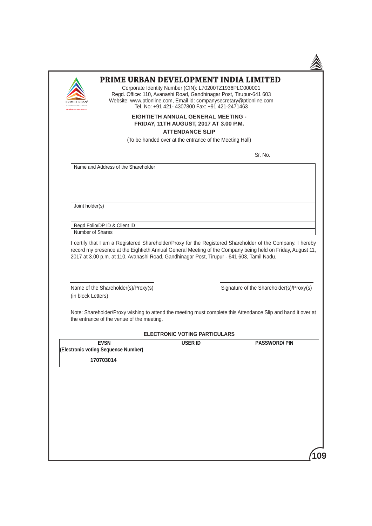

## **PRIME URBAN DEVELOPMENT INDIA LIMITED**

Corporate Identity Number (CIN): L70200TZ1936PLC000001 Regd. Office: 110, Avanashi Road, Gandhinagar Post, Tirupur-641 603 Website: www.ptlonline.com, Email id: companysecretary@ptlonline.com Tel. No: +91 421- 4307800 Fax: +91 421-2471463

## **EIGHTIETH ANNUAL GENERAL MEETING - FRIDAY, 11TH AUGUST, 2017 AT 3.00 P.M.**

#### **ATTENDANCE SLIP**

(To be handed over at the entrance of the Meeting Hall)

**Sr. No. 2008. In the state of the state of the state of the Sr. No. 2008.** 

| Name and Address of the Shareholder |  |
|-------------------------------------|--|
| Joint holder(s)                     |  |
|                                     |  |
| Regd Folio/DP ID & Client ID        |  |
| Number of Shares                    |  |

 I certify that I am a Registered Shareholder/Proxy for the Registered Shareholder of the Company. I hereby record my presence at the Eightieth Annual General Meeting of the Company being held on Friday, August 11, 2017 at 3.00 p.m. at 110, Avanashi Road, Gandhinagar Post, Tirupur - 641 603, Tamil Nadu.

(in block Letters)

Name of the Shareholder(s)/Proxy(s) Signature of the Shareholder(s)/Proxy(s)

 Note: Shareholder/Proxy wishing to attend the meeting must complete this Attendance Slip and hand it over at the entrance of the venue of the meeting.

| <b>ELECTRONIC VOTING PARTICULARS</b> |  |
|--------------------------------------|--|
|--------------------------------------|--|

| <b>EVSN</b>                         | USER ID | <b>PASSWORD/PIN</b> |
|-------------------------------------|---------|---------------------|
| (Electronic voting Sequence Number) |         |                     |
| 170703014                           |         |                     |

**109**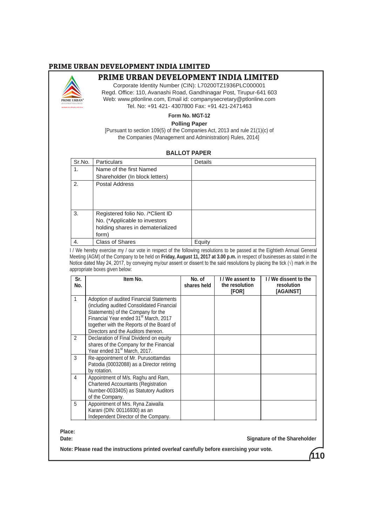# **PRIME URBAN DEVELOPMENT INDIA LIMITED**



# **PRIME URBAN DEVELOPMENT INDIA LIMITED**

Corporate Identity Number (CIN): L70200TZ1936PLC000001 Regd. Office: 110, Avanashi Road, Gandhinagar Post, Tirupur-641 603 Web: www.ptlonline.com, Email id: companysecretary@ptlonline.com Tel. No: +91 421- 4307800 Fax: +91 421-2471463

# **Form No. MGT-12**

## **Polling Paper**

[Pursuant to section 109(5) of the Companies Act, 2013 and rule 21(1)(c) of the Companies (Management and Administration) Rules, 2014]

#### **BALLOT PAPER**

| Sr.No. | <b>Particulars</b>                                                                                             | Details |
|--------|----------------------------------------------------------------------------------------------------------------|---------|
| 1.     | Name of the first Named                                                                                        |         |
|        | Shareholder (In block letters)                                                                                 |         |
| 2.     | Postal Address                                                                                                 |         |
| 3.     | Registered folio No. /*Client ID<br>No. (*Applicable to investors<br>holding shares in dematerialized<br>form) |         |
| 4.     | <b>Class of Shares</b>                                                                                         | Equity  |

 I / We hereby exercise my / our vote in respect of the following resolutions to be passed at the Eightieth Annual General Meeting (AGM) of the Company to be held on **Friday, August 11, 2017 at 3.00 p.m.** in respect of businesses as stated in the Notice dated May 24, 2017, by conveying my/our assent or dissent to the said resolutions by placing the tick  $(\sqrt{)}$  mark in the appropriate boxes given below:

| Sr.<br>No.    | Item No.                                                                                                                                                                                                                                                             | No. of<br>shares held | I / We assent to<br>the resolution<br>[FOR] | I / We dissent to the<br>resolution<br>[AGAINST] |
|---------------|----------------------------------------------------------------------------------------------------------------------------------------------------------------------------------------------------------------------------------------------------------------------|-----------------------|---------------------------------------------|--------------------------------------------------|
| 1             | Adoption of audited Financial Statements<br>(including audited Consolidated Financial<br>Statements) of the Company for the<br>Financial Year ended 31 <sup>st</sup> March, 2017<br>together with the Reports of the Board of<br>Directors and the Auditors thereon. |                       |                                             |                                                  |
| $\mathcal{P}$ | Declaration of Final Dividend on equity<br>shares of the Company for the Financial<br>Year ended 31 <sup>st</sup> March, 2017.                                                                                                                                       |                       |                                             |                                                  |
| 3             | Re-appointment of Mr. Purusottamdas<br>Patodia (00032088) as a Director retiring<br>by rotation.                                                                                                                                                                     |                       |                                             |                                                  |
| 4             | Appointment of M/s. Raghu and Ram,<br><b>Chartered Accountants (Registration</b><br>Number-0033405) as Statutory Auditors<br>of the Company.                                                                                                                         |                       |                                             |                                                  |
| 5             | Appointment of Mrs. Ryna Zaiwalla<br>Karani (DIN: 00116930) as an<br>Independent Director of the Company.                                                                                                                                                            |                       |                                             |                                                  |

#### **Place:**

**Date:** Signature of the Shareholder

**Note: Please read the instructions printed overleaf carefully before exercising your vote.**

**110**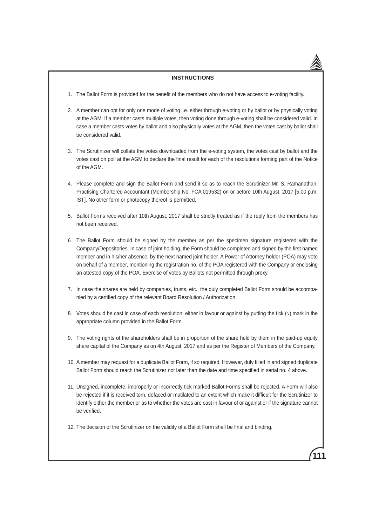#### **INSTRUCTIONS**

- 1. The Ballot Form is provided for the benefit of the members who do not have access to e-voting facility.
- 2. A member can opt for only one mode of voting i.e. either through e-voting or by ballot or by physically voting at the AGM. If a member casts multiple votes, then voting done through e-voting shall be considered valid. In case a member casts votes by ballot and also physically votes at the AGM, then the votes cast by ballot shall be considered valid.
- 3. The Scrutinizer will collate the votes downloaded from the e-voting system, the votes cast by ballot and the votes cast on poll at the AGM to declare the final result for each of the resolutions forming part of the Notice of the AGM.
- 4. Please complete and sign the Ballot Form and send it so as to reach the Scrutinizer Mr. S. Ramanathan, Practising Chartered Accountant (Membership No. FCA 019532) on or before 10th August, 2017 [5.00 p.m. IST]. No other form or photocopy thereof is permitted.
- 5. Ballot Forms received after 10th August, 2017 shall be strictly treated as if the reply from the members has not been received.
- 6. The Ballot Form should be signed by the member as per the specimen signature registered with the Company/Depositories. In case of joint holding, the Form should be completed and signed by the first named member and in his/her absence, by the next named joint holder. A Power of Attorney holder (POA) may vote on behalf of a member, mentioning the registration no. of the POA registered with the Company or enclosing an attested copy of the POA. Exercise of votes by Ballots not permitted through proxy.
- 7. In case the shares are held by companies, trusts, etc., the duly completed Ballot Form should be accompanied by a certified copy of the relevant Board Resolution / Authorization.
- 8. Votes should be cast in case of each resolution, either in favour or against by putting the tick  $(\sqrt{})$  mark in the appropriate column provided in the Ballot Form.
- 9. The voting rights of the shareholders shall be in proportion of the share held by them in the paid-up equity share capital of the Company as on 4th August, 2017 and as per the Register of Members of the Company.
- 10. A member may request for a duplicate Ballot Form, if so required. However, duly filled in and signed duplicate Ballot Form should reach the Scrutinizer not later than the date and time specified in serial no. 4 above.
- 11. Unsigned, incomplete, improperly or incorrectly tick marked Ballot Forms shall be rejected. A Form will also be rejected if it is received torn, defaced or mutilated to an extent which make it difficult for the Scrutinizer to identify either the member or as to whether the votes are cast in favour of or against or if the signature cannot be verified.

**111**

12. The decision of the Scrutinizer on the validity of a Ballot Form shall be final and binding.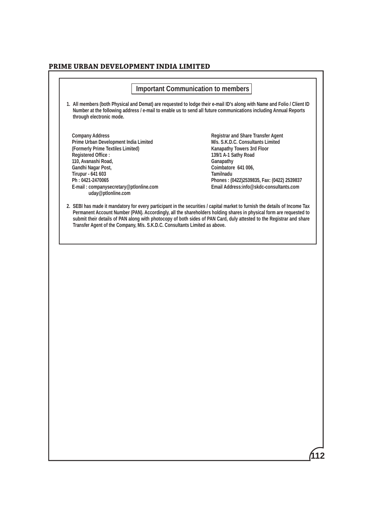# **PRIME URBAN DEVELOPMENT INDIA LIMITED**

|                                                                                                                                                                                                                                                                                                | <b>Important Communication to members</b> |                                                                                                                                                                                                                                                                                                                                                                           |
|------------------------------------------------------------------------------------------------------------------------------------------------------------------------------------------------------------------------------------------------------------------------------------------------|-------------------------------------------|---------------------------------------------------------------------------------------------------------------------------------------------------------------------------------------------------------------------------------------------------------------------------------------------------------------------------------------------------------------------------|
| through electronic mode.                                                                                                                                                                                                                                                                       |                                           | 1. All members (both Physical and Demat) are requested to lodge their e-mail ID's along with Name and Folio / Client ID<br>Number at the following address / e-mail to enable us to send all future communications including Annual Reports                                                                                                                               |
| <b>Company Address</b><br>Prime Urban Development India Limited<br>(Formerly Prime Textiles Limited)<br><b>Registered Office:</b><br>110, Avanashi Road,<br>Gandhi Nagar Post,<br><b>Tirupur - 641 603</b><br>Ph: 0421-2470065<br>E-mail: companysecretary@ptlonline.com<br>uday@ptlonline.com |                                           | <b>Registrar and Share Transfer Agent</b><br>M/s. S.K.D.C. Consultants Limited<br>Kanapathy Towers 3rd Floor<br>139/1 A-1 Sathy Road<br>Ganapathy<br>Coimbatore 641 006,<br>Tamilnadu<br>Phones: (0422)2539835, Fax: (0422) 2539837<br>Email Address:info@skdc-consultants.com                                                                                            |
| Transfer Agent of the Company, M/s. S.K.D.C. Consultants Limited as above.                                                                                                                                                                                                                     |                                           | 2. SEBI has made it mandatory for every participant in the securities / capital market to furnish the details of Income Tax<br>Permanent Account Number (PAN). Accordingly, all the shareholders holding shares in physical form are requested to<br>submit their details of PAN along with photocopy of both sides of PAN Card, duly attested to the Registrar and share |
|                                                                                                                                                                                                                                                                                                |                                           |                                                                                                                                                                                                                                                                                                                                                                           |
|                                                                                                                                                                                                                                                                                                |                                           |                                                                                                                                                                                                                                                                                                                                                                           |
|                                                                                                                                                                                                                                                                                                |                                           |                                                                                                                                                                                                                                                                                                                                                                           |
|                                                                                                                                                                                                                                                                                                |                                           |                                                                                                                                                                                                                                                                                                                                                                           |
|                                                                                                                                                                                                                                                                                                |                                           |                                                                                                                                                                                                                                                                                                                                                                           |
|                                                                                                                                                                                                                                                                                                |                                           |                                                                                                                                                                                                                                                                                                                                                                           |
|                                                                                                                                                                                                                                                                                                |                                           |                                                                                                                                                                                                                                                                                                                                                                           |
|                                                                                                                                                                                                                                                                                                |                                           |                                                                                                                                                                                                                                                                                                                                                                           |
|                                                                                                                                                                                                                                                                                                |                                           |                                                                                                                                                                                                                                                                                                                                                                           |
|                                                                                                                                                                                                                                                                                                |                                           |                                                                                                                                                                                                                                                                                                                                                                           |